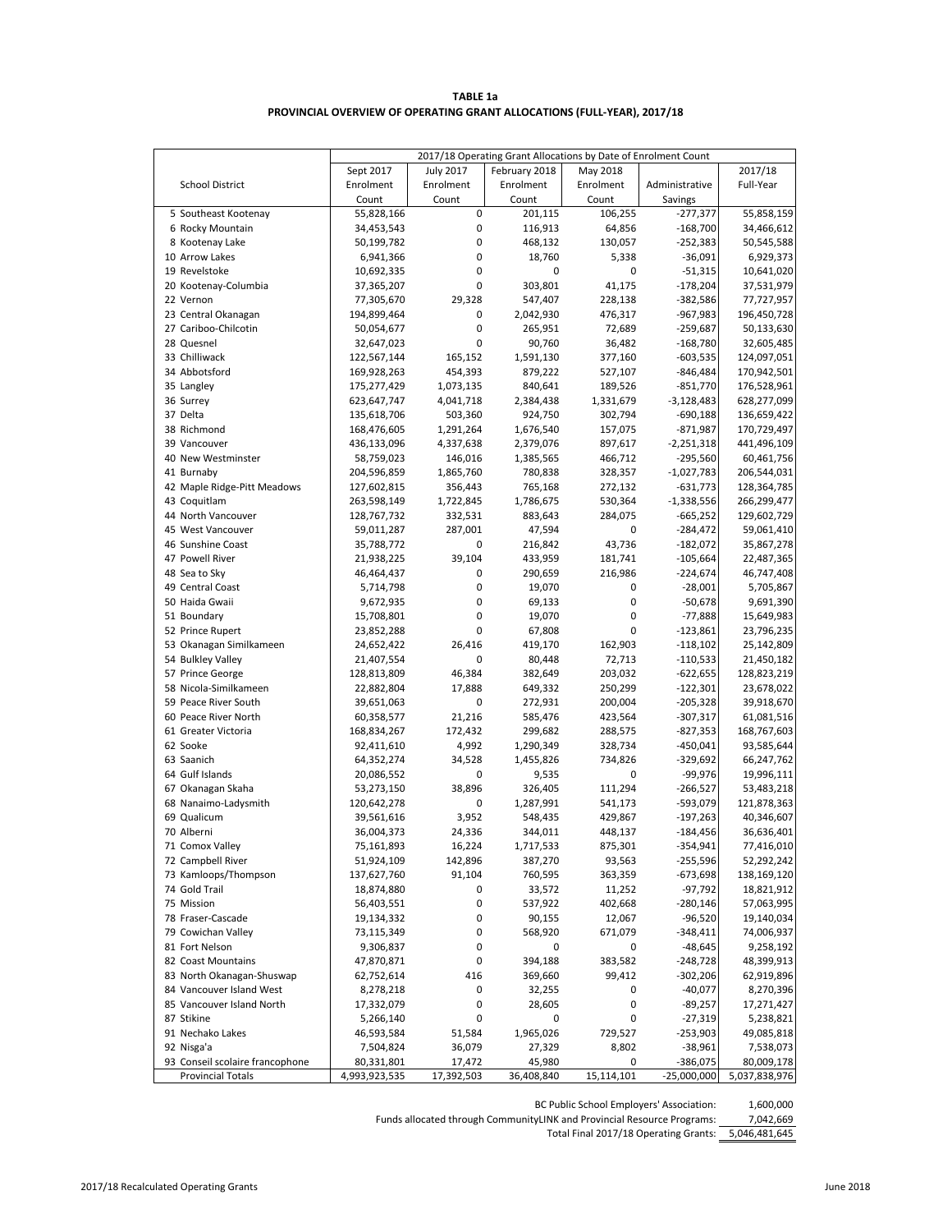#### **PROVINCIAL OVERVIEW OF OPERATING GRANT ALLOCATIONS (FULL-YEAR), 2017/18 TABLE 1a**

| 2017/18<br>Sept 2017<br><b>July 2017</b><br>February 2018<br>May 2018<br><b>School District</b><br>Enrolment<br>Enrolment<br>Enrolment<br>Enrolment<br>Administrative<br>Full-Year<br>Count<br>Count<br>Count<br>Count<br>Savings<br>0<br>106,255<br>5 Southeast Kootenay<br>55,828,166<br>201,115<br>$-277,377$<br>55,858,159<br>0<br>6 Rocky Mountain<br>34,453,543<br>116,913<br>64,856<br>$-168,700$<br>34,466,612<br>0<br>8 Kootenay Lake<br>50,199,782<br>468,132<br>130,057<br>$-252,383$<br>50,545,588<br>0<br>10 Arrow Lakes<br>18,760<br>5,338<br>$-36,091$<br>6,929,373<br>6,941,366<br>19 Revelstoke<br>10,692,335<br>0<br>0<br>0<br>$-51,315$<br>10,641,020<br>0<br>303,801<br>20 Kootenay-Columbia<br>41,175<br>$-178,204$<br>37,365,207<br>37,531,979<br>22 Vernon<br>77,305,670<br>29,328<br>547,407<br>228,138<br>$-382,586$<br>77,727,957<br>23 Central Okanagan<br>194,899,464<br>0<br>2,042,930<br>476,317<br>$-967,983$<br>196,450,728<br>27 Cariboo-Chilcotin<br>0<br>72,689<br>$-259,687$<br>50,054,677<br>265,951<br>50,133,630<br>28 Quesnel<br>0<br>90,760<br>36,482<br>$-168,780$<br>32,605,485<br>32,647,023<br>33 Chilliwack<br>122,567,144<br>165,152<br>1,591,130<br>377,160<br>124,097,051<br>$-603,535$<br>34 Abbotsford<br>169,928,263<br>454,393<br>879,222<br>527,107<br>$-846,484$<br>170,942,501<br>35 Langley<br>175,277,429<br>840,641<br>189,526<br>$-851,770$<br>176,528,961<br>1,073,135<br>36 Surrey<br>623,647,747<br>4,041,718<br>2,384,438<br>1,331,679<br>$-3,128,483$<br>628,277,099<br>37 Delta<br>135,618,706<br>503,360<br>924,750<br>302,794<br>$-690,188$<br>136,659,422<br>38 Richmond<br>1,291,264<br>1,676,540<br>157,075<br>$-871,987$<br>170,729,497<br>168,476,605<br>436,133,096<br>897,617<br>$-2,251,318$<br>441,496,109<br>39 Vancouver<br>4,337,638<br>2,379,076<br>40 New Westminster<br>58,759,023<br>146,016<br>1,385,565<br>466,712<br>$-295,560$<br>60,461,756<br>41 Burnaby<br>780,838<br>328,357<br>$-1,027,783$<br>204,596,859<br>1,865,760<br>206,544,031<br>42 Maple Ridge-Pitt Meadows<br>127,602,815<br>356,443<br>765,168<br>272,132<br>$-631,773$<br>128,364,785<br>43 Coquitlam<br>263,598,149<br>1,722,845<br>1,786,675<br>530,364<br>$-1,338,556$<br>266,299,477<br>44 North Vancouver<br>332,531<br>883,643<br>284,075<br>$-665,252$<br>129,602,729<br>128,767,732<br>45 West Vancouver<br>287,001<br>47,594<br>0<br>$-284,472$<br>59,011,287<br>59,061,410<br>46 Sunshine Coast<br>35,788,772<br>0<br>216,842<br>43,736<br>$-182,072$<br>35,867,278<br>47 Powell River<br>39,104<br>433,959<br>181,741<br>$-105,664$<br>21,938,225<br>22,487,365<br>48 Sea to Sky<br>46,464,437<br>0<br>290,659<br>216,986<br>$-224,674$<br>46,747,408<br>0<br>49 Central Coast<br>5,714,798<br>19,070<br>0<br>$-28,001$<br>5,705,867<br>0<br>50 Haida Gwaii<br>9,672,935<br>69,133<br>0<br>$-50,678$<br>0<br>$-77,888$<br>51 Boundary<br>15,708,801<br>19,070<br>0<br>15,649,983<br>0<br>$\pmb{0}$<br>52 Prince Rupert<br>23,852,288<br>67,808<br>$-123,861$<br>23,796,235<br>53 Okanagan Similkameen<br>24,652,422<br>26,416<br>419,170<br>162,903<br>$-118,102$<br>25,142,809<br>54 Bulkley Valley<br>21,407,554<br>0<br>80,448<br>72,713<br>$-110,533$<br>21,450,182<br>57 Prince George<br>46,384<br>382,649<br>203,032<br>128,813,809<br>$-622,655$<br>128,823,219<br>58 Nicola-Similkameen<br>22,882,804<br>17,888<br>649,332<br>250,299<br>$-122,301$<br>23,678,022<br>59 Peace River South<br>0<br>200,004<br>$-205,328$<br>39,651,063<br>272,931<br>60 Peace River North<br>21,216<br>423,564<br>$-307,317$<br>60,358,577<br>585,476<br>61,081,516<br>61 Greater Victoria<br>168,834,267<br>172,432<br>288,575<br>$-827,353$<br>168,767,603<br>299,682<br>62 Sooke<br>92,411,610<br>4,992<br>1,290,349<br>328,734<br>$-450,041$<br>93,585,644<br>63 Saanich<br>64,352,274<br>34,528<br>1,455,826<br>734,826<br>$-329,692$<br>66,247,762<br>64 Gulf Islands<br>20,086,552<br>0<br>9,535<br>0<br>$-99,976$<br>19,996,111<br>38,896<br>67 Okanagan Skaha<br>53,273,150<br>326,405<br>111,294<br>$-266,527$<br>53,483,218<br>68 Nanaimo-Ladysmith<br>0<br>1,287,991<br>-593,079<br>120,642,278<br>541,173<br>121,878,363<br>69 Qualicum<br>3,952<br>429,867<br>39,561,616<br>548,435<br>$-197,263$<br>70 Alberni<br>36,004,373<br>24,336<br>344,011<br>448,137<br>$-184,456$<br>36,636,401<br>71 Comox Valley<br>75,161,893<br>16,224<br>1,717,533<br>875,301<br>-354,941<br>72 Campbell River<br>51,924,109<br>142,896<br>387,270<br>93,563<br>$-255,596$<br>73 Kamloops/Thompson<br>137,627,760<br>91,104<br>760,595<br>363,359<br>$-673,698$<br>74 Gold Trail<br>18,874,880<br>0<br>33,572<br>11,252<br>-97,792<br>75 Mission<br>56,403,551<br>0<br>537,922<br>402,668<br>$-280,146$<br>0<br>78 Fraser-Cascade<br>19,134,332<br>90,155<br>12,067<br>$-96,520$<br>0<br>79 Cowichan Valley<br>73,115,349<br>568,920<br>671,079<br>$-348,411$<br>$-48,645$<br>81 Fort Nelson<br>9,306,837<br>0<br>0<br>0<br>394,188<br>383,582<br>$-248,728$<br>82 Coast Mountains<br>47,870,871<br>0<br>416<br>99,412<br>83 North Okanagan-Shuswap<br>62,752,614<br>369,660<br>$-302,206$<br>$-40,077$<br>84 Vancouver Island West<br>8,278,218<br>0<br>0<br>32,255<br>0<br>85 Vancouver Island North<br>17,332,079<br>0<br>28,605<br>$-89,257$<br>87 Stikine<br>5,266,140<br>0<br>0<br>0<br>$-27,319$<br>91 Nechako Lakes<br>46,593,584<br>51,584<br>1,965,026<br>729,527<br>$-253,903$<br>92 Nisga'a<br>36,079<br>27,329<br>8,802<br>$-38,961$<br>7,504,824<br>93 Conseil scolaire francophone<br>45,980<br>$-386,075$<br>80,331,801<br>17,472<br>0<br><b>Provincial Totals</b><br>15,114,101<br>$-25,000,000$<br>4,993,923,535<br>17,392,503<br>36,408,840 | 2017/18 Operating Grant Allocations by Date of Enrolment Count |  |  |  |  |  |  |  |
|--------------------------------------------------------------------------------------------------------------------------------------------------------------------------------------------------------------------------------------------------------------------------------------------------------------------------------------------------------------------------------------------------------------------------------------------------------------------------------------------------------------------------------------------------------------------------------------------------------------------------------------------------------------------------------------------------------------------------------------------------------------------------------------------------------------------------------------------------------------------------------------------------------------------------------------------------------------------------------------------------------------------------------------------------------------------------------------------------------------------------------------------------------------------------------------------------------------------------------------------------------------------------------------------------------------------------------------------------------------------------------------------------------------------------------------------------------------------------------------------------------------------------------------------------------------------------------------------------------------------------------------------------------------------------------------------------------------------------------------------------------------------------------------------------------------------------------------------------------------------------------------------------------------------------------------------------------------------------------------------------------------------------------------------------------------------------------------------------------------------------------------------------------------------------------------------------------------------------------------------------------------------------------------------------------------------------------------------------------------------------------------------------------------------------------------------------------------------------------------------------------------------------------------------------------------------------------------------------------------------------------------------------------------------------------------------------------------------------------------------------------------------------------------------------------------------------------------------------------------------------------------------------------------------------------------------------------------------------------------------------------------------------------------------------------------------------------------------------------------------------------------------------------------------------------------------------------------------------------------------------------------------------------------------------------------------------------------------------------------------------------------------------------------------------------------------------------------------------------------------------------------------------------------------------------------------------------------------------------------------------------------------------------------------------------------------------------------------------------------------------------------------------------------------------------------------------------------------------------------------------------------------------------------------------------------------------------------------------------------------------------------------------------------------------------------------------------------------------------------------------------------------------------------------------------------------------------------------------------------------------------------------------------------------------------------------------------------------------------------------------------------------------------------------------------------------------------------------------------------------------------------------------------------------------------------------------------------------------------------------------------------------------------------------------------------------------------------------------------------------------------------------------------------------------------------------------------------------------------------------------------------------------------------------------------------------------------------------------------------------------------------------------------------------------------------------------------------------------------------------------------------------------------------------------------------------------------------------------------------------------------------------------------------------------------------------------------------------------------------------------------------------------------------------------------------------------------------------------------------------------------------------------------------------------------------------------------------------------------------------------------------------------------------------------------------------------------------------------|----------------------------------------------------------------|--|--|--|--|--|--|--|
|                                                                                                                                                                                                                                                                                                                                                                                                                                                                                                                                                                                                                                                                                                                                                                                                                                                                                                                                                                                                                                                                                                                                                                                                                                                                                                                                                                                                                                                                                                                                                                                                                                                                                                                                                                                                                                                                                                                                                                                                                                                                                                                                                                                                                                                                                                                                                                                                                                                                                                                                                                                                                                                                                                                                                                                                                                                                                                                                                                                                                                                                                                                                                                                                                                                                                                                                                                                                                                                                                                                                                                                                                                                                                                                                                                                                                                                                                                                                                                                                                                                                                                                                                                                                                                                                                                                                                                                                                                                                                                                                                                                                                                                                                                                                                                                                                                                                                                                                                                                                                                                                                                                                                                                                                                                                                                                                                                                                                                                                                                                                                                                                                                                                                                                          |                                                                |  |  |  |  |  |  |  |
|                                                                                                                                                                                                                                                                                                                                                                                                                                                                                                                                                                                                                                                                                                                                                                                                                                                                                                                                                                                                                                                                                                                                                                                                                                                                                                                                                                                                                                                                                                                                                                                                                                                                                                                                                                                                                                                                                                                                                                                                                                                                                                                                                                                                                                                                                                                                                                                                                                                                                                                                                                                                                                                                                                                                                                                                                                                                                                                                                                                                                                                                                                                                                                                                                                                                                                                                                                                                                                                                                                                                                                                                                                                                                                                                                                                                                                                                                                                                                                                                                                                                                                                                                                                                                                                                                                                                                                                                                                                                                                                                                                                                                                                                                                                                                                                                                                                                                                                                                                                                                                                                                                                                                                                                                                                                                                                                                                                                                                                                                                                                                                                                                                                                                                                          |                                                                |  |  |  |  |  |  |  |
|                                                                                                                                                                                                                                                                                                                                                                                                                                                                                                                                                                                                                                                                                                                                                                                                                                                                                                                                                                                                                                                                                                                                                                                                                                                                                                                                                                                                                                                                                                                                                                                                                                                                                                                                                                                                                                                                                                                                                                                                                                                                                                                                                                                                                                                                                                                                                                                                                                                                                                                                                                                                                                                                                                                                                                                                                                                                                                                                                                                                                                                                                                                                                                                                                                                                                                                                                                                                                                                                                                                                                                                                                                                                                                                                                                                                                                                                                                                                                                                                                                                                                                                                                                                                                                                                                                                                                                                                                                                                                                                                                                                                                                                                                                                                                                                                                                                                                                                                                                                                                                                                                                                                                                                                                                                                                                                                                                                                                                                                                                                                                                                                                                                                                                                          |                                                                |  |  |  |  |  |  |  |
|                                                                                                                                                                                                                                                                                                                                                                                                                                                                                                                                                                                                                                                                                                                                                                                                                                                                                                                                                                                                                                                                                                                                                                                                                                                                                                                                                                                                                                                                                                                                                                                                                                                                                                                                                                                                                                                                                                                                                                                                                                                                                                                                                                                                                                                                                                                                                                                                                                                                                                                                                                                                                                                                                                                                                                                                                                                                                                                                                                                                                                                                                                                                                                                                                                                                                                                                                                                                                                                                                                                                                                                                                                                                                                                                                                                                                                                                                                                                                                                                                                                                                                                                                                                                                                                                                                                                                                                                                                                                                                                                                                                                                                                                                                                                                                                                                                                                                                                                                                                                                                                                                                                                                                                                                                                                                                                                                                                                                                                                                                                                                                                                                                                                                                                          |                                                                |  |  |  |  |  |  |  |
| 9,691,390<br>39,918,670<br>40,346,607<br>77,416,010<br>52,292,242<br>138,169,120<br>18,821,912<br>57,063,995<br>19,140,034<br>74,006,937<br>9,258,192<br>48,399,913<br>62,919,896<br>8,270,396<br>17,271,427<br>5,238,821<br>49,085,818<br>7,538,073<br>80,009,178<br>5,037,838,976                                                                                                                                                                                                                                                                                                                                                                                                                                                                                                                                                                                                                                                                                                                                                                                                                                                                                                                                                                                                                                                                                                                                                                                                                                                                                                                                                                                                                                                                                                                                                                                                                                                                                                                                                                                                                                                                                                                                                                                                                                                                                                                                                                                                                                                                                                                                                                                                                                                                                                                                                                                                                                                                                                                                                                                                                                                                                                                                                                                                                                                                                                                                                                                                                                                                                                                                                                                                                                                                                                                                                                                                                                                                                                                                                                                                                                                                                                                                                                                                                                                                                                                                                                                                                                                                                                                                                                                                                                                                                                                                                                                                                                                                                                                                                                                                                                                                                                                                                                                                                                                                                                                                                                                                                                                                                                                                                                                                                                      |                                                                |  |  |  |  |  |  |  |
|                                                                                                                                                                                                                                                                                                                                                                                                                                                                                                                                                                                                                                                                                                                                                                                                                                                                                                                                                                                                                                                                                                                                                                                                                                                                                                                                                                                                                                                                                                                                                                                                                                                                                                                                                                                                                                                                                                                                                                                                                                                                                                                                                                                                                                                                                                                                                                                                                                                                                                                                                                                                                                                                                                                                                                                                                                                                                                                                                                                                                                                                                                                                                                                                                                                                                                                                                                                                                                                                                                                                                                                                                                                                                                                                                                                                                                                                                                                                                                                                                                                                                                                                                                                                                                                                                                                                                                                                                                                                                                                                                                                                                                                                                                                                                                                                                                                                                                                                                                                                                                                                                                                                                                                                                                                                                                                                                                                                                                                                                                                                                                                                                                                                                                                          |                                                                |  |  |  |  |  |  |  |
|                                                                                                                                                                                                                                                                                                                                                                                                                                                                                                                                                                                                                                                                                                                                                                                                                                                                                                                                                                                                                                                                                                                                                                                                                                                                                                                                                                                                                                                                                                                                                                                                                                                                                                                                                                                                                                                                                                                                                                                                                                                                                                                                                                                                                                                                                                                                                                                                                                                                                                                                                                                                                                                                                                                                                                                                                                                                                                                                                                                                                                                                                                                                                                                                                                                                                                                                                                                                                                                                                                                                                                                                                                                                                                                                                                                                                                                                                                                                                                                                                                                                                                                                                                                                                                                                                                                                                                                                                                                                                                                                                                                                                                                                                                                                                                                                                                                                                                                                                                                                                                                                                                                                                                                                                                                                                                                                                                                                                                                                                                                                                                                                                                                                                                                          |                                                                |  |  |  |  |  |  |  |
|                                                                                                                                                                                                                                                                                                                                                                                                                                                                                                                                                                                                                                                                                                                                                                                                                                                                                                                                                                                                                                                                                                                                                                                                                                                                                                                                                                                                                                                                                                                                                                                                                                                                                                                                                                                                                                                                                                                                                                                                                                                                                                                                                                                                                                                                                                                                                                                                                                                                                                                                                                                                                                                                                                                                                                                                                                                                                                                                                                                                                                                                                                                                                                                                                                                                                                                                                                                                                                                                                                                                                                                                                                                                                                                                                                                                                                                                                                                                                                                                                                                                                                                                                                                                                                                                                                                                                                                                                                                                                                                                                                                                                                                                                                                                                                                                                                                                                                                                                                                                                                                                                                                                                                                                                                                                                                                                                                                                                                                                                                                                                                                                                                                                                                                          |                                                                |  |  |  |  |  |  |  |
|                                                                                                                                                                                                                                                                                                                                                                                                                                                                                                                                                                                                                                                                                                                                                                                                                                                                                                                                                                                                                                                                                                                                                                                                                                                                                                                                                                                                                                                                                                                                                                                                                                                                                                                                                                                                                                                                                                                                                                                                                                                                                                                                                                                                                                                                                                                                                                                                                                                                                                                                                                                                                                                                                                                                                                                                                                                                                                                                                                                                                                                                                                                                                                                                                                                                                                                                                                                                                                                                                                                                                                                                                                                                                                                                                                                                                                                                                                                                                                                                                                                                                                                                                                                                                                                                                                                                                                                                                                                                                                                                                                                                                                                                                                                                                                                                                                                                                                                                                                                                                                                                                                                                                                                                                                                                                                                                                                                                                                                                                                                                                                                                                                                                                                                          |                                                                |  |  |  |  |  |  |  |
|                                                                                                                                                                                                                                                                                                                                                                                                                                                                                                                                                                                                                                                                                                                                                                                                                                                                                                                                                                                                                                                                                                                                                                                                                                                                                                                                                                                                                                                                                                                                                                                                                                                                                                                                                                                                                                                                                                                                                                                                                                                                                                                                                                                                                                                                                                                                                                                                                                                                                                                                                                                                                                                                                                                                                                                                                                                                                                                                                                                                                                                                                                                                                                                                                                                                                                                                                                                                                                                                                                                                                                                                                                                                                                                                                                                                                                                                                                                                                                                                                                                                                                                                                                                                                                                                                                                                                                                                                                                                                                                                                                                                                                                                                                                                                                                                                                                                                                                                                                                                                                                                                                                                                                                                                                                                                                                                                                                                                                                                                                                                                                                                                                                                                                                          |                                                                |  |  |  |  |  |  |  |
|                                                                                                                                                                                                                                                                                                                                                                                                                                                                                                                                                                                                                                                                                                                                                                                                                                                                                                                                                                                                                                                                                                                                                                                                                                                                                                                                                                                                                                                                                                                                                                                                                                                                                                                                                                                                                                                                                                                                                                                                                                                                                                                                                                                                                                                                                                                                                                                                                                                                                                                                                                                                                                                                                                                                                                                                                                                                                                                                                                                                                                                                                                                                                                                                                                                                                                                                                                                                                                                                                                                                                                                                                                                                                                                                                                                                                                                                                                                                                                                                                                                                                                                                                                                                                                                                                                                                                                                                                                                                                                                                                                                                                                                                                                                                                                                                                                                                                                                                                                                                                                                                                                                                                                                                                                                                                                                                                                                                                                                                                                                                                                                                                                                                                                                          |                                                                |  |  |  |  |  |  |  |
|                                                                                                                                                                                                                                                                                                                                                                                                                                                                                                                                                                                                                                                                                                                                                                                                                                                                                                                                                                                                                                                                                                                                                                                                                                                                                                                                                                                                                                                                                                                                                                                                                                                                                                                                                                                                                                                                                                                                                                                                                                                                                                                                                                                                                                                                                                                                                                                                                                                                                                                                                                                                                                                                                                                                                                                                                                                                                                                                                                                                                                                                                                                                                                                                                                                                                                                                                                                                                                                                                                                                                                                                                                                                                                                                                                                                                                                                                                                                                                                                                                                                                                                                                                                                                                                                                                                                                                                                                                                                                                                                                                                                                                                                                                                                                                                                                                                                                                                                                                                                                                                                                                                                                                                                                                                                                                                                                                                                                                                                                                                                                                                                                                                                                                                          |                                                                |  |  |  |  |  |  |  |
|                                                                                                                                                                                                                                                                                                                                                                                                                                                                                                                                                                                                                                                                                                                                                                                                                                                                                                                                                                                                                                                                                                                                                                                                                                                                                                                                                                                                                                                                                                                                                                                                                                                                                                                                                                                                                                                                                                                                                                                                                                                                                                                                                                                                                                                                                                                                                                                                                                                                                                                                                                                                                                                                                                                                                                                                                                                                                                                                                                                                                                                                                                                                                                                                                                                                                                                                                                                                                                                                                                                                                                                                                                                                                                                                                                                                                                                                                                                                                                                                                                                                                                                                                                                                                                                                                                                                                                                                                                                                                                                                                                                                                                                                                                                                                                                                                                                                                                                                                                                                                                                                                                                                                                                                                                                                                                                                                                                                                                                                                                                                                                                                                                                                                                                          |                                                                |  |  |  |  |  |  |  |
|                                                                                                                                                                                                                                                                                                                                                                                                                                                                                                                                                                                                                                                                                                                                                                                                                                                                                                                                                                                                                                                                                                                                                                                                                                                                                                                                                                                                                                                                                                                                                                                                                                                                                                                                                                                                                                                                                                                                                                                                                                                                                                                                                                                                                                                                                                                                                                                                                                                                                                                                                                                                                                                                                                                                                                                                                                                                                                                                                                                                                                                                                                                                                                                                                                                                                                                                                                                                                                                                                                                                                                                                                                                                                                                                                                                                                                                                                                                                                                                                                                                                                                                                                                                                                                                                                                                                                                                                                                                                                                                                                                                                                                                                                                                                                                                                                                                                                                                                                                                                                                                                                                                                                                                                                                                                                                                                                                                                                                                                                                                                                                                                                                                                                                                          |                                                                |  |  |  |  |  |  |  |
|                                                                                                                                                                                                                                                                                                                                                                                                                                                                                                                                                                                                                                                                                                                                                                                                                                                                                                                                                                                                                                                                                                                                                                                                                                                                                                                                                                                                                                                                                                                                                                                                                                                                                                                                                                                                                                                                                                                                                                                                                                                                                                                                                                                                                                                                                                                                                                                                                                                                                                                                                                                                                                                                                                                                                                                                                                                                                                                                                                                                                                                                                                                                                                                                                                                                                                                                                                                                                                                                                                                                                                                                                                                                                                                                                                                                                                                                                                                                                                                                                                                                                                                                                                                                                                                                                                                                                                                                                                                                                                                                                                                                                                                                                                                                                                                                                                                                                                                                                                                                                                                                                                                                                                                                                                                                                                                                                                                                                                                                                                                                                                                                                                                                                                                          |                                                                |  |  |  |  |  |  |  |
|                                                                                                                                                                                                                                                                                                                                                                                                                                                                                                                                                                                                                                                                                                                                                                                                                                                                                                                                                                                                                                                                                                                                                                                                                                                                                                                                                                                                                                                                                                                                                                                                                                                                                                                                                                                                                                                                                                                                                                                                                                                                                                                                                                                                                                                                                                                                                                                                                                                                                                                                                                                                                                                                                                                                                                                                                                                                                                                                                                                                                                                                                                                                                                                                                                                                                                                                                                                                                                                                                                                                                                                                                                                                                                                                                                                                                                                                                                                                                                                                                                                                                                                                                                                                                                                                                                                                                                                                                                                                                                                                                                                                                                                                                                                                                                                                                                                                                                                                                                                                                                                                                                                                                                                                                                                                                                                                                                                                                                                                                                                                                                                                                                                                                                                          |                                                                |  |  |  |  |  |  |  |
|                                                                                                                                                                                                                                                                                                                                                                                                                                                                                                                                                                                                                                                                                                                                                                                                                                                                                                                                                                                                                                                                                                                                                                                                                                                                                                                                                                                                                                                                                                                                                                                                                                                                                                                                                                                                                                                                                                                                                                                                                                                                                                                                                                                                                                                                                                                                                                                                                                                                                                                                                                                                                                                                                                                                                                                                                                                                                                                                                                                                                                                                                                                                                                                                                                                                                                                                                                                                                                                                                                                                                                                                                                                                                                                                                                                                                                                                                                                                                                                                                                                                                                                                                                                                                                                                                                                                                                                                                                                                                                                                                                                                                                                                                                                                                                                                                                                                                                                                                                                                                                                                                                                                                                                                                                                                                                                                                                                                                                                                                                                                                                                                                                                                                                                          |                                                                |  |  |  |  |  |  |  |
|                                                                                                                                                                                                                                                                                                                                                                                                                                                                                                                                                                                                                                                                                                                                                                                                                                                                                                                                                                                                                                                                                                                                                                                                                                                                                                                                                                                                                                                                                                                                                                                                                                                                                                                                                                                                                                                                                                                                                                                                                                                                                                                                                                                                                                                                                                                                                                                                                                                                                                                                                                                                                                                                                                                                                                                                                                                                                                                                                                                                                                                                                                                                                                                                                                                                                                                                                                                                                                                                                                                                                                                                                                                                                                                                                                                                                                                                                                                                                                                                                                                                                                                                                                                                                                                                                                                                                                                                                                                                                                                                                                                                                                                                                                                                                                                                                                                                                                                                                                                                                                                                                                                                                                                                                                                                                                                                                                                                                                                                                                                                                                                                                                                                                                                          |                                                                |  |  |  |  |  |  |  |
|                                                                                                                                                                                                                                                                                                                                                                                                                                                                                                                                                                                                                                                                                                                                                                                                                                                                                                                                                                                                                                                                                                                                                                                                                                                                                                                                                                                                                                                                                                                                                                                                                                                                                                                                                                                                                                                                                                                                                                                                                                                                                                                                                                                                                                                                                                                                                                                                                                                                                                                                                                                                                                                                                                                                                                                                                                                                                                                                                                                                                                                                                                                                                                                                                                                                                                                                                                                                                                                                                                                                                                                                                                                                                                                                                                                                                                                                                                                                                                                                                                                                                                                                                                                                                                                                                                                                                                                                                                                                                                                                                                                                                                                                                                                                                                                                                                                                                                                                                                                                                                                                                                                                                                                                                                                                                                                                                                                                                                                                                                                                                                                                                                                                                                                          |                                                                |  |  |  |  |  |  |  |
|                                                                                                                                                                                                                                                                                                                                                                                                                                                                                                                                                                                                                                                                                                                                                                                                                                                                                                                                                                                                                                                                                                                                                                                                                                                                                                                                                                                                                                                                                                                                                                                                                                                                                                                                                                                                                                                                                                                                                                                                                                                                                                                                                                                                                                                                                                                                                                                                                                                                                                                                                                                                                                                                                                                                                                                                                                                                                                                                                                                                                                                                                                                                                                                                                                                                                                                                                                                                                                                                                                                                                                                                                                                                                                                                                                                                                                                                                                                                                                                                                                                                                                                                                                                                                                                                                                                                                                                                                                                                                                                                                                                                                                                                                                                                                                                                                                                                                                                                                                                                                                                                                                                                                                                                                                                                                                                                                                                                                                                                                                                                                                                                                                                                                                                          |                                                                |  |  |  |  |  |  |  |
|                                                                                                                                                                                                                                                                                                                                                                                                                                                                                                                                                                                                                                                                                                                                                                                                                                                                                                                                                                                                                                                                                                                                                                                                                                                                                                                                                                                                                                                                                                                                                                                                                                                                                                                                                                                                                                                                                                                                                                                                                                                                                                                                                                                                                                                                                                                                                                                                                                                                                                                                                                                                                                                                                                                                                                                                                                                                                                                                                                                                                                                                                                                                                                                                                                                                                                                                                                                                                                                                                                                                                                                                                                                                                                                                                                                                                                                                                                                                                                                                                                                                                                                                                                                                                                                                                                                                                                                                                                                                                                                                                                                                                                                                                                                                                                                                                                                                                                                                                                                                                                                                                                                                                                                                                                                                                                                                                                                                                                                                                                                                                                                                                                                                                                                          |                                                                |  |  |  |  |  |  |  |
|                                                                                                                                                                                                                                                                                                                                                                                                                                                                                                                                                                                                                                                                                                                                                                                                                                                                                                                                                                                                                                                                                                                                                                                                                                                                                                                                                                                                                                                                                                                                                                                                                                                                                                                                                                                                                                                                                                                                                                                                                                                                                                                                                                                                                                                                                                                                                                                                                                                                                                                                                                                                                                                                                                                                                                                                                                                                                                                                                                                                                                                                                                                                                                                                                                                                                                                                                                                                                                                                                                                                                                                                                                                                                                                                                                                                                                                                                                                                                                                                                                                                                                                                                                                                                                                                                                                                                                                                                                                                                                                                                                                                                                                                                                                                                                                                                                                                                                                                                                                                                                                                                                                                                                                                                                                                                                                                                                                                                                                                                                                                                                                                                                                                                                                          |                                                                |  |  |  |  |  |  |  |
|                                                                                                                                                                                                                                                                                                                                                                                                                                                                                                                                                                                                                                                                                                                                                                                                                                                                                                                                                                                                                                                                                                                                                                                                                                                                                                                                                                                                                                                                                                                                                                                                                                                                                                                                                                                                                                                                                                                                                                                                                                                                                                                                                                                                                                                                                                                                                                                                                                                                                                                                                                                                                                                                                                                                                                                                                                                                                                                                                                                                                                                                                                                                                                                                                                                                                                                                                                                                                                                                                                                                                                                                                                                                                                                                                                                                                                                                                                                                                                                                                                                                                                                                                                                                                                                                                                                                                                                                                                                                                                                                                                                                                                                                                                                                                                                                                                                                                                                                                                                                                                                                                                                                                                                                                                                                                                                                                                                                                                                                                                                                                                                                                                                                                                                          |                                                                |  |  |  |  |  |  |  |
|                                                                                                                                                                                                                                                                                                                                                                                                                                                                                                                                                                                                                                                                                                                                                                                                                                                                                                                                                                                                                                                                                                                                                                                                                                                                                                                                                                                                                                                                                                                                                                                                                                                                                                                                                                                                                                                                                                                                                                                                                                                                                                                                                                                                                                                                                                                                                                                                                                                                                                                                                                                                                                                                                                                                                                                                                                                                                                                                                                                                                                                                                                                                                                                                                                                                                                                                                                                                                                                                                                                                                                                                                                                                                                                                                                                                                                                                                                                                                                                                                                                                                                                                                                                                                                                                                                                                                                                                                                                                                                                                                                                                                                                                                                                                                                                                                                                                                                                                                                                                                                                                                                                                                                                                                                                                                                                                                                                                                                                                                                                                                                                                                                                                                                                          |                                                                |  |  |  |  |  |  |  |
|                                                                                                                                                                                                                                                                                                                                                                                                                                                                                                                                                                                                                                                                                                                                                                                                                                                                                                                                                                                                                                                                                                                                                                                                                                                                                                                                                                                                                                                                                                                                                                                                                                                                                                                                                                                                                                                                                                                                                                                                                                                                                                                                                                                                                                                                                                                                                                                                                                                                                                                                                                                                                                                                                                                                                                                                                                                                                                                                                                                                                                                                                                                                                                                                                                                                                                                                                                                                                                                                                                                                                                                                                                                                                                                                                                                                                                                                                                                                                                                                                                                                                                                                                                                                                                                                                                                                                                                                                                                                                                                                                                                                                                                                                                                                                                                                                                                                                                                                                                                                                                                                                                                                                                                                                                                                                                                                                                                                                                                                                                                                                                                                                                                                                                                          |                                                                |  |  |  |  |  |  |  |
|                                                                                                                                                                                                                                                                                                                                                                                                                                                                                                                                                                                                                                                                                                                                                                                                                                                                                                                                                                                                                                                                                                                                                                                                                                                                                                                                                                                                                                                                                                                                                                                                                                                                                                                                                                                                                                                                                                                                                                                                                                                                                                                                                                                                                                                                                                                                                                                                                                                                                                                                                                                                                                                                                                                                                                                                                                                                                                                                                                                                                                                                                                                                                                                                                                                                                                                                                                                                                                                                                                                                                                                                                                                                                                                                                                                                                                                                                                                                                                                                                                                                                                                                                                                                                                                                                                                                                                                                                                                                                                                                                                                                                                                                                                                                                                                                                                                                                                                                                                                                                                                                                                                                                                                                                                                                                                                                                                                                                                                                                                                                                                                                                                                                                                                          |                                                                |  |  |  |  |  |  |  |
|                                                                                                                                                                                                                                                                                                                                                                                                                                                                                                                                                                                                                                                                                                                                                                                                                                                                                                                                                                                                                                                                                                                                                                                                                                                                                                                                                                                                                                                                                                                                                                                                                                                                                                                                                                                                                                                                                                                                                                                                                                                                                                                                                                                                                                                                                                                                                                                                                                                                                                                                                                                                                                                                                                                                                                                                                                                                                                                                                                                                                                                                                                                                                                                                                                                                                                                                                                                                                                                                                                                                                                                                                                                                                                                                                                                                                                                                                                                                                                                                                                                                                                                                                                                                                                                                                                                                                                                                                                                                                                                                                                                                                                                                                                                                                                                                                                                                                                                                                                                                                                                                                                                                                                                                                                                                                                                                                                                                                                                                                                                                                                                                                                                                                                                          |                                                                |  |  |  |  |  |  |  |
|                                                                                                                                                                                                                                                                                                                                                                                                                                                                                                                                                                                                                                                                                                                                                                                                                                                                                                                                                                                                                                                                                                                                                                                                                                                                                                                                                                                                                                                                                                                                                                                                                                                                                                                                                                                                                                                                                                                                                                                                                                                                                                                                                                                                                                                                                                                                                                                                                                                                                                                                                                                                                                                                                                                                                                                                                                                                                                                                                                                                                                                                                                                                                                                                                                                                                                                                                                                                                                                                                                                                                                                                                                                                                                                                                                                                                                                                                                                                                                                                                                                                                                                                                                                                                                                                                                                                                                                                                                                                                                                                                                                                                                                                                                                                                                                                                                                                                                                                                                                                                                                                                                                                                                                                                                                                                                                                                                                                                                                                                                                                                                                                                                                                                                                          |                                                                |  |  |  |  |  |  |  |
|                                                                                                                                                                                                                                                                                                                                                                                                                                                                                                                                                                                                                                                                                                                                                                                                                                                                                                                                                                                                                                                                                                                                                                                                                                                                                                                                                                                                                                                                                                                                                                                                                                                                                                                                                                                                                                                                                                                                                                                                                                                                                                                                                                                                                                                                                                                                                                                                                                                                                                                                                                                                                                                                                                                                                                                                                                                                                                                                                                                                                                                                                                                                                                                                                                                                                                                                                                                                                                                                                                                                                                                                                                                                                                                                                                                                                                                                                                                                                                                                                                                                                                                                                                                                                                                                                                                                                                                                                                                                                                                                                                                                                                                                                                                                                                                                                                                                                                                                                                                                                                                                                                                                                                                                                                                                                                                                                                                                                                                                                                                                                                                                                                                                                                                          |                                                                |  |  |  |  |  |  |  |
|                                                                                                                                                                                                                                                                                                                                                                                                                                                                                                                                                                                                                                                                                                                                                                                                                                                                                                                                                                                                                                                                                                                                                                                                                                                                                                                                                                                                                                                                                                                                                                                                                                                                                                                                                                                                                                                                                                                                                                                                                                                                                                                                                                                                                                                                                                                                                                                                                                                                                                                                                                                                                                                                                                                                                                                                                                                                                                                                                                                                                                                                                                                                                                                                                                                                                                                                                                                                                                                                                                                                                                                                                                                                                                                                                                                                                                                                                                                                                                                                                                                                                                                                                                                                                                                                                                                                                                                                                                                                                                                                                                                                                                                                                                                                                                                                                                                                                                                                                                                                                                                                                                                                                                                                                                                                                                                                                                                                                                                                                                                                                                                                                                                                                                                          |                                                                |  |  |  |  |  |  |  |
|                                                                                                                                                                                                                                                                                                                                                                                                                                                                                                                                                                                                                                                                                                                                                                                                                                                                                                                                                                                                                                                                                                                                                                                                                                                                                                                                                                                                                                                                                                                                                                                                                                                                                                                                                                                                                                                                                                                                                                                                                                                                                                                                                                                                                                                                                                                                                                                                                                                                                                                                                                                                                                                                                                                                                                                                                                                                                                                                                                                                                                                                                                                                                                                                                                                                                                                                                                                                                                                                                                                                                                                                                                                                                                                                                                                                                                                                                                                                                                                                                                                                                                                                                                                                                                                                                                                                                                                                                                                                                                                                                                                                                                                                                                                                                                                                                                                                                                                                                                                                                                                                                                                                                                                                                                                                                                                                                                                                                                                                                                                                                                                                                                                                                                                          |                                                                |  |  |  |  |  |  |  |
|                                                                                                                                                                                                                                                                                                                                                                                                                                                                                                                                                                                                                                                                                                                                                                                                                                                                                                                                                                                                                                                                                                                                                                                                                                                                                                                                                                                                                                                                                                                                                                                                                                                                                                                                                                                                                                                                                                                                                                                                                                                                                                                                                                                                                                                                                                                                                                                                                                                                                                                                                                                                                                                                                                                                                                                                                                                                                                                                                                                                                                                                                                                                                                                                                                                                                                                                                                                                                                                                                                                                                                                                                                                                                                                                                                                                                                                                                                                                                                                                                                                                                                                                                                                                                                                                                                                                                                                                                                                                                                                                                                                                                                                                                                                                                                                                                                                                                                                                                                                                                                                                                                                                                                                                                                                                                                                                                                                                                                                                                                                                                                                                                                                                                                                          |                                                                |  |  |  |  |  |  |  |
|                                                                                                                                                                                                                                                                                                                                                                                                                                                                                                                                                                                                                                                                                                                                                                                                                                                                                                                                                                                                                                                                                                                                                                                                                                                                                                                                                                                                                                                                                                                                                                                                                                                                                                                                                                                                                                                                                                                                                                                                                                                                                                                                                                                                                                                                                                                                                                                                                                                                                                                                                                                                                                                                                                                                                                                                                                                                                                                                                                                                                                                                                                                                                                                                                                                                                                                                                                                                                                                                                                                                                                                                                                                                                                                                                                                                                                                                                                                                                                                                                                                                                                                                                                                                                                                                                                                                                                                                                                                                                                                                                                                                                                                                                                                                                                                                                                                                                                                                                                                                                                                                                                                                                                                                                                                                                                                                                                                                                                                                                                                                                                                                                                                                                                                          |                                                                |  |  |  |  |  |  |  |
|                                                                                                                                                                                                                                                                                                                                                                                                                                                                                                                                                                                                                                                                                                                                                                                                                                                                                                                                                                                                                                                                                                                                                                                                                                                                                                                                                                                                                                                                                                                                                                                                                                                                                                                                                                                                                                                                                                                                                                                                                                                                                                                                                                                                                                                                                                                                                                                                                                                                                                                                                                                                                                                                                                                                                                                                                                                                                                                                                                                                                                                                                                                                                                                                                                                                                                                                                                                                                                                                                                                                                                                                                                                                                                                                                                                                                                                                                                                                                                                                                                                                                                                                                                                                                                                                                                                                                                                                                                                                                                                                                                                                                                                                                                                                                                                                                                                                                                                                                                                                                                                                                                                                                                                                                                                                                                                                                                                                                                                                                                                                                                                                                                                                                                                          |                                                                |  |  |  |  |  |  |  |
|                                                                                                                                                                                                                                                                                                                                                                                                                                                                                                                                                                                                                                                                                                                                                                                                                                                                                                                                                                                                                                                                                                                                                                                                                                                                                                                                                                                                                                                                                                                                                                                                                                                                                                                                                                                                                                                                                                                                                                                                                                                                                                                                                                                                                                                                                                                                                                                                                                                                                                                                                                                                                                                                                                                                                                                                                                                                                                                                                                                                                                                                                                                                                                                                                                                                                                                                                                                                                                                                                                                                                                                                                                                                                                                                                                                                                                                                                                                                                                                                                                                                                                                                                                                                                                                                                                                                                                                                                                                                                                                                                                                                                                                                                                                                                                                                                                                                                                                                                                                                                                                                                                                                                                                                                                                                                                                                                                                                                                                                                                                                                                                                                                                                                                                          |                                                                |  |  |  |  |  |  |  |
|                                                                                                                                                                                                                                                                                                                                                                                                                                                                                                                                                                                                                                                                                                                                                                                                                                                                                                                                                                                                                                                                                                                                                                                                                                                                                                                                                                                                                                                                                                                                                                                                                                                                                                                                                                                                                                                                                                                                                                                                                                                                                                                                                                                                                                                                                                                                                                                                                                                                                                                                                                                                                                                                                                                                                                                                                                                                                                                                                                                                                                                                                                                                                                                                                                                                                                                                                                                                                                                                                                                                                                                                                                                                                                                                                                                                                                                                                                                                                                                                                                                                                                                                                                                                                                                                                                                                                                                                                                                                                                                                                                                                                                                                                                                                                                                                                                                                                                                                                                                                                                                                                                                                                                                                                                                                                                                                                                                                                                                                                                                                                                                                                                                                                                                          |                                                                |  |  |  |  |  |  |  |
|                                                                                                                                                                                                                                                                                                                                                                                                                                                                                                                                                                                                                                                                                                                                                                                                                                                                                                                                                                                                                                                                                                                                                                                                                                                                                                                                                                                                                                                                                                                                                                                                                                                                                                                                                                                                                                                                                                                                                                                                                                                                                                                                                                                                                                                                                                                                                                                                                                                                                                                                                                                                                                                                                                                                                                                                                                                                                                                                                                                                                                                                                                                                                                                                                                                                                                                                                                                                                                                                                                                                                                                                                                                                                                                                                                                                                                                                                                                                                                                                                                                                                                                                                                                                                                                                                                                                                                                                                                                                                                                                                                                                                                                                                                                                                                                                                                                                                                                                                                                                                                                                                                                                                                                                                                                                                                                                                                                                                                                                                                                                                                                                                                                                                                                          |                                                                |  |  |  |  |  |  |  |
|                                                                                                                                                                                                                                                                                                                                                                                                                                                                                                                                                                                                                                                                                                                                                                                                                                                                                                                                                                                                                                                                                                                                                                                                                                                                                                                                                                                                                                                                                                                                                                                                                                                                                                                                                                                                                                                                                                                                                                                                                                                                                                                                                                                                                                                                                                                                                                                                                                                                                                                                                                                                                                                                                                                                                                                                                                                                                                                                                                                                                                                                                                                                                                                                                                                                                                                                                                                                                                                                                                                                                                                                                                                                                                                                                                                                                                                                                                                                                                                                                                                                                                                                                                                                                                                                                                                                                                                                                                                                                                                                                                                                                                                                                                                                                                                                                                                                                                                                                                                                                                                                                                                                                                                                                                                                                                                                                                                                                                                                                                                                                                                                                                                                                                                          |                                                                |  |  |  |  |  |  |  |
|                                                                                                                                                                                                                                                                                                                                                                                                                                                                                                                                                                                                                                                                                                                                                                                                                                                                                                                                                                                                                                                                                                                                                                                                                                                                                                                                                                                                                                                                                                                                                                                                                                                                                                                                                                                                                                                                                                                                                                                                                                                                                                                                                                                                                                                                                                                                                                                                                                                                                                                                                                                                                                                                                                                                                                                                                                                                                                                                                                                                                                                                                                                                                                                                                                                                                                                                                                                                                                                                                                                                                                                                                                                                                                                                                                                                                                                                                                                                                                                                                                                                                                                                                                                                                                                                                                                                                                                                                                                                                                                                                                                                                                                                                                                                                                                                                                                                                                                                                                                                                                                                                                                                                                                                                                                                                                                                                                                                                                                                                                                                                                                                                                                                                                                          |                                                                |  |  |  |  |  |  |  |
|                                                                                                                                                                                                                                                                                                                                                                                                                                                                                                                                                                                                                                                                                                                                                                                                                                                                                                                                                                                                                                                                                                                                                                                                                                                                                                                                                                                                                                                                                                                                                                                                                                                                                                                                                                                                                                                                                                                                                                                                                                                                                                                                                                                                                                                                                                                                                                                                                                                                                                                                                                                                                                                                                                                                                                                                                                                                                                                                                                                                                                                                                                                                                                                                                                                                                                                                                                                                                                                                                                                                                                                                                                                                                                                                                                                                                                                                                                                                                                                                                                                                                                                                                                                                                                                                                                                                                                                                                                                                                                                                                                                                                                                                                                                                                                                                                                                                                                                                                                                                                                                                                                                                                                                                                                                                                                                                                                                                                                                                                                                                                                                                                                                                                                                          |                                                                |  |  |  |  |  |  |  |
|                                                                                                                                                                                                                                                                                                                                                                                                                                                                                                                                                                                                                                                                                                                                                                                                                                                                                                                                                                                                                                                                                                                                                                                                                                                                                                                                                                                                                                                                                                                                                                                                                                                                                                                                                                                                                                                                                                                                                                                                                                                                                                                                                                                                                                                                                                                                                                                                                                                                                                                                                                                                                                                                                                                                                                                                                                                                                                                                                                                                                                                                                                                                                                                                                                                                                                                                                                                                                                                                                                                                                                                                                                                                                                                                                                                                                                                                                                                                                                                                                                                                                                                                                                                                                                                                                                                                                                                                                                                                                                                                                                                                                                                                                                                                                                                                                                                                                                                                                                                                                                                                                                                                                                                                                                                                                                                                                                                                                                                                                                                                                                                                                                                                                                                          |                                                                |  |  |  |  |  |  |  |
|                                                                                                                                                                                                                                                                                                                                                                                                                                                                                                                                                                                                                                                                                                                                                                                                                                                                                                                                                                                                                                                                                                                                                                                                                                                                                                                                                                                                                                                                                                                                                                                                                                                                                                                                                                                                                                                                                                                                                                                                                                                                                                                                                                                                                                                                                                                                                                                                                                                                                                                                                                                                                                                                                                                                                                                                                                                                                                                                                                                                                                                                                                                                                                                                                                                                                                                                                                                                                                                                                                                                                                                                                                                                                                                                                                                                                                                                                                                                                                                                                                                                                                                                                                                                                                                                                                                                                                                                                                                                                                                                                                                                                                                                                                                                                                                                                                                                                                                                                                                                                                                                                                                                                                                                                                                                                                                                                                                                                                                                                                                                                                                                                                                                                                                          |                                                                |  |  |  |  |  |  |  |
|                                                                                                                                                                                                                                                                                                                                                                                                                                                                                                                                                                                                                                                                                                                                                                                                                                                                                                                                                                                                                                                                                                                                                                                                                                                                                                                                                                                                                                                                                                                                                                                                                                                                                                                                                                                                                                                                                                                                                                                                                                                                                                                                                                                                                                                                                                                                                                                                                                                                                                                                                                                                                                                                                                                                                                                                                                                                                                                                                                                                                                                                                                                                                                                                                                                                                                                                                                                                                                                                                                                                                                                                                                                                                                                                                                                                                                                                                                                                                                                                                                                                                                                                                                                                                                                                                                                                                                                                                                                                                                                                                                                                                                                                                                                                                                                                                                                                                                                                                                                                                                                                                                                                                                                                                                                                                                                                                                                                                                                                                                                                                                                                                                                                                                                          |                                                                |  |  |  |  |  |  |  |
|                                                                                                                                                                                                                                                                                                                                                                                                                                                                                                                                                                                                                                                                                                                                                                                                                                                                                                                                                                                                                                                                                                                                                                                                                                                                                                                                                                                                                                                                                                                                                                                                                                                                                                                                                                                                                                                                                                                                                                                                                                                                                                                                                                                                                                                                                                                                                                                                                                                                                                                                                                                                                                                                                                                                                                                                                                                                                                                                                                                                                                                                                                                                                                                                                                                                                                                                                                                                                                                                                                                                                                                                                                                                                                                                                                                                                                                                                                                                                                                                                                                                                                                                                                                                                                                                                                                                                                                                                                                                                                                                                                                                                                                                                                                                                                                                                                                                                                                                                                                                                                                                                                                                                                                                                                                                                                                                                                                                                                                                                                                                                                                                                                                                                                                          |                                                                |  |  |  |  |  |  |  |
|                                                                                                                                                                                                                                                                                                                                                                                                                                                                                                                                                                                                                                                                                                                                                                                                                                                                                                                                                                                                                                                                                                                                                                                                                                                                                                                                                                                                                                                                                                                                                                                                                                                                                                                                                                                                                                                                                                                                                                                                                                                                                                                                                                                                                                                                                                                                                                                                                                                                                                                                                                                                                                                                                                                                                                                                                                                                                                                                                                                                                                                                                                                                                                                                                                                                                                                                                                                                                                                                                                                                                                                                                                                                                                                                                                                                                                                                                                                                                                                                                                                                                                                                                                                                                                                                                                                                                                                                                                                                                                                                                                                                                                                                                                                                                                                                                                                                                                                                                                                                                                                                                                                                                                                                                                                                                                                                                                                                                                                                                                                                                                                                                                                                                                                          |                                                                |  |  |  |  |  |  |  |
|                                                                                                                                                                                                                                                                                                                                                                                                                                                                                                                                                                                                                                                                                                                                                                                                                                                                                                                                                                                                                                                                                                                                                                                                                                                                                                                                                                                                                                                                                                                                                                                                                                                                                                                                                                                                                                                                                                                                                                                                                                                                                                                                                                                                                                                                                                                                                                                                                                                                                                                                                                                                                                                                                                                                                                                                                                                                                                                                                                                                                                                                                                                                                                                                                                                                                                                                                                                                                                                                                                                                                                                                                                                                                                                                                                                                                                                                                                                                                                                                                                                                                                                                                                                                                                                                                                                                                                                                                                                                                                                                                                                                                                                                                                                                                                                                                                                                                                                                                                                                                                                                                                                                                                                                                                                                                                                                                                                                                                                                                                                                                                                                                                                                                                                          |                                                                |  |  |  |  |  |  |  |
|                                                                                                                                                                                                                                                                                                                                                                                                                                                                                                                                                                                                                                                                                                                                                                                                                                                                                                                                                                                                                                                                                                                                                                                                                                                                                                                                                                                                                                                                                                                                                                                                                                                                                                                                                                                                                                                                                                                                                                                                                                                                                                                                                                                                                                                                                                                                                                                                                                                                                                                                                                                                                                                                                                                                                                                                                                                                                                                                                                                                                                                                                                                                                                                                                                                                                                                                                                                                                                                                                                                                                                                                                                                                                                                                                                                                                                                                                                                                                                                                                                                                                                                                                                                                                                                                                                                                                                                                                                                                                                                                                                                                                                                                                                                                                                                                                                                                                                                                                                                                                                                                                                                                                                                                                                                                                                                                                                                                                                                                                                                                                                                                                                                                                                                          |                                                                |  |  |  |  |  |  |  |
|                                                                                                                                                                                                                                                                                                                                                                                                                                                                                                                                                                                                                                                                                                                                                                                                                                                                                                                                                                                                                                                                                                                                                                                                                                                                                                                                                                                                                                                                                                                                                                                                                                                                                                                                                                                                                                                                                                                                                                                                                                                                                                                                                                                                                                                                                                                                                                                                                                                                                                                                                                                                                                                                                                                                                                                                                                                                                                                                                                                                                                                                                                                                                                                                                                                                                                                                                                                                                                                                                                                                                                                                                                                                                                                                                                                                                                                                                                                                                                                                                                                                                                                                                                                                                                                                                                                                                                                                                                                                                                                                                                                                                                                                                                                                                                                                                                                                                                                                                                                                                                                                                                                                                                                                                                                                                                                                                                                                                                                                                                                                                                                                                                                                                                                          |                                                                |  |  |  |  |  |  |  |
|                                                                                                                                                                                                                                                                                                                                                                                                                                                                                                                                                                                                                                                                                                                                                                                                                                                                                                                                                                                                                                                                                                                                                                                                                                                                                                                                                                                                                                                                                                                                                                                                                                                                                                                                                                                                                                                                                                                                                                                                                                                                                                                                                                                                                                                                                                                                                                                                                                                                                                                                                                                                                                                                                                                                                                                                                                                                                                                                                                                                                                                                                                                                                                                                                                                                                                                                                                                                                                                                                                                                                                                                                                                                                                                                                                                                                                                                                                                                                                                                                                                                                                                                                                                                                                                                                                                                                                                                                                                                                                                                                                                                                                                                                                                                                                                                                                                                                                                                                                                                                                                                                                                                                                                                                                                                                                                                                                                                                                                                                                                                                                                                                                                                                                                          |                                                                |  |  |  |  |  |  |  |
|                                                                                                                                                                                                                                                                                                                                                                                                                                                                                                                                                                                                                                                                                                                                                                                                                                                                                                                                                                                                                                                                                                                                                                                                                                                                                                                                                                                                                                                                                                                                                                                                                                                                                                                                                                                                                                                                                                                                                                                                                                                                                                                                                                                                                                                                                                                                                                                                                                                                                                                                                                                                                                                                                                                                                                                                                                                                                                                                                                                                                                                                                                                                                                                                                                                                                                                                                                                                                                                                                                                                                                                                                                                                                                                                                                                                                                                                                                                                                                                                                                                                                                                                                                                                                                                                                                                                                                                                                                                                                                                                                                                                                                                                                                                                                                                                                                                                                                                                                                                                                                                                                                                                                                                                                                                                                                                                                                                                                                                                                                                                                                                                                                                                                                                          |                                                                |  |  |  |  |  |  |  |
|                                                                                                                                                                                                                                                                                                                                                                                                                                                                                                                                                                                                                                                                                                                                                                                                                                                                                                                                                                                                                                                                                                                                                                                                                                                                                                                                                                                                                                                                                                                                                                                                                                                                                                                                                                                                                                                                                                                                                                                                                                                                                                                                                                                                                                                                                                                                                                                                                                                                                                                                                                                                                                                                                                                                                                                                                                                                                                                                                                                                                                                                                                                                                                                                                                                                                                                                                                                                                                                                                                                                                                                                                                                                                                                                                                                                                                                                                                                                                                                                                                                                                                                                                                                                                                                                                                                                                                                                                                                                                                                                                                                                                                                                                                                                                                                                                                                                                                                                                                                                                                                                                                                                                                                                                                                                                                                                                                                                                                                                                                                                                                                                                                                                                                                          |                                                                |  |  |  |  |  |  |  |
|                                                                                                                                                                                                                                                                                                                                                                                                                                                                                                                                                                                                                                                                                                                                                                                                                                                                                                                                                                                                                                                                                                                                                                                                                                                                                                                                                                                                                                                                                                                                                                                                                                                                                                                                                                                                                                                                                                                                                                                                                                                                                                                                                                                                                                                                                                                                                                                                                                                                                                                                                                                                                                                                                                                                                                                                                                                                                                                                                                                                                                                                                                                                                                                                                                                                                                                                                                                                                                                                                                                                                                                                                                                                                                                                                                                                                                                                                                                                                                                                                                                                                                                                                                                                                                                                                                                                                                                                                                                                                                                                                                                                                                                                                                                                                                                                                                                                                                                                                                                                                                                                                                                                                                                                                                                                                                                                                                                                                                                                                                                                                                                                                                                                                                                          |                                                                |  |  |  |  |  |  |  |
|                                                                                                                                                                                                                                                                                                                                                                                                                                                                                                                                                                                                                                                                                                                                                                                                                                                                                                                                                                                                                                                                                                                                                                                                                                                                                                                                                                                                                                                                                                                                                                                                                                                                                                                                                                                                                                                                                                                                                                                                                                                                                                                                                                                                                                                                                                                                                                                                                                                                                                                                                                                                                                                                                                                                                                                                                                                                                                                                                                                                                                                                                                                                                                                                                                                                                                                                                                                                                                                                                                                                                                                                                                                                                                                                                                                                                                                                                                                                                                                                                                                                                                                                                                                                                                                                                                                                                                                                                                                                                                                                                                                                                                                                                                                                                                                                                                                                                                                                                                                                                                                                                                                                                                                                                                                                                                                                                                                                                                                                                                                                                                                                                                                                                                                          |                                                                |  |  |  |  |  |  |  |
|                                                                                                                                                                                                                                                                                                                                                                                                                                                                                                                                                                                                                                                                                                                                                                                                                                                                                                                                                                                                                                                                                                                                                                                                                                                                                                                                                                                                                                                                                                                                                                                                                                                                                                                                                                                                                                                                                                                                                                                                                                                                                                                                                                                                                                                                                                                                                                                                                                                                                                                                                                                                                                                                                                                                                                                                                                                                                                                                                                                                                                                                                                                                                                                                                                                                                                                                                                                                                                                                                                                                                                                                                                                                                                                                                                                                                                                                                                                                                                                                                                                                                                                                                                                                                                                                                                                                                                                                                                                                                                                                                                                                                                                                                                                                                                                                                                                                                                                                                                                                                                                                                                                                                                                                                                                                                                                                                                                                                                                                                                                                                                                                                                                                                                                          |                                                                |  |  |  |  |  |  |  |
|                                                                                                                                                                                                                                                                                                                                                                                                                                                                                                                                                                                                                                                                                                                                                                                                                                                                                                                                                                                                                                                                                                                                                                                                                                                                                                                                                                                                                                                                                                                                                                                                                                                                                                                                                                                                                                                                                                                                                                                                                                                                                                                                                                                                                                                                                                                                                                                                                                                                                                                                                                                                                                                                                                                                                                                                                                                                                                                                                                                                                                                                                                                                                                                                                                                                                                                                                                                                                                                                                                                                                                                                                                                                                                                                                                                                                                                                                                                                                                                                                                                                                                                                                                                                                                                                                                                                                                                                                                                                                                                                                                                                                                                                                                                                                                                                                                                                                                                                                                                                                                                                                                                                                                                                                                                                                                                                                                                                                                                                                                                                                                                                                                                                                                                          |                                                                |  |  |  |  |  |  |  |
|                                                                                                                                                                                                                                                                                                                                                                                                                                                                                                                                                                                                                                                                                                                                                                                                                                                                                                                                                                                                                                                                                                                                                                                                                                                                                                                                                                                                                                                                                                                                                                                                                                                                                                                                                                                                                                                                                                                                                                                                                                                                                                                                                                                                                                                                                                                                                                                                                                                                                                                                                                                                                                                                                                                                                                                                                                                                                                                                                                                                                                                                                                                                                                                                                                                                                                                                                                                                                                                                                                                                                                                                                                                                                                                                                                                                                                                                                                                                                                                                                                                                                                                                                                                                                                                                                                                                                                                                                                                                                                                                                                                                                                                                                                                                                                                                                                                                                                                                                                                                                                                                                                                                                                                                                                                                                                                                                                                                                                                                                                                                                                                                                                                                                                                          |                                                                |  |  |  |  |  |  |  |
|                                                                                                                                                                                                                                                                                                                                                                                                                                                                                                                                                                                                                                                                                                                                                                                                                                                                                                                                                                                                                                                                                                                                                                                                                                                                                                                                                                                                                                                                                                                                                                                                                                                                                                                                                                                                                                                                                                                                                                                                                                                                                                                                                                                                                                                                                                                                                                                                                                                                                                                                                                                                                                                                                                                                                                                                                                                                                                                                                                                                                                                                                                                                                                                                                                                                                                                                                                                                                                                                                                                                                                                                                                                                                                                                                                                                                                                                                                                                                                                                                                                                                                                                                                                                                                                                                                                                                                                                                                                                                                                                                                                                                                                                                                                                                                                                                                                                                                                                                                                                                                                                                                                                                                                                                                                                                                                                                                                                                                                                                                                                                                                                                                                                                                                          |                                                                |  |  |  |  |  |  |  |
|                                                                                                                                                                                                                                                                                                                                                                                                                                                                                                                                                                                                                                                                                                                                                                                                                                                                                                                                                                                                                                                                                                                                                                                                                                                                                                                                                                                                                                                                                                                                                                                                                                                                                                                                                                                                                                                                                                                                                                                                                                                                                                                                                                                                                                                                                                                                                                                                                                                                                                                                                                                                                                                                                                                                                                                                                                                                                                                                                                                                                                                                                                                                                                                                                                                                                                                                                                                                                                                                                                                                                                                                                                                                                                                                                                                                                                                                                                                                                                                                                                                                                                                                                                                                                                                                                                                                                                                                                                                                                                                                                                                                                                                                                                                                                                                                                                                                                                                                                                                                                                                                                                                                                                                                                                                                                                                                                                                                                                                                                                                                                                                                                                                                                                                          |                                                                |  |  |  |  |  |  |  |
|                                                                                                                                                                                                                                                                                                                                                                                                                                                                                                                                                                                                                                                                                                                                                                                                                                                                                                                                                                                                                                                                                                                                                                                                                                                                                                                                                                                                                                                                                                                                                                                                                                                                                                                                                                                                                                                                                                                                                                                                                                                                                                                                                                                                                                                                                                                                                                                                                                                                                                                                                                                                                                                                                                                                                                                                                                                                                                                                                                                                                                                                                                                                                                                                                                                                                                                                                                                                                                                                                                                                                                                                                                                                                                                                                                                                                                                                                                                                                                                                                                                                                                                                                                                                                                                                                                                                                                                                                                                                                                                                                                                                                                                                                                                                                                                                                                                                                                                                                                                                                                                                                                                                                                                                                                                                                                                                                                                                                                                                                                                                                                                                                                                                                                                          |                                                                |  |  |  |  |  |  |  |
|                                                                                                                                                                                                                                                                                                                                                                                                                                                                                                                                                                                                                                                                                                                                                                                                                                                                                                                                                                                                                                                                                                                                                                                                                                                                                                                                                                                                                                                                                                                                                                                                                                                                                                                                                                                                                                                                                                                                                                                                                                                                                                                                                                                                                                                                                                                                                                                                                                                                                                                                                                                                                                                                                                                                                                                                                                                                                                                                                                                                                                                                                                                                                                                                                                                                                                                                                                                                                                                                                                                                                                                                                                                                                                                                                                                                                                                                                                                                                                                                                                                                                                                                                                                                                                                                                                                                                                                                                                                                                                                                                                                                                                                                                                                                                                                                                                                                                                                                                                                                                                                                                                                                                                                                                                                                                                                                                                                                                                                                                                                                                                                                                                                                                                                          |                                                                |  |  |  |  |  |  |  |
|                                                                                                                                                                                                                                                                                                                                                                                                                                                                                                                                                                                                                                                                                                                                                                                                                                                                                                                                                                                                                                                                                                                                                                                                                                                                                                                                                                                                                                                                                                                                                                                                                                                                                                                                                                                                                                                                                                                                                                                                                                                                                                                                                                                                                                                                                                                                                                                                                                                                                                                                                                                                                                                                                                                                                                                                                                                                                                                                                                                                                                                                                                                                                                                                                                                                                                                                                                                                                                                                                                                                                                                                                                                                                                                                                                                                                                                                                                                                                                                                                                                                                                                                                                                                                                                                                                                                                                                                                                                                                                                                                                                                                                                                                                                                                                                                                                                                                                                                                                                                                                                                                                                                                                                                                                                                                                                                                                                                                                                                                                                                                                                                                                                                                                                          |                                                                |  |  |  |  |  |  |  |
|                                                                                                                                                                                                                                                                                                                                                                                                                                                                                                                                                                                                                                                                                                                                                                                                                                                                                                                                                                                                                                                                                                                                                                                                                                                                                                                                                                                                                                                                                                                                                                                                                                                                                                                                                                                                                                                                                                                                                                                                                                                                                                                                                                                                                                                                                                                                                                                                                                                                                                                                                                                                                                                                                                                                                                                                                                                                                                                                                                                                                                                                                                                                                                                                                                                                                                                                                                                                                                                                                                                                                                                                                                                                                                                                                                                                                                                                                                                                                                                                                                                                                                                                                                                                                                                                                                                                                                                                                                                                                                                                                                                                                                                                                                                                                                                                                                                                                                                                                                                                                                                                                                                                                                                                                                                                                                                                                                                                                                                                                                                                                                                                                                                                                                                          |                                                                |  |  |  |  |  |  |  |
|                                                                                                                                                                                                                                                                                                                                                                                                                                                                                                                                                                                                                                                                                                                                                                                                                                                                                                                                                                                                                                                                                                                                                                                                                                                                                                                                                                                                                                                                                                                                                                                                                                                                                                                                                                                                                                                                                                                                                                                                                                                                                                                                                                                                                                                                                                                                                                                                                                                                                                                                                                                                                                                                                                                                                                                                                                                                                                                                                                                                                                                                                                                                                                                                                                                                                                                                                                                                                                                                                                                                                                                                                                                                                                                                                                                                                                                                                                                                                                                                                                                                                                                                                                                                                                                                                                                                                                                                                                                                                                                                                                                                                                                                                                                                                                                                                                                                                                                                                                                                                                                                                                                                                                                                                                                                                                                                                                                                                                                                                                                                                                                                                                                                                                                          |                                                                |  |  |  |  |  |  |  |

BC Public School Employers' Association: 1,600,000

Funds allocated through CommunityLINK and Provincial Resource Programs: 7,042,669

Total Final 2017/18 Operating Grants: 5,046,481,645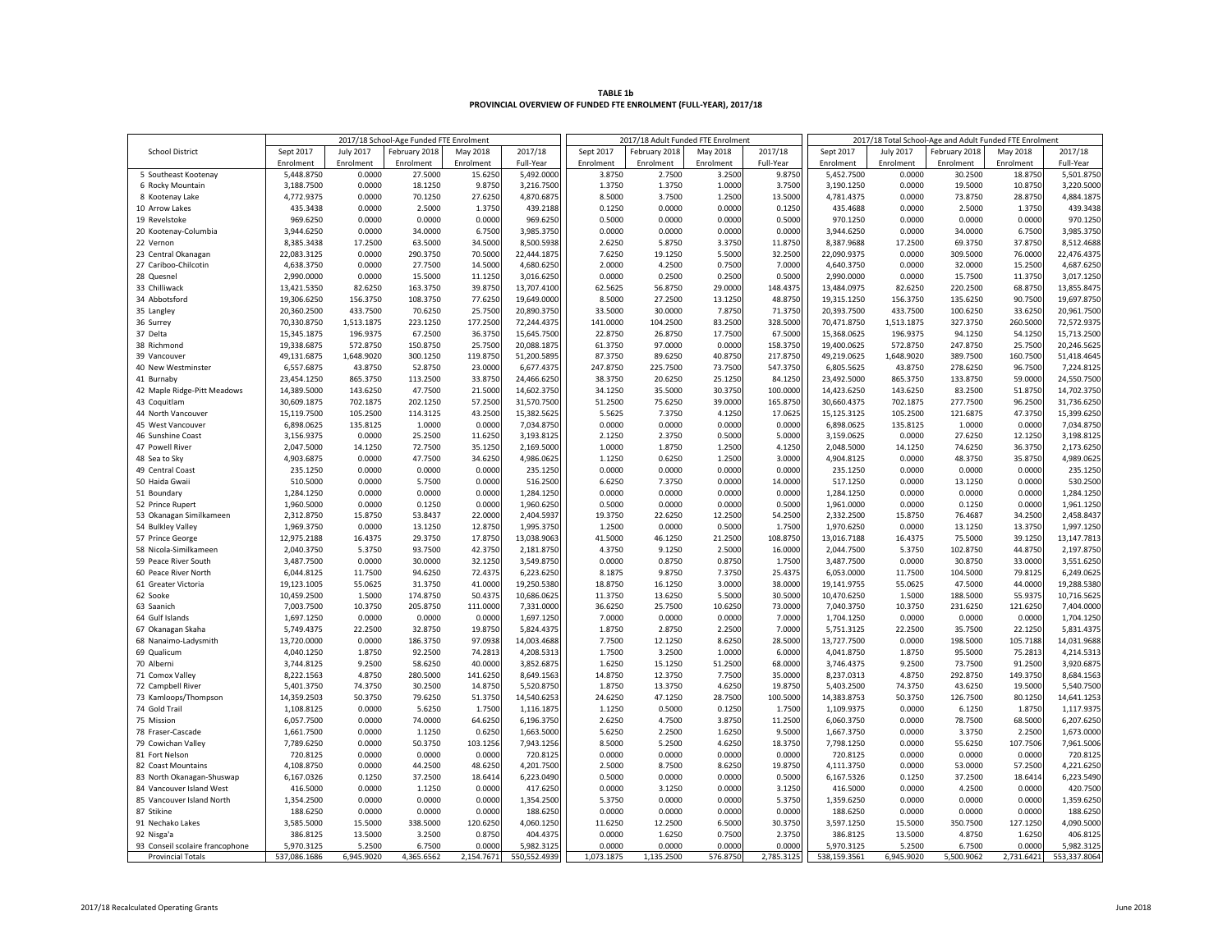| TABLE 1b                                                         |  |
|------------------------------------------------------------------|--|
| PROVINCIAL OVERVIEW OF FUNDED FTE ENROLMENT (FULL-YEAR), 2017/18 |  |

| 2017/18 School-Age Funded FTE Enrolment |              |                  |               | 2017/18 Adult Funded FTE Enrolment |              |            |               | 2017/18 Total School-Age and Adult Funded FTE Enrolment |            |              |            |               |            |              |
|-----------------------------------------|--------------|------------------|---------------|------------------------------------|--------------|------------|---------------|---------------------------------------------------------|------------|--------------|------------|---------------|------------|--------------|
| <b>School District</b>                  | Sept 2017    | <b>July 2017</b> | February 2018 | May 2018                           | 2017/18      | Sept 2017  | February 2018 | May 2018                                                | 2017/18    | Sept 2017    | July 2017  | February 2018 | May 2018   | 2017/18      |
|                                         | Enrolment    | Enrolment        | Enrolment     | Enrolment                          | Full-Year    | Enrolment  | Enrolment     | Enrolment                                               | Full-Year  | Enrolment    | Enrolment  | Enrolment     | Enrolment  | Full-Year    |
| 5 Southeast Kootenay                    | 5,448.8750   | 0.0000           | 27.5000       | 15.6250                            | 5,492.0000   | 3.8750     | 2.7500        | 3.2500                                                  | 9.8750     | 5,452.7500   | 0.0000     | 30.2500       | 18.8750    | 5,501.8750   |
| 6 Rocky Mountain                        | 3,188.7500   | 0.0000           | 18.1250       | 9.8750                             | 3,216.7500   | 1.3750     | 1.3750        | 1.0000                                                  | 3.7500     | 3,190.1250   | 0.0000     | 19.5000       | 10.8750    | 3,220.5000   |
| 8 Kootenay Lake                         | 4,772.9375   | 0.0000           | 70.1250       | 27.6250                            | 4,870.6875   | 8.5000     | 3.7500        | 1.2500                                                  | 13.5000    | 4,781.4375   | 0.0000     | 73.8750       | 28.8750    | 4,884.1875   |
| 10 Arrow Lakes                          | 435.3438     | 0.0000           | 2.5000        | 1.3750                             | 439.2188     | 0.1250     | 0.0000        | 0.0000                                                  | 0.1250     | 435.4688     | 0.0000     | 2.5000        | 1.3750     | 439.3438     |
| 19 Revelstoke                           | 969.6250     | 0.0000           | 0.0000        | 0.0000                             | 969.6250     | 0.5000     | 0.0000        | 0.0000                                                  | 0.5000     | 970.1250     | 0.0000     | 0.0000        | 0.0000     | 970.1250     |
| 20 Kootenay-Columbia                    | 3,944.6250   | 0.0000           | 34.0000       | 6.7500                             | 3,985.3750   | 0.0000     | 0.0000        | 0.0000                                                  | 0.0000     | 3,944.6250   | 0.0000     | 34.0000       | 6.7500     | 3,985.3750   |
| 22 Vernon                               | 8,385.3438   | 17.2500          | 63.5000       | 34.5000                            | 8,500.5938   | 2.6250     | 5.8750        | 3.3750                                                  | 11.8750    | 8,387.9688   | 17.2500    | 69.3750       | 37.8750    | 8,512.4688   |
| 23 Central Okanagan                     | 22,083.3125  | 0.0000           | 290.3750      | 70.5000                            | 22,444.1875  | 7.6250     | 19.1250       | 5.5000                                                  | 32.2500    | 22,090.9375  | 0.0000     | 309.5000      | 76.0000    | 22,476.4375  |
| 27 Cariboo-Chilcotin                    |              | 0.0000           | 27.7500       |                                    | 4,680.6250   | 2.0000     | 4.2500        | 0.7500                                                  | 7.0000     |              | 0.0000     | 32.0000       | 15.2500    |              |
| 28 Quesnel                              | 4,638.3750   |                  |               | 14.5000                            |              |            |               |                                                         |            | 4,640.3750   |            |               |            | 4,687.6250   |
|                                         | 2,990.0000   | 0.0000           | 15.5000       | 11.1250                            | 3,016.6250   | 0.0000     | 0.2500        | 0.2500                                                  | 0.5000     | 2,990.0000   | 0.0000     | 15.7500       | 11.3750    | 3,017.1250   |
| 33 Chilliwack                           | 13,421.5350  | 82.6250          | 163.3750      | 39.8750                            | 13,707.4100  | 62.5625    | 56.8750       | 29.0000                                                 | 148.4375   | 13,484.0975  | 82.6250    | 220.2500      | 68.8750    | 13,855.8475  |
| 34 Abbotsford                           | 19,306.6250  | 156.3750         | 108.3750      | 77.6250                            | 19,649.0000  | 8.5000     | 27.2500       | 13.1250                                                 | 48.8750    | 19,315.1250  | 156.3750   | 135.6250      | 90.7500    | 19,697.8750  |
| 35 Langley                              | 20,360.2500  | 433.7500         | 70.6250       | 25.7500                            | 20,890.3750  | 33.5000    | 30.0000       | 7.8750                                                  | 71.3750    | 20,393.7500  | 433.7500   | 100.6250      | 33.6250    | 20,961.7500  |
| 36 Surrey                               | 70,330.8750  | 1,513.1875       | 223.1250      | 177.2500                           | 72,244.4375  | 141.0000   | 104.2500      | 83.2500                                                 | 328.5000   | 70,471.8750  | 1,513.1875 | 327.3750      | 260.5000   | 72,572.9375  |
| 37 Delta                                | 15,345.1875  | 196.9375         | 67.2500       | 36.3750                            | 15,645.7500  | 22.8750    | 26.8750       | 17.7500                                                 | 67.5000    | 15,368.0625  | 196.9375   | 94.1250       | 54.1250    | 15,713.2500  |
| 38 Richmond                             | 19,338.6875  | 572.8750         | 150.8750      | 25.7500                            | 20,088.1875  | 61.3750    | 97.0000       | 0.0000                                                  | 158.3750   | 19,400.0625  | 572.8750   | 247.8750      | 25.7500    | 20,246.5625  |
| 39 Vancouver                            | 49,131.6875  | 1,648.9020       | 300.1250      | 119.8750                           | 51,200.5895  | 87.3750    | 89.6250       | 40.8750                                                 | 217.8750   | 49,219.0625  | 1,648.9020 | 389.7500      | 160.7500   | 51,418.4645  |
| 40 New Westminster                      | 6,557.6875   | 43.8750          | 52.8750       | 23.0000                            | 6,677.4375   | 247.8750   | 225.7500      | 73.7500                                                 | 547.3750   | 6,805.5625   | 43.8750    | 278.6250      | 96.7500    | 7,224.8125   |
| 41 Burnaby                              | 23,454.1250  | 865.3750         | 113.2500      | 33.8750                            | 24,466.6250  | 38.3750    | 20.6250       | 25.1250                                                 | 84.1250    | 23,492.5000  | 865.3750   | 133.8750      | 59.0000    | 24,550.7500  |
| 42 Maple Ridge-Pitt Meadows             | 14,389.5000  | 143.6250         | 47.7500       | 21.5000                            | 14,602.3750  | 34.1250    | 35.5000       | 30.3750                                                 | 100.0000   | 14,423.6250  | 143.6250   | 83.2500       | 51.8750    | 14,702.3750  |
| 43 Coquitlam                            | 30,609.1875  | 702.1875         | 202.1250      | 57.2500                            | 31,570.7500  | 51.2500    | 75.6250       | 39.0000                                                 | 165.8750   | 30,660.4375  | 702.1875   | 277.7500      | 96.2500    | 31,736.6250  |
| 44 North Vancouver                      | 15,119.7500  | 105.2500         | 114.3125      | 43.2500                            | 15,382.5625  | 5.5625     | 7.3750        | 4.1250                                                  | 17.0625    | 15,125.3125  | 105.2500   | 121.6875      | 47.3750    | 15,399.6250  |
| 45 West Vancouver                       | 6,898.0625   | 135.8125         | 1.0000        | 0.0000                             | 7,034.8750   | 0.0000     | 0.0000        | 0.0000                                                  | 0.0000     | 6,898.0625   | 135.8125   | 1.0000        | 0.0000     | 7,034.8750   |
| 46 Sunshine Coast                       | 3,156.9375   | 0.0000           | 25.2500       | 11.6250                            | 3,193.8125   | 2.1250     | 2.3750        | 0.5000                                                  | 5.0000     | 3,159.0625   | 0.0000     | 27.6250       | 12.1250    | 3,198.8125   |
| 47 Powell River                         | 2,047.5000   | 14.1250          | 72.7500       | 35.1250                            | 2,169.5000   | 1.0000     | 1.8750        | 1.2500                                                  | 4.1250     | 2,048.5000   | 14.1250    | 74.6250       | 36.3750    | 2,173.6250   |
| 48 Sea to Sky                           | 4,903.6875   | 0.0000           | 47.7500       | 34.6250                            | 4,986.0625   | 1.1250     | 0.6250        | 1.2500                                                  | 3.0000     | 4,904.8125   | 0.0000     | 48.3750       | 35.8750    | 4,989.0625   |
| 49 Central Coast                        | 235.1250     | 0.0000           | 0.0000        | 0.0000                             | 235.1250     | 0.0000     | 0.0000        | 0.0000                                                  | 0.0000     | 235.1250     | 0.0000     | 0.0000        | 0.0000     | 235.1250     |
| 50 Haida Gwaii                          | 510.5000     | 0.0000           | 5.7500        | 0.0000                             | 516.2500     | 6.6250     | 7.3750        | 0.0000                                                  | 14.0000    | 517.1250     | 0.0000     | 13.1250       | 0.0000     | 530.2500     |
| 51 Boundary                             | 1,284.1250   | 0.0000           | 0.0000        | 0.0000                             | 1,284.1250   | 0.0000     | 0.0000        | 0.0000                                                  | 0.0000     | 1,284.1250   | 0.0000     | 0.0000        | 0.0000     | 1,284.1250   |
| 52 Prince Rupert                        | 1,960.5000   | 0.0000           | 0.1250        | 0.0000                             | 1,960.6250   | 0.5000     | 0.0000        | 0.0000                                                  | 0.5000     | 1,961.0000   | 0.0000     | 0.1250        | 0.0000     | 1,961.1250   |
| 53 Okanagan Similkameen                 | 2,312.8750   | 15.8750          | 53.8437       | 22.0000                            | 2,404.5937   | 19.3750    | 22.6250       | 12.2500                                                 | 54.2500    | 2,332.2500   | 15.8750    | 76.4687       | 34.2500    | 2,458.8437   |
| 54 Bulkley Valley                       | 1,969.3750   | 0.0000           | 13.1250       | 12.8750                            | 1,995.3750   | 1.2500     | 0.0000        | 0.5000                                                  | 1.7500     | 1,970.6250   | 0.0000     | 13.1250       | 13.3750    | 1,997.1250   |
| 57 Prince George                        | 12,975.2188  | 16.4375          | 29.3750       | 17.8750                            | 13,038.9063  | 41.5000    | 46.1250       | 21.2500                                                 | 108.8750   | 13,016.7188  | 16.4375    | 75.5000       | 39.1250    | 13,147.7813  |
| 58 Nicola-Similkameen                   | 2,040.3750   | 5.3750           | 93.7500       | 42.3750                            | 2,181.8750   | 4.3750     | 9.1250        | 2.5000                                                  | 16.0000    | 2,044.7500   | 5.3750     | 102.8750      | 44.8750    | 2,197.8750   |
| 59 Peace River South                    | 3,487.7500   | 0.0000           | 30.0000       | 32.1250                            | 3,549.8750   | 0.0000     | 0.8750        | 0.8750                                                  | 1.7500     | 3,487.7500   | 0.0000     | 30.8750       | 33.0000    | 3,551.6250   |
| 60 Peace River North                    | 6,044.8125   | 11.7500          | 94.6250       | 72.4375                            | 6,223.6250   | 8.1875     | 9.8750        | 7.3750                                                  | 25.4375    | 6,053.0000   | 11.7500    | 104.5000      | 79.8125    | 6,249.0625   |
| 61 Greater Victoria                     | 19,123.1005  | 55.0625          | 31.3750       | 41.0000                            | 19,250.5380  | 18.8750    | 16.1250       | 3.0000                                                  | 38.0000    | 19,141.9755  | 55.0625    | 47.5000       | 44.0000    | 19,288.5380  |
| 62 Sooke                                | 10,459.2500  | 1.5000           | 174.8750      | 50.4375                            | 10,686.0625  | 11.3750    | 13.6250       | 5.5000                                                  | 30.5000    | 10,470.6250  | 1.5000     | 188.5000      | 55.9375    | 10,716.5625  |
| 63 Saanich                              | 7,003.7500   | 10.3750          | 205.8750      | 111.0000                           | 7,331.0000   | 36.6250    | 25.7500       | 10.6250                                                 | 73.0000    | 7,040.3750   | 10.3750    | 231.6250      | 121.6250   | 7,404.0000   |
| 64 Gulf Islands                         | 1,697.1250   | 0.0000           | 0.0000        | 0.0000                             | 1,697.1250   | 7.0000     | 0.0000        | 0.0000                                                  | 7.0000     | 1,704.1250   | 0.0000     | 0.0000        | 0.0000     | 1,704.1250   |
|                                         | 5,749.4375   | 22.2500          | 32.8750       |                                    |              | 1.8750     | 2.8750        | 2.2500                                                  | 7.0000     | 5,751.3125   | 22.2500    |               | 22.1250    |              |
| 67 Okanagan Skaha                       |              |                  |               | 19.8750                            | 5,824.4375   |            |               |                                                         |            |              |            | 35.7500       |            | 5,831.4375   |
| 68 Nanaimo-Ladysmith                    | 13,720.0000  | 0.0000           | 186.3750      | 97.0938                            | 14,003.4688  | 7.7500     | 12.1250       | 8.6250                                                  | 28.5000    | 13,727.7500  | 0.0000     | 198.5000      | 105.7188   | 14,031.9688  |
| 69 Qualicum                             | 4,040.1250   | 1.8750           | 92.2500       | 74.2813                            | 4,208.5313   | 1.7500     | 3.2500        | 1.0000                                                  | 6.0000     | 4,041.8750   | 1.8750     | 95.5000       | 75.2813    | 4,214.5313   |
| 70 Alberni                              | 3,744.8125   | 9.2500           | 58.6250       | 40.0000                            | 3,852.6875   | 1.6250     | 15.1250       | 51.2500                                                 | 68.0000    | 3,746.4375   | 9.2500     | 73.7500       | 91.2500    | 3,920.6875   |
| 71 Comox Valley                         | 8,222.1563   | 4.8750           | 280.5000      | 141.6250                           | 8,649.1563   | 14.8750    | 12.3750       | 7.7500                                                  | 35.0000    | 8,237.0313   | 4.8750     | 292.8750      | 149.3750   | 8,684.1563   |
| 72 Campbell River                       | 5.401.3750   | 74.3750          | 30,2500       | 14.8750                            | 5,520.8750   | 1.8750     | 13.3750       | 4.6250                                                  | 19.8750    | 5,403.2500   | 74.3750    | 43.6250       | 19,5000    | 5,540.7500   |
| 73 Kamloops/Thompson                    | 14,359.2503  | 50.3750          | 79.6250       | 51.3750                            | 14,540.6253  | 24.6250    | 47.1250       | 28.7500                                                 | 100.5000   | 14,383.8753  | 50.3750    | 126.7500      | 80.1250    | 14,641.1253  |
| 74 Gold Trail                           | 1,108.8125   | 0.0000           | 5.6250        | 1.7500                             | 1,116.1875   | 1.1250     | 0.5000        | 0.1250                                                  | 1.7500     | 1,109.9375   | 0.0000     | 6.1250        | 1.8750     | 1,117.9375   |
| 75 Mission                              | 6,057.7500   | 0.0000           | 74.0000       | 64.6250                            | 6,196.3750   | 2.6250     | 4.7500        | 3.8750                                                  | 11.2500    | 6,060.3750   | 0.0000     | 78.7500       | 68.5000    | 6,207.6250   |
| 78 Fraser-Cascade                       | 1,661.7500   | 0.0000           | 1.1250        | 0.6250                             | 1,663.5000   | 5.6250     | 2.2500        | 1.6250                                                  | 9.5000     | 1,667.3750   | 0.0000     | 3.3750        | 2.2500     | 1,673.0000   |
| 79 Cowichan Valley                      | 7,789.6250   | 0.0000           | 50.3750       | 103.1256                           | 7,943.1256   | 8.5000     | 5.2500        | 4.6250                                                  | 18.3750    | 7,798.1250   | 0.0000     | 55.6250       | 107.7506   | 7,961.5006   |
| 81 Fort Nelson                          | 720.8125     | 0.0000           | 0.0000        | 0.0000                             | 720.8125     | 0.0000     | 0.0000        | 0.0000                                                  | 0.0000     | 720.8125     | 0.0000     | 0.0000        | 0.0000     | 720.8125     |
| 82 Coast Mountains                      | 4,108.8750   | 0.0000           | 44.2500       | 48.6250                            | 4,201.7500   | 2.5000     | 8.7500        | 8.6250                                                  | 19.8750    | 4,111.3750   | 0.0000     | 53.0000       | 57.2500    | 4,221.6250   |
| 83 North Okanagan-Shuswap               | 6,167.0326   | 0.1250           | 37.2500       | 18.6414                            | 6,223.0490   | 0.5000     | 0.0000        | 0.0000                                                  | 0.5000     | 6,167.5326   | 0.1250     | 37.2500       | 18.6414    | 6,223.5490   |
| 84 Vancouver Island West                | 416.5000     | 0.0000           | 1.1250        | 0.0000                             | 417.6250     | 0.0000     | 3.1250        | 0.0000                                                  | 3.1250     | 416.5000     | 0.0000     | 4.2500        | 0.0000     | 420.7500     |
| 85 Vancouver Island North               | 1,354.2500   | 0.0000           | 0.0000        | 0.0000                             | 1,354.2500   | 5.3750     | 0.0000        | 0.0000                                                  | 5.3750     | 1,359.6250   | 0.0000     | 0.0000        | 0.0000     | 1,359.6250   |
| 87 Stikine                              | 188.6250     | 0.0000           | 0.0000        | 0.0000                             | 188.6250     | 0.0000     | 0.0000        | 0.0000                                                  | 0.0000     | 188.6250     | 0.0000     | 0.0000        | 0.0000     | 188.6250     |
| 91 Nechako Lakes                        | 3,585.5000   | 15.5000          | 338.5000      | 120.6250                           | 4,060.1250   | 11.6250    | 12.2500       | 6.5000                                                  | 30.3750    | 3,597.1250   | 15.5000    | 350.7500      | 127.1250   | 4,090.5000   |
| 92 Nisga'a                              | 386.8125     | 13.5000          | 3.2500        | 0.8750                             | 404.4375     | 0.0000     | 1.6250        | 0.7500                                                  | 2.3750     | 386.8125     | 13.5000    | 4.8750        | 1.6250     | 406.8125     |
| 93 Conseil scolaire francophone         | 5,970.3125   | 5.2500           | 6.7500        | 0.0000                             | 5,982.3125   | 0.0000     | 0.0000        | 0.0000                                                  | 0.0000     | 5,970.3125   | 5.2500     | 6.7500        | 0.0000     | 5,982.3125   |
| <b>Provincial Totals</b>                | 537,086.1686 | 6,945.9020       | 4,365.6562    | 2,154.7671                         | 550,552.4939 | 1,073.1875 | 1,135.2500    | 576.8750                                                | 2,785.3125 | 538,159.3561 | 6,945.9020 | 5,500.9062    | 2,731.6421 | 553,337.8064 |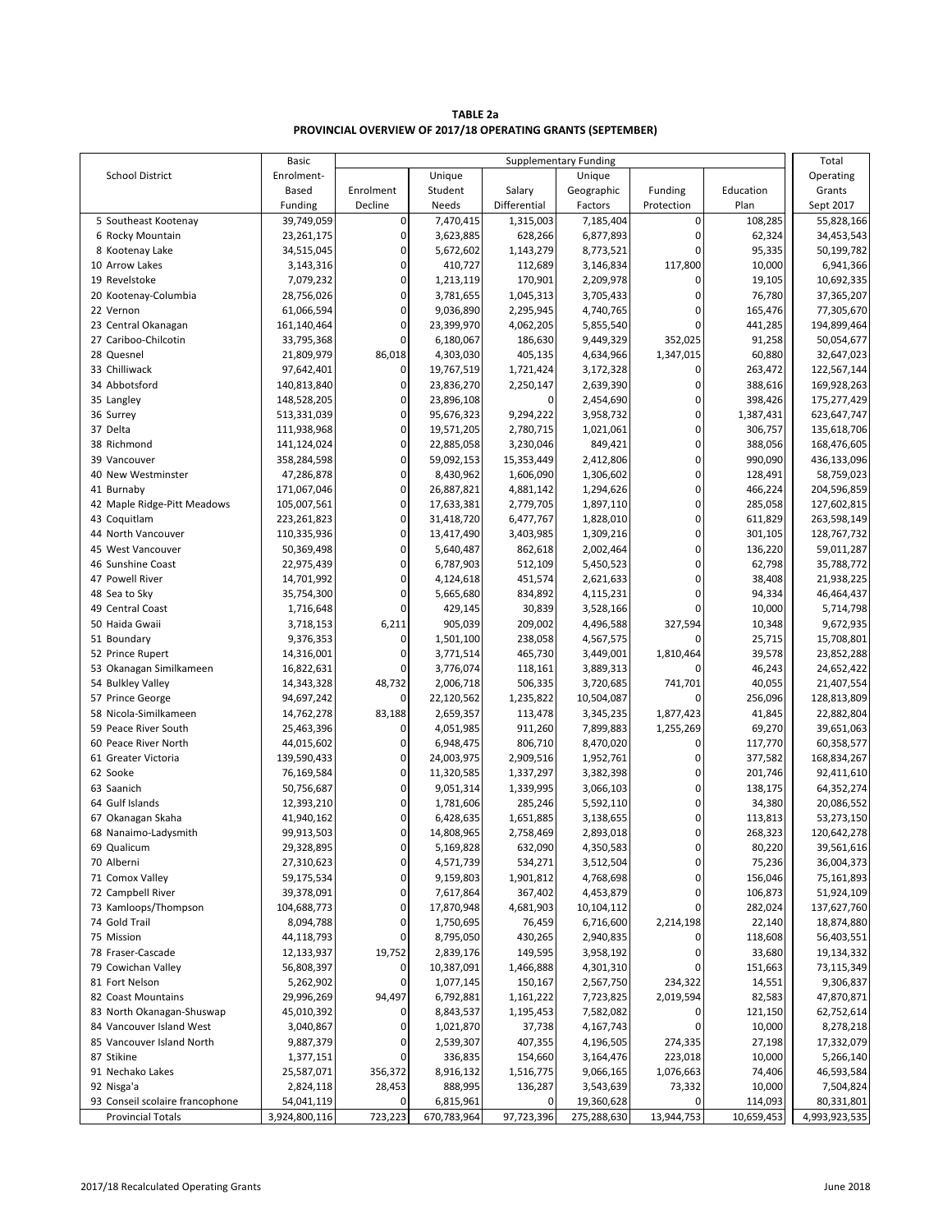**TABLE 2a PROVINCIAL OVERVIEW OF 2017/18 OPERATING GRANTS (SEPTEMBER)**

|                                 | Basic         | <b>Supplementary Funding</b> |             |              |             |             |            |               |
|---------------------------------|---------------|------------------------------|-------------|--------------|-------------|-------------|------------|---------------|
|                                 | Enrolment-    |                              |             |              |             |             |            | Total         |
| <b>School District</b>          |               |                              | Unique      |              | Unique      |             |            | Operating     |
|                                 | Based         | Enrolment                    | Student     | Salary       | Geographic  | Funding     | Education  | Grants        |
|                                 | Funding       | Decline                      | Needs       | Differential | Factors     | Protection  | Plan       | Sept 2017     |
| 5 Southeast Kootenay            | 39,749,059    | $\pmb{0}$                    | 7,470,415   | 1,315,003    | 7,185,404   | 0           | 108,285    | 55,828,166    |
| 6 Rocky Mountain                | 23,261,175    | 0                            | 3,623,885   | 628,266      | 6,877,893   | 0           | 62,324     | 34,453,543    |
| 8 Kootenay Lake                 | 34,515,045    | 0                            | 5,672,602   | 1,143,279    | 8,773,521   | 0           | 95,335     | 50,199,782    |
| 10 Arrow Lakes                  | 3,143,316     | 0                            | 410,727     | 112,689      | 3,146,834   | 117,800     | 10,000     | 6,941,366     |
| 19 Revelstoke                   | 7,079,232     | 0                            | 1,213,119   | 170,901      | 2,209,978   | 0           | 19,105     | 10,692,335    |
| 20 Kootenay-Columbia            | 28,756,026    | 0                            | 3,781,655   | 1,045,313    | 3,705,433   | 0           | 76,780     | 37,365,207    |
| 22 Vernon                       | 61,066,594    | 0                            | 9,036,890   | 2,295,945    | 4,740,765   | 0           | 165,476    | 77,305,670    |
| 23 Central Okanagan             | 161,140,464   | 0                            | 23,399,970  | 4,062,205    | 5,855,540   | 0           | 441,285    | 194,899,464   |
| 27 Cariboo-Chilcotin            | 33,795,368    | 0                            | 6,180,067   | 186,630      | 9,449,329   | 352,025     | 91,258     | 50,054,677    |
| 28 Quesnel                      | 21,809,979    | 86,018                       | 4,303,030   | 405,135      | 4,634,966   | 1,347,015   | 60,880     | 32,647,023    |
| 33 Chilliwack                   | 97,642,401    | 0                            | 19,767,519  | 1,721,424    | 3,172,328   | 0           | 263,472    | 122,567,144   |
| 34 Abbotsford                   | 140,813,840   | 0                            | 23,836,270  | 2,250,147    | 2,639,390   | 0           | 388,616    | 169,928,263   |
| 35 Langley                      | 148,528,205   | 0                            | 23,896,108  | 0            | 2,454,690   | 0           | 398,426    | 175,277,429   |
| 36 Surrey                       | 513,331,039   | 0                            | 95,676,323  | 9,294,222    | 3,958,732   | 0           | 1,387,431  | 623,647,747   |
| 37 Delta                        | 111,938,968   | 0                            | 19,571,205  | 2,780,715    | 1,021,061   | 0           | 306,757    | 135,618,706   |
| 38 Richmond                     | 141,124,024   | 0                            | 22,885,058  | 3,230,046    | 849,421     | 0           | 388,056    | 168,476,605   |
| 39 Vancouver                    | 358,284,598   | 0                            | 59,092,153  | 15,353,449   | 2,412,806   | 0           | 990,090    | 436,133,096   |
| 40 New Westminster              | 47,286,878    | 0                            | 8,430,962   | 1,606,090    | 1,306,602   | 0           | 128,491    | 58,759,023    |
| 41 Burnaby                      | 171,067,046   | 0                            | 26,887,821  | 4,881,142    | 1,294,626   | 0           | 466,224    | 204,596,859   |
| 42 Maple Ridge-Pitt Meadows     | 105,007,561   | 0                            | 17,633,381  | 2,779,705    | 1,897,110   | 0           | 285,058    | 127,602,815   |
| 43 Coquitlam                    | 223,261,823   | 0                            | 31,418,720  | 6,477,767    | 1,828,010   | 0           | 611,829    | 263,598,149   |
| 44 North Vancouver              | 110,335,936   | 0                            | 13,417,490  | 3,403,985    | 1,309,216   | 0           | 301,105    | 128,767,732   |
| 45 West Vancouver               | 50,369,498    | 0                            |             |              |             | 0           |            |               |
|                                 |               | 0                            | 5,640,487   | 862,618      | 2,002,464   | 0           | 136,220    | 59,011,287    |
| 46 Sunshine Coast               | 22,975,439    |                              | 6,787,903   | 512,109      | 5,450,523   |             | 62,798     | 35,788,772    |
| 47 Powell River                 | 14,701,992    | 0                            | 4,124,618   | 451,574      | 2,621,633   | 0           | 38,408     | 21,938,225    |
| 48 Sea to Sky                   | 35,754,300    | 0                            | 5,665,680   | 834,892      | 4,115,231   | $\mathbf 0$ | 94,334     | 46,464,437    |
| 49 Central Coast                | 1,716,648     | 0                            | 429,145     | 30,839       | 3,528,166   | 0           | 10,000     | 5,714,798     |
| 50 Haida Gwaii                  | 3,718,153     | 6,211                        | 905,039     | 209,002      | 4,496,588   | 327,594     | 10,348     | 9,672,935     |
| 51 Boundary                     | 9,376,353     | $\pmb{0}$                    | 1,501,100   | 238,058      | 4,567,575   | $\mathbf 0$ | 25,715     | 15,708,801    |
| 52 Prince Rupert                | 14,316,001    | 0                            | 3,771,514   | 465,730      | 3,449,001   | 1,810,464   | 39,578     | 23,852,288    |
| 53 Okanagan Similkameen         | 16,822,631    | $\mathbf 0$                  | 3,776,074   | 118,161      | 3,889,313   | 0           | 46,243     | 24,652,422    |
| 54 Bulkley Valley               | 14,343,328    | 48,732                       | 2,006,718   | 506,335      | 3,720,685   | 741,701     | 40,055     | 21,407,554    |
| 57 Prince George                | 94,697,242    | 0                            | 22,120,562  | 1,235,822    | 10,504,087  | 0           | 256,096    | 128,813,809   |
| 58 Nicola-Similkameen           | 14,762,278    | 83,188                       | 2,659,357   | 113,478      | 3,345,235   | 1,877,423   | 41,845     | 22,882,804    |
| 59 Peace River South            | 25,463,396    | 0                            | 4,051,985   | 911,260      | 7,899,883   | 1,255,269   | 69,270     | 39,651,063    |
| 60 Peace River North            | 44,015,602    | 0                            | 6,948,475   | 806,710      | 8,470,020   | 0           | 117,770    | 60,358,577    |
| 61 Greater Victoria             | 139,590,433   | 0                            | 24,003,975  | 2,909,516    | 1,952,761   | 0           | 377,582    | 168,834,267   |
| 62 Sooke                        | 76,169,584    | 0                            | 11,320,585  | 1,337,297    | 3,382,398   | 0           | 201,746    | 92,411,610    |
| 63 Saanich                      | 50,756,687    | 0                            | 9,051,314   | 1,339,995    | 3,066,103   | 0           | 138,175    | 64,352,274    |
| 64 Gulf Islands                 | 12,393,210    | 0                            | 1,781,606   | 285,246      | 5,592,110   | 0           | 34,380     | 20,086,552    |
| 67 Okanagan Skaha               | 41,940,162    | 0                            | 6,428,635   | 1,651,885    | 3,138,655   | 0           | 113,813    | 53,273,150    |
| 68 Nanaimo-Ladysmith            | 99,913,503    | 0                            | 14,808,965  | 2,758,469    | 2,893,018   | 0           | 268,323    | 120,642,278   |
| 69 Qualicum                     | 29,328,895    | U                            | 5,169,828   | 632,090      | 4,350,583   | U           | 80,220     | 39,561,616    |
| 70 Alberni                      | 27,310,623    | 0                            | 4,571,739   | 534,271      | 3,512,504   | 0           | 75,236     | 36,004,373    |
| 71 Comox Valley                 | 59,175,534    | 0                            | 9,159,803   | 1,901,812    | 4,768,698   | 0           | 156,046    | 75,161,893    |
| 72 Campbell River               | 39,378,091    | 0                            | 7,617,864   | 367,402      | 4,453,879   | 0           | 106,873    | 51,924,109    |
| 73 Kamloops/Thompson            | 104,688,773   | 0                            | 17,870,948  | 4,681,903    | 10,104,112  | 0           | 282,024    | 137,627,760   |
| 74 Gold Trail                   |               | 0                            |             |              |             |             |            |               |
|                                 | 8,094,788     | 0                            | 1,750,695   | 76,459       | 6,716,600   | 2,214,198   | 22,140     | 18,874,880    |
| 75 Mission                      | 44,118,793    |                              | 8,795,050   | 430,265      | 2,940,835   | 0           | 118,608    | 56,403,551    |
| 78 Fraser-Cascade               | 12,133,937    | 19,752                       | 2,839,176   | 149,595      | 3,958,192   | 0           | 33,680     | 19,134,332    |
| 79 Cowichan Valley              | 56,808,397    | 0                            | 10,387,091  | 1,466,888    | 4,301,310   | 0           | 151,663    | 73,115,349    |
| 81 Fort Nelson                  | 5,262,902     | 0                            | 1,077,145   | 150,167      | 2,567,750   | 234,322     | 14,551     | 9,306,837     |
| 82 Coast Mountains              | 29,996,269    | 94,497                       | 6,792,881   | 1,161,222    | 7,723,825   | 2,019,594   | 82,583     | 47,870,871    |
| 83 North Okanagan-Shuswap       | 45,010,392    | 0                            | 8,843,537   | 1,195,453    | 7,582,082   | 0           | 121,150    | 62,752,614    |
| 84 Vancouver Island West        | 3,040,867     | 0                            | 1,021,870   | 37,738       | 4,167,743   | 0           | 10,000     | 8,278,218     |
| 85 Vancouver Island North       | 9,887,379     | 0                            | 2,539,307   | 407,355      | 4,196,505   | 274,335     | 27,198     | 17,332,079    |
| 87 Stikine                      | 1,377,151     | $\mathbf 0$                  | 336,835     | 154,660      | 3,164,476   | 223,018     | 10,000     | 5,266,140     |
| 91 Nechako Lakes                | 25,587,071    | 356,372                      | 8,916,132   | 1,516,775    | 9,066,165   | 1,076,663   | 74,406     | 46,593,584    |
| 92 Nisga'a                      | 2,824,118     | 28,453                       | 888,995     | 136,287      | 3,543,639   | 73,332      | 10,000     | 7,504,824     |
| 93 Conseil scolaire francophone | 54,041,119    | 0                            | 6,815,961   | 0            | 19,360,628  | 0           | 114,093    | 80,331,801    |
| <b>Provincial Totals</b>        | 3,924,800,116 | 723,223                      | 670,783,964 | 97,723,396   | 275,288,630 | 13,944,753  | 10,659,453 | 4,993,923,535 |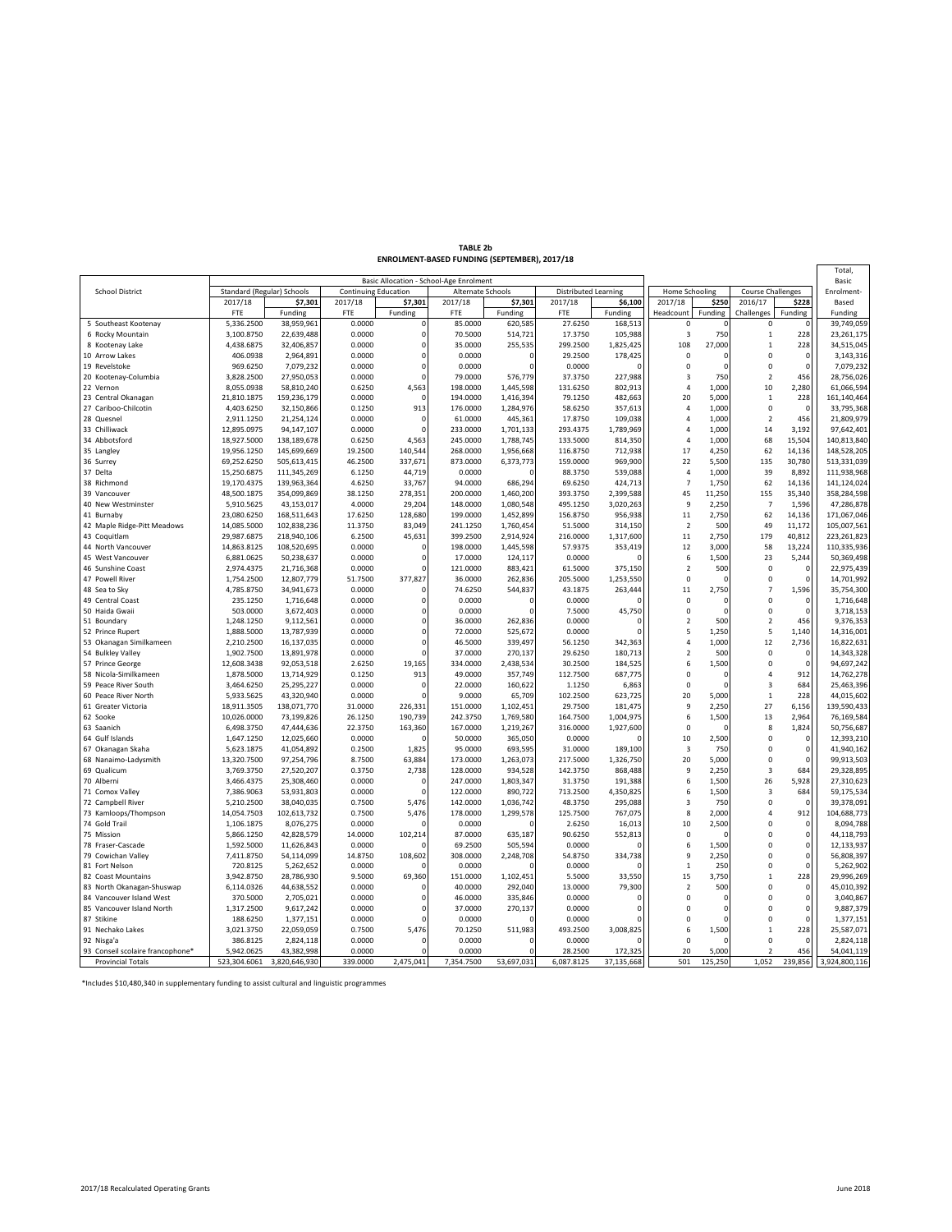| TABLE 2b                                     |  |
|----------------------------------------------|--|
| ENROLMENT-BASED FUNDING (SEPTEMBER), 2017/18 |  |

|                                                       |                            |                           |                             |                      | Basic Allocation - School-Age Enrolment |                        |                             |                    |                            |                |                          |                    | Total,<br>Basic           |
|-------------------------------------------------------|----------------------------|---------------------------|-----------------------------|----------------------|-----------------------------------------|------------------------|-----------------------------|--------------------|----------------------------|----------------|--------------------------|--------------------|---------------------------|
| <b>School District</b>                                | Standard (Regular) Schools |                           | <b>Continuing Education</b> |                      | Alternate Schools                       |                        | <b>Distributed Learning</b> |                    | Home Schooling             |                | <b>Course Challenges</b> |                    | Enrolment-                |
|                                                       | 2017/18                    | \$7,301                   | 2017/18                     | \$7,301              | 2017/18                                 | \$7,301                | 2017/18                     | \$6,100            | 2017/18                    | \$250          | 2016/17                  | \$228              | Based                     |
|                                                       | FTE                        | Funding                   | <b>FTE</b>                  | Funding              | FTE                                     | Funding                | FTE                         | Funding            | Headcount                  | Funding        | Challenges               | Funding            | Funding                   |
| 5 Southeast Kootenay                                  | 5,336.2500                 | 38,959,961                | 0.0000                      | $\Omega$             | 85.0000                                 | 620,585                | 27.6250                     | 168,513            | $\Omega$                   |                | $\Omega$                 |                    | 39,749,059                |
| 6 Rocky Mountain                                      | 3,100.8750                 | 22,639,488                | 0.0000                      | $\mathbf 0$          | 70.5000                                 | 514,721                | 17.3750                     | 105,988            | $\overline{\mathbf{3}}$    | 750            | $\mathbf 1$              | 228                | 23,261,175                |
| 8 Kootenay Lake                                       | 4,438.6875                 | 32,406,857                | 0.0000                      | $\circ$              | 35.0000                                 | 255,535                | 299.2500                    | 1,825,425          | 108                        | 27,000         | $\overline{1}$           | 228                | 34,515,045                |
| 10 Arrow Lakes                                        | 406.0938                   | 2,964,891                 | 0.0000                      | $\Omega$             | 0.0000                                  | $\Omega$               | 29.2500                     | 178,425            | $\mathbf 0$                |                | $\Omega$                 | $\Omega$           | 3,143,316                 |
| 19 Revelstoke                                         | 969.6250                   | 7,079,232                 | 0.0000                      | $\Omega$             | 0.0000                                  |                        | 0.0000                      |                    | 0                          | $\Omega$       | $\mathbf 0$              | $\mathbf 0$        | 7,079,232                 |
| 20 Kootenay-Columbia                                  | 3,828.2500                 | 27,950,053                | 0.0000                      | $\Omega$             | 79.0000                                 | 576,779                | 37.3750                     | 227,988            | 3                          | 750            | $\overline{2}$           | 456                | 28,756,026                |
| 22 Vernon                                             | 8,055.0938                 | 58,810,240                | 0.6250<br>0.0000            | 4,563<br>$\Omega$    | 198.0000<br>194.0000                    | 1,445,598              | 131.6250<br>79.1250         | 802,913<br>482,663 | $\overline{4}$<br>20       | 1,000<br>5,000 | 10<br>$\mathbf{1}$       | 2,280<br>228       | 61,066,594                |
| 23 Central Okanagan                                   | 21,810.1875<br>4,403.6250  | 159,236,179<br>32,150,866 | 0.1250                      | 913                  | 176.0000                                | 1,416,394<br>1,284,976 | 58.6250                     | 357,613            | $\overline{4}$             | 1,000          | $\mathbf 0$              | $\Omega$           | 161,140,464<br>33,795,368 |
| 27 Cariboo-Chilcotin<br>28 Quesnel                    | 2,911.1250                 | 21,254,124                | 0.0000                      | $\Omega$             | 61.0000                                 | 445,361                | 17.8750                     | 109,038            | $\overline{a}$             | 1,000          | $\overline{2}$           | 456                | 21,809,979                |
| 33 Chilliwack                                         | 12,895.0975                | 94,147,107                | 0.0000                      | $\Omega$             | 233.0000                                | 1,701,133              | 293.4375                    | 1,789,969          | $\overline{a}$             | 1,000          | 14                       | 3,192              | 97,642,401                |
| 34 Abbotsford                                         | 18,927.5000                | 138,189,678               | 0.6250                      | 4,563                | 245.0000                                | 1,788,745              | 133.5000                    | 814,350            | $\overline{4}$             | 1,000          | 68                       | 15,504             | 140,813,840               |
| 35 Langley                                            | 19,956.1250                | 145,699,669               | 19.2500                     | 140,544              | 268.0000                                | 1,956,668              | 116.8750                    | 712,938            | 17                         | 4,250          | 62                       | 14,136             | 148,528,205               |
| 36 Surrey                                             | 69,252.6250                | 505,613,415               | 46.2500                     | 337,671              | 873.0000                                | 6,373,773              | 159.0000                    | 969,900            | 22                         | 5,500          | 135                      | 30,780             | 513,331,039               |
| 37 Delta                                              | 15,250.6875                | 111,345,269               | 6.1250                      | 44,719               | 0.0000                                  |                        | 88.3750                     | 539,088            | 4                          | 1,000          | 39                       | 8,892              | 111,938,968               |
| 38 Richmond                                           | 19,170.4375                | 139,963,364               | 4.6250                      | 33,767               | 94.0000                                 | 686,294                | 69.6250                     | 424,713            | $\overline{7}$             | 1,750          | 62                       | 14,136             | 141,124,024               |
| 39 Vancouver                                          | 48,500.1875                | 354,099,869               | 38.1250                     | 278,351              | 200.0000                                | 1,460,200              | 393.3750                    | 2,399,588          | 45                         | 11,250         | 155                      | 35,340             | 358,284,598               |
| 40 New Westminster                                    | 5,910.5625                 | 43,153,017                | 4.0000                      | 29,204               | 148.0000                                | 1,080,548              | 495.1250                    | 3,020,263          | 9                          | 2,250          | $\overline{7}$           | 1,596              | 47,286,878                |
| 41 Burnaby                                            | 23,080.6250                | 168,511,643               | 17.6250                     | 128,680              | 199.0000                                | 1,452,899              | 156.8750                    | 956,938            | 11                         | 2,750          | 62                       | 14,136             | 171,067,046               |
| 42 Maple Ridge-Pitt Meadows                           | 14,085.5000                | 102,838,236               | 11.3750                     | 83,049               | 241.1250                                | 1,760,454              | 51.5000                     | 314,150            | $\overline{2}$             | 500            | 49                       | 11,172             | 105,007,561               |
| 43 Coquitlam                                          | 29,987.6875                | 218,940,106               | 6.2500                      | 45,631               | 399.2500                                | 2,914,924              | 216.0000                    | 1,317,600          | 11                         | 2,750          | 179                      | 40,812             | 223, 261, 823             |
| 44 North Vancouver                                    | 14,863.8125                | 108,520,695               | 0.0000                      | 0                    | 198.0000                                | 1,445,598              | 57.9375                     | 353,419            | 12                         | 3,000          | 58                       | 13,224             | 110,335,936               |
| 45 West Vancouver                                     | 6,881.0625                 | 50,238,637                | 0.0000                      | $\Omega$             | 17.0000                                 | 124,117                | 0.0000                      |                    | 6                          | 1,500          | 23                       | 5,244              | 50,369,498                |
| 46 Sunshine Coast                                     | 2,974.4375                 | 21,716,368                | 0.0000                      | Ó                    | 121.0000                                | 883,421                | 61.5000                     | 375,150            | $\overline{2}$             | 500            | 0                        | 0                  | 22,975,439                |
| 47 Powell River                                       | 1,754.2500                 | 12,807,779                | 51.7500                     | 377,827              | 36.0000                                 | 262,836                | 205.5000                    | 1,253,550          | 0                          |                | $\mathsf 0$              | $\Omega$           | 14,701,992                |
| 48 Sea to Sky                                         | 4,785.8750                 | 34,941,673                | 0.0000                      | 0                    | 74.6250                                 | 544,837                | 43.1875                     | 263,444            | 11                         | 2,750          | $\overline{7}$           | 1,596              | 35,754,300                |
| 49 Central Coast                                      | 235.1250                   | 1,716,648                 | 0.0000                      | 0                    | 0.0000                                  | $\Omega$               | 0.0000                      |                    | 0                          | C              | 0                        | $^{\circ}$         | 1,716,648                 |
| 50 Haida Gwaii                                        | 503.0000                   | 3,672,403                 | 0.0000                      | 0                    | 0.0000                                  |                        | 7.5000                      | 45,750             | 0                          | $\Omega$       | 0                        | $\Omega$           | 3,718,153                 |
| 51 Boundary                                           | 1,248.1250                 | 9,112,561                 | 0.0000                      | $\Omega$<br>$\Omega$ | 36.0000                                 | 262,836                | 0.0000<br>0.0000            |                    | $\overline{2}$<br>5        | 500            | $\overline{2}$<br>5      | 456<br>1,140       | 9,376,353                 |
| 52 Prince Rupert<br>53 Okanagan Similkameen           | 1,888.5000<br>2,210.2500   | 13,787,939<br>16,137,035  | 0.0000<br>0.0000            | $\Omega$             | 72.0000<br>46.5000                      | 525,672<br>339,497     | 56.1250                     | 342,363            | $\overline{a}$             | 1,250<br>1,000 | 12                       | 2,736              | 14,316,001<br>16,822,631  |
| 54 Bulkley Valley                                     | 1,902.7500                 | 13,891,978                | 0.0000                      | $\Omega$             | 37.0000                                 | 270,137                | 29.6250                     | 180,713            | $\overline{2}$             | 500            | $\mathbf 0$              | $\Omega$           | 14,343,328                |
| 57 Prince George                                      | 12,608.3438                | 92,053,518                | 2.6250                      | 19,165               | 334.0000                                | 2,438,534              | 30.2500                     | 184,525            | 6                          | 1,500          | $\mathbf 0$              | $\Omega$           | 94,697,242                |
| 58 Nicola-Similkameen                                 | 1,878.5000                 | 13,714,929                | 0.1250                      | 913                  | 49.0000                                 | 357,749                | 112.7500                    | 687,775            | 0                          | ſ              | $\overline{4}$           | 912                | 14,762,278                |
| 59 Peace River South                                  | 3,464.6250                 | 25,295,227                | 0.0000                      | $\Omega$             | 22.0000                                 | 160,622                | 1.1250                      | 6,863              | $\mathbf 0$                | $\Omega$       | $\overline{\mathbf{3}}$  | 684                | 25,463,396                |
| 60 Peace River North                                  | 5,933.5625                 | 43,320,940                | 0.0000                      | $\Omega$             | 9.0000                                  | 65,709                 | 102.2500                    | 623,725            | 20                         | 5,000          | $\mathbf{1}$             | 228                | 44,015,602                |
| 61 Greater Victoria                                   | 18,911.3505                | 138,071,770               | 31.0000                     | 226,331              | 151.0000                                | 1,102,451              | 29.7500                     | 181,475            | $\overline{9}$             | 2,250          | 27                       | 6,156              | 139,590,433               |
| 62 Sooke                                              | 10,026.0000                | 73,199,826                | 26.1250                     | 190,739              | 242.3750                                | 1,769,580              | 164.7500                    | 1,004,975          | 6                          | 1,500          | 13                       | 2,964              | 76,169,584                |
| 63 Saanich                                            | 6,498.3750                 | 47,444,636                | 22.3750                     | 163,360              | 167.0000                                | 1,219,267              | 316.0000                    | 1,927,600          | 0                          |                | 8                        | 1,824              | 50,756,687                |
| 64 Gulf Islands                                       | 1,647.1250                 | 12,025,660                | 0.0000                      |                      | 50.0000                                 | 365,050                | 0.0000                      |                    | 10                         | 2,500          | $\Omega$                 | $\Omega$           | 12,393,210                |
| 67 Okanagan Skaha                                     | 5,623.1875                 | 41,054,892                | 0.2500                      | 1,825                | 95.0000                                 | 693,595                | 31.0000                     | 189,100            | 3                          | 750            | 0                        | $\mathbf 0$        | 41,940,162                |
| 68 Nanaimo-Ladysmith                                  | 13,320.7500                | 97,254,796                | 8.7500                      | 63,884               | 173.0000                                | 1,263,073              | 217.5000                    | 1,326,750          | 20                         | 5,000          | $\mathbf 0$              | $\mathbf 0$        | 99,913,503                |
| 69 Qualicum                                           | 3,769.3750                 | 27,520,207                | 0.3750                      | 2,738                | 128.0000                                | 934,528                | 142.3750                    | 868,488            | 9                          | 2,250          | $\overline{\mathbf{3}}$  | 684                | 29,328,895                |
| 70 Alberni                                            | 3,466.4375                 | 25,308,460                | 0.0000                      | $\Omega$             | 247.0000                                | 1,803,347              | 31.3750                     | 191,388            | 6                          | 1,500          | 26                       | 5,928              | 27,310,623                |
| 71 Comox Valley                                       | 7,386.9063                 | 53,931,803                | 0.0000                      | $\Omega$             | 122.0000                                | 890,722                | 713.2500                    | 4,350,825          | 6                          | 1,500          | $\overline{3}$           | 684                | 59,175,534                |
| 72 Campbell River                                     | 5,210.2500                 | 38,040,035                | 0.7500                      | 5,476                | 142.0000                                | 1,036,742              | 48.3750                     | 295,088            | $\overline{\mathbf{3}}$    | 750            | $\mathbf 0$              | $\Omega$           | 39,378,091                |
| 73 Kamloops/Thompson                                  | 14,054.7503                | 102,613,732               | 0.7500                      | 5,476                | 178.0000                                | 1,299,578              | 125.7500                    | 767,075            | 8                          | 2,000          | $\overline{4}$           | 912                | 104,688,773               |
| 74 Gold Trail                                         | 1,106.1875                 | 8,076,275                 | 0.0000                      |                      | 0.0000                                  |                        | 2.6250                      | 16,013             | 10                         | 2,500          | $\Omega$                 | $\mathbf 0$        | 8,094,788                 |
| 75 Mission                                            | 5,866.1250                 | 42,828,579                | 14.0000                     | 102,214              | 87.0000                                 | 635,187                | 90.6250                     | 552,813            | $\mathbf 0$                |                | $\Omega$                 | $\mathbf 0$        | 44,118,793                |
| 78 Fraser-Cascade                                     | 1,592.5000                 | 11,626,843                | 0.0000                      |                      | 69.2500                                 | 505,594                | 0.0000                      |                    | 6                          | 1,500          | 0                        | $\mathbf 0$        | 12,133,937                |
| 79 Cowichan Valley                                    | 7,411.8750                 | 54,114,099                | 14.8750                     | 108,602              | 308.0000                                | 2,248,708              | 54.8750                     | 334,738            | 9                          | 2,250          | $\Omega$                 | $\Omega$           | 56,808,397                |
| 81 Fort Nelson                                        | 720.8125                   | 5,262,652                 | 0.0000                      |                      | 0.0000                                  |                        | 0.0000                      |                    | $\mathbf{1}$               | 250            | 0                        | $\mathbf 0$        | 5,262,902                 |
| 82 Coast Mountains                                    | 3,942.8750                 | 28,786,930                | 9.5000                      | 69,360               | 151.0000<br>40.0000                     | 1,102,451              | 5.5000<br>13.0000           | 33,550<br>79,300   | 15                         | 3,750          | $\mathbf{1}$<br>$\Omega$ | 228<br>$\mathbf 0$ | 29,996,269                |
| 83 North Okanagan-Shuswap<br>84 Vancouver Island West | 6,114.0326<br>370.5000     | 44,638,552<br>2,705,021   | 0.0000<br>0.0000            | U                    | 46.0000                                 | 292,040<br>335,846     | 0.0000                      |                    | $\overline{2}$<br>$\Omega$ | 500<br>ſ       | $\Omega$                 | $\Omega$           | 45,010,392<br>3,040,867   |
| 85 Vancouver Island North                             | 1,317.2500                 | 9,617,242                 | 0.0000                      | 0                    | 37.0000                                 | 270,137                | 0.0000                      |                    | 0                          | $\Omega$       | $\Omega$                 | $\mathbf 0$        | 9,887,379                 |
| 87 Stikine                                            | 188.6250                   | 1,377,151                 | 0.0000                      | Ó                    | 0.0000                                  |                        | 0.0000                      |                    | 0                          | $\Omega$       | 0                        | $\mathbf 0$        | 1,377,151                 |
| 91 Nechako Lakes                                      | 3,021.3750                 | 22,059,059                | 0.7500                      | 5,476                | 70.1250                                 | 511,983                | 493.2500                    | 3,008,825          | 6                          | 1,500          | $\mathbf{1}$             | 228                | 25,587,071                |
| 92 Nisga'a                                            | 386.8125                   | 2,824,118                 | 0.0000                      |                      | 0.0000                                  |                        | 0.0000                      |                    | 0                          |                | 0                        | $\mathbf 0$        | 2,824,118                 |
| 93 Conseil scolaire francophone*                      | 5,942.0625                 | 43,382,998                | 0.0000                      |                      | 0.0000                                  |                        | 28.2500                     | 172,325            | 20                         | 5,000          | $\overline{2}$           | 456                | 54,041,119                |
| <b>Provincial Totals</b>                              | 523,304.6061               | 3,820,646,930             | 339.0000                    | 2,475,041            | 7,354.7500                              | 53,697,031             | 6,087.8125                  | 37,135,668         | 501                        | 125,250        | 1,052                    | 239,856            | 3,924,800,116             |

\*Includes \$10,480,340 in supplementary funding to assist cultural and linguistic programmes

 $\mathbf{r}$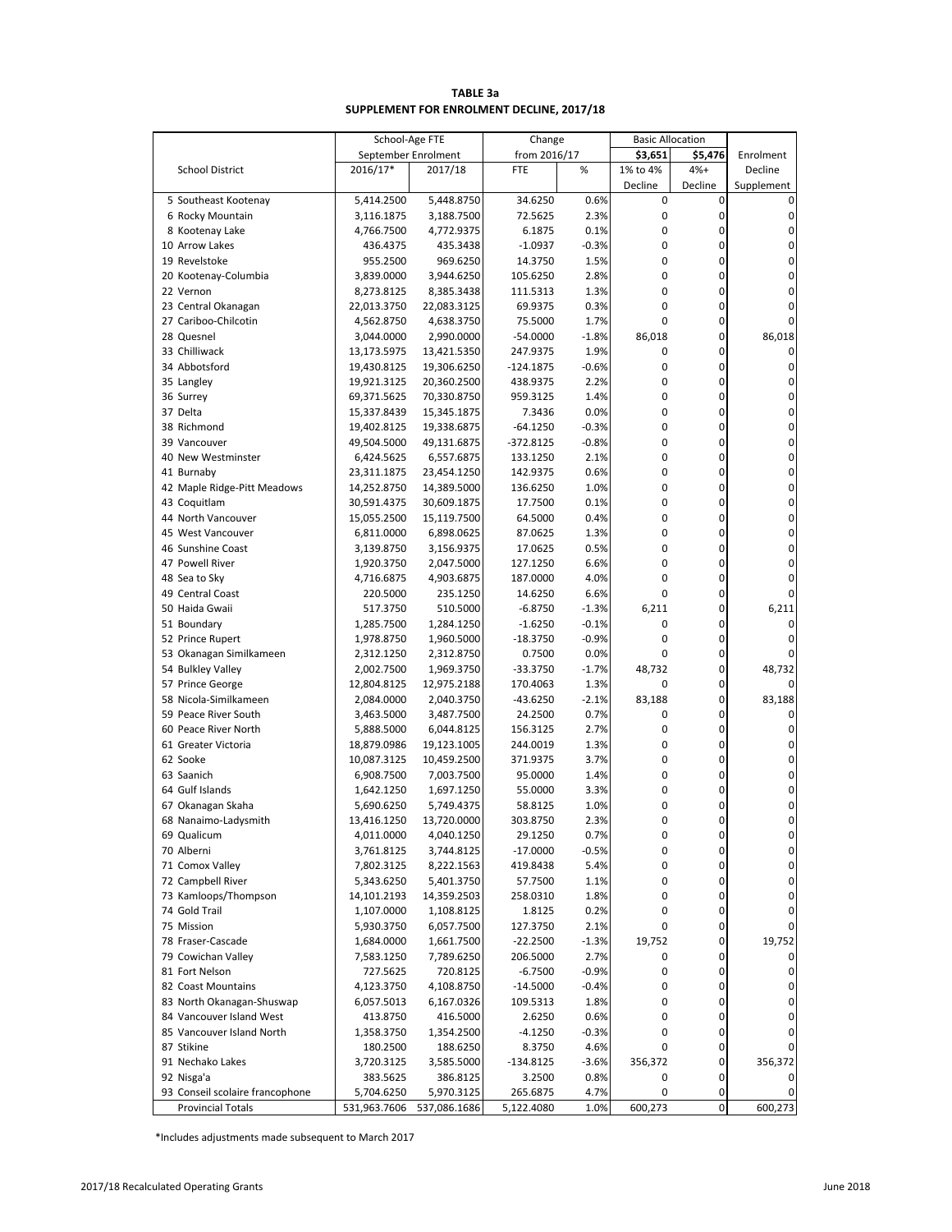| TABLE 3a                                  |  |
|-------------------------------------------|--|
| SUPPLEMENT FOR ENROLMENT DECLINE, 2017/18 |  |

|                                 | School-Age FTE      |              | Change       |         | <b>Basic Allocation</b> |                  |             |
|---------------------------------|---------------------|--------------|--------------|---------|-------------------------|------------------|-------------|
|                                 | September Enrolment |              | from 2016/17 |         | \$3,651                 | \$5,476          | Enrolment   |
| <b>School District</b>          | 2016/17*            | 2017/18      | <b>FTE</b>   | %       | 1% to 4%                | $4%+$            | Decline     |
|                                 |                     |              |              |         | Decline                 | Decline          | Supplement  |
| 5 Southeast Kootenay            | 5,414.2500          | 5,448.8750   | 34.6250      | 0.6%    | $\mathbf 0$             | $\mathbf 0$      |             |
| 6 Rocky Mountain                | 3,116.1875          | 3,188.7500   | 72.5625      | 2.3%    | 0                       | $\pmb{0}$        | 0           |
| 8 Kootenay Lake                 | 4,766.7500          | 4,772.9375   | 6.1875       | 0.1%    | $\mathbf 0$             | 0                | 0           |
| 10 Arrow Lakes                  | 436.4375            | 435.3438     | $-1.0937$    | $-0.3%$ | 0                       | 0                | 0           |
| 19 Revelstoke                   | 955.2500            | 969.6250     | 14.3750      | 1.5%    | 0                       | 0                | 0           |
| 20 Kootenay-Columbia            | 3,839.0000          | 3,944.6250   | 105.6250     | 2.8%    | $\mathbf 0$             | 0                | 0           |
| 22 Vernon                       | 8,273.8125          | 8,385.3438   | 111.5313     | 1.3%    | $\mathbf 0$             | 0                | 0           |
| 23 Central Okanagan             | 22,013.3750         | 22,083.3125  | 69.9375      | 0.3%    | $\mathbf 0$             | 0                | 0           |
| 27 Cariboo-Chilcotin            | 4,562.8750          | 4,638.3750   | 75.5000      | 1.7%    | 0                       | 0                | 0           |
| 28 Quesnel                      | 3,044.0000          | 2,990.0000   | $-54.0000$   | $-1.8%$ | 86,018                  | 0                | 86,018      |
| 33 Chilliwack                   | 13,173.5975         | 13,421.5350  | 247.9375     | 1.9%    | 0                       | 0                | 0           |
| 34 Abbotsford                   | 19,430.8125         | 19,306.6250  | $-124.1875$  | $-0.6%$ | 0                       | 0                | $\pmb{0}$   |
| 35 Langley                      | 19,921.3125         | 20,360.2500  | 438.9375     | 2.2%    | 0                       | 0                | 0           |
| 36 Surrey                       | 69,371.5625         | 70,330.8750  | 959.3125     | 1.4%    | 0                       | 0                | 0           |
| 37 Delta                        |                     |              |              | 0.0%    | 0                       | 0                | 0           |
|                                 | 15,337.8439         | 15,345.1875  | 7.3436       |         | 0                       | 0                |             |
| 38 Richmond                     | 19,402.8125         | 19,338.6875  | $-64.1250$   | $-0.3%$ |                         |                  | 0           |
| 39 Vancouver                    | 49,504.5000         | 49,131.6875  | $-372.8125$  | $-0.8%$ | $\mathbf 0$             | 0                | 0           |
| 40 New Westminster              | 6,424.5625          | 6,557.6875   | 133.1250     | 2.1%    | $\mathbf{0}$            | 0                | 0           |
| 41 Burnaby                      | 23,311.1875         | 23,454.1250  | 142.9375     | 0.6%    | 0                       | 0                | 0           |
| 42 Maple Ridge-Pitt Meadows     | 14,252.8750         | 14,389.5000  | 136.6250     | 1.0%    | 0                       | 0                | 0           |
| 43 Coquitlam                    | 30,591.4375         | 30,609.1875  | 17.7500      | 0.1%    | 0                       | 0                | 0           |
| 44 North Vancouver              | 15,055.2500         | 15,119.7500  | 64.5000      | 0.4%    | 0                       | 0                | 0           |
| 45 West Vancouver               | 6,811.0000          | 6,898.0625   | 87.0625      | 1.3%    | 0                       | 0                | 0           |
| 46 Sunshine Coast               | 3,139.8750          | 3,156.9375   | 17.0625      | 0.5%    | 0                       | 0                | 0           |
| 47 Powell River                 | 1,920.3750          | 2,047.5000   | 127.1250     | 6.6%    | $\mathbf 0$             | 0                | 0           |
| 48 Sea to Sky                   | 4,716.6875          | 4,903.6875   | 187.0000     | 4.0%    | $\mathbf 0$             | 0                | 0           |
| 49 Central Coast                | 220.5000            | 235.1250     | 14.6250      | 6.6%    | $\mathbf 0$             | 0                | 0           |
| 50 Haida Gwaii                  | 517.3750            | 510.5000     | $-6.8750$    | $-1.3%$ | 6,211                   | 0                | 6,211       |
| 51 Boundary                     | 1,285.7500          | 1,284.1250   | $-1.6250$    | $-0.1%$ | 0                       | 0                | 0           |
| 52 Prince Rupert                | 1,978.8750          | 1,960.5000   | $-18.3750$   | $-0.9%$ | $\mathbf 0$             | 0                | 0           |
| 53 Okanagan Similkameen         | 2,312.1250          | 2,312.8750   | 0.7500       | 0.0%    | 0                       | 0                | 0           |
| 54 Bulkley Valley               | 2,002.7500          | 1,969.3750   | -33.3750     | $-1.7%$ | 48,732                  | 0                | 48,732      |
| 57 Prince George                | 12,804.8125         | 12,975.2188  | 170.4063     | 1.3%    | 0                       | 0                |             |
| 58 Nicola-Similkameen           | 2,084.0000          | 2,040.3750   | -43.6250     | $-2.1%$ | 83,188                  | 0                | 83,188      |
| 59 Peace River South            | 3,463.5000          | 3,487.7500   | 24.2500      | 0.7%    | 0                       | 0                | 0           |
| 60 Peace River North            | 5,888.5000          | 6,044.8125   | 156.3125     | 2.7%    | 0                       | 0                | $\pmb{0}$   |
| 61 Greater Victoria             | 18,879.0986         | 19,123.1005  | 244.0019     | 1.3%    | 0                       | 0                | 0           |
| 62 Sooke                        | 10,087.3125         | 10,459.2500  | 371.9375     | 3.7%    | $\mathbf 0$             | 0                | 0           |
| 63 Saanich                      | 6,908.7500          | 7,003.7500   | 95.0000      | 1.4%    | 0                       | 0                | 0           |
| 64 Gulf Islands                 | 1,642.1250          | 1,697.1250   | 55.0000      | 3.3%    | 0                       | 0                | 0           |
|                                 | 5,690.6250          | 5,749.4375   |              | 1.0%    | 0                       | 0                | 0           |
| 67 Okanagan Skaha               |                     | 13,720.0000  | 58.8125      | 2.3%    | 0                       | 0                | 0           |
| 68 Nanaimo-Ladysmith            | 13,416.1250         |              | 303.8750     |         |                         | $\pmb{0}$        |             |
| 69 Qualicum                     | 4,011.0000          | 4,040.1250   | 29.1250      | 0.7%    | 0                       |                  | 0           |
| 70 Alberni                      | 3,761.8125          | 3,744.8125   | $-17.0000$   | $-0.5%$ | 0                       | 0                | $\pmb{0}$   |
| 71 Comox Valley                 | 7,802.3125          | 8,222.1563   | 419.8438     | 5.4%    | 0                       | 0                | $\pmb{0}$   |
| 72 Campbell River               | 5,343.6250          | 5,401.3750   | 57.7500      | 1.1%    | 0                       | 0                | 0           |
| 73 Kamloops/Thompson            | 14,101.2193         | 14,359.2503  | 258.0310     | 1.8%    | 0                       | 0                | 0           |
| 74 Gold Trail                   | 1,107.0000          | 1,108.8125   | 1.8125       | 0.2%    | 0                       | 0                | 0           |
| 75 Mission                      | 5,930.3750          | 6,057.7500   | 127.3750     | 2.1%    | 0                       | $\boldsymbol{0}$ | 0           |
| 78 Fraser-Cascade               | 1,684.0000          | 1,661.7500   | $-22.2500$   | $-1.3%$ | 19,752                  | 0                | 19,752      |
| 79 Cowichan Valley              | 7,583.1250          | 7,789.6250   | 206.5000     | 2.7%    | 0                       | 0                | 0           |
| 81 Fort Nelson                  | 727.5625            | 720.8125     | $-6.7500$    | $-0.9%$ | 0                       | 0                | $\mathbf 0$ |
| 82 Coast Mountains              | 4,123.3750          | 4,108.8750   | $-14.5000$   | $-0.4%$ | 0                       | 0                | $\pmb{0}$   |
| 83 North Okanagan-Shuswap       | 6,057.5013          | 6,167.0326   | 109.5313     | 1.8%    | 0                       | 0                | 0           |
| 84 Vancouver Island West        | 413.8750            | 416.5000     | 2.6250       | 0.6%    | $\mathbf 0$             | 0                | 0           |
| 85 Vancouver Island North       | 1,358.3750          | 1,354.2500   | $-4.1250$    | $-0.3%$ | 0                       | 0                | 0           |
| 87 Stikine                      | 180.2500            | 188.6250     | 8.3750       | 4.6%    | 0                       | 0                | 0           |
| 91 Nechako Lakes                | 3,720.3125          | 3,585.5000   | $-134.8125$  | $-3.6%$ | 356,372                 | 0                | 356,372     |
| 92 Nisga'a                      | 383.5625            | 386.8125     | 3.2500       | 0.8%    | 0                       | 0                | 0           |
| 93 Conseil scolaire francophone | 5,704.6250          | 5,970.3125   | 265.6875     | 4.7%    | 0                       | 0                | 0           |
| <b>Provincial Totals</b>        | 531,963.7606        | 537,086.1686 | 5,122.4080   | 1.0%    | 600,273                 | $\pmb{0}$        | 600,273     |

\*Includes adjustments made subsequent to March 2017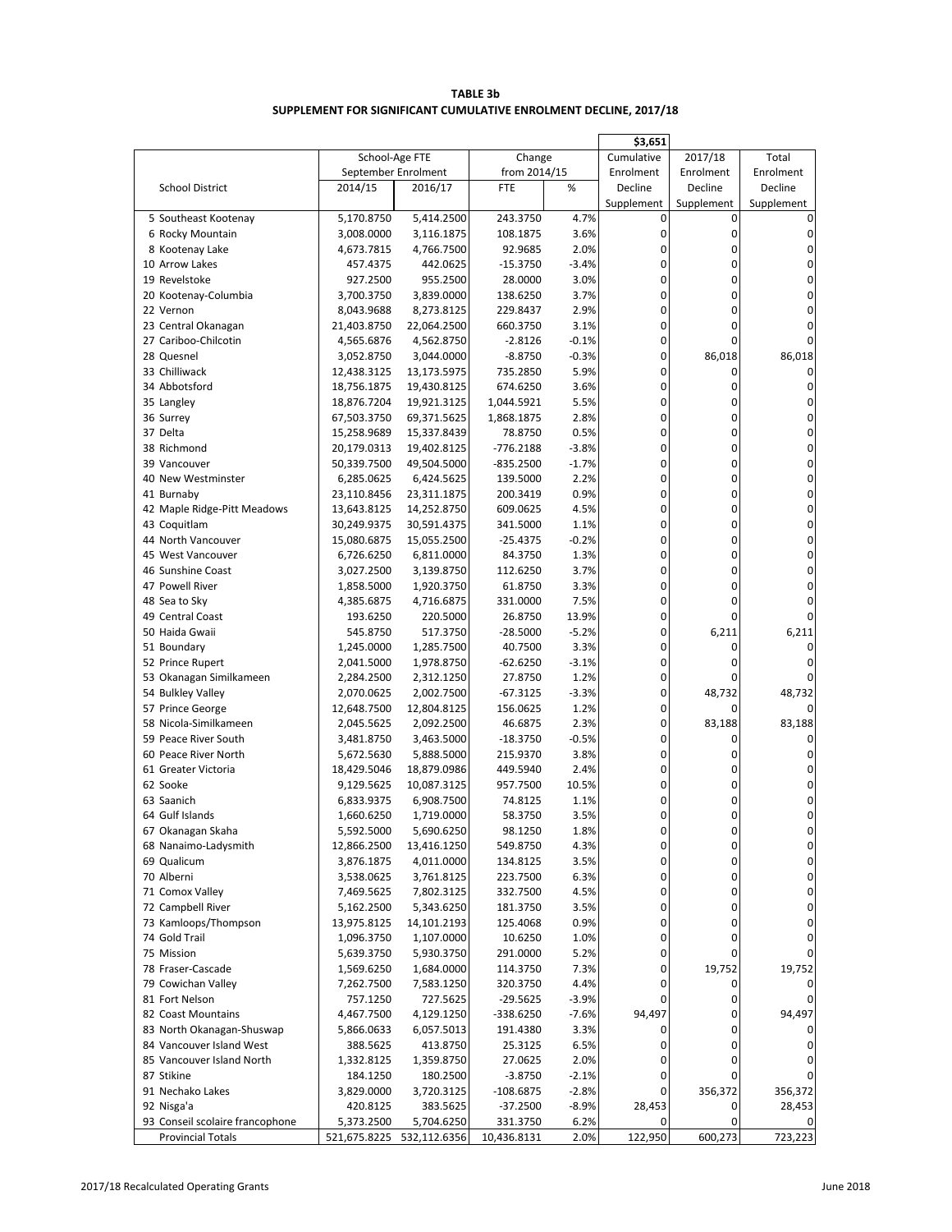| <b>TABLE 3b</b>                                                  |
|------------------------------------------------------------------|
| SUPPLEMENT FOR SIGNIFICANT CUMULATIVE ENROLMENT DECLINE, 2017/18 |

|                                 |                     |              |              |         | \$3,651     |            |            |
|---------------------------------|---------------------|--------------|--------------|---------|-------------|------------|------------|
|                                 | School-Age FTE      |              | Change       |         | Cumulative  | 2017/18    | Total      |
|                                 | September Enrolment |              | from 2014/15 |         | Enrolment   | Enrolment  | Enrolment  |
| <b>School District</b>          | 2014/15             | 2016/17      | FTE          | %       | Decline     | Decline    | Decline    |
|                                 |                     |              |              |         | Supplement  | Supplement | Supplement |
| 5 Southeast Kootenay            | 5,170.8750          | 5,414.2500   | 243.3750     | 4.7%    | 0           | 0          |            |
| 6 Rocky Mountain                | 3,008.0000          | 3,116.1875   | 108.1875     | 3.6%    | 0           | 0          | 0          |
| 8 Kootenay Lake                 | 4,673.7815          | 4,766.7500   | 92.9685      | 2.0%    | 0           | 0          | 0          |
| 10 Arrow Lakes                  | 457.4375            | 442.0625     | -15.3750     | $-3.4%$ | 0           | 0          | 0          |
| 19 Revelstoke                   | 927.2500            | 955.2500     | 28.0000      | 3.0%    | 0           | 0          | 0          |
| 20 Kootenay-Columbia            | 3,700.3750          | 3,839.0000   | 138.6250     | 3.7%    | 0           | 0          | 0          |
| 22 Vernon                       | 8,043.9688          | 8,273.8125   | 229.8437     | 2.9%    | 0           | 0          | 0          |
| 23 Central Okanagan             | 21,403.8750         | 22,064.2500  | 660.3750     | 3.1%    | $\mathbf 0$ | 0          | 0          |
| 27 Cariboo-Chilcotin            | 4,565.6876          | 4,562.8750   | $-2.8126$    | $-0.1%$ | 0           | 0          | 0          |
| 28 Quesnel                      | 3,052.8750          | 3,044.0000   | $-8.8750$    | $-0.3%$ | 0           | 86,018     | 86,018     |
| 33 Chilliwack                   | 12,438.3125         | 13,173.5975  | 735.2850     | 5.9%    | $\mathbf 0$ | 0          | 0          |
| 34 Abbotsford                   | 18,756.1875         | 19,430.8125  | 674.6250     | 3.6%    | 0           | 0          | 0          |
| 35 Langley                      | 18,876.7204         | 19,921.3125  | 1,044.5921   | 5.5%    | 0           | 0          | 0          |
| 36 Surrey                       | 67,503.3750         | 69,371.5625  | 1,868.1875   | 2.8%    | $\mathbf 0$ | 0          | 0          |
| 37 Delta                        | 15,258.9689         | 15,337.8439  | 78.8750      | 0.5%    | 0           | 0          | 0          |
| 38 Richmond                     | 20,179.0313         | 19,402.8125  | $-776.2188$  | $-3.8%$ | 0           | 0          | 0          |
| 39 Vancouver                    | 50,339.7500         | 49,504.5000  | $-835.2500$  | $-1.7%$ | 0           | 0          | 0          |
| 40 New Westminster              | 6,285.0625          | 6,424.5625   | 139.5000     | 2.2%    | 0           | 0          | 0          |
|                                 |                     |              |              | 0.9%    | $\mathbf 0$ | 0          | 0          |
| 41 Burnaby                      | 23,110.8456         | 23,311.1875  | 200.3419     |         | 0           | 0          | 0          |
| 42 Maple Ridge-Pitt Meadows     | 13,643.8125         | 14,252.8750  | 609.0625     | 4.5%    |             |            |            |
| 43 Coquitlam                    | 30,249.9375         | 30,591.4375  | 341.5000     | 1.1%    | 0           | 0          | 0          |
| 44 North Vancouver              | 15,080.6875         | 15,055.2500  | $-25.4375$   | $-0.2%$ | 0           | 0          | 0          |
| 45 West Vancouver               | 6,726.6250          | 6,811.0000   | 84.3750      | 1.3%    | 0           | 0          | 0          |
| 46 Sunshine Coast               | 3,027.2500          | 3,139.8750   | 112.6250     | 3.7%    | 0           | 0          | 0          |
| 47 Powell River                 | 1,858.5000          | 1,920.3750   | 61.8750      | 3.3%    | 0           | $\Omega$   | 0          |
| 48 Sea to Sky                   | 4,385.6875          | 4,716.6875   | 331.0000     | 7.5%    | 0           | 0          | 0          |
| 49 Central Coast                | 193.6250            | 220.5000     | 26.8750      | 13.9%   | 0           | 0          | U          |
| 50 Haida Gwaii                  | 545.8750            | 517.3750     | -28.5000     | $-5.2%$ | 0           | 6,211      | 6,211      |
| 51 Boundary                     | 1,245.0000          | 1,285.7500   | 40.7500      | 3.3%    | 0           | 0          | 0          |
| 52 Prince Rupert                | 2,041.5000          | 1,978.8750   | $-62.6250$   | $-3.1%$ | 0           | 0          | 0          |
| 53 Okanagan Similkameen         | 2,284.2500          | 2,312.1250   | 27.8750      | 1.2%    | 0           | 0          |            |
| 54 Bulkley Valley               | 2,070.0625          | 2,002.7500   | -67.3125     | $-3.3%$ | 0           | 48,732     | 48,732     |
| 57 Prince George                | 12,648.7500         | 12,804.8125  | 156.0625     | 1.2%    | 0           | 0          | 0          |
| 58 Nicola-Similkameen           | 2,045.5625          | 2,092.2500   | 46.6875      | 2.3%    | 0           | 83,188     | 83,188     |
| 59 Peace River South            | 3,481.8750          | 3,463.5000   | -18.3750     | $-0.5%$ | 0           | 0          |            |
| 60 Peace River North            | 5,672.5630          | 5,888.5000   | 215.9370     | 3.8%    | $\mathbf 0$ | 0          | 0          |
| 61 Greater Victoria             | 18,429.5046         | 18,879.0986  | 449.5940     | 2.4%    | 0           | 0          | 0          |
| 62 Sooke                        | 9,129.5625          | 10,087.3125  | 957.7500     | 10.5%   | 0           | 0          | 0          |
| 63 Saanich                      | 6,833.9375          | 6,908.7500   | 74.8125      | 1.1%    | 0           | 0          | 0          |
| 64 Gulf Islands                 | 1,660.6250          | 1,719.0000   | 58.3750      | 3.5%    | 0           | 0          | 0          |
| 67 Okanagan Skaha               | 5,592.5000          | 5,690.6250   | 98.1250      | 1.8%    | $\Omega$    |            | 0          |
| 68 Nanaimo-Ladysmith            | 12,866.2500         | 13,416.1250  | 549.8750     | 4.3%    | 0           | 0          | 0          |
| 69 Qualicum                     | 3,876.1875          | 4,011.0000   | 134.8125     | 3.5%    | 0           | 0          | 0          |
| 70 Alberni                      | 3,538.0625          | 3,761.8125   | 223.7500     | 6.3%    | 0           | 0          | 0          |
| 71 Comox Valley                 | 7,469.5625          | 7,802.3125   | 332.7500     | 4.5%    | 0           | 0          | 0          |
| 72 Campbell River               | 5,162.2500          | 5,343.6250   | 181.3750     | 3.5%    | 0           | 0          | 0          |
| 73 Kamloops/Thompson            | 13,975.8125         | 14,101.2193  | 125.4068     | 0.9%    | 0           | 0          | 0          |
| 74 Gold Trail                   | 1,096.3750          | 1,107.0000   | 10.6250      | 1.0%    | 0           | 0          |            |
| 75 Mission                      |                     | 5,930.3750   | 291.0000     | 5.2%    | 0           | 0          |            |
|                                 | 5,639.3750          |              |              |         | 0           | 19,752     |            |
| 78 Fraser-Cascade               | 1,569.6250          | 1,684.0000   | 114.3750     | 7.3%    |             |            | 19,752     |
| 79 Cowichan Valley              | 7,262.7500          | 7,583.1250   | 320.3750     | 4.4%    | 0           | 0          |            |
| 81 Fort Nelson                  | 757.1250            | 727.5625     | -29.5625     | $-3.9%$ | 0           | 0          |            |
| 82 Coast Mountains              | 4,467.7500          | 4,129.1250   | -338.6250    | $-7.6%$ | 94,497      | 0          | 94,497     |
| 83 North Okanagan-Shuswap       | 5,866.0633          | 6,057.5013   | 191.4380     | 3.3%    | 0           | 0          |            |
| 84 Vancouver Island West        | 388.5625            | 413.8750     | 25.3125      | 6.5%    | 0           | 0          |            |
| 85 Vancouver Island North       | 1,332.8125          | 1,359.8750   | 27.0625      | 2.0%    | 0           | 0          |            |
| 87 Stikine                      | 184.1250            | 180.2500     | $-3.8750$    | $-2.1%$ | 0           | 0          |            |
| 91 Nechako Lakes                | 3,829.0000          | 3,720.3125   | -108.6875    | $-2.8%$ | 0           | 356,372    | 356,372    |
| 92 Nisga'a                      | 420.8125            | 383.5625     | -37.2500     | $-8.9%$ | 28,453      | 0          | 28,453     |
| 93 Conseil scolaire francophone | 5,373.2500          | 5,704.6250   | 331.3750     | 6.2%    | 0           | 0          |            |
| <b>Provincial Totals</b>        | 521,675.8225        | 532,112.6356 | 10,436.8131  | 2.0%    | 122,950     | 600,273    | 723,223    |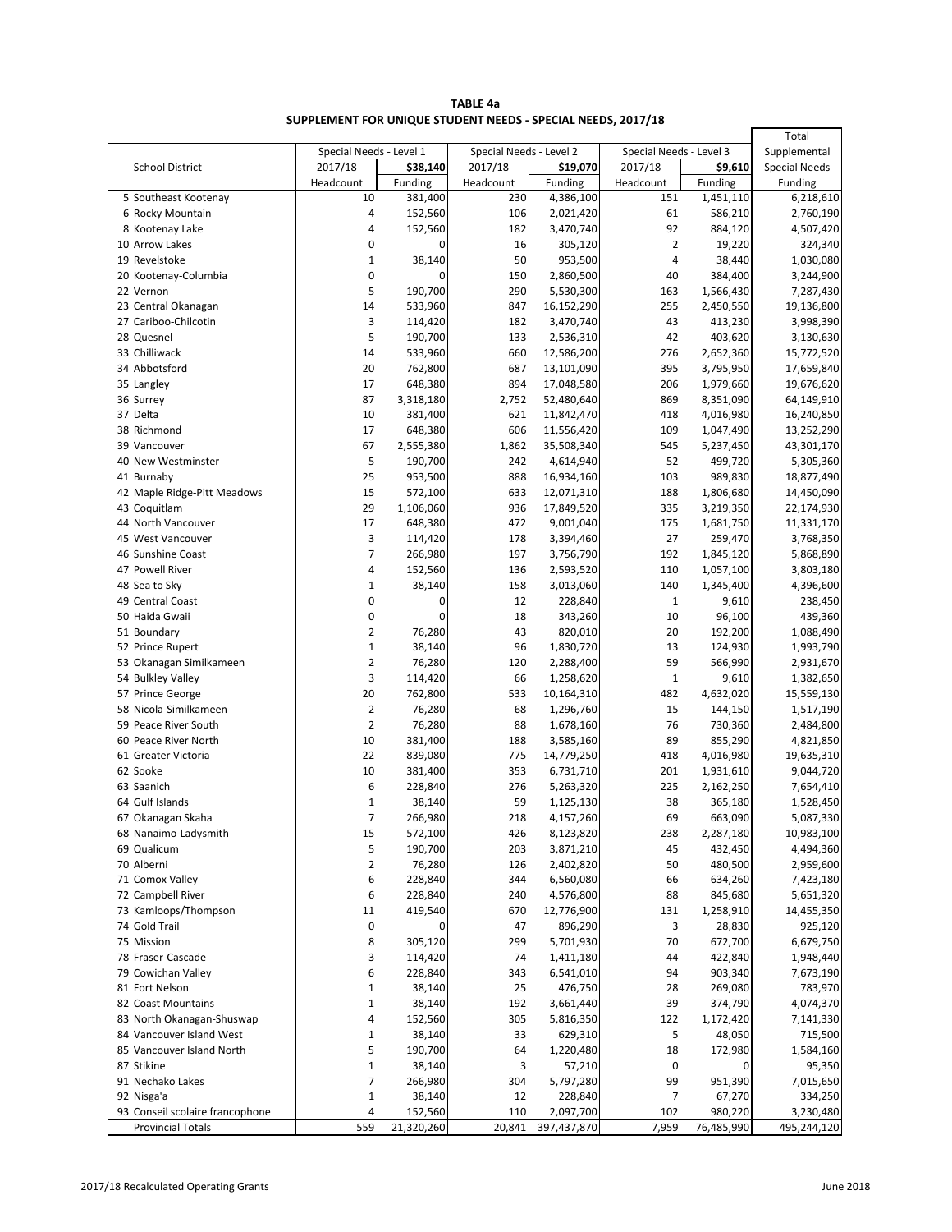| TABLE 4a                                                     |  |
|--------------------------------------------------------------|--|
| SUPPLEMENT FOR UNIQUE STUDENT NEEDS - SPECIAL NEEDS, 2017/18 |  |

|                                   |                         |                    |                         |                         |                         |                        | Total                   |
|-----------------------------------|-------------------------|--------------------|-------------------------|-------------------------|-------------------------|------------------------|-------------------------|
|                                   | Special Needs - Level 1 |                    | Special Needs - Level 2 |                         | Special Needs - Level 3 | Supplemental           |                         |
| <b>School District</b>            | 2017/18                 | \$38,140           | 2017/18                 | \$19,070                | 2017/18                 | \$9,610                | <b>Special Needs</b>    |
|                                   | Headcount               | Funding            | Headcount               | Funding                 | Headcount               | Funding                | Funding                 |
| 5 Southeast Kootenay              | 10                      | 381,400            | 230                     | 4,386,100               | 151                     | 1,451,110              | 6,218,610               |
| 6 Rocky Mountain                  | 4                       | 152,560            | 106                     | 2,021,420               | 61                      | 586,210                | 2,760,190               |
| 8 Kootenay Lake                   | 4                       | 152,560            | 182                     | 3,470,740               | 92                      | 884,120                | 4,507,420               |
| 10 Arrow Lakes                    | 0                       | 0                  | 16                      | 305,120                 | $\overline{2}$          | 19,220                 | 324,340                 |
| 19 Revelstoke                     | $\mathbf{1}$            | 38,140<br>0        | 50                      | 953,500                 | 4<br>40                 | 38,440                 | 1,030,080               |
| 20 Kootenay-Columbia<br>22 Vernon | 0<br>5                  | 190,700            | 150<br>290              | 2,860,500               | 163                     | 384,400                | 3,244,900               |
| 23 Central Okanagan               | 14                      | 533,960            | 847                     | 5,530,300<br>16,152,290 | 255                     | 1,566,430<br>2,450,550 | 7,287,430<br>19,136,800 |
| 27 Cariboo-Chilcotin              | 3                       | 114,420            | 182                     | 3,470,740               | 43                      | 413,230                | 3,998,390               |
| 28 Quesnel                        | 5                       | 190,700            | 133                     | 2,536,310               | 42                      | 403,620                | 3,130,630               |
| 33 Chilliwack                     | 14                      | 533,960            | 660                     | 12,586,200              | 276                     | 2,652,360              | 15,772,520              |
| 34 Abbotsford                     | 20                      | 762,800            | 687                     | 13,101,090              | 395                     | 3,795,950              | 17,659,840              |
| 35 Langley                        | 17                      | 648,380            | 894                     | 17,048,580              | 206                     | 1,979,660              | 19,676,620              |
| 36 Surrey                         | 87                      | 3,318,180          | 2,752                   | 52,480,640              | 869                     | 8,351,090              | 64,149,910              |
| 37 Delta                          | 10                      | 381,400            | 621                     | 11,842,470              | 418                     | 4,016,980              | 16,240,850              |
| 38 Richmond                       | 17                      | 648,380            | 606                     | 11,556,420              | 109                     | 1,047,490              | 13,252,290              |
| 39 Vancouver                      | 67                      | 2,555,380          | 1,862                   | 35,508,340              | 545                     | 5,237,450              | 43,301,170              |
| 40 New Westminster                | 5                       | 190,700            | 242                     | 4,614,940               | 52                      | 499,720                | 5,305,360               |
| 41 Burnaby                        | 25                      | 953,500            | 888                     | 16,934,160              | 103                     | 989,830                | 18,877,490              |
| 42 Maple Ridge-Pitt Meadows       | 15                      | 572,100            | 633                     | 12,071,310              | 188                     | 1,806,680              | 14,450,090              |
| 43 Coquitlam                      | 29                      | 1,106,060          | 936                     | 17,849,520              | 335                     | 3,219,350              | 22,174,930              |
| 44 North Vancouver                | 17                      | 648,380            | 472                     | 9,001,040               | 175                     | 1,681,750              | 11,331,170              |
| 45 West Vancouver                 | 3                       | 114,420            | 178                     | 3,394,460               | 27                      | 259,470                | 3,768,350               |
| 46 Sunshine Coast                 | 7                       | 266,980            | 197                     | 3,756,790               | 192                     | 1,845,120              | 5,868,890               |
| 47 Powell River                   | 4                       | 152,560            | 136                     | 2,593,520               | 110                     | 1,057,100              | 3,803,180               |
| 48 Sea to Sky                     | $\mathbf{1}$            | 38,140             | 158                     | 3,013,060               | 140                     | 1,345,400              | 4,396,600               |
| 49 Central Coast                  | 0                       | 0                  | 12                      | 228,840                 | $\mathbf 1$             | 9,610                  | 238,450                 |
| 50 Haida Gwaii                    | 0                       | 0                  | 18                      | 343,260                 | 10                      | 96,100                 | 439,360                 |
| 51 Boundary                       | $\overline{2}$          | 76,280             | 43                      | 820,010                 | 20                      | 192,200                | 1,088,490               |
| 52 Prince Rupert                  | $\mathbf 1$             | 38,140             | 96                      | 1,830,720               | 13                      | 124,930                | 1,993,790               |
| 53 Okanagan Similkameen           | 2                       | 76,280             | 120                     | 2,288,400               | 59                      | 566,990                | 2,931,670               |
| 54 Bulkley Valley                 | 3                       | 114,420            | 66                      | 1,258,620               | $\mathbf 1$             | 9,610                  | 1,382,650               |
| 57 Prince George                  | 20                      | 762,800            | 533                     | 10,164,310              | 482                     | 4,632,020              | 15,559,130              |
| 58 Nicola-Similkameen             | 2                       | 76,280             | 68                      | 1,296,760               | 15                      | 144,150                | 1,517,190               |
| 59 Peace River South              | $\overline{2}$          | 76,280             | 88                      | 1,678,160               | 76                      | 730,360                | 2,484,800               |
| 60 Peace River North              | 10                      | 381,400<br>839,080 | 188                     | 3,585,160               | 89                      | 855,290                | 4,821,850               |
| 61 Greater Victoria<br>62 Sooke   | 22<br>10                |                    | 775<br>353              | 14,779,250              | 418<br>201              | 4,016,980              | 19,635,310              |
| 63 Saanich                        | 6                       | 381,400<br>228,840 | 276                     | 6,731,710<br>5,263,320  | 225                     | 1,931,610<br>2,162,250 | 9,044,720<br>7,654,410  |
| 64 Gulf Islands                   | $\mathbf{1}$            | 38,140             | 59                      | 1,125,130               | 38                      | 365,180                | 1,528,450               |
| 67 Okanagan Skaha                 | $\overline{7}$          | 266,980            | 218                     | 4,157,260               | 69                      | 663,090                | 5,087,330               |
| 68 Nanaimo-Ladysmith              | 15                      | 572,100            | 426                     | 8,123,820               | 238                     | 2,287,180              | 10,983,100              |
| 69 Qualicum                       | 5                       | 190,700            | 203                     | 3,871,210               | 45                      | 432,450                | 4,494,360               |
| 70 Alberni                        | 2                       | 76,280             | 126                     | 2,402,820               | 50                      | 480,500                | 2,959,600               |
| 71 Comox Valley                   | 6                       | 228,840            | 344                     | 6,560,080               | 66                      | 634,260                | 7,423,180               |
| 72 Campbell River                 | 6                       | 228,840            | 240                     | 4,576,800               | 88                      | 845,680                | 5,651,320               |
| 73 Kamloops/Thompson              | 11                      | 419,540            | 670                     | 12,776,900              | 131                     | 1,258,910              | 14,455,350              |
| 74 Gold Trail                     | 0                       | 0                  | 47                      | 896,290                 | 3                       | 28,830                 | 925,120                 |
| 75 Mission                        | 8                       | 305,120            | 299                     | 5,701,930               | 70                      | 672,700                | 6,679,750               |
| 78 Fraser-Cascade                 | 3                       | 114,420            | 74                      | 1,411,180               | 44                      | 422,840                | 1,948,440               |
| 79 Cowichan Valley                | 6                       | 228,840            | 343                     | 6,541,010               | 94                      | 903,340                | 7,673,190               |
| 81 Fort Nelson                    | 1                       | 38,140             | 25                      | 476,750                 | 28                      | 269,080                | 783,970                 |
| 82 Coast Mountains                | 1                       | 38,140             | 192                     | 3,661,440               | 39                      | 374,790                | 4,074,370               |
| 83 North Okanagan-Shuswap         | 4                       | 152,560            | 305                     | 5,816,350               | 122                     | 1,172,420              | 7,141,330               |
| 84 Vancouver Island West          | $\mathbf{1}$            | 38,140             | 33                      | 629,310                 | 5                       | 48,050                 | 715,500                 |
| 85 Vancouver Island North         | 5                       | 190,700            | 64                      | 1,220,480               | 18                      | 172,980                | 1,584,160               |
| 87 Stikine                        | $1\,$                   | 38,140             | 3                       | 57,210                  | 0                       | 0                      | 95,350                  |
| 91 Nechako Lakes                  | 7                       | 266,980            | 304                     | 5,797,280               | 99                      | 951,390                | 7,015,650               |
| 92 Nisga'a                        | $1\,$                   | 38,140             | 12                      | 228,840                 | $\overline{7}$          | 67,270                 | 334,250                 |
| 93 Conseil scolaire francophone   | 4                       | 152,560            | 110                     | 2,097,700               | 102                     | 980,220                | 3,230,480               |
| <b>Provincial Totals</b>          | 559                     | 21,320,260         | 20,841                  | 397,437,870             | 7,959                   | 76,485,990             | 495,244,120             |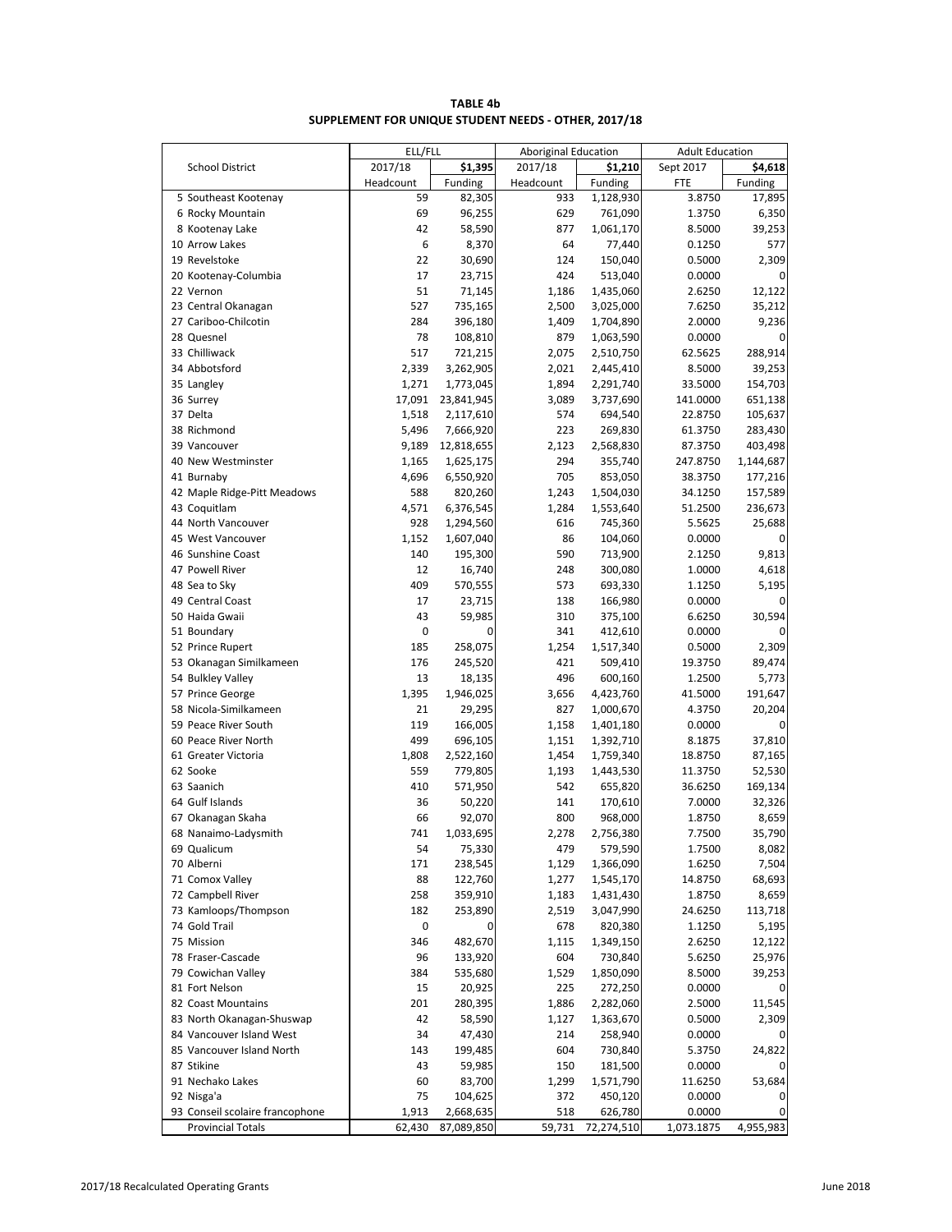|                        | ELL/FLL   |            | <b>Aboriginal Education</b> |           | <b>Adult Education</b> |         |  |
|------------------------|-----------|------------|-----------------------------|-----------|------------------------|---------|--|
| <b>School District</b> | 2017/18   | \$1,395    | 2017/18                     | \$1,210   | Sept 2017              | \$4,618 |  |
|                        | Headcount | Funding    | Headcount                   | Funding   | <b>FTE</b>             | Funding |  |
| 5 Southeast Kootenay   | 59        | 82,305     | 933                         | 1,128,930 | 3.8750                 | 17,895  |  |
| 6 Rocky Mountain       | 69        | 96,255     | 629                         | 761,090   | 1.3750                 | 6,350   |  |
| 8 Kootenay Lake        | 42        | 58,590     | 877                         | 1,061,170 | 8.5000                 | 39,253  |  |
| 10 Arrow Lakes         | 6         | 8,370      | 64                          | 77,440    | 0.1250                 | 577     |  |
| 19 Revelstoke          | 22        | 30,690     | 124                         | 150,040   | 0.5000                 | 2,309   |  |
| 20 Kootenay-Columbia   | 17        | 23,715     | 424                         | 513,040   | 0.0000                 |         |  |
| 22 Vernon              | 51        | 71,145     | 1,186                       | 1,435,060 | 2.6250                 | 12,122  |  |
| 23 Central Okanagan    | 527       | 735,165    | 2,500                       | 3,025,000 | 7.6250                 | 35,212  |  |
| 27 Cariboo-Chilcotin   | 284       | 396,180    | 1,409                       | 1,704,890 | 2.0000                 | 9,236   |  |
| 28 Quesnel             | 78        | 108,810    | 879                         | 1,063,590 | 0.0000                 |         |  |
| 33 Chilliwack          | 517       | 721,215    | 2,075                       | 2,510,750 | 62.5625                | 288,914 |  |
| 34 Abbotsford          | 2,339     | 3,262,905  | 2,021                       | 2,445,410 | 8.5000                 | 39,253  |  |
| 35 Langley             | 1,271     | 1,773,045  | 1,894                       | 2,291,740 | 33.5000                | 154,703 |  |
| 36 Surrey              | 17,091    | 23,841,945 | 3,089                       | 3,737,690 | 141.0000               | 651,138 |  |
| 37 Delta               | 1,518     | 2,117,610  | 574                         | 694,540   | 22.8750                | 105,637 |  |
| 38 Richmond            | 5,496     | 7,666,920  | 223                         | 269,830   | 61.3750                | 283,430 |  |
|                        |           |            |                             |           |                        |         |  |

**TABLE 4b SUPPLEMENT FOR UNIQUE STUDENT NEEDS - OTHER, 2017/18**

| 22 Vernon                       | 51         | 71,145             | 1,186        | 1,435,060  | 2.6250     | 12,122            |
|---------------------------------|------------|--------------------|--------------|------------|------------|-------------------|
| 23 Central Okanagan             | 527        | 735,165            | 2,500        | 3,025,000  | 7.6250     | 35,212            |
| 27 Cariboo-Chilcotin            | 284        | 396,180            | 1,409        | 1,704,890  | 2.0000     | 9,236             |
| 28 Quesnel                      | 78         | 108,810            | 879          | 1,063,590  | 0.0000     | 0                 |
| 33 Chilliwack                   | 517        | 721,215            | 2,075        | 2,510,750  | 62.5625    | 288,914           |
| 34 Abbotsford                   | 2,339      | 3,262,905          | 2,021        | 2,445,410  | 8.5000     | 39,253            |
| 35 Langley                      | 1,271      | 1,773,045          | 1,894        | 2,291,740  | 33.5000    | 154,703           |
| 36 Surrey                       | 17,091     | 23,841,945         | 3,089        | 3,737,690  | 141.0000   | 651,138           |
| 37 Delta                        | 1,518      | 2,117,610          | 574          | 694,540    | 22.8750    | 105,637           |
| 38 Richmond                     | 5,496      | 7,666,920          | 223          | 269,830    | 61.3750    | 283,430           |
| 39 Vancouver                    | 9,189      | 12,818,655         | 2,123        | 2,568,830  | 87.3750    | 403,498           |
| 40 New Westminster              | 1,165      | 1,625,175          | 294          | 355,740    | 247.8750   | 1,144,687         |
| 41 Burnaby                      | 4,696      | 6,550,920          | 705          | 853,050    | 38.3750    | 177,216           |
| 42 Maple Ridge-Pitt Meadows     | 588        | 820,260            | 1,243        | 1,504,030  | 34.1250    | 157,589           |
| 43 Coquitlam                    | 4,571      | 6,376,545          | 1,284        | 1,553,640  | 51.2500    | 236,673           |
| 44 North Vancouver              | 928        | 1,294,560          | 616          | 745,360    | 5.5625     | 25,688            |
| 45 West Vancouver               | 1,152      | 1,607,040          | 86           | 104,060    | 0.0000     | 0                 |
| 46 Sunshine Coast               | 140        | 195,300            | 590          | 713,900    | 2.1250     | 9,813             |
| 47 Powell River                 | 12         | 16,740             | 248          | 300,080    | 1.0000     | 4,618             |
| 48 Sea to Sky                   | 409        | 570,555            | 573          | 693,330    | 1.1250     | 5,195             |
| 49 Central Coast                | 17         | 23,715             | 138          | 166,980    | 0.0000     | 0                 |
| 50 Haida Gwaii                  | 43         | 59,985             | 310          | 375,100    | 6.6250     | 30,594            |
| 51 Boundary                     | 0          | 0                  | 341          | 412,610    | 0.0000     |                   |
| 52 Prince Rupert                | 185        | 258,075            | 1,254        | 1,517,340  | 0.5000     | 2,309             |
| 53 Okanagan Similkameen         | 176        | 245,520            | 421          | 509,410    | 19.3750    | 89,474            |
| 54 Bulkley Valley               | 13         | 18,135             | 496          | 600,160    | 1.2500     | 5,773             |
| 57 Prince George                | 1,395      | 1,946,025          | 3,656        | 4,423,760  | 41.5000    | 191,647           |
| 58 Nicola-Similkameen           | 21         | 29,295             | 827          | 1,000,670  | 4.3750     | 20,204            |
| 59 Peace River South            | 119        |                    |              | 1,401,180  | 0.0000     | 0                 |
| 60 Peace River North            | 499        | 166,005<br>696,105 | 1,158        | 1,392,710  | 8.1875     | 37,810            |
| 61 Greater Victoria             |            |                    | 1,151        |            | 18.8750    |                   |
|                                 | 1,808      | 2,522,160          | 1,454        | 1,759,340  |            | 87,165            |
| 62 Sooke<br>63 Saanich          | 559<br>410 | 779,805            | 1,193<br>542 | 1,443,530  | 11.3750    | 52,530<br>169,134 |
|                                 |            | 571,950            |              | 655,820    | 36.6250    |                   |
| 64 Gulf Islands                 | 36<br>66   | 50,220             | 141          | 170,610    | 7.0000     | 32,326            |
| 67 Okanagan Skaha               |            | 92,070             | 800          | 968,000    | 1.8750     | 8,659             |
| 68 Nanaimo-Ladysmith            | 741        | 1,033,695          | 2,278        | 2,756,380  | 7.7500     | 35,790            |
| 69 Qualicum                     | 54         | 75,330             | 479          | 579,590    | 1.7500     | 8,082             |
| 70 Alberni                      | 171        | 238,545            | 1,129        | 1,366,090  | 1.6250     | 7,504             |
| 71 Comox Valley                 | 88         | 122,760            | 1,277        | 1,545,170  | 14.8750    | 68,693            |
| 72 Campbell River               | 258        | 359,910            | 1,183        | 1,431,430  | 1.8750     | 8,659             |
| 73 Kamloops/Thompson            | 182        | 253,890            | 2,519        | 3,047,990  | 24.6250    | 113,718           |
| 74 Gold Trail                   | 0          | 0                  | 678          | 820,380    | 1.1250     | 5,195             |
| 75 Mission                      | 346        | 482,670            | 1,115        | 1,349,150  | 2.6250     | 12,122            |
| 78 Fraser-Cascade               | 96         | 133,920            | 604          | 730,840    | 5.6250     | 25,976            |
| 79 Cowichan Valley              | 384        | 535,680            | 1,529        | 1,850,090  | 8.5000     | 39,253            |
| 81 Fort Nelson                  | 15         | 20,925             | 225          | 272,250    | 0.0000     | $\sigma$          |
| 82 Coast Mountains              | 201        | 280,395            | 1,886        | 2,282,060  | 2.5000     | 11,545            |
| 83 North Okanagan-Shuswap       | 42         | 58,590             | 1,127        | 1,363,670  | 0.5000     | 2,309             |
| 84 Vancouver Island West        | 34         | 47,430             | 214          | 258,940    | 0.0000     |                   |
| 85 Vancouver Island North       | 143        | 199,485            | 604          | 730,840    | 5.3750     | 24,822            |
| 87 Stikine                      | 43         | 59,985             | 150          | 181,500    | 0.0000     | 0                 |
| 91 Nechako Lakes                | 60         | 83,700             | 1,299        | 1,571,790  | 11.6250    | 53,684            |
| 92 Nisga'a                      | 75         | 104,625            | 372          | 450,120    | 0.0000     | 0                 |
| 93 Conseil scolaire francophone | 1,913      | 2,668,635          | 518          | 626,780    | 0.0000     | 0                 |
| <b>Provincial Totals</b>        | 62,430     | 87,089,850         | 59,731       | 72,274,510 | 1,073.1875 | 4,955,983         |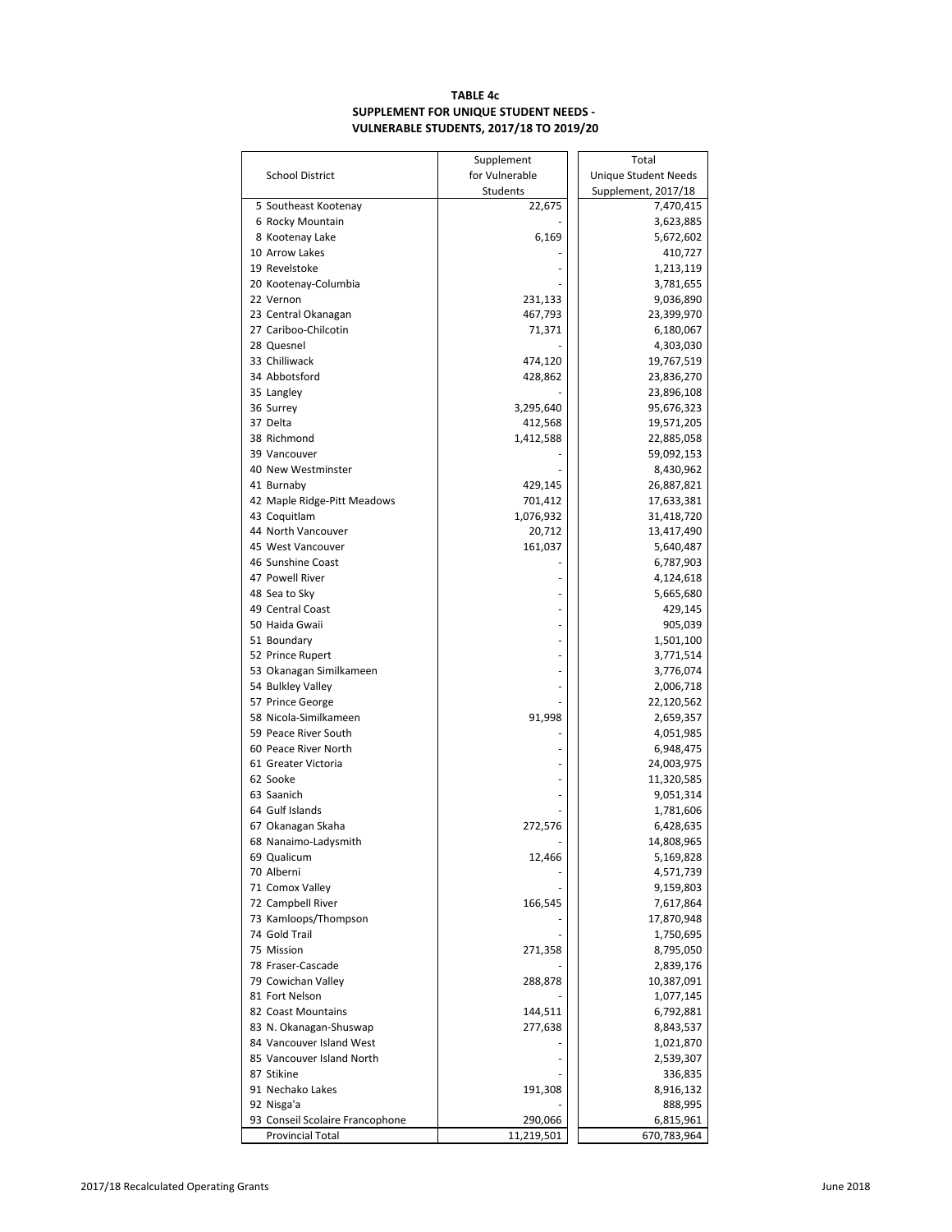# **TABLE 4c SUPPLEMENT FOR UNIQUE STUDENT NEEDS - VULNERABLE STUDENTS, 2017/18 TO 2019/20**

|                                           | Supplement     | Total                    |
|-------------------------------------------|----------------|--------------------------|
| <b>School District</b>                    | for Vulnerable | Unique Student Needs     |
|                                           | Students       | Supplement, 2017/18      |
| 5 Southeast Kootenay                      | 22,675         | 7,470,415                |
| 6 Rocky Mountain                          |                | 3,623,885                |
| 8 Kootenay Lake                           | 6,169          | 5,672,602                |
| 10 Arrow Lakes                            |                | 410,727                  |
| 19 Revelstoke                             |                | 1,213,119                |
| 20 Kootenay-Columbia                      |                | 3,781,655                |
| 22 Vernon                                 | 231,133        | 9,036,890                |
| 23 Central Okanagan                       | 467,793        | 23,399,970               |
| 27 Cariboo-Chilcotin                      | 71,371         | 6,180,067                |
| 28 Quesnel                                |                | 4,303,030                |
| 33 Chilliwack                             | 474,120        | 19,767,519               |
| 34 Abbotsford                             | 428,862        | 23,836,270               |
| 35 Langley                                |                | 23,896,108               |
| 36 Surrey<br>37 Delta                     | 3,295,640      | 95,676,323               |
| 38 Richmond                               | 412,568        | 19,571,205               |
| 39 Vancouver                              | 1,412,588      | 22,885,058<br>59,092,153 |
| 40 New Westminster                        |                | 8,430,962                |
| 41 Burnaby                                | 429,145        | 26,887,821               |
| 42 Maple Ridge-Pitt Meadows               | 701,412        | 17,633,381               |
| 43 Coquitlam                              | 1,076,932      | 31,418,720               |
| 44 North Vancouver                        | 20,712         | 13,417,490               |
| 45 West Vancouver                         | 161,037        | 5,640,487                |
| 46 Sunshine Coast                         |                | 6,787,903                |
| 47 Powell River                           |                | 4,124,618                |
| 48 Sea to Sky                             |                | 5,665,680                |
| 49 Central Coast                          |                | 429,145                  |
| 50 Haida Gwaii                            |                | 905,039                  |
| 51 Boundary                               |                | 1,501,100                |
| 52 Prince Rupert                          |                | 3,771,514                |
| 53 Okanagan Similkameen                   |                | 3,776,074                |
| 54 Bulkley Valley                         |                | 2,006,718                |
| 57 Prince George                          |                | 22,120,562               |
| 58 Nicola-Similkameen                     | 91,998         | 2,659,357                |
| 59 Peace River South                      |                | 4,051,985                |
| 60 Peace River North                      |                | 6,948,475                |
| 61 Greater Victoria                       |                | 24,003,975               |
| 62 Sooke                                  |                | 11,320,585               |
| 63 Saanich                                |                | 9,051,314                |
| 64 Gulf Islands                           |                | 1,781,606                |
| 67 Okanagan Skaha                         | 272,576        | 6,428,635                |
| 68 Nanaimo-Ladysmith                      |                | 14,808,965               |
| 69 Qualicum                               | 12,466         | 5,169,828                |
| 70 Alberni                                |                | 4,571,739                |
| 71 Comox Valley                           |                | 9,159,803                |
| 72 Campbell River<br>73 Kamloops/Thompson | 166,545        | 7,617,864<br>17,870,948  |
| 74 Gold Trail                             |                | 1,750,695                |
| 75 Mission                                | 271,358        | 8,795,050                |
| 78 Fraser-Cascade                         |                | 2,839,176                |
| 79 Cowichan Valley                        | 288,878        | 10,387,091               |
| 81 Fort Nelson                            |                | 1,077,145                |
| 82 Coast Mountains                        | 144,511        | 6,792,881                |
| 83 N. Okanagan-Shuswap                    | 277,638        | 8,843,537                |
| 84 Vancouver Island West                  |                | 1,021,870                |
| 85 Vancouver Island North                 |                | 2,539,307                |
| 87 Stikine                                |                | 336,835                  |
| 91 Nechako Lakes                          | 191,308        | 8,916,132                |
| 92 Nisga'a                                |                | 888,995                  |
| 93 Conseil Scolaire Francophone           | 290,066        | 6,815,961                |
| <b>Provincial Total</b>                   | 11,219,501     | 670,783,964              |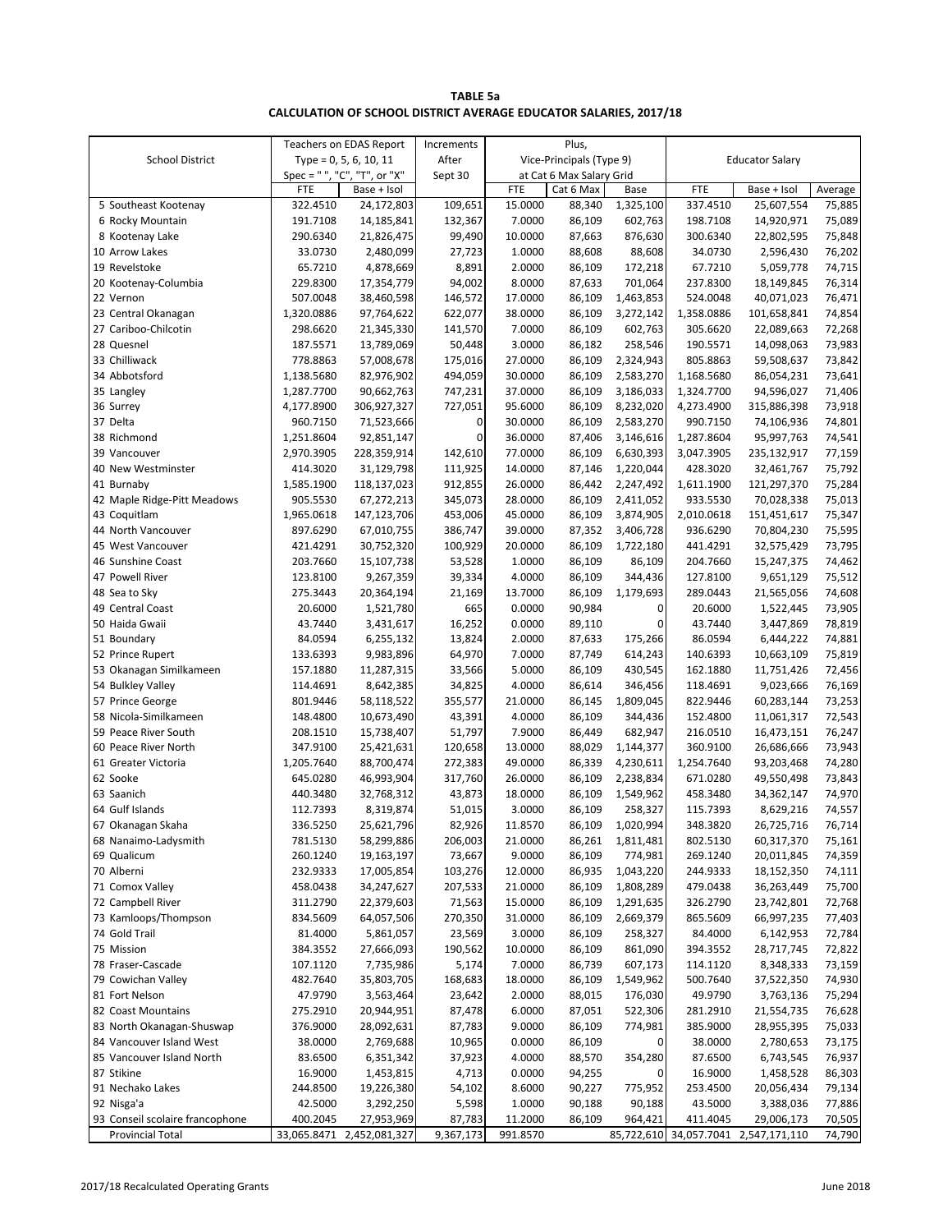| <b>TABLE 5a</b>                                                          |
|--------------------------------------------------------------------------|
| <b>CALCULATION OF SCHOOL DISTRICT AVERAGE EDUCATOR SALARIES, 2017/18</b> |

|                                 |            | Teachers on EDAS Report      | Increments |            | Plus,                    |              |            |                                      |         |
|---------------------------------|------------|------------------------------|------------|------------|--------------------------|--------------|------------|--------------------------------------|---------|
| <b>School District</b>          |            | Type = $0, 5, 6, 10, 11$     | After      |            | Vice-Principals (Type 9) |              |            | <b>Educator Salary</b>               |         |
|                                 |            | Spec = " ", "C", "T", or "X" | Sept 30    |            | at Cat 6 Max Salary Grid |              |            |                                      |         |
|                                 | FTE        | Base + Isol                  |            | <b>FTE</b> | Cat 6 Max                | Base         | <b>FTE</b> | Base + Isol                          | Average |
| 5 Southeast Kootenay            | 322.4510   | 24,172,803                   | 109,651    | 15.0000    | 88,340                   | 1,325,100    | 337.4510   | 25,607,554                           | 75,885  |
| 6 Rocky Mountain                | 191.7108   | 14,185,841                   | 132,367    | 7.0000     | 86,109                   | 602,763      | 198.7108   | 14,920,971                           | 75,089  |
| 8 Kootenay Lake                 | 290.6340   | 21,826,475                   | 99,490     | 10.0000    | 87,663                   | 876,630      | 300.6340   | 22,802,595                           | 75,848  |
| 10 Arrow Lakes                  | 33.0730    | 2,480,099                    | 27,723     | 1.0000     | 88,608                   | 88,608       | 34.0730    | 2,596,430                            | 76,202  |
| 19 Revelstoke                   | 65.7210    | 4,878,669                    | 8,891      | 2.0000     | 86,109                   | 172,218      | 67.7210    | 5,059,778                            | 74,715  |
| 20 Kootenay-Columbia            | 229.8300   | 17,354,779                   | 94,002     | 8.0000     | 87,633                   | 701,064      | 237.8300   | 18,149,845                           | 76,314  |
| 22 Vernon                       | 507.0048   | 38,460,598                   | 146,572    | 17.0000    | 86,109                   | 1,463,853    | 524.0048   | 40,071,023                           | 76,471  |
| 23 Central Okanagan             | 1,320.0886 | 97,764,622                   | 622,077    | 38.0000    | 86,109                   | 3,272,142    | 1,358.0886 | 101,658,841                          | 74,854  |
| 27 Cariboo-Chilcotin            | 298.6620   | 21,345,330                   | 141,570    | 7.0000     | 86,109                   | 602,763      | 305.6620   | 22,089,663                           | 72,268  |
| 28 Quesnel                      | 187.5571   | 13,789,069                   | 50,448     | 3.0000     | 86,182                   | 258,546      | 190.5571   | 14,098,063                           | 73,983  |
| 33 Chilliwack                   | 778.8863   | 57,008,678                   | 175,016    | 27.0000    | 86,109                   | 2,324,943    | 805.8863   | 59,508,637                           | 73,842  |
| 34 Abbotsford                   | 1,138.5680 | 82,976,902                   | 494,059    | 30.0000    | 86,109                   | 2,583,270    | 1,168.5680 | 86,054,231                           | 73,641  |
| 35 Langley                      | 1,287.7700 | 90,662,763                   | 747,231    | 37.0000    | 86,109                   | 3,186,033    | 1,324.7700 | 94,596,027                           | 71,406  |
| 36 Surrey                       | 4,177.8900 | 306,927,327                  | 727,051    | 95.6000    | 86,109                   | 8,232,020    | 4,273.4900 | 315,886,398                          | 73,918  |
| 37 Delta                        | 960.7150   | 71,523,666                   | 0          | 30.0000    | 86,109                   | 2,583,270    | 990.7150   | 74,106,936                           | 74,801  |
| 38 Richmond                     | 1,251.8604 | 92,851,147                   | 0          | 36.0000    | 87,406                   | 3,146,616    | 1,287.8604 | 95,997,763                           | 74,541  |
| 39 Vancouver                    | 2,970.3905 | 228,359,914                  | 142,610    | 77.0000    | 86,109                   | 6,630,393    | 3,047.3905 | 235,132,917                          | 77,159  |
| 40 New Westminster              | 414.3020   | 31,129,798                   | 111,925    | 14.0000    | 87,146                   | 1,220,044    | 428.3020   | 32,461,767                           | 75,792  |
| 41 Burnaby                      | 1,585.1900 | 118,137,023                  | 912,855    | 26.0000    | 86,442                   | 2,247,492    | 1,611.1900 | 121,297,370                          | 75,284  |
| 42 Maple Ridge-Pitt Meadows     | 905.5530   | 67,272,213                   | 345,073    | 28.0000    | 86,109                   | 2,411,052    | 933.5530   | 70,028,338                           | 75,013  |
| 43 Coquitlam                    | 1,965.0618 | 147,123,706                  | 453,006    | 45.0000    | 86,109                   | 3,874,905    | 2,010.0618 | 151,451,617                          | 75,347  |
| 44 North Vancouver              | 897.6290   | 67,010,755                   | 386,747    | 39.0000    | 87,352                   | 3,406,728    | 936.6290   | 70,804,230                           | 75,595  |
| 45 West Vancouver               | 421.4291   | 30,752,320                   | 100,929    | 20.0000    | 86,109                   | 1,722,180    | 441.4291   | 32,575,429                           | 73,795  |
| 46 Sunshine Coast               | 203.7660   | 15,107,738                   | 53,528     | 1.0000     | 86,109                   | 86,109       | 204.7660   | 15,247,375                           | 74,462  |
| 47 Powell River                 | 123.8100   | 9,267,359                    | 39,334     | 4.0000     | 86,109                   | 344,436      | 127.8100   | 9,651,129                            | 75,512  |
| 48 Sea to Sky                   | 275.3443   | 20,364,194                   | 21,169     | 13.7000    | 86,109                   | 1,179,693    | 289.0443   | 21,565,056                           | 74,608  |
| 49 Central Coast                | 20.6000    | 1,521,780                    | 665        | 0.0000     | 90,984                   | 0            | 20.6000    | 1,522,445                            | 73,905  |
| 50 Haida Gwaii                  | 43.7440    | 3,431,617                    | 16,252     | 0.0000     | 89,110                   | $\mathbf{0}$ | 43.7440    | 3,447,869                            | 78,819  |
| 51 Boundary                     | 84.0594    | 6,255,132                    | 13,824     | 2.0000     | 87,633                   | 175,266      | 86.0594    | 6,444,222                            | 74,881  |
| 52 Prince Rupert                | 133.6393   | 9,983,896                    | 64,970     | 7.0000     | 87,749                   | 614,243      | 140.6393   | 10,663,109                           | 75,819  |
| 53 Okanagan Similkameen         | 157.1880   | 11,287,315                   | 33,566     | 5.0000     | 86,109                   | 430,545      | 162.1880   | 11,751,426                           | 72,456  |
| 54 Bulkley Valley               | 114.4691   | 8,642,385                    | 34,825     | 4.0000     | 86,614                   | 346,456      | 118.4691   | 9,023,666                            | 76,169  |
| 57 Prince George                | 801.9446   | 58,118,522                   | 355,577    | 21.0000    | 86,145                   | 1,809,045    | 822.9446   | 60,283,144                           | 73,253  |
| 58 Nicola-Similkameen           | 148.4800   | 10,673,490                   | 43,391     | 4.0000     | 86,109                   | 344,436      | 152.4800   | 11,061,317                           | 72,543  |
| 59 Peace River South            | 208.1510   | 15,738,407                   | 51,797     | 7.9000     | 86,449                   | 682,947      | 216.0510   | 16,473,151                           | 76,247  |
| 60 Peace River North            | 347.9100   | 25,421,631                   | 120,658    | 13.0000    | 88,029                   | 1,144,377    | 360.9100   | 26,686,666                           | 73,943  |
| 61 Greater Victoria             | 1,205.7640 | 88,700,474                   | 272,383    | 49.0000    | 86,339                   | 4,230,611    | 1,254.7640 | 93,203,468                           | 74,280  |
| 62 Sooke                        | 645.0280   | 46,993,904                   | 317,760    | 26.0000    | 86,109                   | 2,238,834    | 671.0280   | 49,550,498                           | 73,843  |
| 63 Saanich                      | 440.3480   | 32,768,312                   | 43,873     | 18.0000    | 86,109                   | 1,549,962    | 458.3480   | 34,362,147                           | 74,970  |
| 64 Gulf Islands                 | 112.7393   | 8,319,874                    | 51,015     | 3.0000     | 86,109                   | 258,327      | 115.7393   | 8,629,216                            | 74,557  |
| 67 Okanagan Skaha               | 336.5250   | 25,621,796                   | 82,926     | 11.8570    | 86,109                   | 1,020,994    | 348.3820   | 26,725,716                           | 76,714  |
| 68 Nanaimo-Ladysmith            | 781.5130   | 58,299,886                   | 206,003    | 21.0000    | 86,261                   | 1,811,481    | 802.5130   | 60,317,370                           | 75,161  |
| 69 Qualicum                     | 260.1240   | 19,163,197                   | 73,667     | 9.0000     | 86,109                   | 774,981      | 269.1240   | 20,011,845                           | 74,359  |
| 70 Alberni                      | 232.9333   | 17,005,854                   | 103,276    | 12.0000    | 86,935                   | 1,043,220    | 244.9333   | 18,152,350                           | 74,111  |
| 71 Comox Valley                 | 458.0438   | 34,247,627                   | 207,533    | 21.0000    | 86,109                   | 1,808,289    | 479.0438   | 36,263,449                           | 75,700  |
| 72 Campbell River               | 311.2790   | 22,379,603                   | 71,563     | 15.0000    | 86,109                   | 1,291,635    | 326.2790   | 23,742,801                           | 72,768  |
| 73 Kamloops/Thompson            | 834.5609   | 64,057,506                   | 270,350    | 31.0000    | 86,109                   | 2,669,379    | 865.5609   | 66,997,235                           | 77,403  |
| 74 Gold Trail                   | 81.4000    | 5,861,057                    | 23,569     | 3.0000     | 86,109                   | 258,327      | 84.4000    | 6,142,953                            | 72,784  |
| 75 Mission                      | 384.3552   | 27,666,093                   | 190,562    | 10.0000    | 86,109                   | 861,090      | 394.3552   | 28,717,745                           | 72,822  |
| 78 Fraser-Cascade               | 107.1120   | 7,735,986                    | 5,174      | 7.0000     | 86,739                   | 607,173      | 114.1120   | 8,348,333                            | 73,159  |
| 79 Cowichan Valley              | 482.7640   | 35,803,705                   | 168,683    | 18.0000    | 86,109                   | 1,549,962    | 500.7640   | 37,522,350                           | 74,930  |
| 81 Fort Nelson                  | 47.9790    | 3,563,464                    | 23,642     | 2.0000     | 88,015                   | 176,030      | 49.9790    | 3,763,136                            | 75,294  |
| 82 Coast Mountains              | 275.2910   | 20,944,951                   | 87,478     | 6.0000     | 87,051                   | 522,306      | 281.2910   | 21,554,735                           | 76,628  |
| 83 North Okanagan-Shuswap       | 376.9000   | 28,092,631                   | 87,783     | 9.0000     | 86,109                   | 774,981      | 385.9000   | 28,955,395                           | 75,033  |
| 84 Vancouver Island West        | 38.0000    | 2,769,688                    | 10,965     | 0.0000     | 86,109                   | $\mathbf 0$  | 38.0000    | 2,780,653                            | 73,175  |
| 85 Vancouver Island North       | 83.6500    | 6,351,342                    | 37,923     | 4.0000     | 88,570                   | 354,280      | 87.6500    | 6,743,545                            | 76,937  |
| 87 Stikine                      | 16.9000    | 1,453,815                    | 4,713      | 0.0000     | 94,255                   | $\mathbf 0$  | 16.9000    | 1,458,528                            | 86,303  |
| 91 Nechako Lakes                | 244.8500   | 19,226,380                   | 54,102     | 8.6000     | 90,227                   | 775,952      | 253.4500   | 20,056,434                           | 79,134  |
| 92 Nisga'a                      | 42.5000    | 3,292,250                    | 5,598      | 1.0000     | 90,188                   | 90,188       | 43.5000    | 3,388,036                            | 77,886  |
| 93 Conseil scolaire francophone | 400.2045   | 27,953,969                   | 87,783     | 11.2000    | 86,109                   | 964,421      | 411.4045   | 29,006,173                           | 70,505  |
| <b>Provincial Total</b>         |            | 33,065.8471 2,452,081,327    | 9,367,173  | 991.8570   |                          |              |            | 85,722,610 34,057.7041 2,547,171,110 | 74,790  |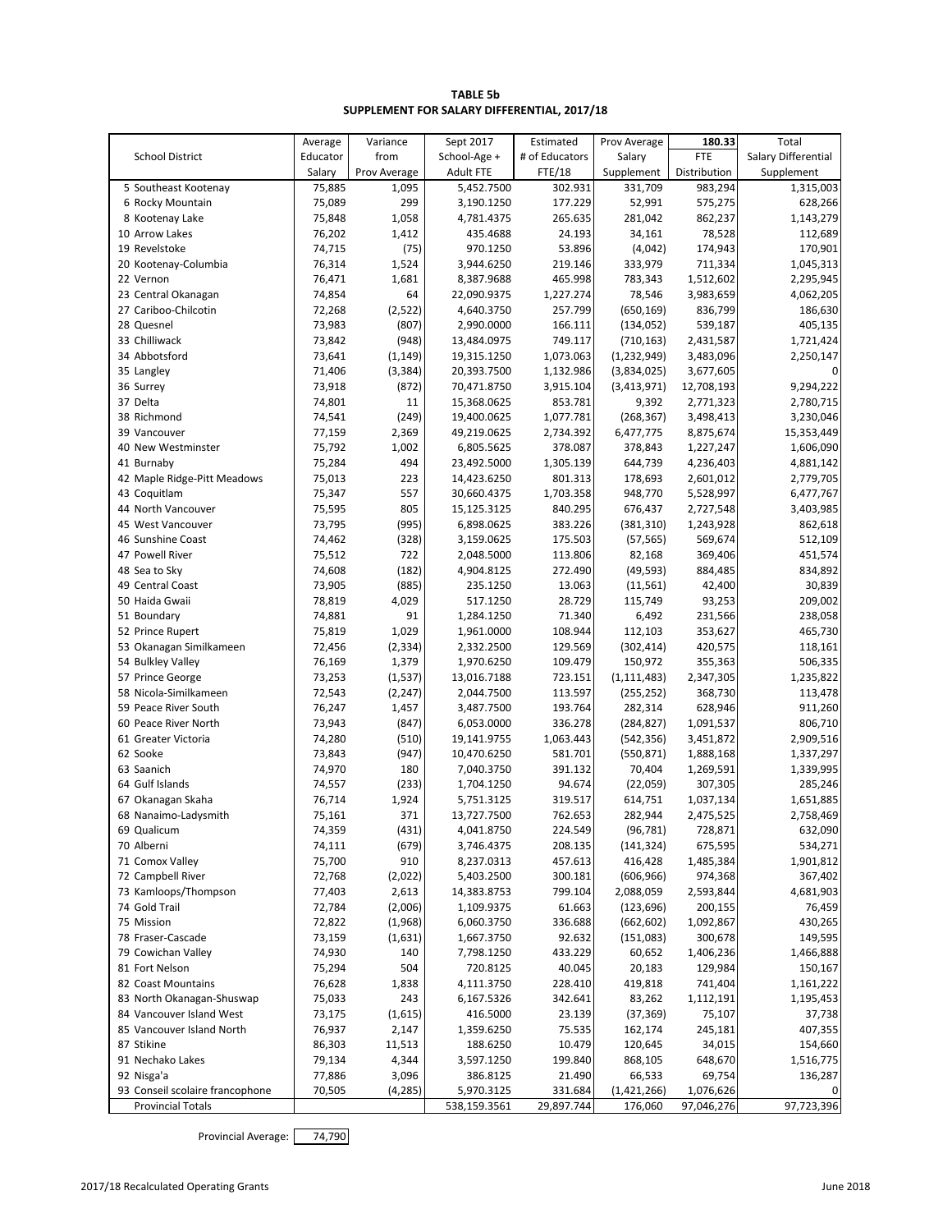| <b>TABLE 5b</b>                             |  |
|---------------------------------------------|--|
| SUPPLEMENT FOR SALARY DIFFERENTIAL, 2017/18 |  |

|                                 | Average  | Variance          | Sept 2017                  | Estimated      | Prov Average          | 180.33       | Total               |
|---------------------------------|----------|-------------------|----------------------------|----------------|-----------------------|--------------|---------------------|
| <b>School District</b>          | Educator | from              | School-Age +               | # of Educators | Salary                | <b>FTE</b>   | Salary Differential |
|                                 | Salary   | Prov Average      | <b>Adult FTE</b>           | <b>FTE/18</b>  | Supplement            | Distribution | Supplement          |
| 5 Southeast Kootenay            | 75,885   | 1,095             | 5,452.7500                 | 302.931        | 331,709               | 983,294      | 1,315,003           |
| 6 Rocky Mountain                | 75,089   | 299               | 3,190.1250                 | 177.229        | 52,991                | 575,275      | 628,266             |
| 8 Kootenay Lake                 | 75,848   | 1,058             | 4,781.4375                 | 265.635        | 281,042               | 862,237      | 1,143,279           |
| 10 Arrow Lakes                  | 76,202   | 1,412             | 435.4688                   | 24.193         | 34,161                | 78,528       | 112,689             |
| 19 Revelstoke                   | 74,715   | (75)              | 970.1250                   | 53.896         | (4,042)               | 174,943      | 170,901             |
| 20 Kootenay-Columbia            | 76,314   | 1,524             | 3,944.6250                 | 219.146        | 333,979               | 711,334      | 1,045,313           |
| 22 Vernon                       | 76,471   | 1,681             | 8,387.9688                 | 465.998        | 783,343               | 1,512,602    | 2,295,945           |
| 23 Central Okanagan             | 74,854   | 64                | 22,090.9375                | 1,227.274      | 78,546                | 3,983,659    | 4,062,205           |
| 27 Cariboo-Chilcotin            | 72,268   | (2,522)           | 4,640.3750                 | 257.799        | (650, 169)            | 836,799      | 186,630             |
| 28 Quesnel                      | 73,983   | (807)             | 2,990.0000                 | 166.111        | (134, 052)            | 539,187      | 405,135             |
| 33 Chilliwack                   | 73,842   | (948)             | 13,484.0975                | 749.117        | (710, 163)            | 2,431,587    | 1,721,424           |
| 34 Abbotsford                   | 73,641   | (1, 149)          | 19,315.1250                | 1,073.063      | (1, 232, 949)         | 3,483,096    | 2,250,147           |
| 35 Langley                      | 71,406   | (3, 384)          | 20,393.7500                | 1,132.986      | (3,834,025)           | 3,677,605    | 0                   |
| 36 Surrey                       | 73,918   | (872)             | 70,471.8750                | 3,915.104      | (3, 413, 971)         | 12,708,193   | 9,294,222           |
| 37 Delta                        | 74,801   | 11                | 15,368.0625                | 853.781        | 9,392                 | 2,771,323    | 2,780,715           |
| 38 Richmond                     | 74,541   | (249)             | 19,400.0625                | 1,077.781      | (268, 367)            | 3,498,413    | 3,230,046           |
| 39 Vancouver                    | 77,159   | 2,369             | 49,219.0625                | 2,734.392      | 6,477,775             | 8,875,674    | 15,353,449          |
| 40 New Westminster              | 75,792   | 1,002             | 6,805.5625                 | 378.087        | 378,843               | 1,227,247    | 1,606,090           |
| 41 Burnaby                      | 75,284   | 494               | 23,492.5000                | 1,305.139      | 644,739               | 4,236,403    | 4,881,142           |
| 42 Maple Ridge-Pitt Meadows     | 75,013   | 223               | 14,423.6250                | 801.313        | 178,693               | 2,601,012    | 2,779,705           |
| 43 Coquitlam                    | 75,347   | 557               | 30,660.4375                | 1,703.358      | 948,770               | 5,528,997    | 6,477,767           |
| 44 North Vancouver              | 75,595   | 805               | 15,125.3125                | 840.295        | 676,437               | 2,727,548    | 3,403,985           |
| 45 West Vancouver               | 73,795   | (995)             | 6,898.0625                 | 383.226        | (381, 310)            | 1,243,928    | 862,618             |
| 46 Sunshine Coast               | 74,462   | (328)             | 3,159.0625                 | 175.503        | (57, 565)             | 569,674      | 512,109             |
| 47 Powell River                 | 75,512   | 722               | 2,048.5000                 | 113.806        | 82,168                | 369,406      | 451,574             |
| 48 Sea to Sky                   | 74,608   | (182)             | 4,904.8125                 | 272.490        | (49, 593)             | 884,485      | 834,892             |
| 49 Central Coast                | 73,905   | (885)             | 235.1250                   | 13.063         | (11, 561)             | 42,400       | 30,839              |
| 50 Haida Gwaii                  | 78,819   | 4,029             | 517.1250                   | 28.729         | 115,749               | 93,253       | 209,002             |
| 51 Boundary                     | 74,881   | 91                | 1,284.1250                 | 71.340         | 6,492                 | 231,566      | 238,058             |
| 52 Prince Rupert                | 75,819   | 1,029             | 1,961.0000                 | 108.944        | 112,103               | 353,627      | 465,730             |
| 53 Okanagan Similkameen         | 72,456   | (2, 334)          | 2,332.2500                 | 129.569        | (302, 414)            | 420,575      | 118,161             |
| 54 Bulkley Valley               | 76,169   | 1,379             | 1,970.6250                 | 109.479        | 150,972               | 355,363      | 506,335             |
| 57 Prince George                | 73,253   | (1, 537)          | 13,016.7188                | 723.151        | (1, 111, 483)         | 2,347,305    | 1,235,822           |
| 58 Nicola-Similkameen           | 72,543   |                   | 2,044.7500                 | 113.597        |                       | 368,730      |                     |
| 59 Peace River South            | 76,247   | (2, 247)<br>1,457 | 3,487.7500                 | 193.764        | (255, 252)<br>282,314 | 628,946      | 113,478<br>911,260  |
| 60 Peace River North            | 73,943   | (847)             | 6,053.0000                 | 336.278        |                       | 1,091,537    | 806,710             |
| 61 Greater Victoria             | 74,280   |                   |                            | 1,063.443      | (284, 827)            |              | 2,909,516           |
| 62 Sooke                        | 73,843   | (510)             | 19,141.9755<br>10,470.6250 | 581.701        | (542, 356)            | 3,451,872    |                     |
| 63 Saanich                      |          | (947)<br>180      |                            | 391.132        | (550, 871)<br>70,404  | 1,888,168    | 1,337,297           |
|                                 | 74,970   |                   | 7,040.3750                 |                |                       | 1,269,591    | 1,339,995           |
| 64 Gulf Islands                 | 74,557   | (233)             | 1,704.1250                 | 94.674         | (22,059)              | 307,305      | 285,246             |
| 67 Okanagan Skaha               | 76,714   | 1,924             | 5,751.3125                 | 319.517        | 614,751               | 1,037,134    | 1,651,885           |
| 68 Nanaimo-Ladysmith            | 75,161   | 371               | 13,727.7500                | 762.653        | 282,944               | 2,475,525    | 2,758,469           |
| 69 Qualicum                     | 74,359   | (431)             | 4,041.8750                 | 224.549        | (96, 781)             | 728,871      | 632,090             |
| 70 Alberni                      | 74,111   | (679)             | 3,746.4375                 | 208.135        | (141, 324)            | 675,595      | 534,271             |
| 71 Comox Valley                 | 75,700   | 910               | 8,237.0313                 | 457.613        | 416,428               | 1,485,384    | 1,901,812           |
| 72 Campbell River               | 72,768   | (2,022)           | 5,403.2500                 | 300.181        | (606, 966)            | 974,368      | 367,402             |
| 73 Kamloops/Thompson            | 77,403   | 2,613             | 14,383.8753                | 799.104        | 2,088,059             | 2,593,844    | 4,681,903           |
| 74 Gold Trail                   | 72,784   | (2,006)           | 1,109.9375                 | 61.663         | (123, 696)            | 200,155      | 76,459              |
| 75 Mission                      | 72,822   | (1,968)           | 6,060.3750                 | 336.688        | (662, 602)            | 1,092,867    | 430,265             |
| 78 Fraser-Cascade               | 73,159   | (1,631)           | 1,667.3750                 | 92.632         | (151,083)             | 300,678      | 149,595             |
| 79 Cowichan Valley              | 74,930   | 140               | 7,798.1250                 | 433.229        | 60,652                | 1,406,236    | 1,466,888           |
| 81 Fort Nelson                  | 75,294   | 504               | 720.8125                   | 40.045         | 20,183                | 129,984      | 150,167             |
| 82 Coast Mountains              | 76,628   | 1,838             | 4,111.3750                 | 228.410        | 419,818               | 741,404      | 1,161,222           |
| 83 North Okanagan-Shuswap       | 75,033   | 243               | 6,167.5326                 | 342.641        | 83,262                | 1,112,191    | 1,195,453           |
| 84 Vancouver Island West        | 73,175   | (1,615)           | 416.5000                   | 23.139         | (37, 369)             | 75,107       | 37,738              |
| 85 Vancouver Island North       | 76,937   | 2,147             | 1,359.6250                 | 75.535         | 162,174               | 245,181      | 407,355             |
| 87 Stikine                      | 86,303   | 11,513            | 188.6250                   | 10.479         | 120,645               | 34,015       | 154,660             |
| 91 Nechako Lakes                | 79,134   | 4,344             | 3,597.1250                 | 199.840        | 868,105               | 648,670      | 1,516,775           |
| 92 Nisga'a                      | 77,886   | 3,096             | 386.8125                   | 21.490         | 66,533                | 69,754       | 136,287             |
| 93 Conseil scolaire francophone | 70,505   | (4, 285)          | 5,970.3125                 | 331.684        | (1,421,266)           | 1,076,626    | 0                   |
| <b>Provincial Totals</b>        |          |                   | 538,159.3561               | 29,897.744     | 176,060               | 97,046,276   | 97,723,396          |

Provincial Average: 74,790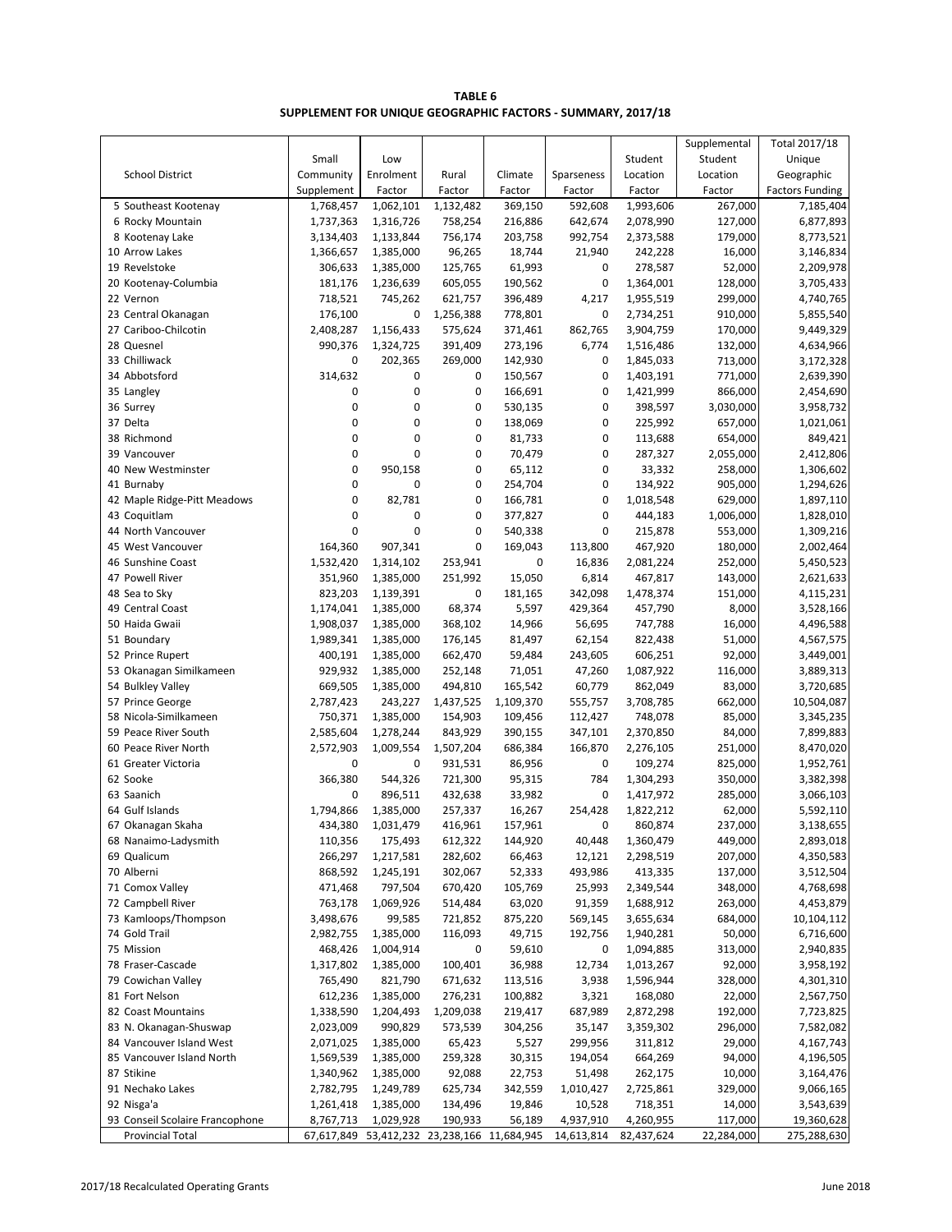| TABLE 6                                                     |
|-------------------------------------------------------------|
| SUPPLEMENT FOR UNIQUE GEOGRAPHIC FACTORS - SUMMARY, 2017/18 |

|                                                            |                         |                                    |           |                      |                         |                         | Supplemental          | Total 2017/18             |
|------------------------------------------------------------|-------------------------|------------------------------------|-----------|----------------------|-------------------------|-------------------------|-----------------------|---------------------------|
|                                                            | Small                   | Low                                |           |                      |                         | Student                 | Student               | Unique                    |
| <b>School District</b>                                     | Community               | Enrolment                          | Rural     | Climate              | Sparseness              | Location                | Location              | Geographic                |
|                                                            | Supplement              | Factor                             | Factor    | Factor               | Factor                  | Factor                  | Factor                | <b>Factors Funding</b>    |
| 5 Southeast Kootenay                                       | 1,768,457               | 1,062,101                          | 1,132,482 | 369,150              | 592,608                 | 1,993,606               | 267,000               | 7,185,404                 |
| 6 Rocky Mountain                                           | 1,737,363               | 1,316,726                          | 758,254   | 216,886              | 642,674                 | 2,078,990               | 127,000               | 6,877,893                 |
| 8 Kootenay Lake                                            | 3,134,403               | 1,133,844                          | 756,174   | 203,758              | 992,754                 | 2,373,588               | 179,000               | 8,773,521                 |
| 10 Arrow Lakes                                             | 1,366,657               | 1,385,000                          | 96,265    | 18,744               | 21,940                  | 242,228                 | 16,000                | 3,146,834                 |
| 19 Revelstoke                                              | 306,633                 | 1,385,000                          | 125,765   | 61,993               | 0                       | 278,587                 | 52,000                | 2,209,978                 |
| 20 Kootenay-Columbia                                       | 181,176                 | 1,236,639                          | 605,055   | 190,562              | 0                       | 1,364,001               | 128,000               | 3,705,433                 |
| 22 Vernon                                                  | 718,521                 | 745,262                            | 621,757   | 396,489              | 4,217                   | 1,955,519               | 299,000               | 4,740,765                 |
| 23 Central Okanagan                                        | 176,100                 | 0                                  | 1,256,388 | 778,801              | 0                       | 2,734,251               | 910,000               | 5,855,540                 |
| 27 Cariboo-Chilcotin                                       | 2,408,287               | 1,156,433                          | 575,624   | 371,461              | 862,765                 | 3,904,759               | 170,000               | 9,449,329                 |
| 28 Quesnel                                                 | 990,376                 | 1,324,725                          | 391,409   | 273,196              | 6,774                   | 1,516,486               | 132,000               | 4,634,966                 |
| 33 Chilliwack                                              | 0                       | 202,365                            | 269,000   | 142,930              | 0                       | 1,845,033               | 713,000               | 3,172,328                 |
| 34 Abbotsford                                              | 314,632                 | 0                                  | 0         | 150,567              | 0                       | 1,403,191               | 771,000               | 2,639,390                 |
| 35 Langley                                                 | 0                       | $\mathbf 0$                        | 0         | 166,691              | 0                       | 1,421,999               | 866,000               | 2,454,690                 |
| 36 Surrey                                                  | 0                       | $\mathbf 0$                        | 0         | 530,135              | 0                       | 398,597                 | 3,030,000             | 3,958,732                 |
| 37 Delta                                                   | 0                       | 0                                  | 0         | 138,069              | 0                       | 225,992                 | 657,000               | 1,021,061                 |
| 38 Richmond                                                | 0                       | 0                                  | 0         | 81,733               | 0                       | 113,688                 | 654,000               | 849,421                   |
| 39 Vancouver                                               | 0<br>0                  | 0                                  | 0<br>0    | 70,479               | 0<br>0                  | 287,327                 | 2,055,000             | 2,412,806                 |
| 40 New Westminster                                         | 0                       | 950,158<br>$\mathbf 0$             | 0         | 65,112               | 0                       | 33,332                  | 258,000               | 1,306,602                 |
| 41 Burnaby<br>42 Maple Ridge-Pitt Meadows                  | 0                       |                                    | 0         | 254,704              | 0                       | 134,922                 | 905,000               | 1,294,626                 |
| 43 Coquitlam                                               | 0                       | 82,781<br>$\mathbf 0$              | 0         | 166,781<br>377,827   | 0                       | 1,018,548               | 629,000<br>1,006,000  | 1,897,110<br>1,828,010    |
| 44 North Vancouver                                         | 0                       | $\mathbf 0$                        | 0         | 540,338              | 0                       | 444,183<br>215,878      | 553,000               | 1,309,216                 |
| 45 West Vancouver                                          | 164,360                 | 907,341                            | 0         | 169,043              | 113,800                 | 467,920                 | 180,000               | 2,002,464                 |
| 46 Sunshine Coast                                          | 1,532,420               | 1,314,102                          | 253,941   | 0                    | 16,836                  | 2,081,224               | 252,000               | 5,450,523                 |
| 47 Powell River                                            | 351,960                 | 1,385,000                          | 251,992   | 15,050               | 6,814                   | 467,817                 | 143,000               | 2,621,633                 |
| 48 Sea to Sky                                              | 823,203                 | 1,139,391                          | 0         | 181,165              | 342,098                 | 1,478,374               | 151,000               | 4,115,231                 |
| 49 Central Coast                                           | 1,174,041               | 1,385,000                          | 68,374    | 5,597                | 429,364                 | 457,790                 | 8,000                 | 3,528,166                 |
| 50 Haida Gwaii                                             | 1,908,037               | 1,385,000                          | 368,102   | 14,966               | 56,695                  | 747,788                 | 16,000                | 4,496,588                 |
| 51 Boundary                                                | 1,989,341               | 1,385,000                          | 176,145   | 81,497               | 62,154                  | 822,438                 | 51,000                | 4,567,575                 |
| 52 Prince Rupert                                           | 400,191                 | 1,385,000                          | 662,470   | 59,484               | 243,605                 | 606,251                 | 92,000                | 3,449,001                 |
| 53 Okanagan Similkameen                                    | 929,932                 | 1,385,000                          | 252,148   | 71,051               | 47,260                  | 1,087,922               | 116,000               | 3,889,313                 |
| 54 Bulkley Valley                                          | 669,505                 | 1,385,000                          | 494,810   | 165,542              | 60,779                  | 862,049                 | 83,000                | 3,720,685                 |
| 57 Prince George                                           | 2,787,423               | 243,227                            | 1,437,525 | 1,109,370            | 555,757                 | 3,708,785               | 662,000               | 10,504,087                |
| 58 Nicola-Similkameen                                      | 750,371                 | 1,385,000                          | 154,903   | 109,456              | 112,427                 | 748,078                 | 85,000                | 3,345,235                 |
| 59 Peace River South                                       | 2,585,604               | 1,278,244                          | 843,929   | 390,155              | 347,101                 | 2,370,850               | 84,000                | 7,899,883                 |
| 60 Peace River North                                       | 2,572,903               | 1,009,554                          | 1,507,204 | 686,384              | 166,870                 | 2,276,105               | 251,000               | 8,470,020                 |
| 61 Greater Victoria                                        | 0                       | 0                                  | 931,531   | 86,956               | 0                       | 109,274                 | 825,000               | 1,952,761                 |
| 62 Sooke                                                   | 366,380                 | 544,326                            | 721,300   | 95,315               | 784                     | 1,304,293               | 350,000               | 3,382,398                 |
| 63 Saanich                                                 | 0                       | 896,511                            | 432,638   | 33,982               | 0                       | 1,417,972               | 285,000               | 3,066,103                 |
| 64 Gulf Islands                                            | 1,794,866               | 1,385,000                          | 257,337   | 16,267               | 254,428                 | 1,822,212               | 62,000                | 5,592,110                 |
| 67 Okanagan Skaha                                          | 434,380                 | 1,031,479                          | 416,961   | 157,961              | 0                       | 860,874                 | 237,000               | 3,138,655                 |
| 68 Nanaimo-Ladysmith                                       | 110,356                 | 175,493                            | 612,322   | 144,920              | 40,448                  | 1,360,479               | 449,000               | 2,893,018                 |
| 69 Qualicum                                                | 266,297                 | 1,217,581                          | 282,602   | 66,463               | 12,121                  | 2,298,519               | 207,000               | 4,350,583                 |
| 70 Alberni                                                 | 868,592                 | 1,245,191                          | 302,067   | 52,333               | 493,986                 | 413,335                 | 137,000               | 3,512,504                 |
| 71 Comox Valley                                            | 471,468                 | 797,504                            | 670,420   | 105,769              | 25,993                  | 2,349,544               | 348,000               | 4,768,698                 |
| 72 Campbell River                                          | 763,178                 | 1,069,926                          | 514,484   | 63,020               | 91,359                  | 1,688,912               | 263,000               | 4,453,879                 |
| 73 Kamloops/Thompson                                       | 3,498,676               | 99,585                             | 721,852   | 875,220              | 569,145                 | 3,655,634               | 684,000               | 10,104,112                |
| 74 Gold Trail                                              | 2,982,755               | 1,385,000                          | 116,093   | 49,715               | 192,756                 | 1,940,281               | 50,000                | 6,716,600                 |
| 75 Mission                                                 | 468,426                 | 1,004,914                          | 0         | 59,610               | 0                       | 1,094,885               | 313,000               | 2,940,835                 |
| 78 Fraser-Cascade                                          | 1,317,802               | 1,385,000                          | 100,401   | 36,988               | 12,734                  | 1,013,267               | 92,000                | 3,958,192                 |
| 79 Cowichan Valley                                         | 765,490                 | 821,790                            | 671,632   | 113,516              | 3,938                   | 1,596,944               | 328,000               | 4,301,310                 |
| 81 Fort Nelson                                             | 612,236                 | 1,385,000                          | 276,231   | 100,882              | 3,321                   | 168,080                 | 22,000                | 2,567,750                 |
| 82 Coast Mountains                                         | 1,338,590               | 1,204,493                          | 1,209,038 | 219,417              | 687,989                 | 2,872,298               | 192,000               | 7,723,825                 |
| 83 N. Okanagan-Shuswap                                     | 2,023,009               | 990,829                            | 573,539   | 304,256              | 35,147                  | 3,359,302               | 296,000               | 7,582,082                 |
| 84 Vancouver Island West                                   | 2,071,025               | 1,385,000                          | 65,423    | 5,527                | 299,956                 | 311,812                 | 29,000                | 4,167,743                 |
| 85 Vancouver Island North                                  | 1,569,539               | 1,385,000                          | 259,328   | 30,315               | 194,054                 | 664,269                 | 94,000                | 4,196,505                 |
| 87 Stikine                                                 | 1,340,962               | 1,385,000                          | 92,088    | 22,753               | 51,498                  | 262,175                 | 10,000                | 3,164,476                 |
| 91 Nechako Lakes                                           | 2,782,795               | 1,249,789                          | 625,734   | 342,559              | 1,010,427               | 2,725,861               | 329,000               | 9,066,165                 |
| 92 Nisga'a                                                 | 1,261,418               | 1,385,000                          | 134,496   | 19,846               | 10,528                  | 718,351                 | 14,000                | 3,543,639                 |
| 93 Conseil Scolaire Francophone<br><b>Provincial Total</b> | 8,767,713<br>67,617,849 | 1,029,928<br>53,412,232 23,238,166 | 190,933   | 56,189<br>11,684,945 | 4,937,910<br>14,613,814 | 4,260,955<br>82,437,624 | 117,000<br>22,284,000 | 19,360,628<br>275,288,630 |
|                                                            |                         |                                    |           |                      |                         |                         |                       |                           |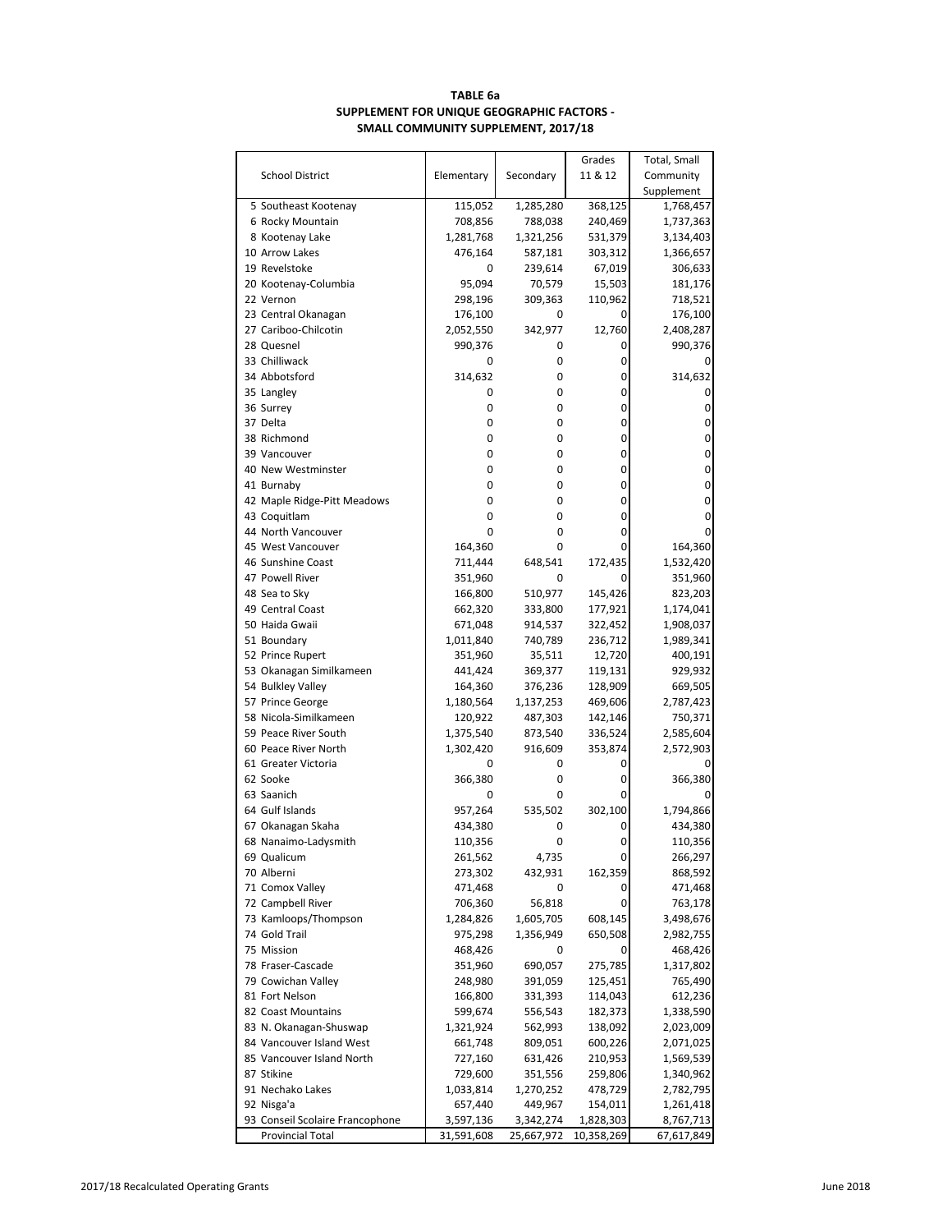# **TABLE 6a SUPPLEMENT FOR UNIQUE GEOGRAPHIC FACTORS - SMALL COMMUNITY SUPPLEMENT, 2017/18**

|                                       |                      |                | Grades             | Total, Small |
|---------------------------------------|----------------------|----------------|--------------------|--------------|
| <b>School District</b>                | Elementary           | Secondary      | 11 & 12            | Community    |
|                                       |                      |                |                    | Supplement   |
| 5 Southeast Kootenay                  | 115,052              | 1,285,280      | 368,125            | 1,768,457    |
| 6 Rocky Mountain                      | 708,856              | 788,038        | 240,469            | 1,737,363    |
| 8 Kootenay Lake                       | 1,281,768            | 1,321,256      | 531,379            | 3,134,403    |
| 10 Arrow Lakes                        | 476,164              | 587,181        | 303,312            | 1,366,657    |
| 19 Revelstoke                         | 0                    | 239,614        | 67,019             | 306,633      |
| 20 Kootenay-Columbia                  | 95,094               | 70,579         | 15,503             | 181,176      |
| 22 Vernon                             | 298,196              | 309,363        | 110,962            | 718,521      |
| 23 Central Okanagan                   | 176,100              | 0              | 0                  | 176,100      |
| 27 Cariboo-Chilcotin                  | 2,052,550            | 342,977        | 12,760             | 2,408,287    |
| 28 Quesnel                            | 990,376              | 0              | 0                  | 990,376      |
| 33 Chilliwack                         | 0                    | 0              | 0                  |              |
| 34 Abbotsford                         | 314,632              | 0              | 0                  | 314,632      |
| 35 Langley                            | 0                    | 0              | 0                  | 0            |
| 36 Surrey                             | 0                    | 0              | 0                  | 0            |
| 37 Delta                              | 0                    | 0              | 0                  | 0            |
| 38 Richmond                           | 0                    | 0              | 0                  | 0            |
| 39 Vancouver                          | 0                    | 0              | 0                  | $\mathbf 0$  |
| 40 New Westminster                    | 0                    | 0              | 0                  | 0            |
| 41 Burnaby                            | 0                    | 0              | 0                  | 0            |
| 42 Maple Ridge-Pitt Meadows           | 0                    | 0              | 0                  | $\mathbf 0$  |
| 43 Coquitlam                          | 0                    | 0              | 0                  | 0            |
| 44 North Vancouver                    | 0                    | 0              | 0                  | 0            |
| 45 West Vancouver                     | 164,360              | 0              | 0                  | 164,360      |
| 46 Sunshine Coast                     | 711,444              | 648,541        | 172,435            | 1,532,420    |
| 47 Powell River                       | 351,960              | 0              | 0                  | 351,960      |
| 48 Sea to Sky                         | 166,800              | 510,977        | 145,426            | 823,203      |
| 49 Central Coast                      | 662,320              | 333,800        | 177,921            | 1,174,041    |
| 50 Haida Gwaii                        | 671,048              | 914,537        | 322,452            | 1,908,037    |
| 51 Boundary                           | 1,011,840            | 740,789        | 236,712            | 1,989,341    |
| 52 Prince Rupert                      | 351,960              | 35,511         | 12,720             | 400,191      |
| 53 Okanagan Similkameen               | 441,424              | 369,377        | 119,131            | 929,932      |
| 54 Bulkley Valley                     | 164,360              | 376,236        | 128,909            | 669,505      |
| 57 Prince George                      | 1,180,564            | 1,137,253      | 469,606            | 2,787,423    |
| 58 Nicola-Similkameen                 | 120,922              | 487,303        | 142,146            | 750,371      |
| 59 Peace River South                  | 1,375,540            | 873,540        | 336,524            | 2,585,604    |
| 60 Peace River North                  | 1,302,420            | 916,609        | 353,874            | 2,572,903    |
| 61 Greater Victoria                   | 0                    | 0              | 0                  |              |
| 62 Sooke                              | 366,380              | 0              | 0                  | 366,380      |
| 63 Saanich                            | 0                    | 0              | 0                  |              |
| 64 Gulf Islands                       | 957,264              | 535,502        | 302,100            | 1,794,866    |
| 67 Okanagan Skaha                     | 434,380              | 0              | 0                  | 434,380      |
|                                       |                      | 0              | 0                  | 110,356      |
| 68 Nanaimo-Ladysmith<br>69 Qualicum   | 110,356<br>261,562   | 4,735          | 0                  | 266,297      |
| 70 Alberni                            |                      |                |                    | 868,592      |
|                                       | 273,302              | 432,931        | 162,359            |              |
| 71 Comox Valley                       | 471,468              | 0              | 0<br>0             | 471,468      |
| 72 Campbell River                     | 706,360              | 56,818         |                    | 763,178      |
| 73 Kamloops/Thompson<br>74 Gold Trail | 1,284,826<br>975,298 | 1,605,705      | 608,145<br>650,508 | 3,498,676    |
|                                       |                      | 1,356,949<br>0 |                    | 2,982,755    |
| 75 Mission<br>78 Fraser-Cascade       | 468,426              |                | 0                  | 468,426      |
|                                       | 351,960              | 690,057        | 275,785            | 1,317,802    |
| 79 Cowichan Valley                    | 248,980              | 391,059        | 125,451            | 765,490      |
| 81 Fort Nelson                        | 166,800              | 331,393        | 114,043            | 612,236      |
| 82 Coast Mountains                    | 599,674              | 556,543        | 182,373            | 1,338,590    |
| 83 N. Okanagan-Shuswap                | 1,321,924            | 562,993        | 138,092            | 2,023,009    |
| 84 Vancouver Island West              | 661,748              | 809,051        | 600,226            | 2,071,025    |
| 85 Vancouver Island North             | 727,160              | 631,426        | 210,953            | 1,569,539    |
| 87 Stikine                            | 729,600              | 351,556        | 259,806            | 1,340,962    |
| 91 Nechako Lakes                      | 1,033,814            | 1,270,252      | 478,729            | 2,782,795    |
| 92 Nisga'a                            | 657,440              | 449,967        | 154,011            | 1,261,418    |
| 93 Conseil Scolaire Francophone       | 3,597,136            | 3,342,274      | 1,828,303          | 8,767,713    |
| Provincial Total                      | 31,591,608           | 25,667,972     | 10,358,269         | 67,617,849   |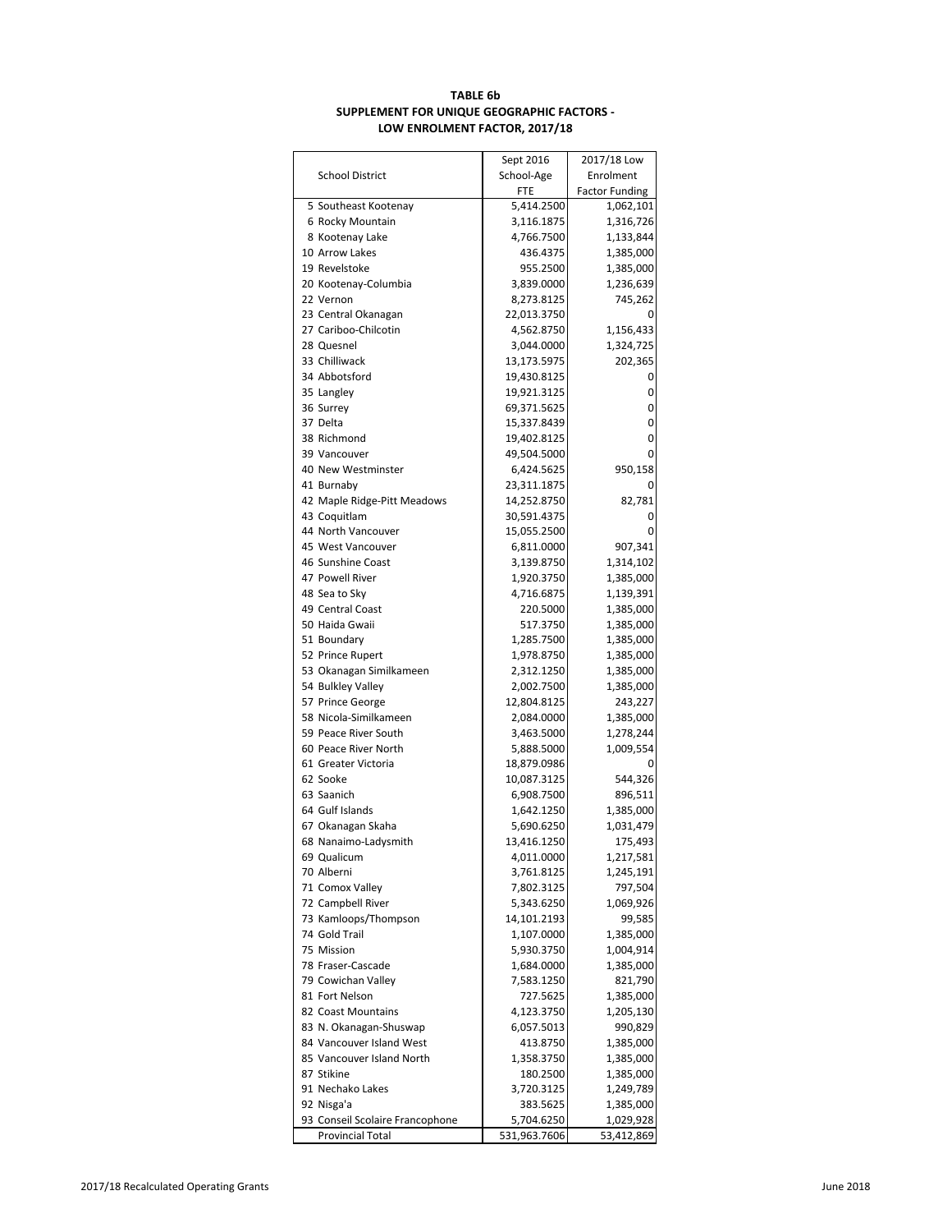# **TABLE 6b SUPPLEMENT FOR UNIQUE GEOGRAPHIC FACTORS - LOW ENROLMENT FACTOR, 2017/18**

|                                 | Sept 2016    | 2017/18 Low           |
|---------------------------------|--------------|-----------------------|
| <b>School District</b>          | School-Age   | Enrolment             |
|                                 | FTE          | <b>Factor Funding</b> |
| 5 Southeast Kootenay            | 5,414.2500   | 1,062,101             |
| 6 Rocky Mountain                | 3,116.1875   | 1,316,726             |
| 8 Kootenay Lake                 | 4,766.7500   | 1,133,844             |
| 10 Arrow Lakes                  | 436.4375     | 1,385,000             |
| 19 Revelstoke                   | 955.2500     | 1,385,000             |
| 20 Kootenay-Columbia            | 3,839.0000   | 1,236,639             |
| 22 Vernon                       | 8,273.8125   | 745,262               |
|                                 |              |                       |
| 23 Central Okanagan             | 22,013.3750  | 0                     |
| 27 Cariboo-Chilcotin            | 4,562.8750   | 1,156,433             |
| 28 Quesnel                      | 3,044.0000   | 1,324,725             |
| 33 Chilliwack                   | 13,173.5975  | 202,365               |
| 34 Abbotsford                   | 19,430.8125  | 0                     |
| 35 Langley                      | 19,921.3125  | 0                     |
| 36 Surrey                       | 69,371.5625  | 0                     |
| 37 Delta                        | 15,337.8439  | 0                     |
| 38 Richmond                     | 19,402.8125  | 0                     |
| 39 Vancouver                    | 49,504.5000  | 0                     |
| 40 New Westminster              | 6,424.5625   | 950,158               |
| 41 Burnaby                      | 23,311.1875  | 0                     |
| 42 Maple Ridge-Pitt Meadows     | 14,252.8750  | 82,781                |
| 43 Coquitlam                    | 30,591.4375  | 0                     |
| 44 North Vancouver              | 15,055.2500  | 0                     |
| 45 West Vancouver               | 6,811.0000   | 907,341               |
| 46 Sunshine Coast               | 3,139.8750   | 1,314,102             |
| 47 Powell River                 |              |                       |
|                                 | 1,920.3750   | 1,385,000             |
| 48 Sea to Sky                   | 4,716.6875   | 1,139,391             |
| 49 Central Coast                | 220.5000     | 1,385,000             |
| 50 Haida Gwaii                  | 517.3750     | 1,385,000             |
| 51 Boundary                     | 1,285.7500   | 1,385,000             |
| 52 Prince Rupert                | 1,978.8750   | 1,385,000             |
| 53 Okanagan Similkameen         | 2,312.1250   | 1,385,000             |
| 54 Bulkley Valley               | 2,002.7500   | 1,385,000             |
| 57 Prince George                | 12,804.8125  | 243,227               |
| 58 Nicola-Similkameen           | 2,084.0000   | 1,385,000             |
| 59 Peace River South            | 3,463.5000   | 1,278,244             |
| 60 Peace River North            | 5,888.5000   | 1,009,554             |
| 61 Greater Victoria             | 18,879.0986  |                       |
| 62 Sooke                        | 10,087.3125  | 544,326               |
| 63 Saanich                      | 6,908.7500   | 896,511               |
| 64 Gulf Islands                 | 1,642.1250   | 1,385,000             |
| 67 Okanagan Skaha               | 5,690.6250   | 1,031,479             |
| 68 Nanaimo-Ladysmith            | 13,416.1250  | 175,493               |
| 69 Qualicum                     | 4,011.0000   | 1,217,581             |
| 70 Alberni                      | 3,761.8125   | 1,245,191             |
|                                 | 7,802.3125   | 797,504               |
| 71 Comox Valley                 |              |                       |
| 72 Campbell River               | 5,343.6250   | 1,069,926             |
| 73 Kamloops/Thompson            | 14,101.2193  | 99,585                |
| 74 Gold Trail                   | 1,107.0000   | 1,385,000             |
| 75 Mission                      | 5,930.3750   | 1,004,914             |
| 78 Fraser-Cascade               | 1,684.0000   | 1,385,000             |
| 79 Cowichan Valley              | 7,583.1250   | 821,790               |
| 81 Fort Nelson                  | 727.5625     | 1,385,000             |
| 82 Coast Mountains              | 4,123.3750   | 1,205,130             |
| 83 N. Okanagan-Shuswap          | 6,057.5013   | 990,829               |
| 84 Vancouver Island West        | 413.8750     | 1,385,000             |
| 85 Vancouver Island North       | 1,358.3750   | 1,385,000             |
| 87 Stikine                      | 180.2500     | 1,385,000             |
| 91 Nechako Lakes                | 3,720.3125   | 1,249,789             |
| 92 Nisga'a                      | 383.5625     | 1,385,000             |
| 93 Conseil Scolaire Francophone | 5,704.6250   | 1,029,928             |
| Provincial Total                | 531,963.7606 | 53,412,869            |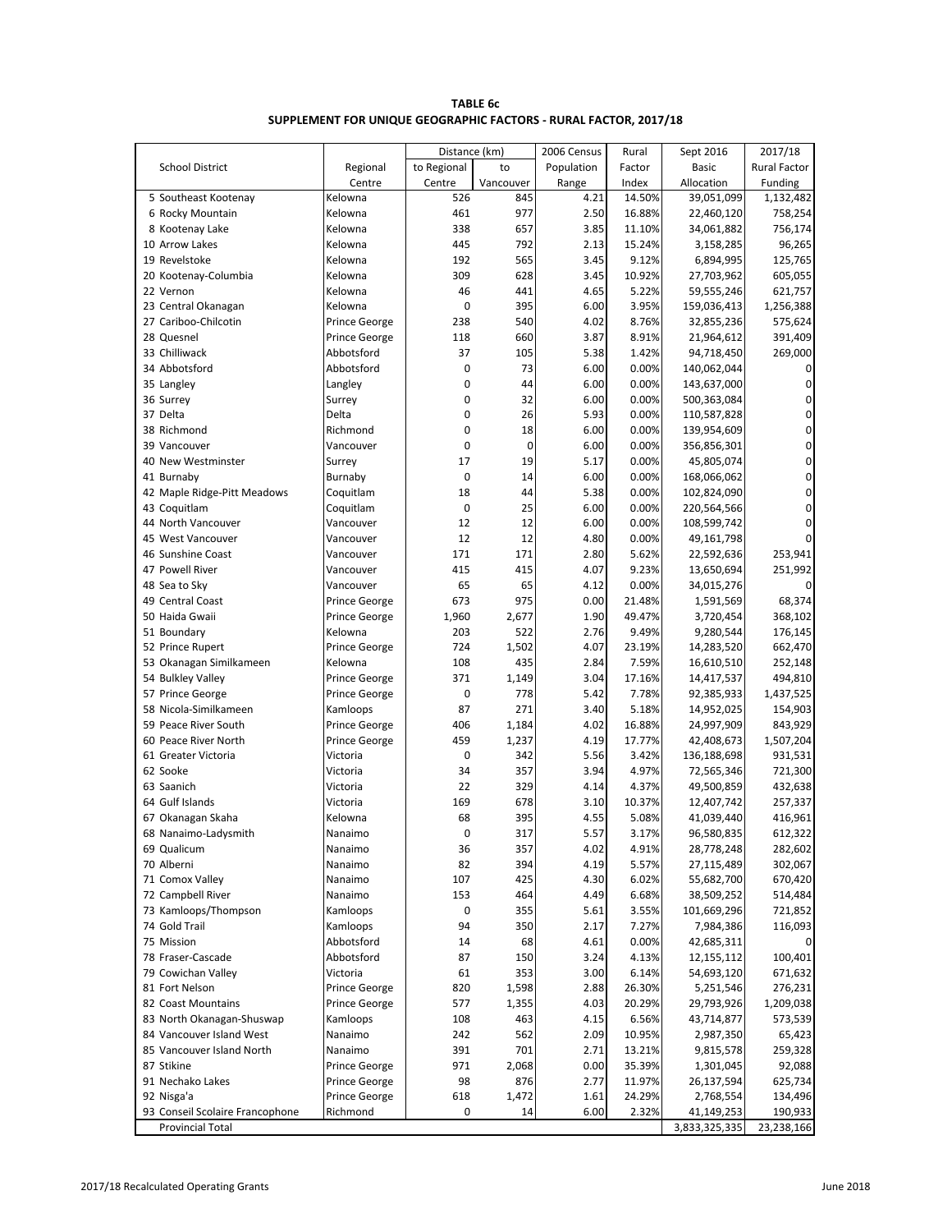| <b>TABLE 6c</b>                                                  |
|------------------------------------------------------------------|
| SUPPLEMENT FOR UNIQUE GEOGRAPHIC FACTORS - RURAL FACTOR, 2017/18 |

|                                 |               | Distance (km) |             | 2006 Census | Rural  | Sept 2016     | 2017/18      |
|---------------------------------|---------------|---------------|-------------|-------------|--------|---------------|--------------|
| <b>School District</b>          | Regional      | to Regional   | to          | Population  | Factor | <b>Basic</b>  | Rural Factor |
|                                 | Centre        | Centre        | Vancouver   | Range       | Index  | Allocation    | Funding      |
| 5 Southeast Kootenay            | Kelowna       | 526           | 845         | 4.21        | 14.50% | 39,051,099    | 1,132,482    |
| 6 Rocky Mountain                | Kelowna       | 461           | 977         | 2.50        | 16.88% | 22,460,120    | 758,254      |
| 8 Kootenay Lake                 | Kelowna       | 338           | 657         | 3.85        | 11.10% | 34,061,882    | 756,174      |
| 10 Arrow Lakes                  | Kelowna       | 445           | 792         | 2.13        | 15.24% | 3,158,285     | 96,265       |
| 19 Revelstoke                   | Kelowna       | 192           | 565         | 3.45        | 9.12%  | 6,894,995     | 125,765      |
| 20 Kootenay-Columbia            | Kelowna       | 309           | 628         | 3.45        | 10.92% | 27,703,962    | 605,055      |
| 22 Vernon                       | Kelowna       | 46            | 441         | 4.65        | 5.22%  | 59,555,246    | 621,757      |
| 23 Central Okanagan             | Kelowna       | 0             | 395         | 6.00        | 3.95%  | 159,036,413   | 1,256,388    |
| 27 Cariboo-Chilcotin            | Prince George | 238           | 540         | 4.02        | 8.76%  | 32,855,236    | 575,624      |
| 28 Quesnel                      | Prince George | 118           | 660         | 3.87        | 8.91%  | 21,964,612    | 391,409      |
| 33 Chilliwack                   | Abbotsford    | 37            | 105         | 5.38        | 1.42%  | 94,718,450    | 269,000      |
| 34 Abbotsford                   | Abbotsford    | 0             | 73          | 6.00        | 0.00%  | 140,062,044   | 0            |
| 35 Langley                      | Langley       | 0             | 44          | 6.00        | 0.00%  | 143,637,000   | 0            |
| 36 Surrey                       | Surrey        | 0             | 32          | 6.00        | 0.00%  | 500,363,084   | 0            |
| 37 Delta                        | Delta         | 0             | 26          | 5.93        | 0.00%  | 110,587,828   | 0            |
| 38 Richmond                     | Richmond      | 0             | 18          | 6.00        | 0.00%  | 139,954,609   | 0            |
| 39 Vancouver                    | Vancouver     | 0             | $\mathbf 0$ | 6.00        | 0.00%  | 356,856,301   | 0            |
| 40 New Westminster              | Surrey        | 17            | 19          | 5.17        | 0.00%  | 45,805,074    | 0            |
| 41 Burnaby                      | Burnaby       | 0             | 14          | 6.00        | 0.00%  | 168,066,062   | $\pmb{0}$    |
| 42 Maple Ridge-Pitt Meadows     | Coquitlam     | 18            | 44          | 5.38        | 0.00%  | 102,824,090   | 0            |
| 43 Coquitlam                    | Coquitlam     | 0             | 25          | 6.00        | 0.00%  | 220,564,566   | 0            |
| 44 North Vancouver              | Vancouver     | 12            | 12          | 6.00        | 0.00%  | 108,599,742   | 0            |
| 45 West Vancouver               | Vancouver     | 12            | 12          | 4.80        | 0.00%  | 49,161,798    | 0            |
| 46 Sunshine Coast               | Vancouver     | 171           | 171         | 2.80        | 5.62%  | 22,592,636    | 253,941      |
| 47 Powell River                 | Vancouver     | 415           | 415         | 4.07        | 9.23%  | 13,650,694    | 251,992      |
| 48 Sea to Sky                   | Vancouver     | 65            | 65          | 4.12        | 0.00%  | 34,015,276    | 0            |
| 49 Central Coast                | Prince George | 673           | 975         | 0.00        | 21.48% | 1,591,569     | 68,374       |
| 50 Haida Gwaii                  | Prince George | 1,960         | 2,677       | 1.90        | 49.47% | 3,720,454     | 368,102      |
| 51 Boundary                     | Kelowna       | 203           | 522         | 2.76        | 9.49%  | 9,280,544     | 176,145      |
| 52 Prince Rupert                | Prince George | 724           | 1,502       | 4.07        | 23.19% | 14,283,520    | 662,470      |
| 53 Okanagan Similkameen         | Kelowna       | 108           | 435         | 2.84        | 7.59%  | 16,610,510    | 252,148      |
| 54 Bulkley Valley               | Prince George | 371           | 1,149       | 3.04        | 17.16% | 14,417,537    | 494,810      |
| 57 Prince George                | Prince George | 0             | 778         | 5.42        | 7.78%  | 92,385,933    | 1,437,525    |
| 58 Nicola-Similkameen           | Kamloops      | 87            | 271         | 3.40        | 5.18%  | 14,952,025    | 154,903      |
| 59 Peace River South            | Prince George | 406           | 1,184       | 4.02        | 16.88% | 24,997,909    | 843,929      |
| 60 Peace River North            | Prince George | 459           | 1,237       | 4.19        | 17.77% | 42,408,673    | 1,507,204    |
| 61 Greater Victoria             | Victoria      | 0             | 342         | 5.56        | 3.42%  | 136,188,698   | 931,531      |
| 62 Sooke                        | Victoria      | 34            | 357         | 3.94        | 4.97%  | 72,565,346    | 721,300      |
| 63 Saanich                      | Victoria      | 22            | 329         | 4.14        | 4.37%  | 49,500,859    | 432,638      |
| 64 Gulf Islands                 | Victoria      | 169           | 678         | 3.10        | 10.37% | 12,407,742    | 257,337      |
| 67 Okanagan Skaha               | Kelowna       | 68            | 395         | 4.55        | 5.08%  | 41,039,440    | 416,961      |
| 68 Nanaimo-Ladysmith            | Nanaimo       | 0             | 317         | 5.57        | 3.17%  | 96,580,835    | 612,322      |
| 69 Qualicum                     | Nanaimo       | 36            | 357         | 4.02        | 4.91%  | 28,778,248    | 282,602      |
| 70 Alberni                      | Nanaimo       | 82            | 394         | 4.19        | 5.57%  | 27,115,489    | 302,067      |
| 71 Comox Valley                 | Nanaimo       | 107           | 425         | 4.30        | 6.02%  | 55,682,700    | 670,420      |
| 72 Campbell River               | Nanaimo       | 153           | 464         | 4.49        | 6.68%  | 38,509,252    | 514,484      |
| 73 Kamloops/Thompson            | Kamloops      | 0             | 355         | 5.61        | 3.55%  | 101,669,296   | 721,852      |
| 74 Gold Trail                   | Kamloops      | 94            | 350         | 2.17        | 7.27%  | 7,984,386     | 116,093      |
| 75 Mission                      | Abbotsford    | 14            | 68          | 4.61        | 0.00%  | 42,685,311    | 0            |
| 78 Fraser-Cascade               | Abbotsford    | 87            | 150         | 3.24        | 4.13%  | 12,155,112    | 100,401      |
| 79 Cowichan Valley              | Victoria      | 61            | 353         | 3.00        | 6.14%  | 54,693,120    | 671,632      |
| 81 Fort Nelson                  | Prince George | 820           | 1,598       | 2.88        | 26.30% | 5,251,546     | 276,231      |
| 82 Coast Mountains              | Prince George | 577           | 1,355       | 4.03        | 20.29% | 29,793,926    | 1,209,038    |
| 83 North Okanagan-Shuswap       | Kamloops      | 108           | 463         | 4.15        | 6.56%  | 43,714,877    | 573,539      |
| 84 Vancouver Island West        | Nanaimo       | 242           | 562         | 2.09        | 10.95% | 2,987,350     | 65,423       |
| 85 Vancouver Island North       | Nanaimo       | 391           | 701         | 2.71        | 13.21% | 9,815,578     | 259,328      |
| 87 Stikine                      | Prince George | 971           | 2,068       | 0.00        | 35.39% | 1,301,045     | 92,088       |
| 91 Nechako Lakes                | Prince George | 98            | 876         | 2.77        | 11.97% | 26,137,594    | 625,734      |
| 92 Nisga'a                      | Prince George | 618           | 1,472       | 1.61        | 24.29% | 2,768,554     | 134,496      |
| 93 Conseil Scolaire Francophone | Richmond      | 0             | 14          | 6.00        | 2.32%  | 41,149,253    | 190,933      |
| <b>Provincial Total</b>         |               |               |             |             |        | 3,833,325,335 | 23,238,166   |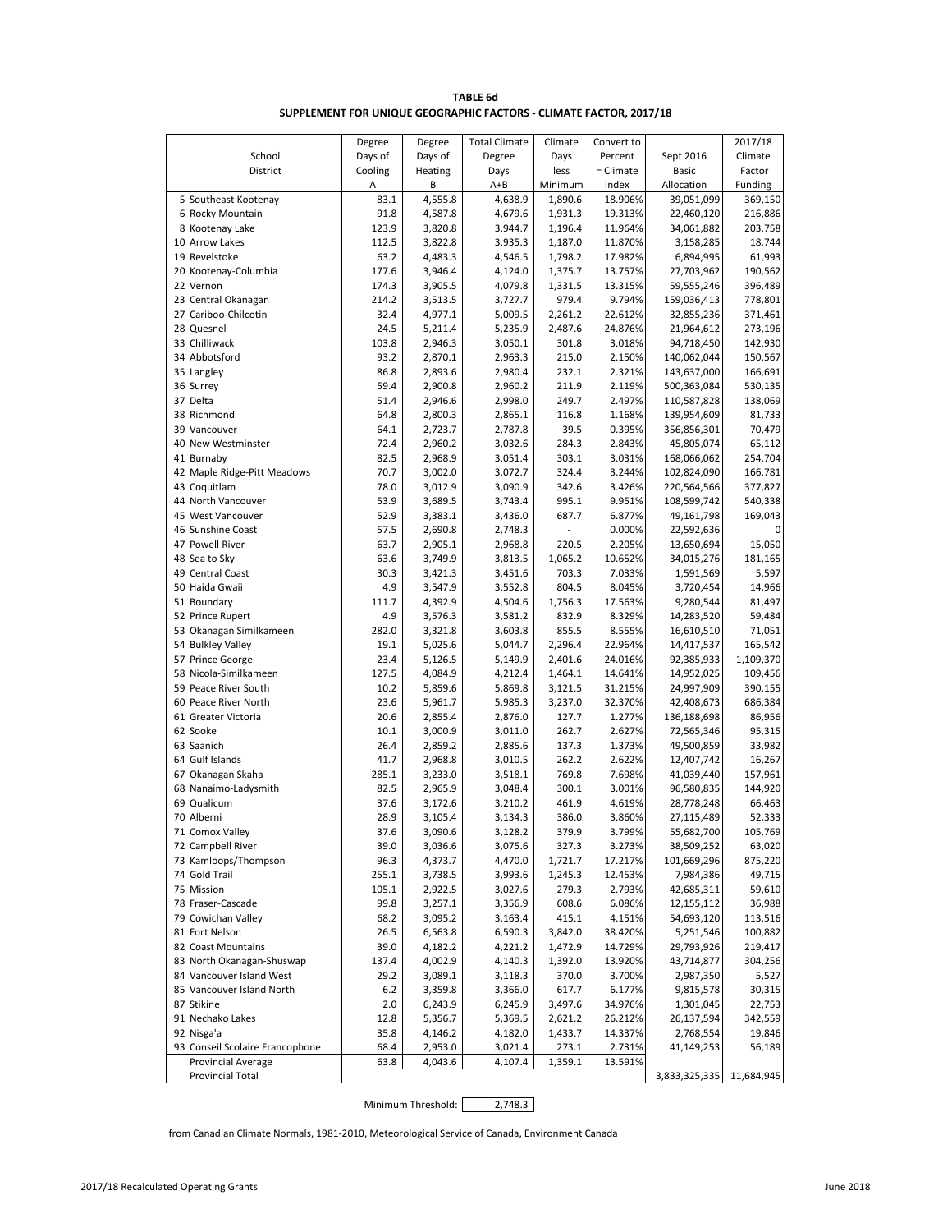| <b>TABLE 6d</b>                                                    |
|--------------------------------------------------------------------|
| SUPPLEMENT FOR UNIQUE GEOGRAPHIC FACTORS - CLIMATE FACTOR, 2017/18 |

|                                             | Degree       | Degree             | <b>Total Climate</b> | Climate          | Convert to       |                          | 2017/18           |
|---------------------------------------------|--------------|--------------------|----------------------|------------------|------------------|--------------------------|-------------------|
| School                                      | Days of      | Days of            | Degree               | Days             | Percent          | Sept 2016                | Climate           |
| District                                    | Cooling      | Heating            | Days                 | less             | $=$ Climate      | <b>Basic</b>             | Factor            |
|                                             | Α            | В                  | $A + B$              | Minimum          | Index            | Allocation               | Funding           |
| 5 Southeast Kootenay                        | 83.1         | 4,555.8            | 4,638.9              | 1,890.6          | 18.906%          | 39,051,099               | 369,150           |
| 6 Rocky Mountain                            | 91.8         | 4,587.8            | 4,679.6              | 1,931.3          | 19.313%          | 22,460,120               | 216,886           |
| 8 Kootenay Lake                             | 123.9        | 3,820.8            | 3,944.7              | 1,196.4          | 11.964%          | 34,061,882               | 203,758           |
| 10 Arrow Lakes                              | 112.5        | 3,822.8            | 3,935.3              | 1,187.0          | 11.870%          | 3,158,285                | 18,744            |
| 19 Revelstoke                               | 63.2         | 4,483.3            | 4,546.5              | 1,798.2          | 17.982%          | 6,894,995                | 61,993            |
| 20 Kootenay-Columbia                        | 177.6        | 3,946.4            | 4,124.0              | 1,375.7          | 13.757%          | 27,703,962               | 190,562           |
| 22 Vernon                                   | 174.3        | 3,905.5            | 4,079.8              | 1,331.5          | 13.315%          | 59,555,246               | 396,489           |
| 23 Central Okanagan                         | 214.2        | 3,513.5            | 3,727.7              | 979.4            | 9.794%           | 159,036,413              | 778,801           |
| 27 Cariboo-Chilcotin                        | 32.4         | 4,977.1            | 5,009.5              | 2,261.2          | 22.612%          | 32,855,236               | 371,461           |
| 28 Quesnel                                  | 24.5         | 5,211.4            | 5,235.9              | 2,487.6          | 24.876%          | 21,964,612               | 273,196           |
| 33 Chilliwack                               | 103.8        | 2,946.3            | 3,050.1              | 301.8            | 3.018%           | 94,718,450               | 142,930           |
| 34 Abbotsford                               | 93.2         | 2,870.1            | 2,963.3              | 215.0            | 2.150%           | 140,062,044              | 150,567           |
| 35 Langley                                  | 86.8         | 2,893.6            | 2,980.4              | 232.1            | 2.321%           | 143,637,000              | 166,691           |
| 36 Surrey                                   | 59.4         | 2,900.8            | 2,960.2              | 211.9            | 2.119%           | 500,363,084              | 530,135           |
| 37 Delta                                    | 51.4         | 2,946.6            | 2,998.0              | 249.7            | 2.497%           | 110,587,828              | 138,069           |
| 38 Richmond                                 | 64.8         | 2,800.3            | 2,865.1              | 116.8            | 1.168%           | 139,954,609              | 81,733            |
| 39 Vancouver                                | 64.1         | 2,723.7            | 2,787.8              | 39.5             | 0.395%           | 356,856,301              | 70,479            |
| 40 New Westminster                          | 72.4         | 2,960.2            | 3,032.6              | 284.3            | 2.843%           | 45,805,074               | 65,112            |
| 41 Burnaby                                  | 82.5         | 2,968.9            | 3,051.4              | 303.1            | 3.031%           | 168,066,062              | 254,704           |
| 42 Maple Ridge-Pitt Meadows                 | 70.7         | 3,002.0            | 3,072.7              | 324.4            | 3.244%           | 102,824,090              | 166,781           |
| 43 Coquitlam                                | 78.0         | 3,012.9            | 3,090.9              | 342.6            | 3.426%           | 220,564,566              | 377,827           |
| 44 North Vancouver                          | 53.9         | 3,689.5            | 3,743.4              | 995.1            | 9.951%           | 108,599,742              | 540,338           |
| 45 West Vancouver                           | 52.9         | 3,383.1            | 3,436.0              | 687.7            | 6.877%           | 49,161,798               | 169,043           |
| 46 Sunshine Coast                           | 57.5         | 2,690.8            | 2,748.3              |                  | 0.000%           | 22,592,636               | 0                 |
| 47 Powell River                             | 63.7         | 2,905.1            | 2,968.8              | 220.5            | 2.205%           | 13,650,694               | 15,050            |
| 48 Sea to Sky                               | 63.6         | 3,749.9            | 3,813.5              | 1,065.2          | 10.652%          | 34,015,276               | 181,165           |
| 49 Central Coast                            | 30.3         | 3,421.3            | 3,451.6              | 703.3            | 7.033%           | 1,591,569                | 5,597             |
| 50 Haida Gwaii                              | 4.9          | 3,547.9            | 3,552.8              | 804.5            | 8.045%           | 3,720,454                | 14,966            |
| 51 Boundary                                 | 111.7        | 4,392.9            | 4,504.6              | 1,756.3          | 17.563%          | 9,280,544                | 81,497            |
| 52 Prince Rupert                            | 4.9          | 3,576.3            | 3,581.2              | 832.9            | 8.329%           | 14,283,520               | 59,484            |
| 53 Okanagan Similkameen                     | 282.0        | 3,321.8            | 3,603.8              | 855.5            | 8.555%           | 16,610,510               | 71,051            |
| 54 Bulkley Valley                           | 19.1         | 5,025.6            | 5,044.7              | 2,296.4          | 22.964%          | 14,417,537               | 165,542           |
| 57 Prince George                            | 23.4         | 5,126.5            | 5,149.9              | 2,401.6          | 24.016%          | 92,385,933               | 1,109,370         |
| 58 Nicola-Similkameen                       | 127.5        | 4,084.9            | 4,212.4              | 1,464.1          | 14.641%          | 14,952,025               | 109,456           |
| 59 Peace River South                        | 10.2         | 5,859.6            | 5,869.8              | 3,121.5          | 31.215%          | 24,997,909               | 390,155           |
| 60 Peace River North<br>61 Greater Victoria | 23.6<br>20.6 | 5,961.7            | 5,985.3              | 3,237.0<br>127.7 | 32.370%          | 42,408,673               | 686,384<br>86,956 |
| 62 Sooke                                    | 10.1         | 2,855.4<br>3,000.9 | 2,876.0<br>3,011.0   | 262.7            | 1.277%<br>2.627% | 136,188,698              | 95,315            |
| 63 Saanich                                  | 26.4         | 2,859.2            | 2,885.6              | 137.3            | 1.373%           | 72,565,346<br>49,500,859 | 33,982            |
| 64 Gulf Islands                             | 41.7         | 2,968.8            | 3,010.5              | 262.2            | 2.622%           | 12,407,742               | 16,267            |
| 67 Okanagan Skaha                           | 285.1        | 3,233.0            | 3,518.1              | 769.8            | 7.698%           | 41,039,440               | 157,961           |
| 68 Nanaimo-Ladysmith                        | 82.5         | 2,965.9            | 3,048.4              | 300.1            | 3.001%           | 96,580,835               | 144,920           |
| 69 Qualicum                                 | 37.6         | 3,172.6            | 3,210.2              | 461.9            | 4.619%           | 28,778,248               | 66,463            |
| 70 Alberni                                  | 28.9         | 3,105.4            | 3,134.3              | 386.0            | 3.860%           | 27,115,489               | 52,333            |
| 71 Comox Valley                             | 37.6         | 3,090.6            | 3,128.2              | 379.9            | 3.799%           | 55,682,700               | 105,769           |
| 72 Campbell River                           | 39.0         | 3,036.6            | 3,075.6              | 327.3            | 3.273%           | 38,509,252               | 63,020            |
| 73 Kamloops/Thompson                        | 96.3         | 4,373.7            | 4,470.0              | 1,721.7          | 17.217%          | 101,669,296              | 875,220           |
| 74 Gold Trail                               | 255.1        | 3,738.5            | 3,993.6              | 1,245.3          | 12.453%          | 7,984,386                | 49,715            |
| 75 Mission                                  | 105.1        | 2,922.5            | 3,027.6              | 279.3            | 2.793%           | 42,685,311               | 59,610            |
| 78 Fraser-Cascade                           | 99.8         | 3,257.1            | 3,356.9              | 608.6            | 6.086%           | 12, 155, 112             | 36,988            |
| 79 Cowichan Valley                          | 68.2         | 3,095.2            | 3,163.4              | 415.1            | 4.151%           | 54,693,120               | 113,516           |
| 81 Fort Nelson                              | 26.5         | 6,563.8            | 6,590.3              | 3,842.0          | 38.420%          | 5,251,546                | 100,882           |
| 82 Coast Mountains                          | 39.0         | 4,182.2            | 4,221.2              | 1,472.9          | 14.729%          | 29,793,926               | 219,417           |
| 83 North Okanagan-Shuswap                   | 137.4        | 4,002.9            | 4,140.3              | 1,392.0          | 13.920%          | 43,714,877               | 304,256           |
| 84 Vancouver Island West                    | 29.2         | 3,089.1            | 3,118.3              | 370.0            | 3.700%           | 2,987,350                | 5,527             |
| 85 Vancouver Island North                   | 6.2          | 3,359.8            | 3,366.0              | 617.7            | 6.177%           | 9,815,578                | 30,315            |
| 87 Stikine                                  | 2.0          | 6,243.9            | 6,245.9              | 3,497.6          | 34.976%          | 1,301,045                | 22,753            |
| 91 Nechako Lakes                            | 12.8         | 5,356.7            | 5,369.5              | 2,621.2          | 26.212%          | 26,137,594               | 342,559           |
| 92 Nisga'a                                  | 35.8         | 4,146.2            | 4,182.0              | 1,433.7          | 14.337%          | 2,768,554                | 19,846            |
| 93 Conseil Scolaire Francophone             | 68.4         | 2,953.0            | 3,021.4              | 273.1            | 2.731%           | 41,149,253               | 56,189            |
| Provincial Average                          | 63.8         | 4,043.6            | 4,107.4              | 1,359.1          | 13.591%          |                          |                   |
| <b>Provincial Total</b>                     |              |                    |                      |                  |                  | 3,833,325,335            | 11,684,945        |

Minimum Threshold: 2,748.3

from Canadian Climate Normals, 1981-2010, Meteorological Service of Canada, Environment Canada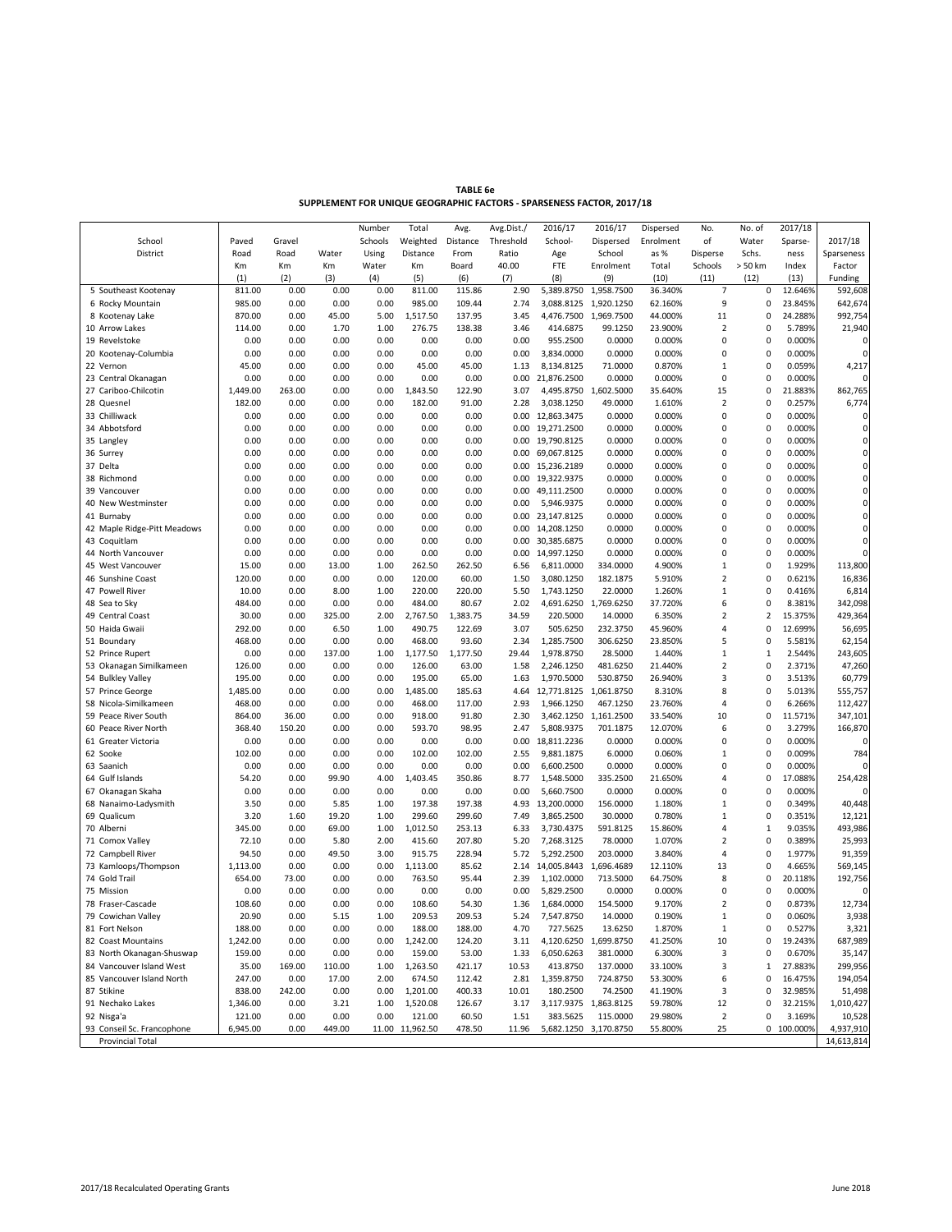| <b>TABLE 6e</b>                                                       |
|-----------------------------------------------------------------------|
| SUPPLEMENT FOR UNIQUE GEOGRAPHIC FACTORS - SPARSENESS FACTOR, 2017/18 |

|                             |          |        |        | Number  | Total           | Avg.     | Avg.Dist./ | 2016/17               | 2016/17    | Dispersed | No.            | No. of         | 2017/18    |              |
|-----------------------------|----------|--------|--------|---------|-----------------|----------|------------|-----------------------|------------|-----------|----------------|----------------|------------|--------------|
| School                      | Paved    | Gravel |        | Schools | Weighted        | Distance | Threshold  | School-               | Dispersed  | Enrolment | of             | Water          | Sparse-    | 2017/18      |
| District                    | Road     | Road   | Water  | Using   | Distance        | From     | Ratio      | Age                   | School     | as %      | Disperse       | Schs.          | ness       | Sparseness   |
|                             | Km       | Km     | Km     | Water   | Km              | Board    | 40.00      | FTE                   | Enrolment  | Total     | Schools        | > 50 km        | Index      | Factor       |
|                             | (1)      | (2)    | (3)    | (4)     | (5)             | (6)      | (7)        | (8)                   | (9)        | (10)      | (11)           | (12)           | (13)       | Funding      |
| 5 Southeast Kootenay        | 811.00   | 0.00   | 0.00   | 0.00    | 811.00          | 115.86   | 2.90       | 5,389.8750 1,958.7500 |            | 36.340%   | $\overline{7}$ | 0              | 12.646%    | 592,608      |
| 6 Rocky Mountain            | 985.00   | 0.00   | 0.00   | 0.00    | 985.00          | 109.44   | 2.74       | 3,088.8125            | 1,920.1250 | 62.160%   | 9              | 0              | 23.845%    | 642,674      |
| 8 Kootenay Lake             | 870.00   | 0.00   | 45.00  | 5.00    | 1,517.50        | 137.95   | 3.45       | 4,476.7500 1,969.7500 |            | 44.000%   | 11             | 0              | 24.288%    | 992,754      |
| 10 Arrow Lakes              | 114.00   | 0.00   | 1.70   | 1.00    | 276.75          | 138.38   | 3.46       | 414.6875              | 99.1250    | 23.900%   | 2              | 0              | 5.789%     | 21,940       |
| 19 Revelstoke               | 0.00     | 0.00   | 0.00   | 0.00    | 0.00            | 0.00     | 0.00       | 955.2500              | 0.0000     | 0.000%    | $\mathbf 0$    | 0              | 0.000%     | $\sqrt{ }$   |
| 20 Kootenay-Columbia        | 0.00     | 0.00   | 0.00   | 0.00    | 0.00            | 0.00     | 0.00       | 3,834.0000            | 0.0000     | 0.000%    | 0              | 0              | 0.000%     | $\mathbf 0$  |
| 22 Vernon                   | 45.00    | 0.00   | 0.00   | 0.00    | 45.00           | 45.00    | 1.13       | 8,134.8125            | 71.0000    | 0.870%    | 1              | 0              | 0.059%     | 4,217        |
| 23 Central Okanagan         | 0.00     | 0.00   | 0.00   | 0.00    | 0.00            | 0.00     | 0.00       | 21,876.2500           | 0.0000     | 0.000%    | $\pmb{0}$      | 0              | 0.000%     | $\Omega$     |
| 27 Cariboo-Chilcotin        | 1,449.00 | 263.00 | 0.00   | 0.00    | 1,843.50        | 122.90   | 3.07       | 4,495.8750 1,602.5000 |            | 35.640%   | 15             | 0              | 21.883%    | 862,765      |
| 28 Quesnel                  | 182.00   | 0.00   | 0.00   | 0.00    | 182.00          | 91.00    | 2.28       | 3,038.1250            | 49.0000    | 1.610%    | 2              | 0              | 0.257%     | 6,774        |
| 33 Chilliwack               | 0.00     | 0.00   | 0.00   | 0.00    | 0.00            | 0.00     | 0.00       | 12,863.3475           | 0.0000     | 0.000%    | $\mathbf 0$    | 0              | 0.000%     | 0            |
| 34 Abbotsford               | 0.00     | 0.00   | 0.00   | 0.00    | 0.00            | 0.00     | 0.00       | 19,271.2500           | 0.0000     | 0.000%    | 0              | 0              | 0.000%     | $\mathbf 0$  |
| 35 Langley                  | 0.00     | 0.00   | 0.00   | 0.00    | 0.00            | 0.00     | 0.00       | 19,790.8125           | 0.0000     | 0.000%    | $\Omega$       | 0              | 0.000%     | $\mathbf 0$  |
| 36 Surrey                   | 0.00     | 0.00   | 0.00   | 0.00    | 0.00            | 0.00     | 0.00       | 69,067.8125           | 0.0000     | 0.000%    | 0              | 0              | 0.000%     | $\mathbf 0$  |
| 37 Delta                    | 0.00     | 0.00   | 0.00   | 0.00    | 0.00            | 0.00     | 0.00       | 15,236.2189           | 0.0000     | 0.000%    | $\Omega$       | 0              | 0.000%     | $\pmb{0}$    |
| 38 Richmond                 | 0.00     | 0.00   | 0.00   | 0.00    | 0.00            | 0.00     | 0.00       | 19,322.9375           | 0.0000     | 0.000%    | $\Omega$       | 0              | 0.000%     | $\mathbf 0$  |
| 39 Vancouver                | 0.00     | 0.00   | 0.00   | 0.00    | 0.00            | 0.00     | 0.00       | 49,111.2500           | 0.0000     | 0.000%    | 0              | 0              | 0.000%     | $\pmb{0}$    |
| 40 New Westminster          | 0.00     | 0.00   | 0.00   | 0.00    | 0.00            | 0.00     | 0.00       | 5,946.9375            | 0.0000     | 0.000%    | $\Omega$       | 0              | 0.000%     | $\pmb{0}$    |
| 41 Burnaby                  | 0.00     | 0.00   | 0.00   | 0.00    | 0.00            | 0.00     |            | 0.00 23,147.8125      | 0.0000     | 0.000%    | $\Omega$       | 0              | 0.000%     | $\mathbf 0$  |
| 42 Maple Ridge-Pitt Meadows | 0.00     | 0.00   | 0.00   | 0.00    | 0.00            | 0.00     | 0.00       | 14,208.1250           | 0.0000     | 0.000%    | 0              | 0              | 0.000%     | 0            |
| 43 Coquitlam                | 0.00     | 0.00   | 0.00   | 0.00    | 0.00            | 0.00     | 0.00       | 30,385.6875           | 0.0000     | 0.000%    | $\Omega$       | 0              | 0.000%     | $\mathbf 0$  |
| 44 North Vancouver          | 0.00     | 0.00   | 0.00   | 0.00    | 0.00            | 0.00     | 0.00       | 14,997.1250           | 0.0000     | 0.000%    | 0              | 0              | 0.000%     | $\Omega$     |
| 45 West Vancouver           | 15.00    | 0.00   | 13.00  | 1.00    | 262.50          | 262.50   | 6.56       | 6,811.0000            | 334.0000   | 4.900%    | 1              | 0              | 1.929%     | 113,800      |
| 46 Sunshine Coast           | 120.00   | 0.00   | 0.00   | 0.00    | 120.00          | 60.00    | 1.50       | 3,080.1250            | 182.1875   | 5.910%    | 2              | 0              | 0.621%     | 16,836       |
| 47 Powell River             | 10.00    | 0.00   | 8.00   | 1.00    | 220.00          | 220.00   | 5.50       | 1,743.1250            | 22.0000    | 1.260%    | 1              | 0              | 0.416%     | 6,814        |
| 48 Sea to Sky               | 484.00   | 0.00   | 0.00   | 0.00    | 484.00          | 80.67    | 2.02       | 4,691.6250            | 1,769.6250 | 37.720%   | 6              | 0              | 8.381%     | 342,098      |
| 49 Central Coast            | 30.00    | 0.00   | 325.00 | 2.00    | 2,767.50        | 1,383.75 | 34.59      | 220.5000              | 14.0000    | 6.350%    | 2              | $\overline{2}$ | 15.375%    | 429,364      |
| 50 Haida Gwaii              | 292.00   | 0.00   | 6.50   | 1.00    | 490.75          | 122.69   | 3.07       | 505.6250              | 232.3750   | 45.960%   | 4              | 0              | 12.699%    | 56,695       |
| 51 Boundary                 | 468.00   | 0.00   | 0.00   | 0.00    | 468.00          | 93.60    | 2.34       | 1,285.7500            | 306.6250   | 23.850%   | 5              | 0              | 5.581%     | 62,154       |
| 52 Prince Rupert            | 0.00     | 0.00   | 137.00 | 1.00    | 1,177.50        | 1,177.50 | 29.44      | 1,978.8750            | 28.5000    | 1.440%    | 1              | $\mathbf 1$    | 2.544%     | 243,605      |
| 53 Okanagan Similkameen     | 126.00   | 0.00   | 0.00   | 0.00    | 126.00          | 63.00    | 1.58       | 2,246.1250            | 481.6250   | 21.440%   | 2              | 0              | 2.371%     | 47,260       |
| 54 Bulkley Valley           | 195.00   | 0.00   | 0.00   | 0.00    | 195.00          | 65.00    | 1.63       | 1,970.5000            | 530.8750   | 26.940%   | 3              | 0              | 3.513%     | 60,779       |
| 57 Prince George            | 1,485.00 | 0.00   | 0.00   | 0.00    | 1,485.00        | 185.63   | 4.64       | 12,771.8125           | 1,061.8750 | 8.310%    | 8              | 0              | 5.013%     | 555,757      |
| 58 Nicola-Similkameen       | 468.00   | 0.00   | 0.00   | 0.00    | 468.00          | 117.00   | 2.93       | 1,966.1250            | 467.1250   | 23.760%   | 4              | 0              | 6.266%     | 112,427      |
| 59 Peace River South        | 864.00   | 36.00  | 0.00   | 0.00    | 918.00          | 91.80    | 2.30       | 3,462.1250 1,161.2500 |            | 33.540%   | 10             | 0              | 11.571%    | 347,101      |
| 60 Peace River North        | 368.40   | 150.20 | 0.00   | 0.00    | 593.70          | 98.95    | 2.47       | 5,808.9375            | 701.1875   | 12.070%   | 6              | 0              | 3.279%     | 166,870      |
| 61 Greater Victoria         | 0.00     | 0.00   | 0.00   | 0.00    | 0.00            | 0.00     | 0.00       | 18,811.2236           | 0.0000     | 0.000%    | 0              | 0              | 0.000%     |              |
| 62 Sooke                    | 102.00   | 0.00   | 0.00   | 0.00    | 102.00          | 102.00   | 2.55       | 9,881.1875            | 6.0000     | 0.060%    | 1              | 0              | 0.009%     | 784          |
| 63 Saanich                  | 0.00     | 0.00   | 0.00   | 0.00    | 0.00            | 0.00     | 0.00       | 6,600.2500            | 0.0000     | 0.000%    | 0              | 0              | 0.000%     | $\mathsf{C}$ |
| 64 Gulf Islands             | 54.20    | 0.00   | 99.90  | 4.00    | 1,403.45        | 350.86   | 8.77       | 1,548.5000            | 335.2500   | 21.650%   | 4              | 0              | 17.088%    | 254,428      |
| 67 Okanagan Skaha           | 0.00     | 0.00   | 0.00   | 0.00    | 0.00            | 0.00     | 0.00       | 5,660.7500            | 0.0000     | 0.000%    | $\Omega$       | 0              | 0.000%     |              |
| 68 Nanaimo-Ladysmith        | 3.50     | 0.00   | 5.85   | 1.00    | 197.38          | 197.38   | 4.93       | 13,200.0000           | 156.0000   | 1.180%    | 1              | 0              | 0.349%     | 40,448       |
| 69 Qualicum                 | 3.20     | 1.60   | 19.20  | 1.00    | 299.60          | 299.60   | 7.49       | 3,865.2500            | 30.0000    | 0.780%    | $\mathbf{1}$   | 0              | 0.351%     | 12,121       |
| 70 Alberni                  | 345.00   | 0.00   | 69.00  | 1.00    | 1,012.50        | 253.13   | 6.33       | 3,730.4375            | 591.8125   | 15.860%   | 4              | $\mathbf 1$    | 9.035%     | 493,986      |
| 71 Comox Valley             | 72.10    | 0.00   | 5.80   | 2.00    | 415.60          | 207.80   | 5.20       | 7,268.3125            | 78.0000    | 1.070%    | $\overline{2}$ | 0              | 0.389%     | 25,993       |
| 72 Campbell River           | 94.50    | 0.00   | 49.50  | 3.00    | 915.75          | 228.94   | 5.72       | 5,292.2500            | 203.0000   | 3.840%    | 4              | 0              | 1.977%     | 91,359       |
| 73 Kamloops/Thompson        | 1,113.00 | 0.00   | 0.00   | 0.00    | 1,113.00        | 85.62    | 2.14       | 14,005.8443           | 1,696.4689 | 12.110%   | 13             | 0              | 4.665%     | 569,145      |
| 74 Gold Trail               | 654.00   | 73.00  | 0.00   | 0.00    | 763.50          | 95.44    | 2.39       | 1,102.0000            | 713.5000   | 64.750%   | 8              | 0              | 20.118%    | 192,756      |
| 75 Mission                  | 0.00     | 0.00   | 0.00   | 0.00    | 0.00            | 0.00     | 0.00       | 5,829.2500            | 0.0000     | 0.000%    | $\Omega$       | 0              | 0.000%     | $\sqrt{ }$   |
| 78 Fraser-Cascade           | 108.60   | 0.00   | 0.00   | 0.00    | 108.60          | 54.30    | 1.36       | 1,684.0000            | 154.5000   | 9.170%    | 2              | 0              | 0.873%     | 12,734       |
| 79 Cowichan Valley          | 20.90    | 0.00   | 5.15   | 1.00    | 209.53          | 209.53   | 5.24       | 7,547.8750            | 14.0000    | 0.190%    | 1              | 0              | 0.060%     | 3,938        |
| 81 Fort Nelson              | 188.00   | 0.00   | 0.00   | 0.00    | 188.00          | 188.00   | 4.70       | 727.5625              | 13.6250    | 1.870%    | 1              | 0              | 0.527%     | 3,321        |
| 82 Coast Mountains          | 1,242.00 | 0.00   | 0.00   | 0.00    | 1,242.00        | 124.20   | 3.11       | 4,120.6250            | 1,699.8750 | 41.250%   | 10             | 0              | 19.243%    | 687,989      |
| 83 North Okanagan-Shuswap   | 159.00   | 0.00   | 0.00   | 0.00    | 159.00          | 53.00    | 1.33       | 6,050.6263            | 381.0000   | 6.300%    | 3              | 0              | 0.670%     | 35,147       |
| 84 Vancouver Island West    | 35.00    | 169.00 | 110.00 | 1.00    | 1,263.50        | 421.17   | 10.53      | 413.8750              | 137.0000   | 33.100%   | 3              | $\mathbf 1$    | 27.883%    | 299,956      |
| 85 Vancouver Island North   | 247.00   | 0.00   | 17.00  | 2.00    | 674.50          | 112.42   | 2.81       | 1,359.8750            | 724.8750   | 53.300%   | 6              | 0              | 16.475%    | 194,054      |
| 87 Stikine                  | 838.00   | 242.00 | 0.00   | 0.00    | 1,201.00        | 400.33   | 10.01      | 180.2500              | 74.2500    | 41.190%   | 3              | 0              | 32.985%    | 51,498       |
| 91 Nechako Lakes            | 1,346.00 | 0.00   | 3.21   | 1.00    | 1,520.08        | 126.67   | 3.17       | 3,117.9375 1,863.8125 |            | 59.780%   | 12             | 0              | 32.215%    | 1,010,427    |
| 92 Nisga'a                  | 121.00   | 0.00   | 0.00   | 0.00    | 121.00          | 60.50    | 1.51       | 383.5625              | 115.0000   | 29.980%   | $\mathbf 2$    | 0              | 3.169%     | 10,528       |
| 93 Conseil Sc. Francophone  | 6,945.00 | 0.00   | 449.00 |         | 11.00 11,962.50 | 478.50   | 11.96      | 5,682.1250 3,170.8750 |            | 55.800%   | 25             |                | 0 100.000% | 4,937,910    |
| Provincial Total            |          |        |        |         |                 |          |            |                       |            |           |                |                |            | 14,613,814   |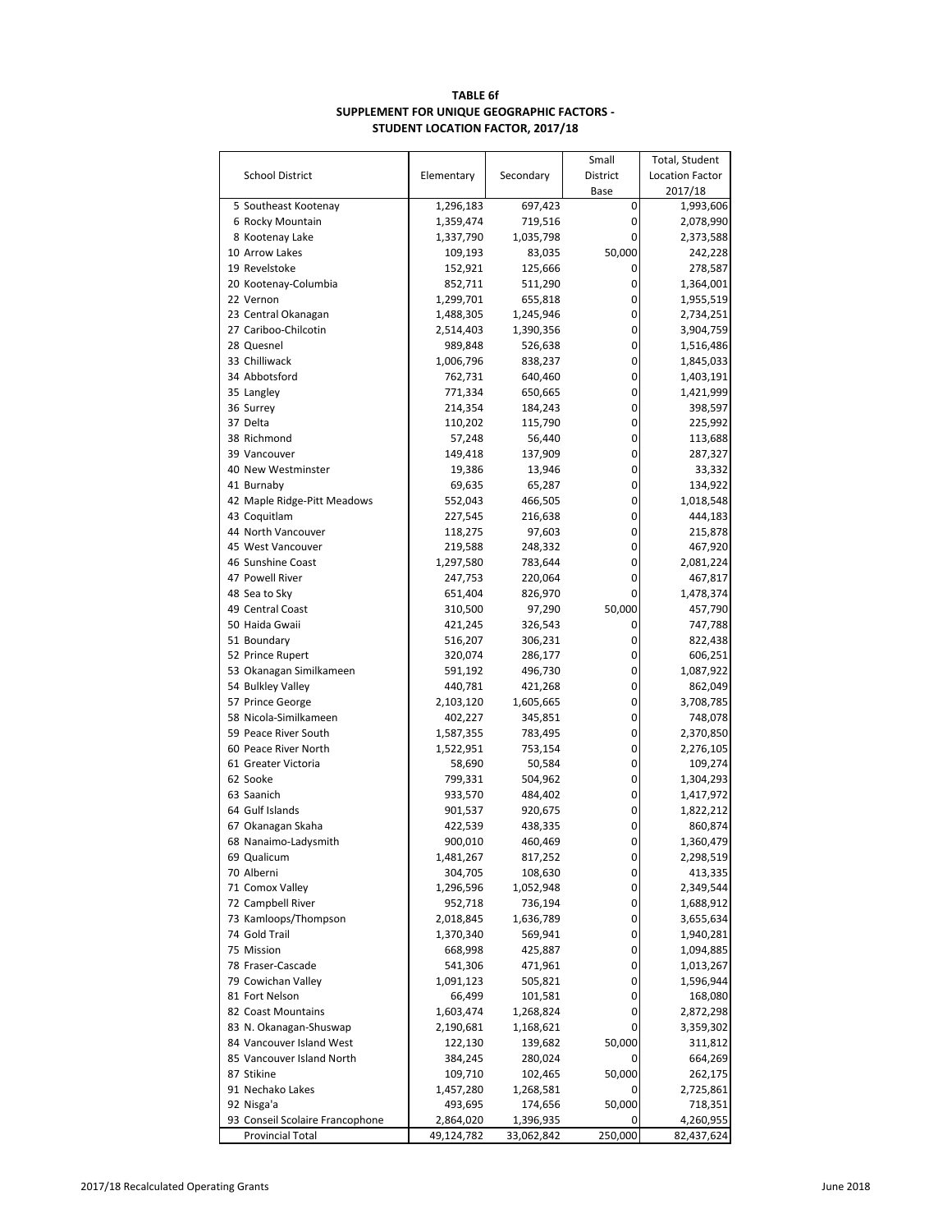# **TABLE 6f SUPPLEMENT FOR UNIQUE GEOGRAPHIC FACTORS - STUDENT LOCATION FACTOR, 2017/18**

|                                 |                    |                    | Small    | Total, Student         |
|---------------------------------|--------------------|--------------------|----------|------------------------|
| <b>School District</b>          | Elementary         | Secondary          | District | <b>Location Factor</b> |
|                                 |                    |                    | Base     | 2017/18                |
| 5 Southeast Kootenay            | 1,296,183          | 697,423            | 0        | 1,993,606              |
| 6 Rocky Mountain                | 1,359,474          | 719,516            | 0        | 2,078,990              |
| 8 Kootenay Lake                 | 1,337,790          | 1,035,798          | 0        | 2,373,588              |
| 10 Arrow Lakes                  | 109,193            | 83,035             | 50,000   | 242,228                |
| 19 Revelstoke                   | 152,921            | 125,666            | 0        | 278,587                |
| 20 Kootenay-Columbia            | 852,711            | 511,290            | 0        | 1,364,001              |
| 22 Vernon                       | 1,299,701          | 655,818            | 0        | 1,955,519              |
| 23 Central Okanagan             | 1,488,305          | 1,245,946          | 0        | 2,734,251              |
| 27 Cariboo-Chilcotin            | 2,514,403          | 1,390,356          | 0        | 3,904,759              |
| 28 Quesnel                      | 989,848            | 526,638            | 0        | 1,516,486              |
| 33 Chilliwack                   | 1,006,796          | 838,237            | 0        | 1,845,033              |
| 34 Abbotsford                   | 762,731            | 640,460            | 0        | 1,403,191              |
| 35 Langley                      | 771,334            | 650,665            | 0        | 1,421,999              |
| 36 Surrey                       | 214,354            | 184,243            | 0        | 398,597                |
| 37 Delta                        | 110,202            | 115,790            | 0        | 225,992                |
| 38 Richmond                     | 57,248             | 56,440             | 0        | 113,688                |
| 39 Vancouver                    | 149,418            | 137,909            | 0        | 287,327                |
| 40 New Westminster              | 19,386             | 13,946             | 0        | 33,332                 |
| 41 Burnaby                      | 69,635             | 65,287             | 0        | 134,922                |
| 42 Maple Ridge-Pitt Meadows     | 552,043            | 466,505            | 0        | 1,018,548              |
| 43 Coquitlam                    | 227,545            | 216,638            | 0        | 444,183                |
| 44 North Vancouver              | 118,275            | 97,603             | 0        | 215,878                |
| 45 West Vancouver               | 219,588            | 248,332            | 0        | 467,920                |
| 46 Sunshine Coast               | 1,297,580          | 783,644            | 0        | 2,081,224              |
| 47 Powell River                 | 247,753            | 220,064            | 0        | 467,817                |
| 48 Sea to Sky                   | 651,404            | 826,970            | 0        | 1,478,374              |
| 49 Central Coast                | 310,500            | 97,290             | 50,000   | 457,790                |
| 50 Haida Gwaii<br>51 Boundary   | 421,245            | 326,543            | 0<br>0   | 747,788                |
| 52 Prince Rupert                | 516,207            | 306,231            | 0        | 822,438                |
| 53 Okanagan Similkameen         | 320,074            | 286,177            | 0        | 606,251<br>1,087,922   |
| 54 Bulkley Valley               | 591,192<br>440,781 | 496,730<br>421,268 | 0        | 862,049                |
| 57 Prince George                | 2,103,120          | 1,605,665          | 0        | 3,708,785              |
| 58 Nicola-Similkameen           | 402,227            | 345,851            | 0        | 748,078                |
| 59 Peace River South            | 1,587,355          | 783,495            | 0        | 2,370,850              |
| 60 Peace River North            | 1,522,951          | 753,154            | 0        | 2,276,105              |
| 61 Greater Victoria             | 58,690             | 50,584             | 0        | 109,274                |
| 62 Sooke                        | 799,331            | 504,962            | 0        | 1,304,293              |
| 63 Saanich                      | 933,570            | 484,402            | 0        | 1,417,972              |
| 64 Gulf Islands                 | 901,537            | 920,675            | 0        | 1,822,212              |
| 67 Okanagan Skaha               | 422,539            | 438,335            | 0        | 860,874                |
| 68 Nanaimo-Ladysmith            | 900,010            | 460,469            | 0        | 1,360,479              |
| 69 Qualicum                     | 1,481,267          | 817,252            | 0        | 2,298,519              |
| 70 Alberni                      | 304,705            | 108,630            | 0        | 413,335                |
| 71 Comox Valley                 | 1,296,596          | 1,052,948          | 0        | 2,349,544              |
| 72 Campbell River               | 952,718            | 736,194            | 0        | 1,688,912              |
| 73 Kamloops/Thompson            | 2,018,845          | 1,636,789          | 0        | 3,655,634              |
| 74 Gold Trail                   | 1,370,340          | 569,941            | 0        | 1,940,281              |
| 75 Mission                      | 668,998            | 425,887            | 0        | 1,094,885              |
| 78 Fraser-Cascade               | 541,306            | 471,961            | 0        | 1,013,267              |
| 79 Cowichan Valley              | 1,091,123          | 505,821            | 0        | 1,596,944              |
| 81 Fort Nelson                  | 66,499             | 101,581            | 0        | 168,080                |
| 82 Coast Mountains              | 1,603,474          | 1,268,824          | 0        | 2,872,298              |
| 83 N. Okanagan-Shuswap          | 2,190,681          | 1,168,621          | 0        | 3,359,302              |
| 84 Vancouver Island West        | 122,130            | 139,682            | 50,000   | 311,812                |
| 85 Vancouver Island North       | 384,245            | 280,024            | 0        | 664,269                |
| 87 Stikine                      | 109,710            | 102,465            | 50,000   | 262,175                |
| 91 Nechako Lakes                | 1,457,280          | 1,268,581          | 0        | 2,725,861              |
| 92 Nisga'a                      | 493,695            | 174,656            | 50,000   | 718,351                |
| 93 Conseil Scolaire Francophone | 2,864,020          | 1,396,935          | 0        | 4,260,955              |
| <b>Provincial Total</b>         | 49,124,782         | 33,062,842         | 250,000  | 82,437,624             |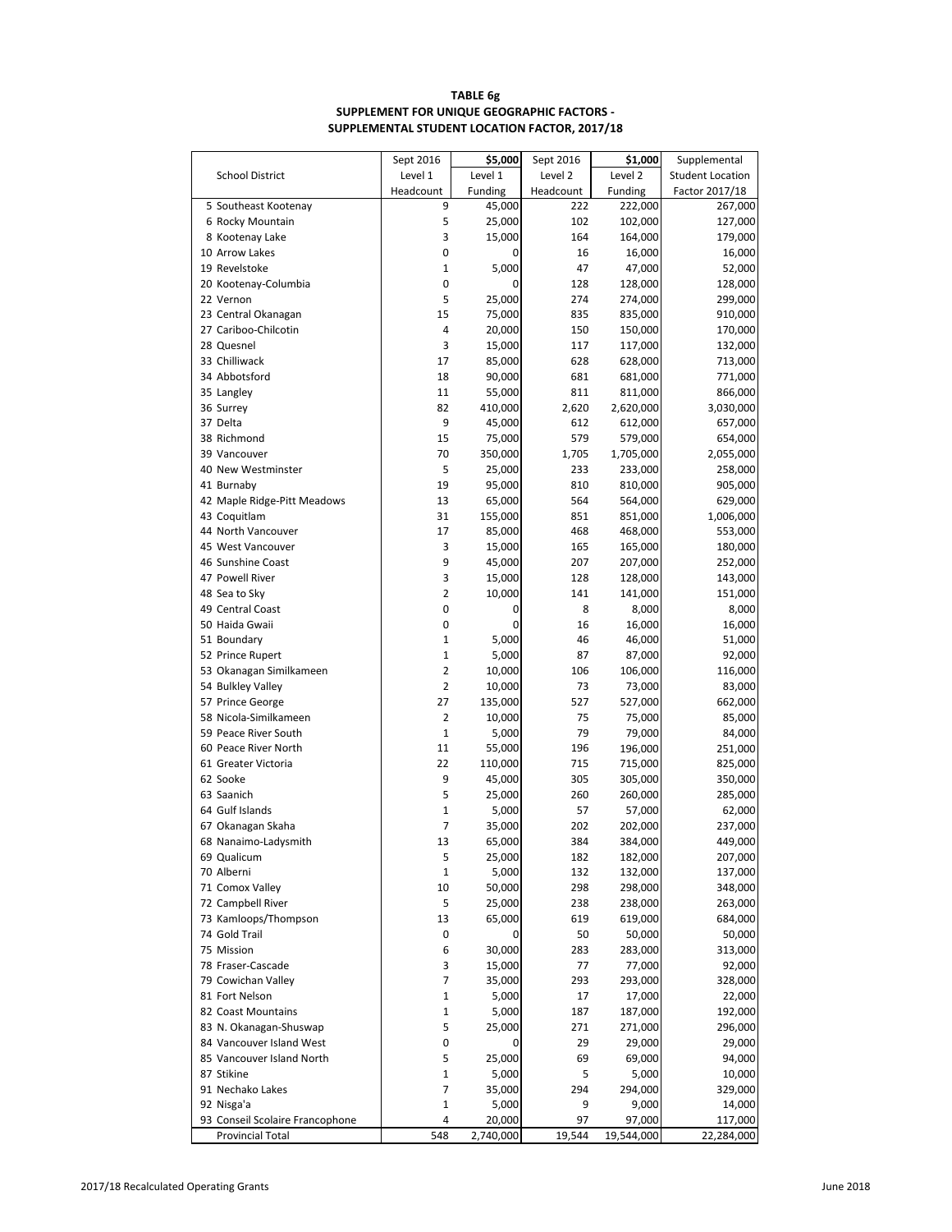# **TABLE 6g SUPPLEMENT FOR UNIQUE GEOGRAPHIC FACTORS - SUPPLEMENTAL STUDENT LOCATION FACTOR, 2017/18**

|                                     | Sept 2016         | \$5,000          | Sept 2016  | \$1,000            | Supplemental            |
|-------------------------------------|-------------------|------------------|------------|--------------------|-------------------------|
| <b>School District</b>              | Level 1           | Level 1          | Level 2    | Level 2            | <b>Student Location</b> |
|                                     | Headcount         | Funding          | Headcount  | Funding            | Factor 2017/18          |
| 5 Southeast Kootenay                | 9                 | 45,000           | 222        | 222,000            | 267,000                 |
| 6 Rocky Mountain                    | 5                 | 25,000           | 102        | 102,000            | 127,000                 |
| 8 Kootenay Lake                     | 3                 | 15,000           | 164        | 164,000            | 179,000                 |
| 10 Arrow Lakes                      | 0                 | 0                | 16         | 16,000             | 16,000                  |
| 19 Revelstoke                       | $\mathbf{1}$      | 5,000            | 47         | 47,000             | 52,000                  |
| 20 Kootenay-Columbia                | 0                 | 0                | 128        | 128,000            | 128,000                 |
| 22 Vernon                           | 5                 | 25,000           | 274        | 274,000            | 299,000                 |
| 23 Central Okanagan                 | 15                | 75,000           | 835        | 835,000            | 910,000                 |
| 27 Cariboo-Chilcotin                | 4                 | 20,000           | 150        | 150,000            | 170,000                 |
| 28 Quesnel<br>33 Chilliwack         | 3<br>17           | 15,000           | 117<br>628 | 117,000            | 132,000                 |
| 34 Abbotsford                       | 18                | 85,000<br>90,000 | 681        | 628,000<br>681,000 | 713,000                 |
| 35 Langley                          | 11                | 55,000           | 811        | 811,000            | 771,000<br>866,000      |
| 36 Surrey                           | 82                | 410,000          | 2,620      | 2,620,000          | 3,030,000               |
| 37 Delta                            | 9                 | 45,000           | 612        | 612,000            | 657,000                 |
| 38 Richmond                         | 15                | 75,000           | 579        | 579,000            | 654,000                 |
| 39 Vancouver                        | 70                | 350,000          | 1,705      | 1,705,000          | 2,055,000               |
| 40 New Westminster                  | 5                 | 25,000           | 233        | 233,000            | 258,000                 |
| 41 Burnaby                          | 19                | 95,000           | 810        | 810,000            | 905,000                 |
| 42 Maple Ridge-Pitt Meadows         | 13                | 65,000           | 564        | 564,000            | 629,000                 |
| 43 Coquitlam                        | 31                | 155,000          | 851        | 851,000            | 1,006,000               |
| 44 North Vancouver                  | 17                | 85,000           | 468        | 468,000            | 553,000                 |
| 45 West Vancouver                   | 3                 | 15,000           | 165        | 165,000            | 180,000                 |
| 46 Sunshine Coast                   | 9                 | 45,000           | 207        | 207,000            | 252,000                 |
| 47 Powell River                     | 3                 | 15,000           | 128        | 128,000            | 143,000                 |
| 48 Sea to Sky                       | 2                 | 10,000           | 141        | 141,000            | 151,000                 |
| 49 Central Coast                    | 0                 | 0                | 8          | 8,000              | 8,000                   |
| 50 Haida Gwaii                      | 0                 | 0                | 16         | 16,000             | 16,000                  |
| 51 Boundary                         | 1                 | 5,000            | 46         | 46,000             | 51,000                  |
| 52 Prince Rupert                    | $\mathbf{1}$      | 5,000            | 87         | 87,000             | 92,000                  |
| 53 Okanagan Similkameen             | 2                 | 10,000           | 106        | 106,000            | 116,000                 |
| 54 Bulkley Valley                   | 2                 | 10,000           | 73         | 73,000             | 83,000                  |
| 57 Prince George                    | 27                | 135,000          | 527        | 527,000            | 662,000                 |
| 58 Nicola-Similkameen               | 2                 | 10,000           | 75         | 75,000             | 85,000                  |
| 59 Peace River South                | $\mathbf{1}$      | 5,000            | 79         | 79,000             | 84,000                  |
| 60 Peace River North                | 11                | 55,000           | 196        | 196,000            | 251,000                 |
| 61 Greater Victoria                 | 22                | 110,000          | 715        | 715,000            | 825,000                 |
| 62 Sooke                            | 9                 | 45,000           | 305        | 305,000            | 350,000                 |
| 63 Saanich                          | 5                 | 25,000           | 260        | 260,000            | 285,000                 |
| 64 Gulf Islands                     | $\mathbf{1}$<br>7 | 5,000            | 57         | 57,000             | 62,000                  |
| 67 Okanagan Skaha                   | 13                | 35,000<br>65,000 | 202        | 202,000            | 237,000<br>449,000      |
| 68 Nanaimo-Ladysmith<br>69 Qualicum | 5                 | 25,000           | 384<br>182 | 384,000<br>182,000 | 207,000                 |
| 70 Alberni                          | 1                 | 5,000            | 132        | 132,000            | 137,000                 |
| 71 Comox Valley                     | 10                | 50,000           | 298        | 298,000            | 348,000                 |
| 72 Campbell River                   | 5                 | 25,000           | 238        | 238,000            | 263,000                 |
| 73 Kamloops/Thompson                | 13                | 65,000           | 619        | 619,000            | 684,000                 |
| 74 Gold Trail                       | 0                 | 0                | 50         | 50,000             | 50,000                  |
| 75 Mission                          | 6                 | 30,000           | 283        | 283,000            | 313,000                 |
| 78 Fraser-Cascade                   | 3                 | 15,000           | 77         | 77,000             | 92,000                  |
| 79 Cowichan Valley                  | 7                 | 35,000           | 293        | 293,000            | 328,000                 |
| 81 Fort Nelson                      | 1                 | 5,000            | 17         | 17,000             | 22,000                  |
| 82 Coast Mountains                  | 1                 | 5,000            | 187        | 187,000            | 192,000                 |
| 83 N. Okanagan-Shuswap              | 5                 | 25,000           | 271        | 271,000            | 296,000                 |
| 84 Vancouver Island West            | 0                 | 0                | 29         | 29,000             | 29,000                  |
| 85 Vancouver Island North           | 5                 | 25,000           | 69         | 69,000             | 94,000                  |
| 87 Stikine                          | $\mathbf{1}$      | 5,000            | 5          | 5,000              | 10,000                  |
| 91 Nechako Lakes                    | 7                 | 35,000           | 294        | 294,000            | 329,000                 |
| 92 Nisga'a                          | $\mathbf{1}$      | 5,000            | 9          | 9,000              | 14,000                  |
| 93 Conseil Scolaire Francophone     | 4                 | 20,000           | 97         | 97,000             | 117,000                 |
| Provincial Total                    | 548               | 2,740,000        | 19,544     | 19,544,000         | 22,284,000              |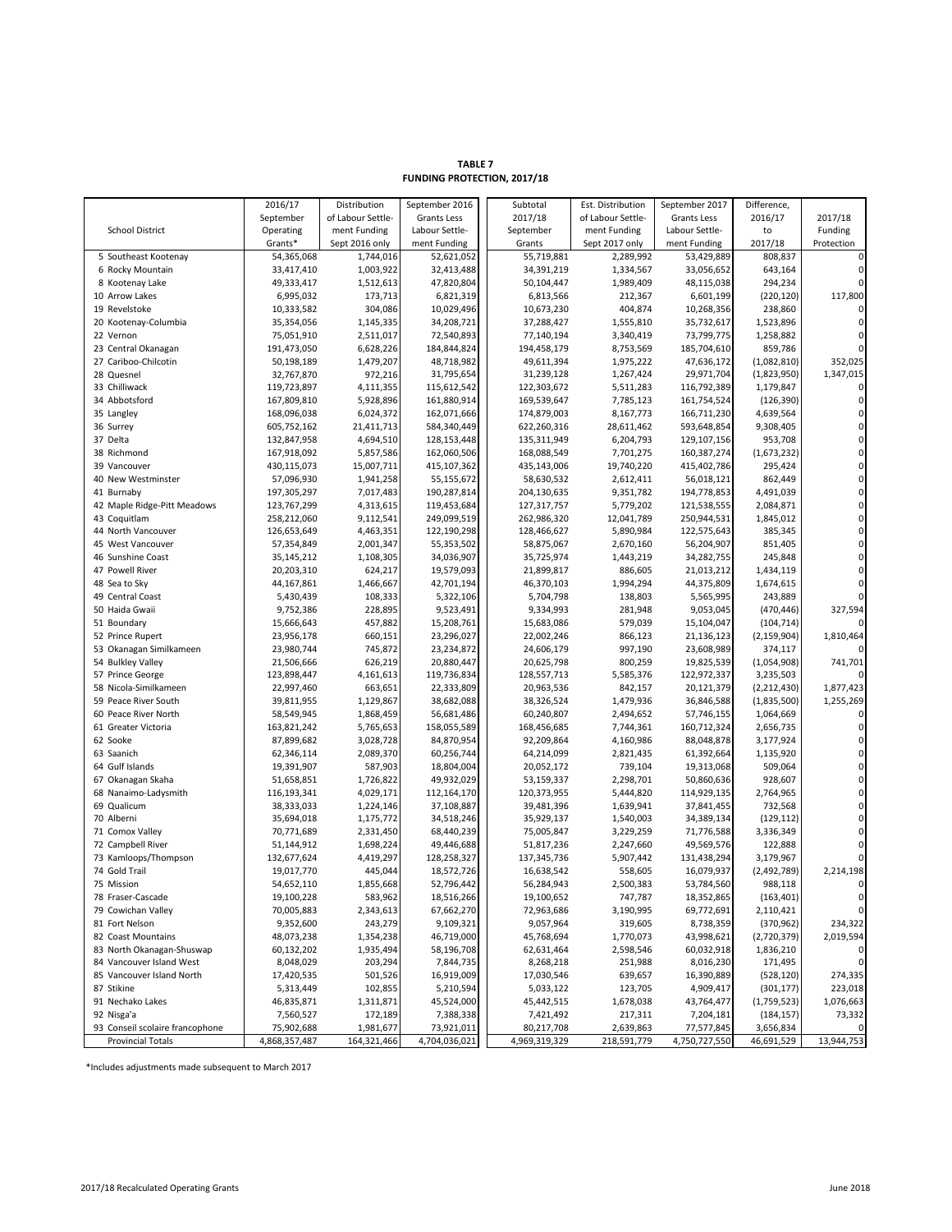|                                   | 2016/17                | Distribution       | September 2016         | Subtotal               | Est. Distribution  | September 2017         | Difference,           |                            |
|-----------------------------------|------------------------|--------------------|------------------------|------------------------|--------------------|------------------------|-----------------------|----------------------------|
|                                   | September              | of Labour Settle-  | Grants Less            | 2017/18                | of Labour Settle-  | Grants Less            | 2016/17               | 2017/18                    |
| <b>School District</b>            | Operating              | ment Funding       | Labour Settle-         | September              | ment Funding       | Labour Settle-         | to                    | Funding                    |
|                                   | Grants*                | Sept 2016 only     | ment Funding           | Grants                 | Sept 2017 only     | ment Funding           | 2017/18               | Protection                 |
| 5 Southeast Kootenay              | 54,365,068             | 1,744,016          | 52,621,052             | 55,719,881             | 2,289,992          | 53,429,889             | 808,837               | $\mathbf 0$                |
| 6 Rocky Mountain                  | 33,417,410             | 1,003,922          | 32,413,488             | 34,391,219             | 1,334,567          | 33,056,652             | 643,164               | $\mathbf 0$                |
| 8 Kootenay Lake                   | 49,333,417             | 1,512,613          | 47,820,804             | 50,104,447             | 1,989,409          | 48,115,038             | 294,234               | $\mathbf 0$                |
| 10 Arrow Lakes                    | 6,995,032              | 173,713            | 6,821,319              | 6,813,566              | 212,367            | 6,601,199              | (220, 120)            | 117,800                    |
| 19 Revelstoke                     | 10,333,582             | 304,086            | 10,029,496             | 10,673,230             | 404,874            | 10,268,356             | 238,860               |                            |
| 20 Kootenay-Columbia              | 35,354,056             | 1,145,335          | 34,208,721             | 37,288,427             | 1,555,810          | 35,732,617             | 1,523,896             | $\mathbf 0$                |
| 22 Vernon                         | 75,051,910             | 2,511,017          | 72,540,893             | 77,140,194             | 3,340,419          | 73,799,775             | 1,258,882             | $\mathbf 0$                |
| 23 Central Okanagan               | 191,473,050            | 6,628,226          | 184,844,824            | 194,458,179            | 8,753,569          | 185,704,610            | 859,786               | $\mathbf 0$                |
| 27 Cariboo-Chilcotin              | 50,198,189             | 1,479,207          | 48,718,982             | 49,611,394             | 1,975,222          | 47,636,172             | (1,082,810)           | 352,025                    |
| 28 Quesnel                        | 32,767,870             | 972,216            | 31,795,654             | 31,239,128             | 1,267,424          | 29,971,704             | (1,823,950)           | 1,347,015                  |
| 33 Chilliwack                     | 119,723,897            | 4,111,355          | 115,612,542            | 122,303,672            | 5,511,283          | 116,792,389            | 1,179,847             | $\mathbf 0$                |
| 34 Abbotsford                     | 167,809,810            | 5,928,896          | 161,880,914            | 169,539,647            | 7,785,123          | 161,754,524            | (126, 390)            | $\mathbf 0$                |
| 35 Langley                        | 168,096,038            | 6,024,372          | 162,071,666            | 174,879,003            | 8,167,773          | 166,711,230            | 4,639,564             | 0                          |
| 36 Surrey                         | 605,752,162            | 21,411,713         | 584,340,449            | 622,260,316            | 28,611,462         | 593,648,854            | 9,308,405             | $\mathbf 0$                |
| 37 Delta                          | 132,847,958            | 4,694,510          | 128,153,448            | 135,311,949            | 6,204,793          | 129,107,156            | 953,708               | $\mathbf 0$                |
| 38 Richmond                       | 167,918,092            | 5,857,586          | 162,060,506            | 168,088,549            | 7,701,275          | 160,387,274            | (1,673,232)           | $\mathbf 0$                |
| 39 Vancouver                      | 430,115,073            | 15,007,711         | 415,107,362            | 435,143,006            | 19,740,220         | 415,402,786            | 295,424               | $\mathbf 0$                |
| 40 New Westminster                | 57,096,930             | 1,941,258          | 55,155,672             | 58,630,532             | 2,612,411          | 56,018,121             | 862,449               | $\mathbf 0$                |
| 41 Burnaby                        | 197,305,297            | 7,017,483          | 190,287,814            | 204,130,635            | 9,351,782          | 194,778,853            | 4,491,039             | $\mathbf 0$                |
| 42 Maple Ridge-Pitt Meadows       | 123,767,299            | 4,313,615          | 119,453,684            | 127,317,757            | 5,779,202          | 121,538,555            | 2,084,871             | $\mathbf 0$                |
| 43 Coquitlam                      | 258,212,060            | 9,112,541          | 249,099,519            | 262,986,320            | 12,041,789         | 250,944,531            | 1,845,012             | 0                          |
| 44 North Vancouver                | 126,653,649            | 4,463,351          | 122,190,298            | 128,466,627            | 5,890,984          | 122,575,643            | 385,345               | $\mathbf 0$                |
| 45 West Vancouver                 | 57,354,849             | 2,001,347          | 55,353,502             | 58,875,067             | 2,670,160          | 56,204,907             | 851,405               | $\mathbf 0$                |
| 46 Sunshine Coast                 | 35,145,212             | 1,108,305          | 34,036,907             | 35,725,974             | 1,443,219          | 34,282,755             | 245,848               | $\mathbf 0$<br>$\mathbf 0$ |
| 47 Powell River                   | 20,203,310             | 624,217            | 19,579,093             | 21,899,817             | 886,605            | 21,013,212             | 1,434,119             | $\mathbf 0$                |
| 48 Sea to Sky<br>49 Central Coast | 44,167,861             | 1,466,667          | 42,701,194             | 46,370,103             | 1,994,294          | 44,375,809             | 1,674,615             | $\mathbf 0$                |
| 50 Haida Gwaii                    | 5,430,439<br>9,752,386 | 108,333<br>228,895 | 5,322,106<br>9,523,491 | 5,704,798<br>9,334,993 | 138,803<br>281,948 | 5,565,995<br>9,053,045 | 243,889<br>(470, 446) | 327,594                    |
| 51 Boundary                       | 15,666,643             | 457,882            | 15,208,761             | 15,683,086             | 579,039            | 15,104,047             | (104, 714)            | $\Omega$                   |
| 52 Prince Rupert                  | 23,956,178             | 660,151            | 23,296,027             | 22,002,246             | 866,123            | 21,136,123             | (2, 159, 904)         | 1,810,464                  |
| 53 Okanagan Similkameen           | 23,980,744             | 745,872            | 23,234,872             | 24,606,179             | 997,190            | 23,608,989             | 374,117               | $\Omega$                   |
| 54 Bulkley Valley                 | 21,506,666             | 626,219            | 20,880,447             | 20,625,798             | 800,259            | 19,825,539             | (1,054,908)           | 741,701                    |
| 57 Prince George                  | 123,898,447            | 4,161,613          | 119,736,834            | 128,557,713            | 5,585,376          | 122,972,337            | 3,235,503             | O                          |
| 58 Nicola-Similkameen             | 22,997,460             | 663,651            | 22,333,809             | 20,963,536             | 842,157            | 20,121,379             | (2,212,430)           | 1,877,423                  |
| 59 Peace River South              | 39,811,955             | 1,129,867          | 38,682,088             | 38,326,524             | 1,479,936          | 36,846,588             | (1,835,500)           | 1,255,269                  |
| 60 Peace River North              | 58,549,945             | 1,868,459          | 56,681,486             | 60,240,807             | 2,494,652          | 57,746,155             | 1,064,669             | $\mathbf 0$                |
| 61 Greater Victoria               | 163,821,242            | 5,765,653          | 158,055,589            | 168,456,685            | 7,744,361          | 160,712,324            | 2,656,735             | $\mathbf 0$                |
| 62 Sooke                          | 87,899,682             | 3,028,728          | 84,870,954             | 92,209,864             | 4,160,986          | 88,048,878             | 3,177,924             | 0                          |
| 63 Saanich                        | 62,346,114             | 2,089,370          | 60,256,744             | 64,214,099             | 2,821,435          | 61,392,664             | 1,135,920             | $\mathbf 0$                |
| 64 Gulf Islands                   | 19,391,907             | 587,903            | 18,804,004             | 20,052,172             | 739,104            | 19,313,068             | 509,064               | $\mathbf 0$                |
| 67 Okanagan Skaha                 | 51,658,851             | 1,726,822          | 49,932,029             | 53,159,337             | 2,298,701          | 50,860,636             | 928,607               | $\mathbf 0$                |
| 68 Nanaimo-Ladysmith              | 116,193,341            | 4,029,171          | 112,164,170            | 120,373,955            | 5,444,820          | 114,929,135            | 2,764,965             | $\mathbf 0$                |
| 69 Qualicum                       | 38,333,033             | 1,224,146          | 37,108,887             | 39,481,396             | 1,639,941          | 37,841,455             | 732,568               | $\mathbf 0$                |
| 70 Alberni                        | 35,694,018             | 1,175,772          | 34,518,246             | 35,929,137             | 1,540,003          | 34,389,134             | (129, 112)            | 0                          |
| 71 Comox Valley                   | 70,771,689             | 2,331,450          | 68,440,239             | 75,005,847             | 3,229,259          | 71,776,588             | 3,336,349             | $\mathbf 0$                |
| 72 Campbell River                 | 51,144,912             | 1,698,224          | 49,446,688             | 51,817,236             | 2,247,660          | 49,569,576             | 122,888               | $\mathbf 0$                |
| 73 Kamloops/Thompson              | 132,677,624            | 4,419,297          | 128,258,327            | 137,345,736            | 5,907,442          | 131,438,294            | 3,179,967             | $\mathbf 0$                |
| 74 Gold Trail                     | 19,017,770             | 445,044            | 18,572,726             | 16,638,542             | 558,605            | 16,079,937             | (2,492,789)           | 2,214,198                  |
| 75 Mission                        | 54,652,110             | 1,855,668          | 52,796,442             | 56,284,943             | 2,500,383          | 53,784,560             | 988,118               | $\mathbf 0$                |
| 78 Fraser-Cascade                 | 19,100,228             | 583,962            | 18,516,266             | 19,100,652             | 747,787            | 18,352,865             | (163, 401)            | 0                          |
| 79 Cowichan Valley                | 70,005,883             | 2,343,613          | 67,662,270             | 72,963,686             | 3,190,995          | 69,772,691             | 2,110,421             | $\mathbf 0$                |
| 81 Fort Nelson                    | 9,352,600              | 243,279            | 9,109,321              | 9,057,964              | 319,605            | 8,738,359              | (370, 962)            | 234,322                    |
| 82 Coast Mountains                | 48,073,238             | 1,354,238          | 46,719,000             | 45,768,694             | 1,770,073          | 43,998,621             | (2,720,379)           | 2,019,594                  |
| 83 North Okanagan-Shuswap         | 60,132,202             | 1,935,494          | 58,196,708             | 62,631,464             | 2,598,546          | 60,032,918             | 1,836,210             | 0                          |
| 84 Vancouver Island West          | 8,048,029              | 203,294            | 7,844,735              | 8,268,218              | 251,988            | 8,016,230              | 171,495               | $\mathbf 0$                |
| 85 Vancouver Island North         | 17,420,535             | 501,526            | 16,919,009             | 17,030,546             | 639,657            | 16,390,889             | (528, 120)            | 274,335                    |
| 87 Stikine                        | 5,313,449              | 102,855            | 5,210,594              | 5,033,122              | 123,705            | 4,909,417              | (301, 177)            | 223,018                    |
| 91 Nechako Lakes                  | 46,835,871             | 1,311,871          | 45,524,000             | 45,442,515             | 1,678,038          | 43,764,477             | (1,759,523)           | 1,076,663                  |
| 92 Nisga'a                        | 7,560,527              | 172,189            | 7,388,338              | 7,421,492              | 217,311            | 7,204,181              | (184, 157)            | 73,332                     |
| 93 Conseil scolaire francophone   | 75,902,688             | 1,981,677          | 73,921,011             | 80,217,708             | 2,639,863          | 77,577,845             | 3,656,834             | 0                          |
| <b>Provincial Totals</b>          | 4,868,357,487          | 164,321,466        | 4,704,036,021          | 4,969,319,329          | 218,591,779        | 4,750,727,550          | 46,691,529            | 13,944,753                 |

**FUNDING PROTECTION, 2017/18 TABLE 7**

\*Includes adjustments made subsequent to March 2017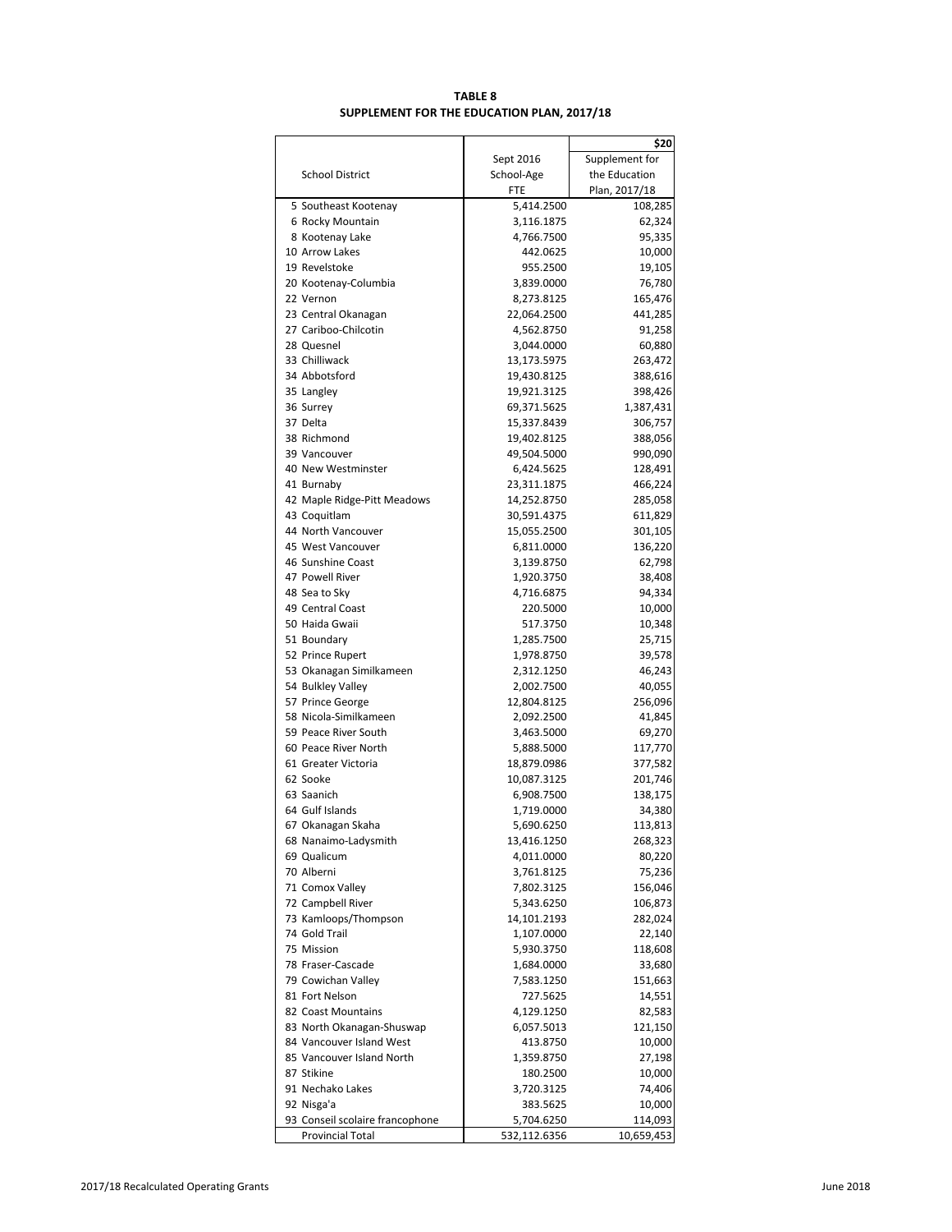# **TABLE 8 SUPPLEMENT FOR THE EDUCATION PLAN, 2017/18**

|                                               |                          | \$20              |
|-----------------------------------------------|--------------------------|-------------------|
|                                               | Sept 2016                | Supplement for    |
| <b>School District</b>                        | School-Age               | the Education     |
|                                               | FTE                      | Plan, 2017/18     |
| 5 Southeast Kootenay                          | 5,414.2500               | 108,285           |
| 6 Rocky Mountain                              | 3,116.1875               | 62,324            |
| 8 Kootenay Lake                               | 4,766.7500               | 95,335            |
| 10 Arrow Lakes                                | 442.0625                 | 10,000            |
| 19 Revelstoke                                 | 955.2500                 | 19,105            |
| 20 Kootenay-Columbia                          | 3,839.0000               | 76,780            |
| 22 Vernon                                     | 8,273.8125               | 165,476           |
| 23 Central Okanagan                           | 22,064.2500              | 441,285           |
| 27 Cariboo-Chilcotin                          | 4,562.8750               | 91,258            |
| 28 Quesnel                                    | 3,044.0000               | 60,880            |
| 33 Chilliwack                                 | 13,173.5975              | 263,472           |
| 34 Abbotsford                                 | 19,430.8125              | 388,616           |
| 35 Langley                                    | 19,921.3125              | 398,426           |
| 36 Surrey                                     | 69,371.5625              | 1,387,431         |
| 37 Delta                                      | 15,337.8439              | 306,757           |
| 38 Richmond                                   | 19,402.8125              | 388,056           |
| 39 Vancouver                                  | 49,504.5000              | 990,090           |
| 40 New Westminster                            | 6,424.5625               | 128,491           |
| 41 Burnaby                                    | 23,311.1875              | 466,224           |
| 42 Maple Ridge-Pitt Meadows                   | 14,252.8750              | 285,058           |
| 43 Coquitlam                                  | 30,591.4375              | 611,829           |
| 44 North Vancouver                            | 15,055.2500              | 301,105           |
| 45 West Vancouver                             | 6,811.0000               | 136,220           |
| 46 Sunshine Coast                             | 3,139.8750               | 62,798            |
| 47 Powell River                               | 1,920.3750               | 38,408            |
| 48 Sea to Sky                                 | 4,716.6875               | 94,334            |
| 49 Central Coast                              | 220.5000                 | 10,000            |
| 50 Haida Gwaii                                | 517.3750                 | 10,348            |
| 51 Boundary                                   | 1,285.7500               | 25,715            |
| 52 Prince Rupert                              | 1,978.8750               | 39,578            |
| 53 Okanagan Similkameen                       | 2,312.1250               | 46,243            |
| 54 Bulkley Valley                             | 2,002.7500               | 40,055            |
| 57 Prince George                              | 12,804.8125              | 256,096           |
| 58 Nicola-Similkameen<br>59 Peace River South | 2,092.2500<br>3,463.5000 | 41,845            |
| 60 Peace River North                          | 5,888.5000               | 69,270<br>117,770 |
| 61 Greater Victoria                           | 18,879.0986              | 377,582           |
| 62 Sooke                                      | 10,087.3125              | 201,746           |
| 63 Saanich                                    | 6,908.7500               | 138,175           |
| 64 Gulf Islands                               | 1,719.0000               | 34,380            |
| 67 Okanagan Skaha                             | 5,690.6250               | 113,813           |
| 68 Nanaimo-Ladysmith                          | 13,416.1250              | 268,323           |
| 69 Qualicum                                   | 4,011.0000               | 80,220            |
| 70 Alberni                                    | 3,761.8125               | 75,236            |
| 71 Comox Valley                               | 7,802.3125               | 156,046           |
| 72 Campbell River                             | 5,343.6250               | 106,873           |
| 73 Kamloops/Thompson                          | 14,101.2193              | 282,024           |
| 74 Gold Trail                                 | 1,107.0000               | 22,140            |
| 75 Mission                                    | 5,930.3750               | 118,608           |
| 78 Fraser-Cascade                             | 1,684.0000               | 33,680            |
| 79 Cowichan Valley                            | 7,583.1250               | 151,663           |
| 81 Fort Nelson                                | 727.5625                 | 14,551            |
| 82 Coast Mountains                            | 4,129.1250               | 82,583            |
| 83 North Okanagan-Shuswap                     | 6,057.5013               | 121,150           |
| 84 Vancouver Island West                      | 413.8750                 | 10,000            |
| 85 Vancouver Island North                     | 1,359.8750               | 27,198            |
| 87 Stikine                                    | 180.2500                 | 10,000            |
| 91 Nechako Lakes                              | 3,720.3125               | 74,406            |
| 92 Nisga'a                                    | 383.5625                 | 10,000            |
| 93 Conseil scolaire francophone               | 5,704.6250               | 114,093           |
| <b>Provincial Total</b>                       | 532,112.6356             | 10,659,453        |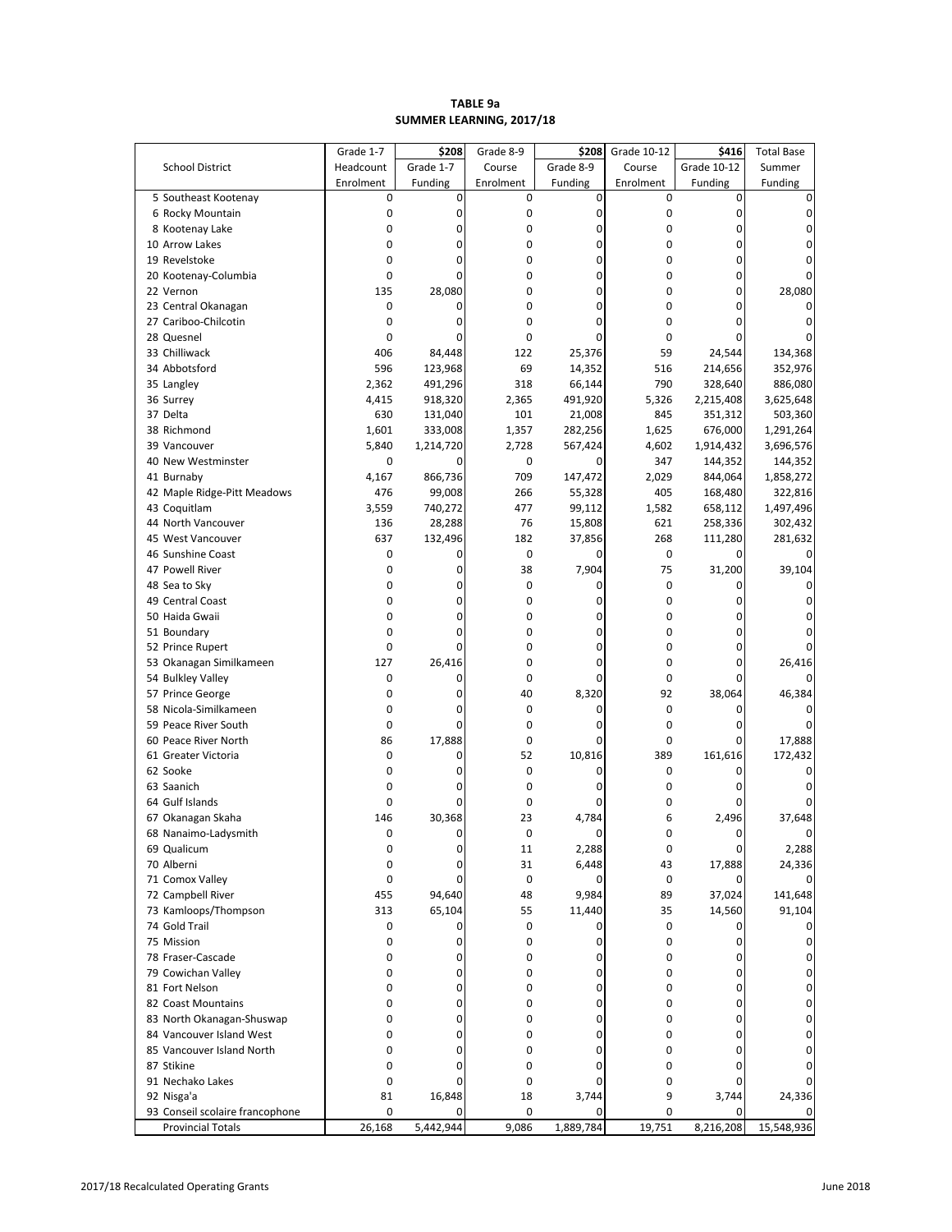### **SUMMER LEARNING, 2017/18 TABLE 9a**

|                                              | Grade 1-7 | \$208          | Grade 8-9   | \$208         | Grade 10-12       | \$416          | <b>Total Base</b> |
|----------------------------------------------|-----------|----------------|-------------|---------------|-------------------|----------------|-------------------|
| <b>School District</b>                       | Headcount | Grade 1-7      | Course      | Grade 8-9     | Course            | Grade 10-12    | Summer            |
|                                              | Enrolment | Funding        | Enrolment   | Funding       | Enrolment         | Funding        | Funding           |
| 5 Southeast Kootenay                         | 0         | 0              | 0           | 0             | $\mathbf 0$       | 0              | 0                 |
| 6 Rocky Mountain                             | 0         | 0              | $\mathbf 0$ | 0             | $\mathbf 0$       | 0              | 0                 |
| 8 Kootenay Lake                              | 0         | $\overline{0}$ | $\mathbf 0$ | 0             | $\mathbf 0$       | 0              | 0                 |
| 10 Arrow Lakes                               | 0         | 0              | 0           | 0             | 0                 | 0              | 0                 |
| 19 Revelstoke                                | 0         | 0              | $\mathbf 0$ | 0             | 0                 | 0              | 0                 |
| 20 Kootenay-Columbia                         | 0         | $\Omega$       | $\mathbf 0$ | 0             | $\mathbf 0$       | 0              | $\Omega$          |
| 22 Vernon                                    | 135       | 28,080         | 0           | 0             | $\mathbf 0$       | 0              | 28,080            |
| 23 Central Okanagan                          | 0         | 0              | $\mathbf 0$ | 0             | 0                 | $\Omega$       | 0                 |
| 27 Cariboo-Chilcotin                         | 0         | $\Omega$       | $\mathbf 0$ | 0             | 0                 | $\Omega$       | $\Omega$          |
| 28 Quesnel                                   | 0         | 0              | $\mathbf 0$ | 0             | $\mathbf 0$       | 0              | 0                 |
| 33 Chilliwack                                | 406       | 84,448         | 122         | 25,376        | 59                | 24,544         | 134,368           |
| 34 Abbotsford                                | 596       | 123,968        | 69          | 14,352        | 516               | 214,656        | 352,976           |
| 35 Langley                                   | 2,362     | 491,296        | 318         | 66,144        | 790               | 328,640        | 886,080           |
| 36 Surrey                                    | 4,415     | 918,320        | 2,365       | 491,920       | 5,326             | 2,215,408      | 3,625,648         |
| 37 Delta                                     | 630       | 131,040        | 101         | 21,008        | 845               | 351,312        | 503,360           |
| 38 Richmond                                  | 1,601     | 333,008        | 1,357       | 282,256       | 1,625             | 676,000        | 1,291,264         |
| 39 Vancouver                                 | 5,840     | 1,214,720      | 2,728       | 567,424       | 4,602             | 1,914,432      | 3,696,576         |
| 40 New Westminster                           | 0         | 0              | $\mathbf 0$ | 0             | 347               | 144,352        | 144,352           |
| 41 Burnaby                                   | 4,167     | 866,736        | 709         | 147,472       | 2,029             | 844,064        | 1,858,272         |
| 42 Maple Ridge-Pitt Meadows                  | 476       | 99,008         | 266         | 55,328        | 405               | 168,480        | 322,816           |
| 43 Coquitlam                                 | 3,559     | 740,272        | 477         | 99,112        | 1,582             | 658,112        | 1,497,496         |
| 44 North Vancouver                           | 136       | 28,288         | 76          | 15,808        | 621               | 258,336        | 302,432           |
| 45 West Vancouver                            | 637       | 132,496        | 182         | 37,856        | 268               | 111,280        | 281,632           |
| 46 Sunshine Coast                            | 0         | 0              | $\mathbf 0$ |               | $\mathbf 0$       | $\Omega$       |                   |
| 47 Powell River                              | 0         | 0              | 38          | 7,904         | 75                | 31,200         | 39,104            |
| 48 Sea to Sky                                | 0         | 0              | $\mathbf 0$ | 0             | $\mathbf 0$       | 0              | 0                 |
| 49 Central Coast                             | 0         | 0              | $\mathbf 0$ | 0             | 0                 | 0              | 0                 |
| 50 Haida Gwaii                               | 0         | 0              | $\mathbf 0$ | 0             | 0                 | 0              | 0                 |
| 51 Boundary                                  | 0         | 0              | $\mathbf 0$ | 0             | $\mathbf 0$       | 0              | $\Omega$          |
|                                              | 0         | $\Omega$       | $\mathbf 0$ | 0             | 0                 | 0              |                   |
| 52 Prince Rupert                             |           |                |             |               |                   |                |                   |
| 53 Okanagan Similkameen                      | 127<br>0  | 26,416<br>0    | 0<br>0      | 0<br>$\Omega$ | 0<br>$\mathbf 0$  | 0<br>0         | 26,416            |
| 54 Bulkley Valley                            |           |                |             |               |                   |                | 0                 |
| 57 Prince George                             | 0<br>0    | 0<br>0         | 40<br>0     | 8,320         | 92<br>$\mathbf 0$ | 38,064         | 46,384            |
| 58 Nicola-Similkameen                        | 0         | 0              | $\mathbf 0$ | 0<br>0        | $\mathbf 0$       | 0<br>$\Omega$  | $\Omega$          |
| 59 Peace River South<br>60 Peace River North | 86        | 17,888         | 0           | 0             | 0                 | 0              |                   |
| 61 Greater Victoria                          | 0         | 0              | 52          |               | 389               | 161,616        | 17,888            |
| 62 Sooke                                     | 0         | 0              | 0           | 10,816<br>0   | 0                 | 0              | 172,432<br>0      |
| 63 Saanich                                   | 0         | 0              | $\bf{0}$    | 0             | 0                 | 0              | 0                 |
|                                              | 0         | 0              | $\bf{0}$    |               | 0                 | 0              |                   |
| 64 Gulf Islands                              | 146       | 30,368         | 23          | 0             |                   | 2,496          | 0<br>37,648       |
| 67 Okanagan Skaha                            |           | 0              | $\mathbf 0$ | 4,784         | 6                 |                |                   |
| 68 Nanaimo-Ladysmith                         | 0         |                |             | 0             | 0<br>$\mathbf 0$  | 0              | $\overline{0}$    |
| 69 Qualicum                                  | 0         | 0              | 11          | 2,288         |                   | 0              | 2,288             |
| 70 Alberni                                   | 0<br>0    | 0<br>0         | 31          | 6,448         | 43                | 17,888         | 24,336            |
| 71 Comox Valley                              |           |                | 0           | 0             | 0                 | 0              | 0                 |
| 72 Campbell River                            | 455       | 94,640         | 48          | 9,984         | 89                | 37,024         | 141,648           |
| 73 Kamloops/Thompson<br>74 Gold Trail        | 313       | 65,104         | 55          | 11,440        | 35                | 14,560         | 91,104            |
|                                              | 0         | 0              | 0           | 0             | $\mathbf 0$       | 0              | 0                 |
| 75 Mission                                   | 0         | 0              | $\mathbf 0$ | 0             | 0                 | 0              | 0                 |
| 78 Fraser-Cascade                            | 0         | 0              | $\mathbf 0$ | 0             | 0                 | 0              | 0                 |
| 79 Cowichan Valley                           | 0         | 0              | 0           | $\mathbf 0$   | 0                 | 0              | 0                 |
| 81 Fort Nelson                               | 0         | 0              | 0           | 0             | 0                 | 0              | 0                 |
| 82 Coast Mountains                           | 0         | $\Omega$       | 0           | 0             | 0                 | 0              | 0                 |
| 83 North Okanagan-Shuswap                    | 0         | 0              | 0           | 0             | 0                 | 0              | 0                 |
| 84 Vancouver Island West                     | 0         | 0              | 0           | 0             | 0                 | 0              | 0                 |
| 85 Vancouver Island North                    | 0         | $\Omega$       | 0           | 0             | $\mathbf 0$       | $\overline{0}$ | 0                 |
| 87 Stikine                                   | 0         | 0              | 0           | 0             | 0                 | 0              | 0                 |
| 91 Nechako Lakes                             | 0         | 0              | $\mathbf 0$ | 0             | 0                 | 0              | 0                 |
| 92 Nisga'a                                   | 81        | 16,848         | 18          | 3,744         | 9                 | 3,744          | 24,336            |
| 93 Conseil scolaire francophone              | 0         | $\Omega$       | 0           | 0             | 0                 | $\Omega$       |                   |
| <b>Provincial Totals</b>                     | 26,168    | 5,442,944      | 9,086       | 1,889,784     | 19,751            | 8,216,208      | 15,548,936        |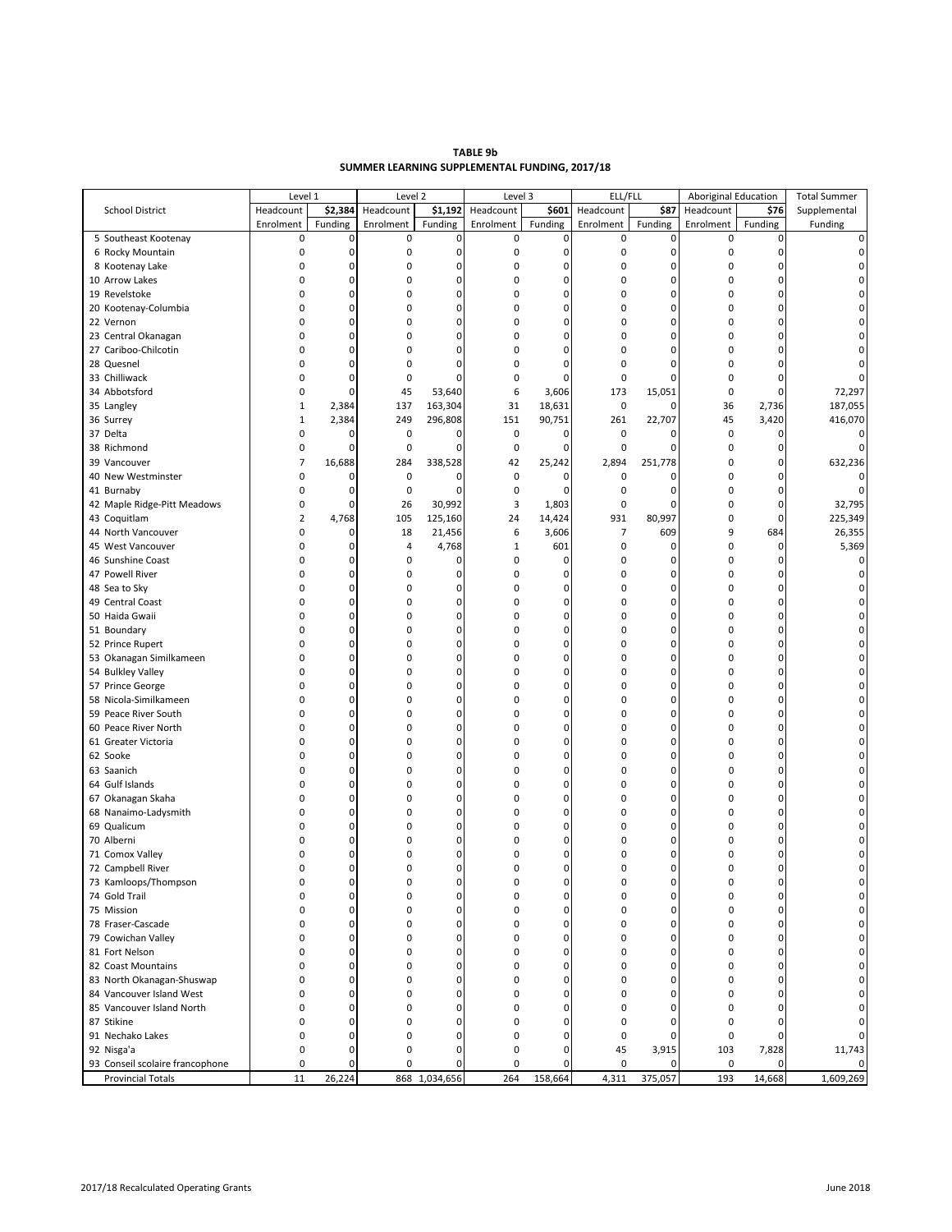| TABLE 9b                                      |  |
|-----------------------------------------------|--|
| SUMMER LEARNING SUPPLEMENTAL FUNDING. 2017/18 |  |

|                                 | Level 1        |             | Level 2     |               | Level 3      |         | ELL/FLL        |             | <b>Aboriginal Education</b> |             | <b>Total Summer</b> |
|---------------------------------|----------------|-------------|-------------|---------------|--------------|---------|----------------|-------------|-----------------------------|-------------|---------------------|
| <b>School District</b>          | Headcount      | \$2,384     | Headcount   | \$1,192       | Headcount    | \$601   | Headcount      | \$87        | Headcount                   | \$76        | Supplemental        |
|                                 | Enrolment      | Funding     | Enrolment   | Funding       | Enrolment    | Funding | Enrolment      | Funding     | Enrolment                   | Funding     | Funding             |
| 5 Southeast Kootenay            | 0              | $\pmb{0}$   | 0           | 0             | 0            | 0       | 0              | $\mathbf 0$ | 0                           | $\mathbf 0$ | 0                   |
| 6 Rocky Mountain                | 0              | 0           | $\mathbf 0$ | 0             | $\pmb{0}$    | 0       | $\pmb{0}$      | $\mathbf 0$ | 0                           | 0           | 0                   |
| 8 Kootenay Lake                 | $\mathbf 0$    | $\mathbf 0$ | $\mathbf 0$ | 0             | 0            | 0       | $\pmb{0}$      | $\mathbf 0$ | $\mathbf 0$                 |             | 0                   |
| 10 Arrow Lakes                  | $\mathbf 0$    | 0           | $\mathbf 0$ | 0             | 0            | 0       | $\pmb{0}$      | $\mathbf 0$ | $\mathbf 0$                 | 0           | 0                   |
| 19 Revelstoke                   | $\mathbf 0$    | $\mathbf 0$ | $\mathbf 0$ | 0             | 0            | 0       | $\pmb{0}$      | $\mathbf 0$ | $\mathbf 0$                 |             | $\Omega$            |
| 20 Kootenay-Columbia            | $\mathbf 0$    | 0           | $\mathbf 0$ | 0             | 0            | 0       | $\pmb{0}$      | $\mathbf 0$ | 0                           | 0           | 0                   |
| 22 Vernon                       | $\mathbf 0$    | $\mathbf 0$ | $\mathbf 0$ | 0             | 0            | 0       | $\pmb{0}$      | $\mathbf 0$ | $\mathbf 0$                 | $\Omega$    | $\Omega$            |
| 23 Central Okanagan             | $\mathbf 0$    | 0           | $\mathbf 0$ | 0             | 0            | 0       | $\pmb{0}$      | $\mathbf 0$ | 0                           | 0           | 0                   |
| 27 Cariboo-Chilcotin            | $\mathbf 0$    | $\mathbf 0$ | $\mathbf 0$ | 0             | 0            | 0       | $\mathbf 0$    | $\mathbf 0$ | $\mathbf 0$                 |             | 0                   |
| 28 Quesnel                      | $\mathbf 0$    | 0           | $\mathbf 0$ | 0             | 0            | 0       | $\pmb{0}$      | $\mathbf 0$ | $\mathbf 0$                 | 0           |                     |
|                                 |                | $\mathbf 0$ |             |               |              |         |                |             |                             |             |                     |
| 33 Chilliwack                   | 0              |             | $\mathbf 0$ | 0             | $\mathbf 0$  | 0       | $\pmb{0}$      | $\mathbf 0$ | $\mathbf 0$                 | 0           |                     |
| 34 Abbotsford                   | 0              | 0           | 45          | 53,640        | 6            | 3,606   | 173            | 15,051      | $\mathbf 0$                 | $\mathbf 0$ | 72,297              |
| 35 Langley                      | $\mathbf{1}$   | 2,384       | 137         | 163,304       | 31           | 18,631  | $\pmb{0}$      | $\mathbf 0$ | 36                          | 2,736       | 187,055             |
| 36 Surrey                       | $\mathbf{1}$   | 2,384       | 249         | 296,808       | 151          | 90,751  | 261            | 22,707      | 45                          | 3,420       | 416,070             |
| 37 Delta                        | 0              | 0           | 0           | 0             | 0            | 0       | $\pmb{0}$      | 0           | 0                           | 0           | 0                   |
| 38 Richmond                     | 0              | 0           | $\mathbf 0$ | 0             | 0            | 0       | $\pmb{0}$      | $\mathbf 0$ | 0                           | 0           | $\Omega$            |
| 39 Vancouver                    | $\overline{7}$ | 16,688      | 284         | 338,528       | 42           | 25,242  | 2,894          | 251,778     | $\mathbf 0$                 | 0           | 632,236             |
| 40 New Westminster              | 0              | 0           | $\mathbf 0$ | 0             | 0            | 0       | 0              | $\mathbf 0$ | 0                           | 0           |                     |
| 41 Burnaby                      | 0              | 0           | 0           | 0             | $\pmb{0}$    | 0       | $\pmb{0}$      | $\mathbf 0$ | $\mathbf 0$                 | 0           | 0                   |
| 42 Maple Ridge-Pitt Meadows     | 0              | $\mathbf 0$ | 26          | 30,992        | 3            | 1,803   | $\pmb{0}$      | $\mathbf 0$ | 0                           | 0           | 32,795              |
| 43 Coquitlam                    | $\overline{2}$ | 4,768       | 105         | 125,160       | 24           | 14,424  | 931            | 80,997      | $\mathbf 0$                 | $\mathbf 0$ | 225,349             |
| 44 North Vancouver              | 0              | 0           | 18          | 21,456        | 6            | 3,606   | $\overline{7}$ | 609         | 9                           | 684         | 26,355              |
| 45 West Vancouver               | 0              | 0           | 4           | 4,768         | $\mathbf{1}$ | 601     | $\pmb{0}$      | $\mathbf 0$ | $\mathbf 0$                 | 0           | 5,369               |
| 46 Sunshine Coast               | $\mathbf 0$    | 0           | 0           | 0             | 0            | 0       | $\pmb{0}$      | $\mathbf 0$ | $\mathbf 0$                 | $\Omega$    | 0                   |
| 47 Powell River                 | $\mathbf 0$    | $\mathbf 0$ | 0           | 0             | 0            | 0       | $\pmb{0}$      | $\mathbf 0$ | $\mathbf 0$                 |             | 0                   |
| 48 Sea to Sky                   | $\mathbf 0$    | 0           | 0           | 0             | 0            | 0       | $\pmb{0}$      | $\pmb{0}$   | $\mathbf 0$                 | 0           | 0                   |
| 49 Central Coast                | $\mathbf 0$    | $\mathbf 0$ | $\mathbf 0$ | 0             | 0            | 0       | $\pmb{0}$      | $\mathbf 0$ | 0                           | $\Omega$    | 0                   |
| 50 Haida Gwaii                  | $\mathbf 0$    | 0           | $\mathbf 0$ | 0             | 0            | 0       | $\pmb{0}$      | $\pmb{0}$   | $\mathbf 0$                 | 0           | 0                   |
| 51 Boundary                     | $\mathbf 0$    | $\mathbf 0$ | $\mathbf 0$ | 0             | 0            | 0       | $\pmb{0}$      | $\mathbf 0$ | $\mathbf 0$                 | $\Omega$    | $\Omega$            |
| 52 Prince Rupert                | $\mathbf 0$    | 0           | $\mathbf 0$ | 0             | 0            | 0       | $\pmb{0}$      | $\mathbf 0$ | 0                           | 0           | 0                   |
| 53 Okanagan Similkameen         | $\mathbf 0$    | $\mathbf 0$ | 0           | 0             | 0            | 0       | $\pmb{0}$      | $\mathbf 0$ | 0                           | $\Omega$    | 0                   |
| 54 Bulkley Valley               | $\mathbf 0$    | 0           | 0           | 0             | 0            | 0       | $\pmb{0}$      | $\pmb{0}$   | 0                           | 0           | 0                   |
| 57 Prince George                | $\mathbf 0$    | $\mathbf 0$ | 0           | 0             | 0            | 0       | $\pmb{0}$      | $\mathbf 0$ | $\mathbf 0$                 | $\Omega$    | 0                   |
| 58 Nicola-Similkameen           | $\mathbf 0$    | 0           | $\mathbf 0$ | 0             | 0            | 0       | $\pmb{0}$      | $\pmb{0}$   | 0                           | 0           | 0                   |
| 59 Peace River South            | $\mathbf 0$    | $\mathbf 0$ | $\mathbf 0$ | 0             | 0            | 0       | $\pmb{0}$      | $\mathbf 0$ | $\mathbf 0$                 | $\Omega$    | 0                   |
| 60 Peace River North            | $\mathbf 0$    | 0           | $\mathbf 0$ | 0             | 0            | 0       | $\pmb{0}$      | $\pmb{0}$   | 0                           | 0           | 0                   |
|                                 | $\mathbf 0$    | $\mathbf 0$ | $\mathbf 0$ | 0             | 0            | 0       | $\pmb{0}$      | $\mathbf 0$ | $\mathbf 0$                 | $\Omega$    | 0                   |
| 61 Greater Victoria             | $\mathbf 0$    | 0           | $\mathbf 0$ |               |              | 0       | $\pmb{0}$      | $\pmb{0}$   |                             | 0           | 0                   |
| 62 Sooke                        |                | $\mathbf 0$ |             | 0             | 0            | 0       |                | $\mathbf 0$ | 0                           | $\Omega$    |                     |
| 63 Saanich                      | $\mathbf 0$    |             | $\mathbf 0$ | 0             | 0            |         | $\pmb{0}$      |             | $\mathbf 0$                 |             | 0                   |
| 64 Gulf Islands                 | $\mathbf 0$    | 0           | $\mathbf 0$ | 0             | 0            | 0       | $\pmb{0}$      | $\mathbf 0$ | 0                           | 0           | 0                   |
| 67 Okanagan Skaha               | $\mathbf 0$    | 0           | $\mathbf 0$ | 0             | 0            | 0       | $\pmb{0}$      | $\mathbf 0$ | $\mathbf 0$                 | $\Omega$    | $\Omega$            |
| 68 Nanaimo-Ladysmith            | $\mathbf 0$    | 0           | $\mathbf 0$ | 0             | 0            | 0       | $\pmb{0}$      | $\mathbf 0$ | 0                           | 0           | 0                   |
| 69 Qualicum                     | $\mathbf 0$    | $\mathbf 0$ | $\mathbf 0$ | 0             | 0            | 0       | $\pmb{0}$      | $\mathbf 0$ | $\mathbf 0$                 | $\Omega$    |                     |
| 70 Alberni                      | $\Omega$       | 0           | $\mathbf 0$ | 0             | 0            | 0       | $\pmb{0}$      | $\mathbf 0$ | 0                           | 0           |                     |
| 71 Comox Valley                 | 0              | $\mathbf 0$ | $\mathbf 0$ | 0             | 0            | 0       | $\pmb{0}$      | $\mathbf 0$ | 0                           |             |                     |
| 72 Campbell River               | 0              | 0           | $\mathbf 0$ | 0             | 0            | 0       | $\pmb{0}$      | $\pmb{0}$   | $\mathbf 0$                 | 0           | 0                   |
| 73 Kamloops/Thompson            | $\Omega$       | 0           | $\mathbf 0$ | $\Omega$      | $\Omega$     | 0       | 0              | $\Omega$    |                             |             |                     |
| 74 Gold Trail                   | 0              | 0           | 0           | 0             | 0            | 0       | 0              | $\mathbf 0$ | 0                           | 0           | 0                   |
| 75 Mission                      | $\mathbf 0$    | 0           | $\mathbf 0$ | 0             | 0            | 0       | $\pmb{0}$      | $\mathbf 0$ | 0                           | 0           | $\pmb{0}$           |
| 78 Fraser-Cascade               | 0              | 0           | $\mathbf 0$ | 0             | 0            | 0       | $\pmb{0}$      | $\mathbf 0$ | 0                           | 0           | 0                   |
| 79 Cowichan Valley              | 0              | 0           | $\mathbf 0$ | 0             | 0            | 0       | $\pmb{0}$      | $\mathbf 0$ | 0                           | $\Omega$    | 0                   |
| 81 Fort Nelson                  | 0              | 0           | 0           | 0             | 0            | 0       | 0              | $\pmb{0}$   | 0                           | 0           | 0                   |
| 82 Coast Mountains              | 0              | 0           | 0           | 0             | 0            | 0       | $\pmb{0}$      | $\mathbf 0$ | 0                           | 0           | 0                   |
| 83 North Okanagan-Shuswap       | 0              | 0           | $\mathbf 0$ | 0             | 0            | 0       | 0              | $\mathbf 0$ | 0                           | 0           | 0                   |
| 84 Vancouver Island West        | 0              | 0           | $\mathbf 0$ | 0             | 0            | 0       | $\pmb{0}$      | $\Omega$    | $\mathbf 0$                 | $\Omega$    | 0                   |
| 85 Vancouver Island North       | 0              | 0           | 0           | 0             | 0            | 0       | 0              | $\mathbf 0$ | 0                           | 0           | 0                   |
| 87 Stikine                      | 0              | 0           | 0           | 0             | 0            | 0       | 0              | $\Omega$    | 0                           | $\Omega$    | 0                   |
| 91 Nechako Lakes                | 0              | 0           | $\mathbf 0$ | 0             | $\mathbf 0$  | 0       | 0              | $\mathbf 0$ | 0                           | 0           | $\Omega$            |
| 92 Nisga'a                      | 0              | 0           | $\mathbf 0$ | 0             | 0            | 0       | 45             | 3,915       | 103                         | 7,828       | 11,743              |
| 93 Conseil scolaire francophone | 0              | 0           | $\pmb{0}$   | $\mathbf{0}$  | 0            | 0       | 0              | 0           | 0                           | 0           |                     |
| <b>Provincial Totals</b>        | 11             | 26,224      |             | 868 1,034,656 | 264          | 158,664 | 4,311          | 375,057     | 193                         | 14,668      | 1,609,269           |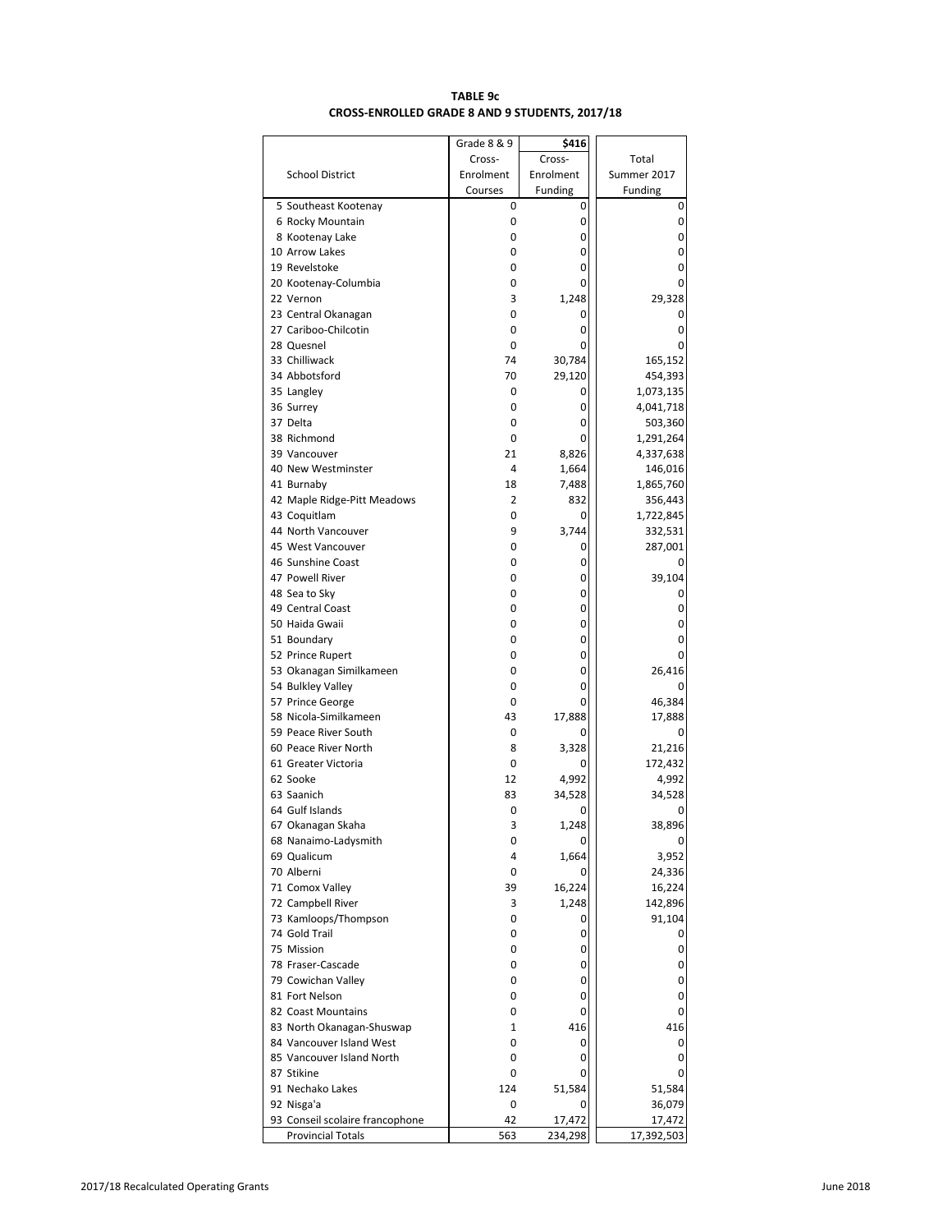# **TABLE 9c CROSS-ENROLLED GRADE 8 AND 9 STUDENTS, 2017/18**

|                                 | Grade 8 & 9          | \$416                |                        |
|---------------------------------|----------------------|----------------------|------------------------|
|                                 | Cross-               | Cross-               | Total                  |
| <b>School District</b>          | Enrolment<br>Courses | Enrolment<br>Funding | Summer 2017<br>Funding |
| 5 Southeast Kootenay            | 0                    | 0                    | 0                      |
| 6 Rocky Mountain                | 0                    | 0                    | 0                      |
| 8 Kootenay Lake                 | 0                    | 0                    | 0                      |
| 10 Arrow Lakes                  | 0                    | 0                    | 0                      |
| 19 Revelstoke                   | 0                    | 0                    | 0                      |
| 20 Kootenay-Columbia            | 0                    | 0                    | 0                      |
| 22 Vernon                       | 3                    | 1,248                | 29,328                 |
| 23 Central Okanagan             | 0                    | 0                    | 0                      |
| 27 Cariboo-Chilcotin            | 0                    | 0                    | 0                      |
| 28 Quesnel<br>33 Chilliwack     | 0<br>74              | 0<br>30,784          | 0<br>165,152           |
| 34 Abbotsford                   | 70                   | 29,120               | 454,393                |
| 35 Langley                      | 0                    | 0                    | 1,073,135              |
| 36 Surrey                       | 0                    | 0                    | 4,041,718              |
| 37 Delta                        | 0                    | 0                    | 503,360                |
| 38 Richmond                     | 0                    | 0                    | 1,291,264              |
| 39 Vancouver                    | 21                   | 8,826                | 4,337,638              |
| 40 New Westminster              | 4                    | 1,664                | 146,016                |
| 41 Burnaby                      | 18                   | 7,488                | 1,865,760              |
| 42 Maple Ridge-Pitt Meadows     | 2                    | 832                  | 356,443                |
| 43 Coquitlam                    | 0                    | 0                    | 1,722,845              |
| 44 North Vancouver              | 9                    | 3,744                | 332,531                |
| 45 West Vancouver               | 0                    | 0                    | 287,001                |
| 46 Sunshine Coast               | 0                    | 0                    |                        |
| 47 Powell River                 | 0                    | 0                    | 39,104                 |
| 48 Sea to Sky                   | 0                    | 0                    | 0                      |
| 49 Central Coast                | 0                    | 0                    | 0                      |
| 50 Haida Gwaii                  | 0                    | 0<br>0               | 0<br>0                 |
| 51 Boundary<br>52 Prince Rupert | 0<br>0               | 0                    | 0                      |
| 53 Okanagan Similkameen         | 0                    | 0                    | 26,416                 |
| 54 Bulkley Valley               | 0                    | 0                    | 0                      |
| 57 Prince George                | 0                    | 0                    | 46,384                 |
| 58 Nicola-Similkameen           | 43                   | 17,888               | 17,888                 |
| 59 Peace River South            | 0                    | 0                    | 0                      |
| 60 Peace River North            | 8                    | 3,328                | 21,216                 |
| 61 Greater Victoria             | 0                    | 0                    | 172,432                |
| 62 Sooke                        | 12                   | 4,992                | 4,992                  |
| 63 Saanich                      | 83                   | 34,528               | 34,528                 |
| 64 Gulf Islands                 | 0                    | 0                    | 0                      |
| 67 Okanagan Skaha               | 3                    | 1,248                | 38,896                 |
| 68 Nanaimo-Ladysmith            | 0                    | 0                    | 0                      |
| 69 Qualicum                     | 4                    | 1,664                | 3,952                  |
| 70 Alberni<br>71 Comox Valley   | 0<br>39              | 0<br>16,224          | 24,336<br>16,224       |
| 72 Campbell River               | 3                    | 1,248                | 142,896                |
| 73 Kamloops/Thompson            | 0                    | 0                    | 91,104                 |
| 74 Gold Trail                   | 0                    | 0                    | 0                      |
| 75 Mission                      | 0                    | 0                    | 0                      |
| 78 Fraser-Cascade               | 0                    | 0                    | 0                      |
| 79 Cowichan Valley              | 0                    | 0                    | 0                      |
| 81 Fort Nelson                  | 0                    | 0                    | 0                      |
| 82 Coast Mountains              | 0                    | 0                    | 0                      |
| 83 North Okanagan-Shuswap       | $\mathbf{1}$         | 416                  | 416                    |
| 84 Vancouver Island West        | 0                    | 0                    | 0                      |
| 85 Vancouver Island North       | 0                    | 0                    | 0                      |
| 87 Stikine                      | 0                    | 0                    | 0                      |
| 91 Nechako Lakes                | 124                  | 51,584               | 51,584                 |
| 92 Nisga'a                      | 0                    | 0                    | 36,079                 |
| 93 Conseil scolaire francophone | 42                   | 17,472               | 17,472                 |
| <b>Provincial Totals</b>        | 563                  | 234,298              | 17,392,503             |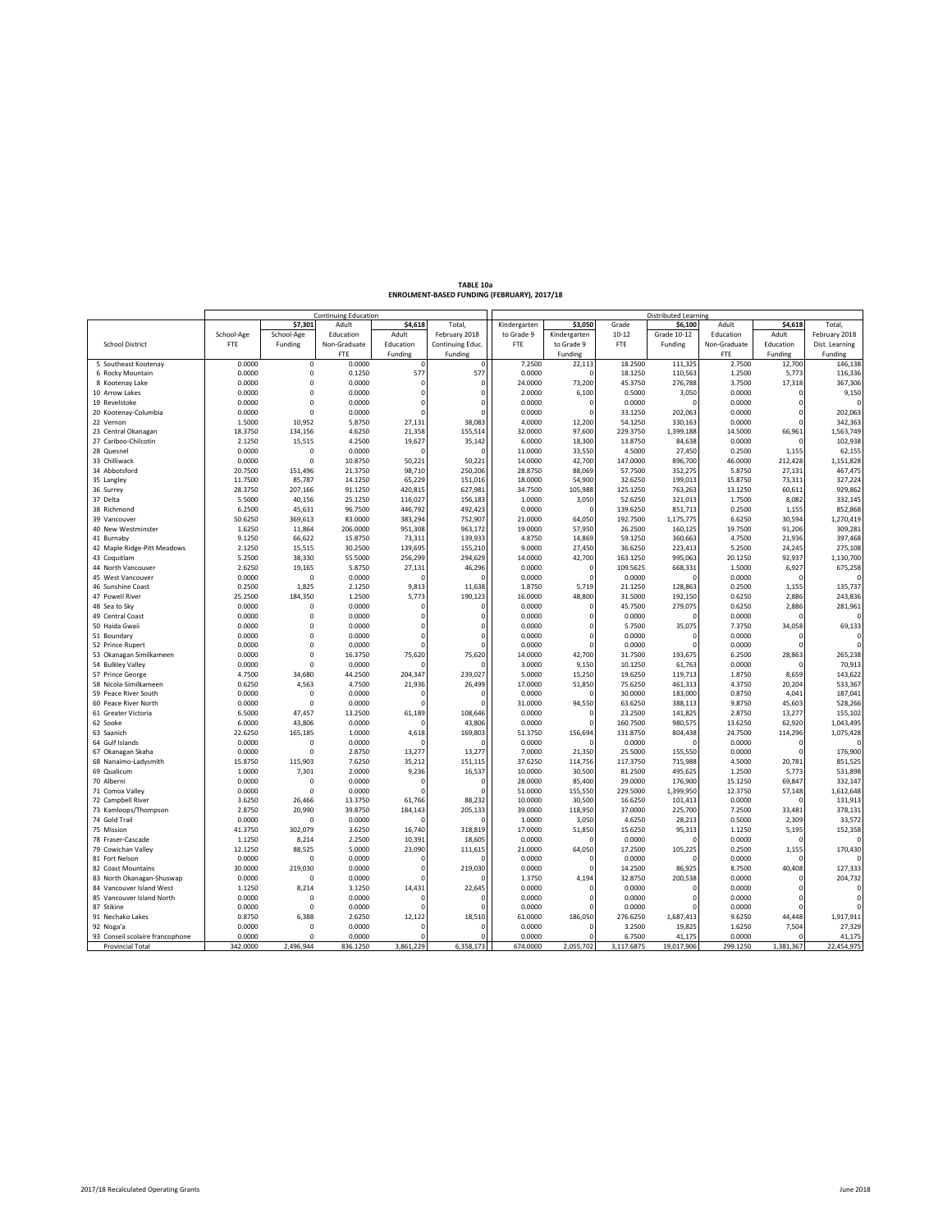| TABLE 10a                                   |
|---------------------------------------------|
| ENROLMENT-BASED FUNDING (FEBRUARY), 2017/18 |

|                                 | <b>Continuing Education</b> |                |              |           |                  | Distributed Learning |              |            |             |              |             |                |
|---------------------------------|-----------------------------|----------------|--------------|-----------|------------------|----------------------|--------------|------------|-------------|--------------|-------------|----------------|
|                                 |                             | \$7,301        | Adult        | \$4,618   | Total            | Kindergarten         | \$3,050      | Grade      | \$6,100     | Adult        | \$4,618     | <b>Total</b>   |
|                                 | School-Age                  | School-Age     | Education    | Adult     | February 2018    | to Grade 9           | Kindergarten | $10 - 12$  | Grade 10-12 | Education    | Adult       | February 2018  |
| <b>School District</b>          | <b>FTE</b>                  | Funding        | Non-Graduate | Education | Continuing Educ. | <b>FTE</b>           | to Grade 9   | FTE        | Funding     | Non-Graduate | Education   | Dist. Learning |
|                                 |                             |                | <b>FTE</b>   | Funding   | Funding          |                      | Funding      |            |             | FTE          | Funding     | Funding        |
| 5 Southeast Kootenay            | 0.0000                      | $\mathsf 0$    | 0.0000       |           | $\mathbf 0$      | 7.2500               | 22,113       | 18.2500    | 111,325     | 2.7500       | 12,700      | 146,138        |
| 6 Rocky Mountain                | 0.0000                      | $\mathbf 0$    | 0.1250       | 577       | 577              | 0.0000               |              | 18.1250    | 110,563     | 1.2500       | 5,773       | 116,336        |
| 8 Kootenay Lake                 | 0.0000                      | $\Omega$       | 0.0000       | $\Omega$  | $\Omega$         | 24,0000              | 73,200       | 45.3750    | 276,788     | 3.7500       | 17,318      | 367,306        |
| 10 Arrow Lakes                  | 0.0000                      | $\Omega$       | 0.0000       | $\Omega$  | $\Omega$         | 2.0000               | 6,100        | 0.5000     | 3,050       | 0.0000       | $\mathbf 0$ | 9,150          |
| 19 Revelstoke                   | 0.0000                      | $\mathbf 0$    | 0.0000       | $\Omega$  | O                | 0.0000               | $\Omega$     | 0.0000     |             | 0.0000       | $\mathbf 0$ |                |
| 20 Kootenay-Columbia            | 0.0000                      | $\Omega$       | 0.0000       |           |                  | 0.0000               |              | 33.1250    | 202,063     | 0.0000       | $\mathbf 0$ | 202,063        |
| 22 Vernon                       | 1.5000                      | 10.952         | 5.8750       | 27,131    | 38,083           | 4.0000               | 12,200       | 54.1250    | 330,163     | 0.0000       | $\Omega$    | 342,363        |
| 23 Central Okanagan             | 18.3750                     | 134,156        | 4.6250       | 21,358    | 155,514          | 32.0000              | 97,600       | 229.3750   | 1,399,188   | 14.5000      | 66,961      | 1,563,749      |
| 27 Cariboo-Chilcotin            | 2.1250                      | 15,515         | 4.2500       | 19,627    | 35,142           | 6.0000               | 18,300       | 13.8750    | 84,638      | 0.0000       | $\Omega$    | 102,938        |
| 28 Quesnel                      | 0.0000                      | $\Omega$       | 0.0000       |           |                  | 11.0000              | 33,550       | 4.5000     | 27,450      | 0.2500       | 1,155       | 62,155         |
| 33 Chilliwack                   | 0.0000                      | $\Omega$       | 10.8750      | 50,221    | 50,221           | 14.0000              | 42,700       | 147.0000   | 896,700     | 46.0000      | 212,428     | 1,151,828      |
|                                 |                             |                |              |           |                  |                      |              |            |             |              |             |                |
| 34 Abbotsford                   | 20.7500                     | 151,496        | 21.3750      | 98,710    | 250,206          | 28.8750              | 88,069       | 57.7500    | 352,275     | 5.8750       | 27,131      | 467,475        |
| 35 Langley                      | 11.7500                     | 85,787         | 14.1250      | 65,229    | 151,016          | 18.0000              | 54,900       | 32.6250    | 199,013     | 15.8750      | 73,311      | 327,224        |
| 36 Surrey                       | 28.3750                     | 207,166        | 91.1250      | 420,815   | 627,981          | 34.7500              | 105,988      | 125.1250   | 763,263     | 13.1250      | 60,611      | 929,862        |
| 37 Delta                        | 5.5000                      | 40,156         | 25.1250      | 116,027   | 156,183          | 1.0000               | 3,050        | 52.6250    | 321,013     | 1.7500       | 8,082       | 332,145        |
| 38 Richmond                     | 6.2500                      | 45,631         | 96.7500      | 446,792   | 492,423          | 0.0000               |              | 139.6250   | 851,713     | 0.2500       | 1,155       | 852,868        |
| 39 Vancouver                    | 50.6250                     | 369,613        | 83.0000      | 383,294   | 752,907          | 21.0000              | 64,050       | 192.7500   | 1,175,775   | 6.6250       | 30,594      | 1,270,419      |
| 40 New Westminster              | 1.6250                      | 11,864         | 206.0000     | 951,308   | 963,172          | 19.0000              | 57,950       | 26.2500    | 160,125     | 19.7500      | 91,206      | 309,281        |
| 41 Burnaby                      | 9.1250                      | 66,622         | 15.8750      | 73,311    | 139,933          | 4.8750               | 14,869       | 59.1250    | 360,663     | 4.7500       | 21,936      | 397,468        |
| 42 Maple Ridge-Pitt Meadows     | 2.1250                      | 15,515         | 30.2500      | 139,695   | 155,210          | 9.0000               | 27,450       | 36.6250    | 223,413     | 5.2500       | 24,245      | 275,108        |
| 43 Coquitlam                    | 5.2500                      | 38,330         | 55.5000      | 256,299   | 294,629          | 14.0000              | 42,700       | 163.1250   | 995,063     | 20.1250      | 92,937      | 1,130,700      |
| 44 North Vancouver              | 2.6250                      | 19,165         | 5.8750       | 27,131    | 46,296           | 0.0000               |              | 109.5625   | 668,331     | 1.5000       | 6,927       | 675,258        |
| 45 West Vancouver               | 0.0000                      | $\Omega$       | 0.0000       |           |                  | 0.0000               |              | 0.0000     | $\Omega$    | 0.0000       | $\Omega$    |                |
| 46 Sunshine Coast               | 0.2500                      | 1,825          | 2.1250       | 9,813     | 11,638           | 1.8750               | 5,719        | 21.1250    | 128,863     | 0.2500       | 1,155       | 135,737        |
| 47 Powell River                 | 25.2500                     | 184,350        | 1.2500       | 5,773     | 190,123          | 16.0000              | 48,800       | 31.5000    | 192,150     | 0.6250       | 2,886       | 243,836        |
| 48 Sea to Sky                   | 0.0000                      | $\Omega$       | 0.0000       |           | $\Omega$         | 0.0000               |              | 45.7500    | 279,075     | 0.6250       | 2,886       | 281,961        |
| 49 Central Coast                | 0.0000                      | $\Omega$       | 0.0000       | $\Omega$  | n                | 0.0000               |              | 0.0000     |             | 0.0000       | $\Omega$    |                |
| 50 Haida Gwaii                  | 0.0000                      | $\Omega$       | 0.0000       | $\Omega$  | n                | 0.0000               |              | 5.7500     | 35,075      | 7.3750       | 34,058      | 69,133         |
| 51 Boundary                     | 0.0000                      | $\Omega$       | 0.0000       | $\Omega$  | n                | 0.0000               |              | 0.0000     | $\sqrt{ }$  | 0.0000       | $\mathbf 0$ |                |
| 52 Prince Rupert                | 0.0000                      | $\Omega$       | 0.0000       |           | n                | 0.0000               |              | 0.0000     |             | 0.0000       | $\Omega$    |                |
| 53 Okanagan Similkameen         | 0.0000                      | $\mathbf 0$    | 16.3750      | 75,620    | 75,620           | 14.0000              | 42,700       | 31.7500    | 193,675     | 6.2500       | 28,863      | 265,238        |
| 54 Bulkley Valley               | 0.0000                      | $\Omega$       | 0.0000       |           |                  | 3.0000               | 9,150        | 10.1250    | 61,763      | 0.0000       | $\Omega$    | 70,913         |
| 57 Prince George                | 4.7500                      | 34,680         | 44.2500      | 204,347   | 239,027          | 5.0000               | 15,250       | 19.6250    | 119,713     | 1.8750       | 8,659       | 143,622        |
| 58 Nicola-Similkameen           | 0.6250                      | 4,563          | 4.7500       | 21,936    | 26,499           | 17.0000              | 51,850       | 75.6250    | 461,313     | 4.3750       | 20,204      | 533,367        |
| 59 Peace River South            | 0.0000                      | $\overline{0}$ | 0.0000       |           |                  | 0.0000               |              | 30.0000    | 183,000     | 0.8750       | 4,041       | 187,041        |
| 60 Peace River North            | 0.0000                      | $\Omega$       | 0.0000       |           |                  | 31.0000              | 94,550       | 63.6250    | 388,113     | 9.8750       | 45,603      | 528,266        |
| 61 Greater Victoria             | 6.5000                      | 47,457         | 13.2500      | 61,189    | 108,646          | 0.0000               |              | 23.2500    | 141,825     | 2.8750       | 13,277      | 155,102        |
| 62 Sooke                        | 6.0000                      | 43,806         | 0.0000       |           | 43,806           | 0.0000               |              | 160.7500   | 980,575     | 13.6250      | 62,920      | 1,043,495      |
| 63 Saanich                      | 22.6250                     | 165,185        | 1.0000       | 4,618     | 169,803          | 51.3750              | 156,694      | 131.8750   | 804,438     | 24.7500      | 114,296     | 1,075,428      |
| 64 Gulf Islands                 | 0.0000                      | $\Omega$       | 0.0000       |           | n                | 0.0000               |              | 0.0000     |             | 0.0000       | 0           |                |
| 67 Okanagan Skaha               | 0.0000                      | $\Omega$       | 2.8750       | 13,277    | 13,277           | 7.0000               | 21,350       | 25.5000    | 155,550     | 0.0000       | $\Omega$    | 176,900        |
| 68 Nanaimo-Ladysmith            | 15.8750                     | 115,903        | 7.6250       | 35,212    | 151,115          | 37.6250              | 114,756      | 117.3750   | 715,988     | 4.5000       | 20,781      | 851,525        |
| 69 Qualicum                     | 1.0000                      | 7,301          | 2.0000       | 9,236     | 16,537           | 10,0000              | 30,500       | 81.2500    | 495,625     | 1.2500       | 5,773       | 531,898        |
| 70 Alberni                      | 0.0000                      | 0              | 0.0000       | c         |                  | 28.0000              | 85,400       | 29.0000    | 176,900     | 15.1250      | 69,847      | 332,147        |
| 71 Comox Valley                 | 0.0000                      | $\Omega$       | 0.0000       |           |                  | 51,0000              | 155,550      | 229.5000   | 1,399,950   | 12.3750      | 57,148      | 1,612,648      |
| 72 Campbell River               | 3.6250                      | 26,466         | 13.3750      | 61,766    | 88,232           | 10.0000              | 30,500       | 16.6250    | 101,413     | 0.0000       | $\mathbf 0$ | 131,913        |
| 73 Kamloops/Thompson            | 2.8750                      | 20.990         | 39.8750      | 184,143   | 205,133          | 39.0000              | 118,950      | 37.0000    | 225,700     | 7.2500       | 33,481      | 378,131        |
|                                 | 0.0000                      | 0              | 0.0000       |           |                  |                      |              | 4.6250     |             | 0.5000       | 2,309       |                |
| 74 Gold Trail                   |                             |                |              |           |                  | 1.0000               | 3,050        |            | 28,213      |              |             | 33,572         |
| 75 Mission                      | 41.3750                     | 302,079        | 3.6250       | 16,740    | 318,819          | 17.0000              | 51,850       | 15.6250    | 95,313      | 1.1250       | 5,195       | 152,358        |
| 78 Fraser-Cascade               | 1.1250                      | 8,214          | 2.2500       | 10,391    | 18,605           | 0.0000               |              | 0.0000     |             | 0.0000       | $\mathbf 0$ |                |
| 79 Cowichan Valley              | 12.1250                     | 88,525         | 5.0000       | 23,090    | 111,615          | 21.0000              | 64,050       | 17.2500    | 105,225     | 0.2500       | 1,155       | 170,430        |
| 81 Fort Nelson                  | 0.0000                      | $\circ$        | 0.0000       |           |                  | 0.0000               |              | 0.0000     |             | 0.0000       | $\Omega$    |                |
| 82 Coast Mountains              | 30.0000                     | 219,030        | 0.0000       | $\Omega$  | 219,030          | 0.0000               |              | 14.2500    | 86,925      | 8.7500       | 40,408      | 127,333        |
| 83 North Okanagan-Shuswap       | 0.0000                      | $\mathbf 0$    | 0.0000       |           |                  | 1.3750               | 4.194        | 32.8750    | 200.538     | 0.0000       | $\Omega$    | 204,732        |
| 84 Vancouver Island West        | 1.1250                      | 8,214          | 3.1250       | 14.431    | 22,645           | 0.0000               |              | 0.0000     | n           | 0.0000       | $\Omega$    |                |
| 85 Vancouver Island North       | 0.0000                      | $\mathbf 0$    | 0.0000       |           |                  | 0.0000               |              | 0.0000     |             | 0.0000       | $\Omega$    |                |
| 87 Stikine                      | 0.0000                      | $\Omega$       | 0.0000       |           |                  | 0.0000               |              | 0.0000     |             | 0.0000       | $\Omega$    |                |
| 91 Nechako Lakes                | 0.8750                      | 6.388          | 2.6250       | 12.122    | 18.510           | 61.0000              | 186.050      | 276.6250   | 1.687.413   | 9.6250       | 44,448      | 1,917,911      |
| 92 Nisga'a                      | 0.0000                      | 0              | 0.0000       |           | $\Omega$         | 0.0000               |              | 3.2500     | 19,825      | 1.6250       | 7,504       | 27,329         |
| 93 Conseil scolaire francophone | 0.0000                      | $\Omega$       | 0.0000       |           | n                | 0.0000               |              | 6.7500     | 41,175      | 0.0000       | $\Omega$    | 41,175         |
| Provincial Total                | 342.0000                    | 2,496,944      | 836.1250     | 3,861,229 | 6,358,173        | 674.0000             | 2,055,702    | 3,117.6875 | 19,017,906  | 299.1250     | 1,381,367   | 22,454,975     |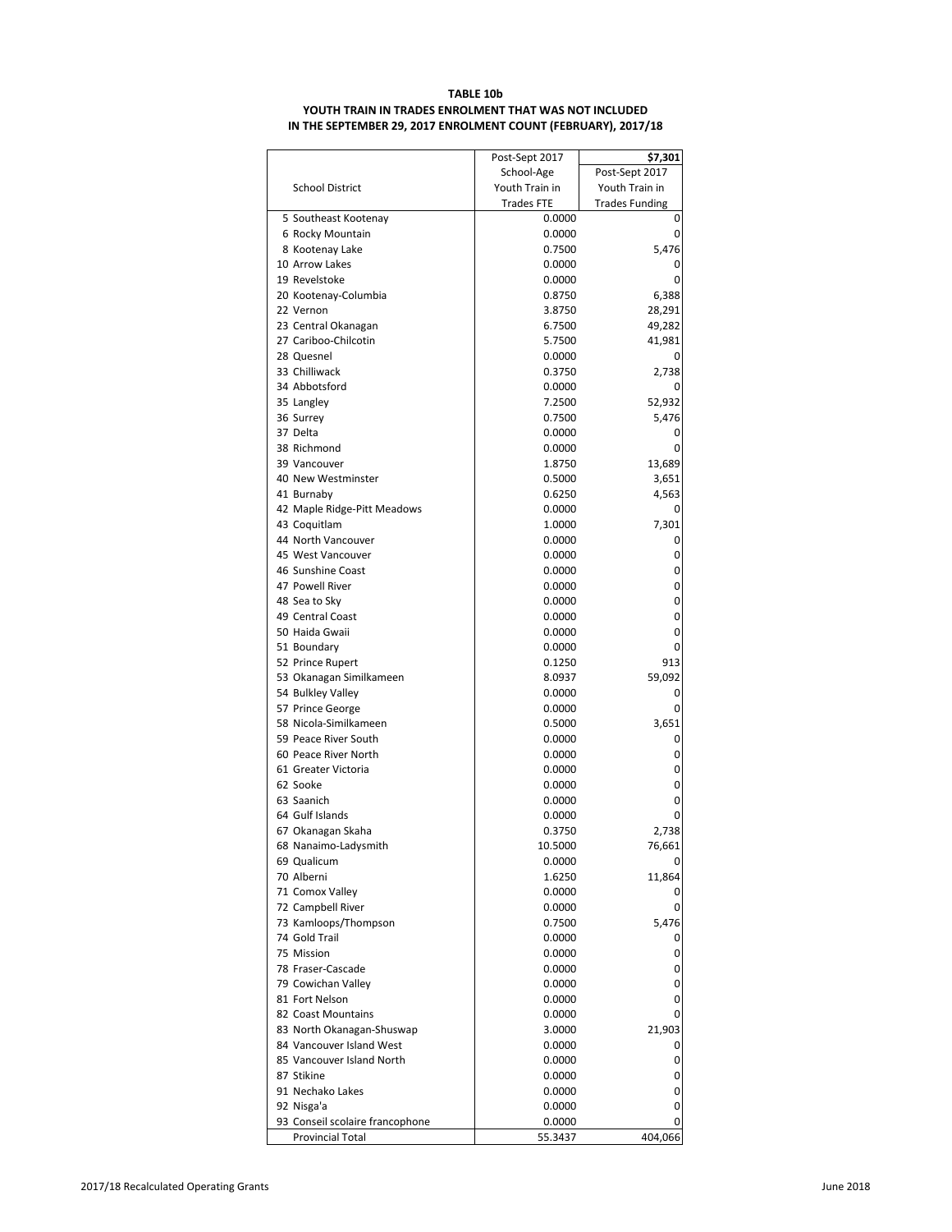### **TABLE 10b YOUTH TRAIN IN TRADES ENROLMENT THAT WAS NOT INCLUDED IN THE SEPTEMBER 29, 2017 ENROLMENT COUNT (FEBRUARY), 2017/18**

| Post-Sept 2017<br>School-Age<br>Youth Train in<br>Youth Train in<br><b>School District</b><br><b>Trades FTE</b><br><b>Trades Funding</b><br>5 Southeast Kootenay<br>0.0000<br>0<br>6 Rocky Mountain<br>0.0000<br>0<br>5,476<br>8 Kootenay Lake<br>0.7500<br>10 Arrow Lakes<br>0.0000<br>0<br>19 Revelstoke<br>0.0000<br>0<br>20 Kootenay-Columbia<br>0.8750<br>6,388<br>22 Vernon<br>3.8750<br>28,291<br>6.7500<br>49,282<br>23 Central Okanagan<br>27 Cariboo-Chilcotin<br>5.7500<br>41,981<br>28 Quesnel<br>0.0000<br>0<br>33 Chilliwack<br>0.3750<br>2,738<br>34 Abbotsford<br>0.0000<br>0<br>35 Langley<br>7.2500<br>52,932<br>36 Surrey<br>0.7500<br>5,476<br>37 Delta<br>0.0000<br>0<br>38 Richmond<br>0.0000<br>0<br>39 Vancouver<br>1.8750<br>13,689<br>40 New Westminster<br>0.5000<br>3,651<br>41 Burnaby<br>0.6250<br>4,563<br>42 Maple Ridge-Pitt Meadows<br>0.0000<br>0<br>43 Coquitlam<br>1.0000<br>7,301<br>44 North Vancouver<br>0.0000<br>0<br>45 West Vancouver<br>0.0000<br>0<br>46 Sunshine Coast<br>0.0000<br>0<br>47 Powell River<br>0.0000<br>0<br>48 Sea to Sky<br>0.0000<br>0<br>49 Central Coast<br>0.0000<br>0<br>50 Haida Gwaii<br>0.0000<br>0<br>51 Boundary<br>0<br>0.0000<br>52 Prince Rupert<br>0.1250<br>913<br>59,092<br>53 Okanagan Similkameen<br>8.0937<br>54 Bulkley Valley<br>0.0000<br>0<br>57 Prince George<br>0.0000<br>0<br>58 Nicola-Similkameen<br>3,651<br>0.5000<br>59 Peace River South<br>0.0000<br>0<br>60 Peace River North<br>0.0000<br>0<br>61 Greater Victoria<br>0.0000<br>0<br>62 Sooke<br>0.0000<br>0<br>63 Saanich<br>0.0000<br>0<br>64 Gulf Islands<br>0.0000<br>0<br>67 Okanagan Skaha<br>0.3750<br>2,738<br>76,661<br>10.5000<br>68 Nanaimo-Ladysmith<br>69 Qualicum<br>0.0000<br>0<br>70 Alberni<br>11,864<br>1.6250<br>71 Comox Valley<br>0.0000<br>0<br>72 Campbell River<br>0.0000<br>0<br>73 Kamloops/Thompson<br>0.7500<br>5,476<br>74 Gold Trail<br>0.0000<br>0<br>75 Mission<br>0.0000<br>0<br>78 Fraser-Cascade<br>0.0000<br>0<br>79 Cowichan Valley<br>0.0000<br>0<br>81 Fort Nelson<br>0.0000<br>0<br>82 Coast Mountains<br>0.0000<br>0<br>83 North Okanagan-Shuswap<br>21,903<br>3.0000<br>84 Vancouver Island West<br>0.0000<br>0<br>85 Vancouver Island North<br>0.0000<br>0<br>87 Stikine<br>0.0000<br>0<br>91 Nechako Lakes<br>0.0000<br>0<br>92 Nisga'a<br>0.0000<br>0<br>93 Conseil scolaire francophone<br>0.0000<br>0<br><b>Provincial Total</b><br>404,066<br>55.3437 | Post-Sept 2017 | \$7,301 |
|---------------------------------------------------------------------------------------------------------------------------------------------------------------------------------------------------------------------------------------------------------------------------------------------------------------------------------------------------------------------------------------------------------------------------------------------------------------------------------------------------------------------------------------------------------------------------------------------------------------------------------------------------------------------------------------------------------------------------------------------------------------------------------------------------------------------------------------------------------------------------------------------------------------------------------------------------------------------------------------------------------------------------------------------------------------------------------------------------------------------------------------------------------------------------------------------------------------------------------------------------------------------------------------------------------------------------------------------------------------------------------------------------------------------------------------------------------------------------------------------------------------------------------------------------------------------------------------------------------------------------------------------------------------------------------------------------------------------------------------------------------------------------------------------------------------------------------------------------------------------------------------------------------------------------------------------------------------------------------------------------------------------------------------------------------------------------------------------------------------------------------------------------------------------------------------------------------------------------------------------------------------------------------------------------------------------------------------------------------------------------------------------------------------------------------------------------------|----------------|---------|
|                                                                                                                                                                                                                                                                                                                                                                                                                                                                                                                                                                                                                                                                                                                                                                                                                                                                                                                                                                                                                                                                                                                                                                                                                                                                                                                                                                                                                                                                                                                                                                                                                                                                                                                                                                                                                                                                                                                                                                                                                                                                                                                                                                                                                                                                                                                                                                                                                                                         |                |         |
|                                                                                                                                                                                                                                                                                                                                                                                                                                                                                                                                                                                                                                                                                                                                                                                                                                                                                                                                                                                                                                                                                                                                                                                                                                                                                                                                                                                                                                                                                                                                                                                                                                                                                                                                                                                                                                                                                                                                                                                                                                                                                                                                                                                                                                                                                                                                                                                                                                                         |                |         |
|                                                                                                                                                                                                                                                                                                                                                                                                                                                                                                                                                                                                                                                                                                                                                                                                                                                                                                                                                                                                                                                                                                                                                                                                                                                                                                                                                                                                                                                                                                                                                                                                                                                                                                                                                                                                                                                                                                                                                                                                                                                                                                                                                                                                                                                                                                                                                                                                                                                         |                |         |
|                                                                                                                                                                                                                                                                                                                                                                                                                                                                                                                                                                                                                                                                                                                                                                                                                                                                                                                                                                                                                                                                                                                                                                                                                                                                                                                                                                                                                                                                                                                                                                                                                                                                                                                                                                                                                                                                                                                                                                                                                                                                                                                                                                                                                                                                                                                                                                                                                                                         |                |         |
|                                                                                                                                                                                                                                                                                                                                                                                                                                                                                                                                                                                                                                                                                                                                                                                                                                                                                                                                                                                                                                                                                                                                                                                                                                                                                                                                                                                                                                                                                                                                                                                                                                                                                                                                                                                                                                                                                                                                                                                                                                                                                                                                                                                                                                                                                                                                                                                                                                                         |                |         |
|                                                                                                                                                                                                                                                                                                                                                                                                                                                                                                                                                                                                                                                                                                                                                                                                                                                                                                                                                                                                                                                                                                                                                                                                                                                                                                                                                                                                                                                                                                                                                                                                                                                                                                                                                                                                                                                                                                                                                                                                                                                                                                                                                                                                                                                                                                                                                                                                                                                         |                |         |
|                                                                                                                                                                                                                                                                                                                                                                                                                                                                                                                                                                                                                                                                                                                                                                                                                                                                                                                                                                                                                                                                                                                                                                                                                                                                                                                                                                                                                                                                                                                                                                                                                                                                                                                                                                                                                                                                                                                                                                                                                                                                                                                                                                                                                                                                                                                                                                                                                                                         |                |         |
|                                                                                                                                                                                                                                                                                                                                                                                                                                                                                                                                                                                                                                                                                                                                                                                                                                                                                                                                                                                                                                                                                                                                                                                                                                                                                                                                                                                                                                                                                                                                                                                                                                                                                                                                                                                                                                                                                                                                                                                                                                                                                                                                                                                                                                                                                                                                                                                                                                                         |                |         |
|                                                                                                                                                                                                                                                                                                                                                                                                                                                                                                                                                                                                                                                                                                                                                                                                                                                                                                                                                                                                                                                                                                                                                                                                                                                                                                                                                                                                                                                                                                                                                                                                                                                                                                                                                                                                                                                                                                                                                                                                                                                                                                                                                                                                                                                                                                                                                                                                                                                         |                |         |
|                                                                                                                                                                                                                                                                                                                                                                                                                                                                                                                                                                                                                                                                                                                                                                                                                                                                                                                                                                                                                                                                                                                                                                                                                                                                                                                                                                                                                                                                                                                                                                                                                                                                                                                                                                                                                                                                                                                                                                                                                                                                                                                                                                                                                                                                                                                                                                                                                                                         |                |         |
|                                                                                                                                                                                                                                                                                                                                                                                                                                                                                                                                                                                                                                                                                                                                                                                                                                                                                                                                                                                                                                                                                                                                                                                                                                                                                                                                                                                                                                                                                                                                                                                                                                                                                                                                                                                                                                                                                                                                                                                                                                                                                                                                                                                                                                                                                                                                                                                                                                                         |                |         |
|                                                                                                                                                                                                                                                                                                                                                                                                                                                                                                                                                                                                                                                                                                                                                                                                                                                                                                                                                                                                                                                                                                                                                                                                                                                                                                                                                                                                                                                                                                                                                                                                                                                                                                                                                                                                                                                                                                                                                                                                                                                                                                                                                                                                                                                                                                                                                                                                                                                         |                |         |
|                                                                                                                                                                                                                                                                                                                                                                                                                                                                                                                                                                                                                                                                                                                                                                                                                                                                                                                                                                                                                                                                                                                                                                                                                                                                                                                                                                                                                                                                                                                                                                                                                                                                                                                                                                                                                                                                                                                                                                                                                                                                                                                                                                                                                                                                                                                                                                                                                                                         |                |         |
|                                                                                                                                                                                                                                                                                                                                                                                                                                                                                                                                                                                                                                                                                                                                                                                                                                                                                                                                                                                                                                                                                                                                                                                                                                                                                                                                                                                                                                                                                                                                                                                                                                                                                                                                                                                                                                                                                                                                                                                                                                                                                                                                                                                                                                                                                                                                                                                                                                                         |                |         |
|                                                                                                                                                                                                                                                                                                                                                                                                                                                                                                                                                                                                                                                                                                                                                                                                                                                                                                                                                                                                                                                                                                                                                                                                                                                                                                                                                                                                                                                                                                                                                                                                                                                                                                                                                                                                                                                                                                                                                                                                                                                                                                                                                                                                                                                                                                                                                                                                                                                         |                |         |
|                                                                                                                                                                                                                                                                                                                                                                                                                                                                                                                                                                                                                                                                                                                                                                                                                                                                                                                                                                                                                                                                                                                                                                                                                                                                                                                                                                                                                                                                                                                                                                                                                                                                                                                                                                                                                                                                                                                                                                                                                                                                                                                                                                                                                                                                                                                                                                                                                                                         |                |         |
|                                                                                                                                                                                                                                                                                                                                                                                                                                                                                                                                                                                                                                                                                                                                                                                                                                                                                                                                                                                                                                                                                                                                                                                                                                                                                                                                                                                                                                                                                                                                                                                                                                                                                                                                                                                                                                                                                                                                                                                                                                                                                                                                                                                                                                                                                                                                                                                                                                                         |                |         |
|                                                                                                                                                                                                                                                                                                                                                                                                                                                                                                                                                                                                                                                                                                                                                                                                                                                                                                                                                                                                                                                                                                                                                                                                                                                                                                                                                                                                                                                                                                                                                                                                                                                                                                                                                                                                                                                                                                                                                                                                                                                                                                                                                                                                                                                                                                                                                                                                                                                         |                |         |
|                                                                                                                                                                                                                                                                                                                                                                                                                                                                                                                                                                                                                                                                                                                                                                                                                                                                                                                                                                                                                                                                                                                                                                                                                                                                                                                                                                                                                                                                                                                                                                                                                                                                                                                                                                                                                                                                                                                                                                                                                                                                                                                                                                                                                                                                                                                                                                                                                                                         |                |         |
|                                                                                                                                                                                                                                                                                                                                                                                                                                                                                                                                                                                                                                                                                                                                                                                                                                                                                                                                                                                                                                                                                                                                                                                                                                                                                                                                                                                                                                                                                                                                                                                                                                                                                                                                                                                                                                                                                                                                                                                                                                                                                                                                                                                                                                                                                                                                                                                                                                                         |                |         |
|                                                                                                                                                                                                                                                                                                                                                                                                                                                                                                                                                                                                                                                                                                                                                                                                                                                                                                                                                                                                                                                                                                                                                                                                                                                                                                                                                                                                                                                                                                                                                                                                                                                                                                                                                                                                                                                                                                                                                                                                                                                                                                                                                                                                                                                                                                                                                                                                                                                         |                |         |
|                                                                                                                                                                                                                                                                                                                                                                                                                                                                                                                                                                                                                                                                                                                                                                                                                                                                                                                                                                                                                                                                                                                                                                                                                                                                                                                                                                                                                                                                                                                                                                                                                                                                                                                                                                                                                                                                                                                                                                                                                                                                                                                                                                                                                                                                                                                                                                                                                                                         |                |         |
|                                                                                                                                                                                                                                                                                                                                                                                                                                                                                                                                                                                                                                                                                                                                                                                                                                                                                                                                                                                                                                                                                                                                                                                                                                                                                                                                                                                                                                                                                                                                                                                                                                                                                                                                                                                                                                                                                                                                                                                                                                                                                                                                                                                                                                                                                                                                                                                                                                                         |                |         |
|                                                                                                                                                                                                                                                                                                                                                                                                                                                                                                                                                                                                                                                                                                                                                                                                                                                                                                                                                                                                                                                                                                                                                                                                                                                                                                                                                                                                                                                                                                                                                                                                                                                                                                                                                                                                                                                                                                                                                                                                                                                                                                                                                                                                                                                                                                                                                                                                                                                         |                |         |
|                                                                                                                                                                                                                                                                                                                                                                                                                                                                                                                                                                                                                                                                                                                                                                                                                                                                                                                                                                                                                                                                                                                                                                                                                                                                                                                                                                                                                                                                                                                                                                                                                                                                                                                                                                                                                                                                                                                                                                                                                                                                                                                                                                                                                                                                                                                                                                                                                                                         |                |         |
|                                                                                                                                                                                                                                                                                                                                                                                                                                                                                                                                                                                                                                                                                                                                                                                                                                                                                                                                                                                                                                                                                                                                                                                                                                                                                                                                                                                                                                                                                                                                                                                                                                                                                                                                                                                                                                                                                                                                                                                                                                                                                                                                                                                                                                                                                                                                                                                                                                                         |                |         |
|                                                                                                                                                                                                                                                                                                                                                                                                                                                                                                                                                                                                                                                                                                                                                                                                                                                                                                                                                                                                                                                                                                                                                                                                                                                                                                                                                                                                                                                                                                                                                                                                                                                                                                                                                                                                                                                                                                                                                                                                                                                                                                                                                                                                                                                                                                                                                                                                                                                         |                |         |
|                                                                                                                                                                                                                                                                                                                                                                                                                                                                                                                                                                                                                                                                                                                                                                                                                                                                                                                                                                                                                                                                                                                                                                                                                                                                                                                                                                                                                                                                                                                                                                                                                                                                                                                                                                                                                                                                                                                                                                                                                                                                                                                                                                                                                                                                                                                                                                                                                                                         |                |         |
|                                                                                                                                                                                                                                                                                                                                                                                                                                                                                                                                                                                                                                                                                                                                                                                                                                                                                                                                                                                                                                                                                                                                                                                                                                                                                                                                                                                                                                                                                                                                                                                                                                                                                                                                                                                                                                                                                                                                                                                                                                                                                                                                                                                                                                                                                                                                                                                                                                                         |                |         |
|                                                                                                                                                                                                                                                                                                                                                                                                                                                                                                                                                                                                                                                                                                                                                                                                                                                                                                                                                                                                                                                                                                                                                                                                                                                                                                                                                                                                                                                                                                                                                                                                                                                                                                                                                                                                                                                                                                                                                                                                                                                                                                                                                                                                                                                                                                                                                                                                                                                         |                |         |
|                                                                                                                                                                                                                                                                                                                                                                                                                                                                                                                                                                                                                                                                                                                                                                                                                                                                                                                                                                                                                                                                                                                                                                                                                                                                                                                                                                                                                                                                                                                                                                                                                                                                                                                                                                                                                                                                                                                                                                                                                                                                                                                                                                                                                                                                                                                                                                                                                                                         |                |         |
|                                                                                                                                                                                                                                                                                                                                                                                                                                                                                                                                                                                                                                                                                                                                                                                                                                                                                                                                                                                                                                                                                                                                                                                                                                                                                                                                                                                                                                                                                                                                                                                                                                                                                                                                                                                                                                                                                                                                                                                                                                                                                                                                                                                                                                                                                                                                                                                                                                                         |                |         |
|                                                                                                                                                                                                                                                                                                                                                                                                                                                                                                                                                                                                                                                                                                                                                                                                                                                                                                                                                                                                                                                                                                                                                                                                                                                                                                                                                                                                                                                                                                                                                                                                                                                                                                                                                                                                                                                                                                                                                                                                                                                                                                                                                                                                                                                                                                                                                                                                                                                         |                |         |
|                                                                                                                                                                                                                                                                                                                                                                                                                                                                                                                                                                                                                                                                                                                                                                                                                                                                                                                                                                                                                                                                                                                                                                                                                                                                                                                                                                                                                                                                                                                                                                                                                                                                                                                                                                                                                                                                                                                                                                                                                                                                                                                                                                                                                                                                                                                                                                                                                                                         |                |         |
|                                                                                                                                                                                                                                                                                                                                                                                                                                                                                                                                                                                                                                                                                                                                                                                                                                                                                                                                                                                                                                                                                                                                                                                                                                                                                                                                                                                                                                                                                                                                                                                                                                                                                                                                                                                                                                                                                                                                                                                                                                                                                                                                                                                                                                                                                                                                                                                                                                                         |                |         |
|                                                                                                                                                                                                                                                                                                                                                                                                                                                                                                                                                                                                                                                                                                                                                                                                                                                                                                                                                                                                                                                                                                                                                                                                                                                                                                                                                                                                                                                                                                                                                                                                                                                                                                                                                                                                                                                                                                                                                                                                                                                                                                                                                                                                                                                                                                                                                                                                                                                         |                |         |
|                                                                                                                                                                                                                                                                                                                                                                                                                                                                                                                                                                                                                                                                                                                                                                                                                                                                                                                                                                                                                                                                                                                                                                                                                                                                                                                                                                                                                                                                                                                                                                                                                                                                                                                                                                                                                                                                                                                                                                                                                                                                                                                                                                                                                                                                                                                                                                                                                                                         |                |         |
|                                                                                                                                                                                                                                                                                                                                                                                                                                                                                                                                                                                                                                                                                                                                                                                                                                                                                                                                                                                                                                                                                                                                                                                                                                                                                                                                                                                                                                                                                                                                                                                                                                                                                                                                                                                                                                                                                                                                                                                                                                                                                                                                                                                                                                                                                                                                                                                                                                                         |                |         |
|                                                                                                                                                                                                                                                                                                                                                                                                                                                                                                                                                                                                                                                                                                                                                                                                                                                                                                                                                                                                                                                                                                                                                                                                                                                                                                                                                                                                                                                                                                                                                                                                                                                                                                                                                                                                                                                                                                                                                                                                                                                                                                                                                                                                                                                                                                                                                                                                                                                         |                |         |
|                                                                                                                                                                                                                                                                                                                                                                                                                                                                                                                                                                                                                                                                                                                                                                                                                                                                                                                                                                                                                                                                                                                                                                                                                                                                                                                                                                                                                                                                                                                                                                                                                                                                                                                                                                                                                                                                                                                                                                                                                                                                                                                                                                                                                                                                                                                                                                                                                                                         |                |         |
|                                                                                                                                                                                                                                                                                                                                                                                                                                                                                                                                                                                                                                                                                                                                                                                                                                                                                                                                                                                                                                                                                                                                                                                                                                                                                                                                                                                                                                                                                                                                                                                                                                                                                                                                                                                                                                                                                                                                                                                                                                                                                                                                                                                                                                                                                                                                                                                                                                                         |                |         |
|                                                                                                                                                                                                                                                                                                                                                                                                                                                                                                                                                                                                                                                                                                                                                                                                                                                                                                                                                                                                                                                                                                                                                                                                                                                                                                                                                                                                                                                                                                                                                                                                                                                                                                                                                                                                                                                                                                                                                                                                                                                                                                                                                                                                                                                                                                                                                                                                                                                         |                |         |
|                                                                                                                                                                                                                                                                                                                                                                                                                                                                                                                                                                                                                                                                                                                                                                                                                                                                                                                                                                                                                                                                                                                                                                                                                                                                                                                                                                                                                                                                                                                                                                                                                                                                                                                                                                                                                                                                                                                                                                                                                                                                                                                                                                                                                                                                                                                                                                                                                                                         |                |         |
|                                                                                                                                                                                                                                                                                                                                                                                                                                                                                                                                                                                                                                                                                                                                                                                                                                                                                                                                                                                                                                                                                                                                                                                                                                                                                                                                                                                                                                                                                                                                                                                                                                                                                                                                                                                                                                                                                                                                                                                                                                                                                                                                                                                                                                                                                                                                                                                                                                                         |                |         |
|                                                                                                                                                                                                                                                                                                                                                                                                                                                                                                                                                                                                                                                                                                                                                                                                                                                                                                                                                                                                                                                                                                                                                                                                                                                                                                                                                                                                                                                                                                                                                                                                                                                                                                                                                                                                                                                                                                                                                                                                                                                                                                                                                                                                                                                                                                                                                                                                                                                         |                |         |
|                                                                                                                                                                                                                                                                                                                                                                                                                                                                                                                                                                                                                                                                                                                                                                                                                                                                                                                                                                                                                                                                                                                                                                                                                                                                                                                                                                                                                                                                                                                                                                                                                                                                                                                                                                                                                                                                                                                                                                                                                                                                                                                                                                                                                                                                                                                                                                                                                                                         |                |         |
|                                                                                                                                                                                                                                                                                                                                                                                                                                                                                                                                                                                                                                                                                                                                                                                                                                                                                                                                                                                                                                                                                                                                                                                                                                                                                                                                                                                                                                                                                                                                                                                                                                                                                                                                                                                                                                                                                                                                                                                                                                                                                                                                                                                                                                                                                                                                                                                                                                                         |                |         |
|                                                                                                                                                                                                                                                                                                                                                                                                                                                                                                                                                                                                                                                                                                                                                                                                                                                                                                                                                                                                                                                                                                                                                                                                                                                                                                                                                                                                                                                                                                                                                                                                                                                                                                                                                                                                                                                                                                                                                                                                                                                                                                                                                                                                                                                                                                                                                                                                                                                         |                |         |
|                                                                                                                                                                                                                                                                                                                                                                                                                                                                                                                                                                                                                                                                                                                                                                                                                                                                                                                                                                                                                                                                                                                                                                                                                                                                                                                                                                                                                                                                                                                                                                                                                                                                                                                                                                                                                                                                                                                                                                                                                                                                                                                                                                                                                                                                                                                                                                                                                                                         |                |         |
|                                                                                                                                                                                                                                                                                                                                                                                                                                                                                                                                                                                                                                                                                                                                                                                                                                                                                                                                                                                                                                                                                                                                                                                                                                                                                                                                                                                                                                                                                                                                                                                                                                                                                                                                                                                                                                                                                                                                                                                                                                                                                                                                                                                                                                                                                                                                                                                                                                                         |                |         |
|                                                                                                                                                                                                                                                                                                                                                                                                                                                                                                                                                                                                                                                                                                                                                                                                                                                                                                                                                                                                                                                                                                                                                                                                                                                                                                                                                                                                                                                                                                                                                                                                                                                                                                                                                                                                                                                                                                                                                                                                                                                                                                                                                                                                                                                                                                                                                                                                                                                         |                |         |
|                                                                                                                                                                                                                                                                                                                                                                                                                                                                                                                                                                                                                                                                                                                                                                                                                                                                                                                                                                                                                                                                                                                                                                                                                                                                                                                                                                                                                                                                                                                                                                                                                                                                                                                                                                                                                                                                                                                                                                                                                                                                                                                                                                                                                                                                                                                                                                                                                                                         |                |         |
|                                                                                                                                                                                                                                                                                                                                                                                                                                                                                                                                                                                                                                                                                                                                                                                                                                                                                                                                                                                                                                                                                                                                                                                                                                                                                                                                                                                                                                                                                                                                                                                                                                                                                                                                                                                                                                                                                                                                                                                                                                                                                                                                                                                                                                                                                                                                                                                                                                                         |                |         |
|                                                                                                                                                                                                                                                                                                                                                                                                                                                                                                                                                                                                                                                                                                                                                                                                                                                                                                                                                                                                                                                                                                                                                                                                                                                                                                                                                                                                                                                                                                                                                                                                                                                                                                                                                                                                                                                                                                                                                                                                                                                                                                                                                                                                                                                                                                                                                                                                                                                         |                |         |
|                                                                                                                                                                                                                                                                                                                                                                                                                                                                                                                                                                                                                                                                                                                                                                                                                                                                                                                                                                                                                                                                                                                                                                                                                                                                                                                                                                                                                                                                                                                                                                                                                                                                                                                                                                                                                                                                                                                                                                                                                                                                                                                                                                                                                                                                                                                                                                                                                                                         |                |         |
|                                                                                                                                                                                                                                                                                                                                                                                                                                                                                                                                                                                                                                                                                                                                                                                                                                                                                                                                                                                                                                                                                                                                                                                                                                                                                                                                                                                                                                                                                                                                                                                                                                                                                                                                                                                                                                                                                                                                                                                                                                                                                                                                                                                                                                                                                                                                                                                                                                                         |                |         |
|                                                                                                                                                                                                                                                                                                                                                                                                                                                                                                                                                                                                                                                                                                                                                                                                                                                                                                                                                                                                                                                                                                                                                                                                                                                                                                                                                                                                                                                                                                                                                                                                                                                                                                                                                                                                                                                                                                                                                                                                                                                                                                                                                                                                                                                                                                                                                                                                                                                         |                |         |
|                                                                                                                                                                                                                                                                                                                                                                                                                                                                                                                                                                                                                                                                                                                                                                                                                                                                                                                                                                                                                                                                                                                                                                                                                                                                                                                                                                                                                                                                                                                                                                                                                                                                                                                                                                                                                                                                                                                                                                                                                                                                                                                                                                                                                                                                                                                                                                                                                                                         |                |         |
|                                                                                                                                                                                                                                                                                                                                                                                                                                                                                                                                                                                                                                                                                                                                                                                                                                                                                                                                                                                                                                                                                                                                                                                                                                                                                                                                                                                                                                                                                                                                                                                                                                                                                                                                                                                                                                                                                                                                                                                                                                                                                                                                                                                                                                                                                                                                                                                                                                                         |                |         |
|                                                                                                                                                                                                                                                                                                                                                                                                                                                                                                                                                                                                                                                                                                                                                                                                                                                                                                                                                                                                                                                                                                                                                                                                                                                                                                                                                                                                                                                                                                                                                                                                                                                                                                                                                                                                                                                                                                                                                                                                                                                                                                                                                                                                                                                                                                                                                                                                                                                         |                |         |
|                                                                                                                                                                                                                                                                                                                                                                                                                                                                                                                                                                                                                                                                                                                                                                                                                                                                                                                                                                                                                                                                                                                                                                                                                                                                                                                                                                                                                                                                                                                                                                                                                                                                                                                                                                                                                                                                                                                                                                                                                                                                                                                                                                                                                                                                                                                                                                                                                                                         |                |         |
|                                                                                                                                                                                                                                                                                                                                                                                                                                                                                                                                                                                                                                                                                                                                                                                                                                                                                                                                                                                                                                                                                                                                                                                                                                                                                                                                                                                                                                                                                                                                                                                                                                                                                                                                                                                                                                                                                                                                                                                                                                                                                                                                                                                                                                                                                                                                                                                                                                                         |                |         |
|                                                                                                                                                                                                                                                                                                                                                                                                                                                                                                                                                                                                                                                                                                                                                                                                                                                                                                                                                                                                                                                                                                                                                                                                                                                                                                                                                                                                                                                                                                                                                                                                                                                                                                                                                                                                                                                                                                                                                                                                                                                                                                                                                                                                                                                                                                                                                                                                                                                         |                |         |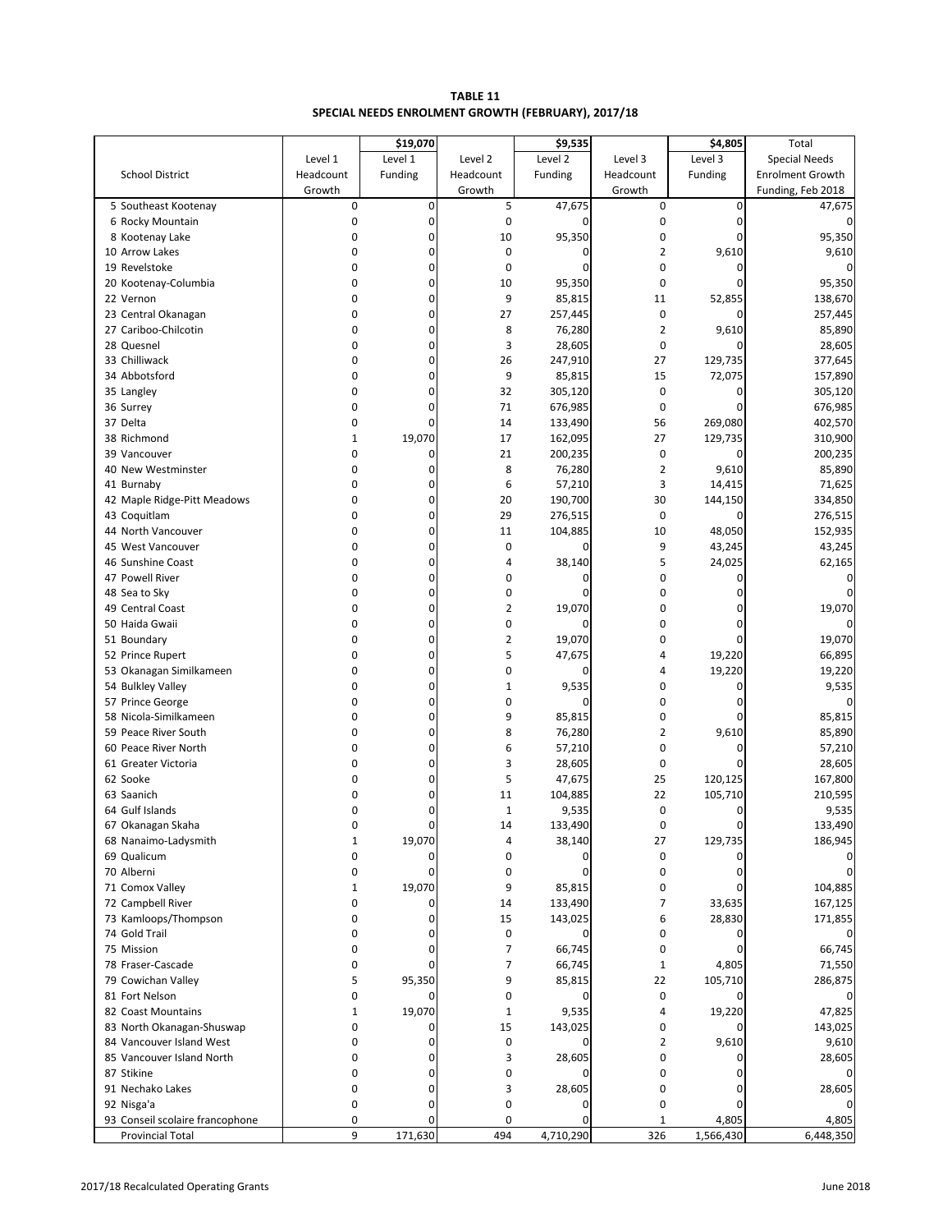| <b>TABLE 11</b>                                    |
|----------------------------------------------------|
| SPECIAL NEEDS ENROLMENT GROWTH (FEBRUARY), 2017/18 |

|                                 |              | \$19,070       |                | \$9,535     |                | \$4,805        | Total                   |
|---------------------------------|--------------|----------------|----------------|-------------|----------------|----------------|-------------------------|
|                                 | Level 1      | Level 1        | Level 2        | Level 2     | Level 3        | Level 3        | <b>Special Needs</b>    |
| <b>School District</b>          | Headcount    | Funding        | Headcount      | Funding     | Headcount      | Funding        | <b>Enrolment Growth</b> |
|                                 | Growth       |                | Growth         |             | Growth         |                | Funding, Feb 2018       |
| 5 Southeast Kootenay            | 0            | 0              | 5              | 47,675      | $\mathbf 0$    | $\mathbf 0$    | 47,675                  |
| 6 Rocky Mountain                | $\mathbf 0$  | $\overline{0}$ | 0              | $\mathbf 0$ | $\mathbf 0$    | $\mathbf 0$    | 0                       |
| 8 Kootenay Lake                 | 0            | 0              | 10             | 95,350      | 0              | 0              | 95,350                  |
| 10 Arrow Lakes                  | 0            | 0              | $\mathbf 0$    | $\mathbf 0$ | $\overline{2}$ | 9,610          | 9,610                   |
| 19 Revelstoke                   | 0            | 0              | 0              | 0           | 0              | 0              | 0                       |
| 20 Kootenay-Columbia            | 0            | 0              | 10             | 95,350      | $\mathbf 0$    | $\Omega$       | 95,350                  |
| 22 Vernon                       | 0            | 0              | 9              | 85,815      | 11             | 52,855         | 138,670                 |
| 23 Central Okanagan             | $\mathbf 0$  | $\overline{0}$ | 27             | 257,445     | $\mathbf 0$    | 0              | 257,445                 |
| 27 Cariboo-Chilcotin            | 0            | 0              | 8              | 76,280      | $\overline{2}$ | 9,610          | 85,890                  |
| 28 Quesnel                      | 0            | 0              | 3              | 28,605      | 0              | $\mathbf 0$    | 28,605                  |
| 33 Chilliwack                   | 0            | 0              | 26             | 247,910     | 27             | 129,735        | 377,645                 |
| 34 Abbotsford                   | 0            | 0              | 9              | 85,815      | 15             | 72,075         | 157,890                 |
| 35 Langley                      | 0            | 0              | 32             | 305,120     | $\mathbf 0$    | 0              | 305,120                 |
| 36 Surrey                       | 0            | $\overline{0}$ | 71             | 676,985     | $\mathbf 0$    | 0              | 676,985                 |
| 37 Delta                        | 0            | 0              | 14             | 133,490     | 56             | 269,080        | 402,570                 |
| 38 Richmond                     | $\mathbf{1}$ | 19,070         | 17             | 162,095     | 27             | 129,735        | 310,900                 |
| 39 Vancouver                    | 0            | 0              | 21             | 200,235     | $\mathbf 0$    | 0              | 200,235                 |
| 40 New Westminster              | 0            | 0              | 8              | 76,280      | $\overline{2}$ | 9,610          | 85,890                  |
| 41 Burnaby                      | 0            | 0              | 6              | 57,210      | 3              | 14,415         | 71,625                  |
| 42 Maple Ridge-Pitt Meadows     | 0            | 0              | 20             | 190,700     | 30             | 144,150        | 334,850                 |
| 43 Coquitlam                    | 0            | 0              | 29             | 276,515     | $\mathbf 0$    | $\mathbf 0$    | 276,515                 |
| 44 North Vancouver              | 0            | 0              | 11             | 104,885     | 10             | 48,050         | 152,935                 |
| 45 West Vancouver               | $\mathbf 0$  | 0              | $\mathbf 0$    | $\mathbf 0$ | 9              | 43,245         | 43,245                  |
| 46 Sunshine Coast               | 0            | 0              | 4              | 38,140      | 5              | 24,025         | 62,165                  |
| 47 Powell River                 | 0            | 0              | 0              | $\mathbf 0$ | 0              | $\mathbf 0$    | 0                       |
| 48 Sea to Sky                   | $\mathbf 0$  | 0              | 0              | $\mathbf 0$ | $\mathbf 0$    | $\Omega$       | 0                       |
| 49 Central Coast                | 0            | 0              | $\overline{2}$ | 19,070      | 0              | 0              | 19,070                  |
| 50 Haida Gwaii                  | 0            | 0              | 0              | $\Omega$    | 0              | $\Omega$       |                         |
| 51 Boundary                     | 0            | 0              | 2              | 19,070      | 0              | 0              | 19,070                  |
| 52 Prince Rupert                | 0            | 0              | 5              | 47,675      | 4              | 19,220         | 66,895                  |
| 53 Okanagan Similkameen         | 0            | 0              | 0              | 0           | 4              | 19,220         | 19,220                  |
| 54 Bulkley Valley               | 0            | 0              | $\mathbf 1$    | 9,535       | 0              | 0              | 9,535                   |
| 57 Prince George                | 0            | 0              | 0              | $\Omega$    | 0              | 0              | 0                       |
| 58 Nicola-Similkameen           | 0            | 0              | 9              | 85,815      | 0              | $\Omega$       | 85,815                  |
| 59 Peace River South            | 0            | 0              | 8              | 76,280      | $\overline{2}$ | 9,610          | 85,890                  |
| 60 Peace River North            | 0            | 0              | 6              | 57,210      | 0              | $\mathbf 0$    | 57,210                  |
| 61 Greater Victoria             | $\mathbf 0$  | 0              | 3              | 28,605      | 0              | 0              | 28,605                  |
| 62 Sooke                        | 0            | 0              | 5              | 47,675      | 25             | 120,125        | 167,800                 |
| 63 Saanich                      | 0            | 0              | 11             | 104,885     | 22             | 105,710        | 210,595                 |
| 64 Gulf Islands                 | 0            | 0              | $\mathbf{1}$   | 9,535       | 0              | $\overline{0}$ | 9,535                   |
| 67 Okanagan Skaha               | $\Omega$     | 0              | 14             | 133,490     | $\Omega$       | $\Omega$       | 133,490                 |
| 68 Nanaimo-Ladysmith            | $\mathbf{1}$ | 19,070         | 4              | 38,140      | 27             | 129,735        | 186,945                 |
| 69 Qualicum                     | 0            | 0              | 0              | $\Omega$    | $\mathbf 0$    | $\Omega$       | 0                       |
| 70 Alberni                      | 0            | $\Omega$       | 0              | $\Omega$    | $\mathbf 0$    | $\Omega$       |                         |
| 71 Comox Valley                 | $\mathbf{1}$ | 19,070         | 9              | 85,815      | 0              | $\Omega$       | 104,885                 |
| 72 Campbell River               | 0            | 0              | 14             | 133,490     | 7              | 33,635         | 167,125                 |
| 73 Kamloops/Thompson            | 0            | 0              | 15             | 143,025     | 6              | 28,830         | 171,855                 |
| 74 Gold Trail                   | 0            | 0              | $\mathbf 0$    | $\mathbf 0$ | 0              | 0              | 0                       |
| 75 Mission                      | 0            | 0              | $\overline{7}$ | 66,745      | 0              | $\Omega$       | 66,745                  |
| 78 Fraser-Cascade               | 0            | $\Omega$       | 7              | 66,745      | $\mathbf{1}$   | 4,805          | 71,550                  |
| 79 Cowichan Valley              | 5            | 95,350         | 9              | 85,815      | 22             | 105,710        | 286,875                 |
| 81 Fort Nelson                  | 0            |                | 0              | 0           | 0              | 0              | 0                       |
| 82 Coast Mountains              | $\mathbf{1}$ | 19,070         | $\mathbf{1}$   | 9,535       | 4              | 19,220         | 47,825                  |
| 83 North Okanagan-Shuswap       | $\mathbf 0$  | 0              | 15             | 143,025     | 0              | $\Omega$       | 143,025                 |
| 84 Vancouver Island West        | 0            | 0              | $\mathbf 0$    | 0           | $\overline{2}$ | 9,610          | 9,610                   |
| 85 Vancouver Island North       | 0            | 0              | 3              | 28,605      | 0              | $\mathbf{0}$   | 28,605                  |
| 87 Stikine                      | 0            | 0              | 0              | $\Omega$    | 0              | 0              | 0                       |
| 91 Nechako Lakes                | 0            | 0              | 3              | 28,605      | 0              | 0              | 28,605                  |
| 92 Nisga'a                      | 0            | 0              | 0              | 0           | 0              | $\mathbf{0}$   |                         |
| 93 Conseil scolaire francophone | 0            | $\Omega$       | 0              | $\mathbf 0$ | $\mathbf{1}$   | 4,805          | 4,805                   |
| <b>Provincial Total</b>         | 9            | 171,630        | 494            | 4,710,290   | 326            | 1,566,430      | 6,448,350               |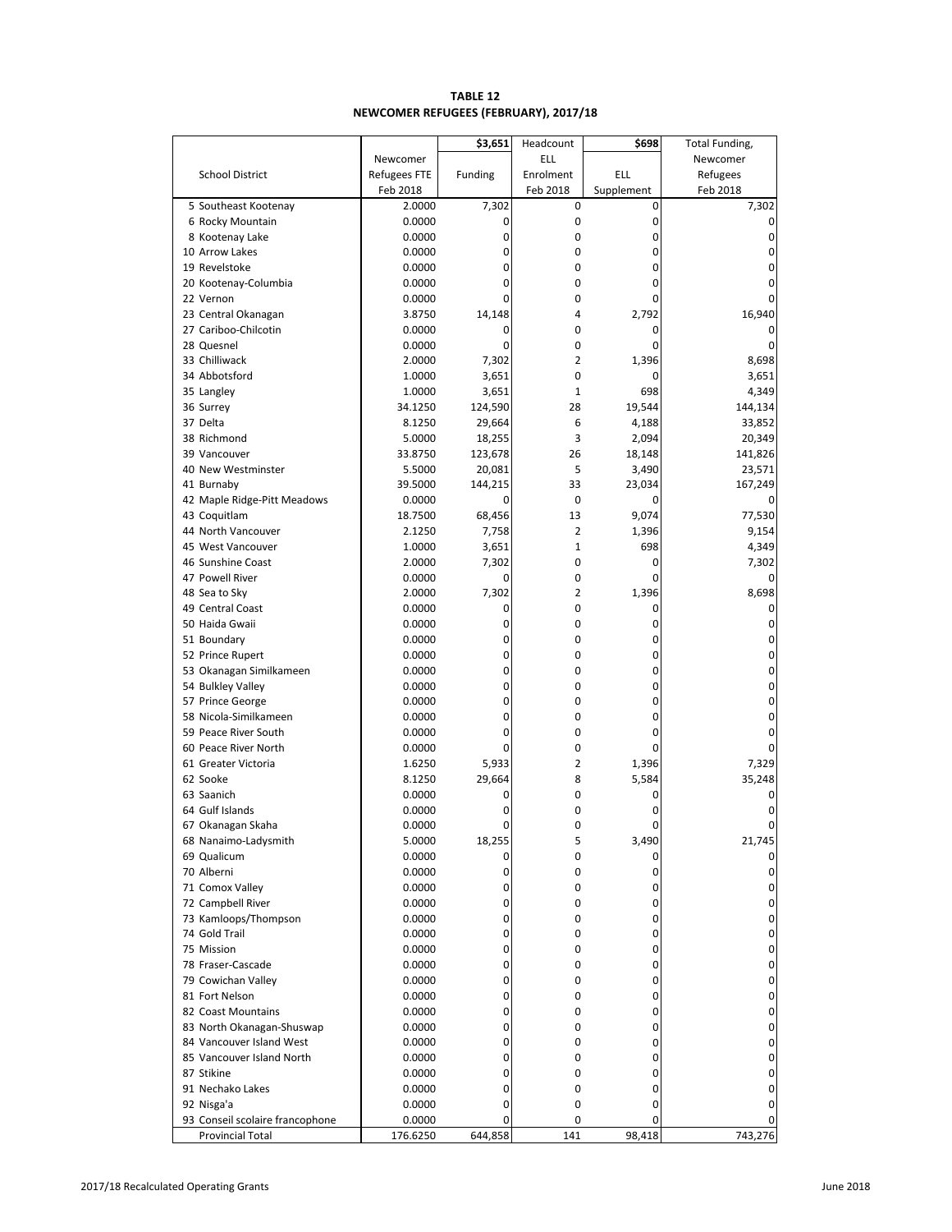# **TABLE 12 NEWCOMER REFUGEES (FEBRUARY), 2017/18**

|                                       |                  | \$3,651     | Headcount      | \$698      | Total Funding, |
|---------------------------------------|------------------|-------------|----------------|------------|----------------|
|                                       | Newcomer         |             | ELL            |            | Newcomer       |
| <b>School District</b>                | Refugees FTE     | Funding     | Enrolment      | <b>ELL</b> | Refugees       |
|                                       | Feb 2018         |             | Feb 2018       | Supplement | Feb 2018       |
| 5 Southeast Kootenay                  | 2.0000           | 7,302       | 0              | 0          | 7,302          |
| 6 Rocky Mountain                      | 0.0000           | 0           | 0              | 0          | 0              |
| 8 Kootenay Lake                       | 0.0000           | 0           | 0              | 0          | 0              |
| 10 Arrow Lakes                        | 0.0000           | 0           | 0              | 0          | 0              |
| 19 Revelstoke                         | 0.0000           | 0           | 0              | 0          | 0              |
| 20 Kootenay-Columbia                  | 0.0000           | 0           | 0              | 0          | 0              |
| 22 Vernon                             | 0.0000           | 0           | 0              | 0          | 0              |
| 23 Central Okanagan                   | 3.8750           | 14,148      | 4              | 2,792      | 16,940         |
| 27 Cariboo-Chilcotin                  | 0.0000           | 0           | 0              | 0          | 0              |
| 28 Quesnel                            | 0.0000           | 0           | 0              | 0          | 0              |
| 33 Chilliwack                         | 2.0000           | 7,302       | $\overline{2}$ | 1,396      | 8,698          |
| 34 Abbotsford                         | 1.0000           | 3,651       | 0              | 0          | 3,651          |
| 35 Langley                            | 1.0000           | 3,651       | $\mathbf{1}$   | 698        | 4,349          |
| 36 Surrey                             | 34.1250          | 124,590     | 28             | 19,544     | 144,134        |
| 37 Delta                              | 8.1250           | 29,664      | 6              | 4,188      | 33,852         |
| 38 Richmond                           | 5.0000           | 18,255      | 3              | 2,094      | 20,349         |
| 39 Vancouver                          | 33.8750          | 123,678     | 26             | 18,148     | 141,826        |
| 40 New Westminster                    | 5.5000           | 20,081      | 5              | 3,490      | 23,571         |
| 41 Burnaby                            | 39.5000          | 144,215     | 33             | 23,034     | 167,249        |
| 42 Maple Ridge-Pitt Meadows           | 0.0000           | 0           | 0              | 0          |                |
| 43 Coquitlam                          | 18.7500          | 68,456      | 13             | 9,074      | 77,530         |
| 44 North Vancouver                    | 2.1250           | 7,758       | $\overline{2}$ | 1,396      | 9,154          |
| 45 West Vancouver                     | 1.0000           | 3,651       | 1              | 698        | 4,349          |
| 46 Sunshine Coast                     | 2.0000           | 7,302       | $\mathbf 0$    | 0          | 7,302          |
| 47 Powell River                       | 0.0000           | 0           | 0              | 0          | 0              |
| 48 Sea to Sky                         | 2.0000           | 7,302       | 2              | 1,396      | 8,698          |
| 49 Central Coast                      | 0.0000           | 0           | $\mathbf 0$    | 0          | 0              |
| 50 Haida Gwaii                        | 0.0000           | 0           | 0              | 0          | 0              |
| 51 Boundary                           | 0.0000           | 0<br>0      | 0<br>0         | 0<br>0     | 0<br>0         |
| 52 Prince Rupert                      | 0.0000           | 0           | 0              | 0          | 0              |
| 53 Okanagan Similkameen               | 0.0000<br>0.0000 | 0           | 0              | 0          | 0              |
| 54 Bulkley Valley<br>57 Prince George | 0.0000           | 0           | 0              | 0          | 0              |
| 58 Nicola-Similkameen                 | 0.0000           | 0           | 0              | 0          | 0              |
| 59 Peace River South                  | 0.0000           | 0           | 0              | 0          | 0              |
| 60 Peace River North                  | 0.0000           | 0           | 0              | 0          | 0              |
| 61 Greater Victoria                   | 1.6250           | 5,933       | 2              | 1,396      | 7,329          |
| 62 Sooke                              | 8.1250           | 29,664      | 8              | 5,584      | 35,248         |
| 63 Saanich                            | 0.0000           | 0           | 0              | 0          | 0              |
| 64 Gulf Islands                       | 0.0000           | 0           | 0              | 0          | 0              |
| 67 Okanagan Skaha                     | 0.0000           | $\mathbf 0$ | $\Omega$       | 0          | 0              |
| 68 Nanaimo-Ladysmith                  | 5.0000           | 18,255      | 5              | 3,490      | 21,745         |
| 69 Qualicum                           | 0.0000           | 0           | 0              | 0          | 0              |
| 70 Alberni                            | 0.0000           | 0           | 0              | 0          | 0              |
| 71 Comox Valley                       | 0.0000           | 0           | 0              | 0          | 0              |
| 72 Campbell River                     | 0.0000           | 0           | 0              | 0          | 0              |
| 73 Kamloops/Thompson                  | 0.0000           | 0           | 0              | 0          | 0              |
| 74 Gold Trail                         | 0.0000           | 0           | 0              | 0          | 0              |
| 75 Mission                            | 0.0000           | 0           | 0              | 0          | 0              |
| 78 Fraser-Cascade                     | 0.0000           | 0           | 0              | 0          | 0              |
| 79 Cowichan Valley                    | 0.0000           | 0           | 0              | 0          | 0              |
| 81 Fort Nelson                        | 0.0000           | 0           | 0              | 0          | 0              |
| 82 Coast Mountains                    | 0.0000           | 0           | 0              | 0          | 0              |
| 83 North Okanagan-Shuswap             | 0.0000           | 0           | 0              | 0          | 0              |
| 84 Vancouver Island West              | 0.0000           | 0           | 0              | 0          | 0              |
| 85 Vancouver Island North             | 0.0000           | 0           | 0              | 0          | 0              |
| 87 Stikine                            | 0.0000           | 0           | 0              | 0          | 0              |
| 91 Nechako Lakes                      | 0.0000           | 0           | 0              | 0          | 0              |
| 92 Nisga'a                            | 0.0000           | 0           | 0              | 0          | 0              |
| 93 Conseil scolaire francophone       | 0.0000           | 0           | 0              | 0          |                |
| Provincial Total                      | 176.6250         | 644,858     | 141            | 98,418     | 743,276        |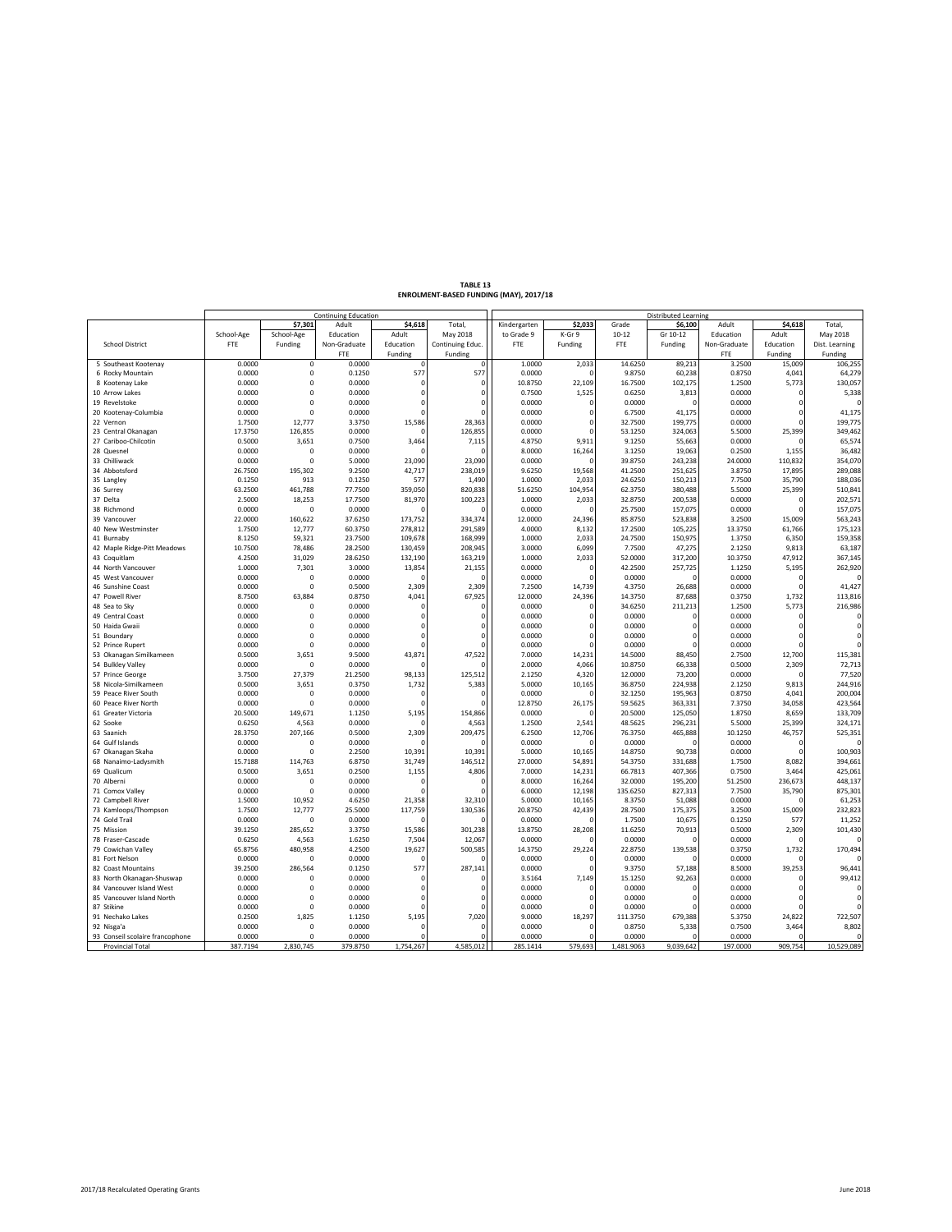|                                 |            |              | Continuing Education |           |                  | <b>Distributed Learning</b> |              |            |             |              |              |                |
|---------------------------------|------------|--------------|----------------------|-----------|------------------|-----------------------------|--------------|------------|-------------|--------------|--------------|----------------|
|                                 |            | \$7,301      | Adult                | \$4,618   | <b>Total</b>     | Kindergarten                | \$2,033      | Grade      | \$6,100     | Adult        | \$4,618      | Total.         |
|                                 | School-Age | School-Age   | Education            | Adult     | May 2018         | to Grade 9                  | K-Gr 9       | $10 - 12$  | Gr 10-12    | Education    | Adult        | May 2018       |
| <b>School District</b>          | FTE        | Funding      | Non-Graduate         | Education | Continuing Educ. | FTE                         | Funding      | <b>FTE</b> | Funding     | Non-Graduate | Education    | Dist. Learning |
|                                 |            |              | <b>FTE</b>           | Funding   | Funding          |                             |              |            |             | FTE          | Funding      | Funding        |
| 5 Southeast Kootenay            | 0.0000     | $\mathsf 0$  | 0.0000               |           | $\overline{0}$   | 1.0000                      | 2,033        | 14.6250    | 89,213      | 3.2500       | 15,009       | 106,255        |
| 6 Rocky Mountain                | 0.0000     | $\mathbf 0$  | 0.1250               | 577       | 577              | 0.0000                      | $\Omega$     | 9.8750     | 60,238      | 0.8750       | 4,041        | 64,279         |
| 8 Kootenay Lake                 | 0.0000     | $\mathbf 0$  | 0.0000               |           | $\Omega$         | 10.8750                     | 22,109       | 16.7500    | 102,175     | 1.2500       | 5,773        | 130,057        |
| 10 Arrow Lakes                  | 0.0000     | $\mathsf 0$  | 0.0000               |           | $\mathbf 0$      | 0.7500                      | 1,525        | 0.6250     | 3,813       | 0.0000       | $\epsilon$   | 5,338          |
| 19 Revelstoke                   | 0.0000     | $\Omega$     | 0.0000               |           | $\Omega$         | 0.0000                      | ſ            | 0.0000     | $\Omega$    | 0.0000       |              |                |
| 20 Kootenay-Columbia            | 0.0000     | $\mathbf 0$  | 0.0000               |           | $\mathbf{C}$     | 0.0000                      | $\Omega$     | 6.7500     | 41,175      | 0.0000       |              | 41,175         |
| 22 Vernon                       | 1.7500     | 12,777       | 3.3750               | 15,586    | 28,363           | 0.0000                      | $\Omega$     | 32.7500    | 199,775     | 0.0000       |              | 199,775        |
| 23 Central Okanagan             | 17.3750    | 126,855      | 0.0000               |           | 126,855          | 0.0000                      | $\Omega$     | 53.1250    | 324,063     | 5.5000       | 25,399       | 349,462        |
| 27 Cariboo-Chilcotin            | 0.5000     | 3,651        | 0.7500               | 3,464     | 7,115            | 4.8750                      | 9,911        | 9.1250     | 55,663      | 0.0000       |              | 65,574         |
| 28 Quesnel                      | 0.0000     | $\mathbf 0$  | 0.0000               |           | c                | 8.0000                      | 16,264       | 3.1250     | 19,063      | 0.2500       | 1,155        | 36,482         |
| 33 Chilliwack                   | 0.0000     | $\mathbf 0$  | 5.0000               | 23,090    | 23,090           | 0.0000                      |              | 39.8750    | 243,238     | 24,0000      | 110,832      | 354,070        |
| 34 Abbotsford                   | 26.7500    | 195,302      | 9.2500               | 42,717    | 238,019          | 9.6250                      | 19,568       | 41.2500    | 251,625     | 3.8750       | 17,895       | 289,088        |
| 35 Langley                      | 0.1250     | 913          | 0.1250               | 577       | 1,490            | 1.0000                      | 2,033        | 24.6250    | 150,213     | 7.7500       | 35,790       | 188,036        |
| 36 Surrey                       | 63.2500    | 461,788      | 77.7500              | 359,050   | 820,838          | 51.6250                     | 104,954      | 62.3750    | 380,488     | 5.5000       | 25,399       | 510,841        |
| 37 Delta                        | 2.5000     | 18,253       | 17.7500              | 81,970    | 100,223          | 1.0000                      | 2,033        | 32.8750    | 200,538     | 0.0000       | $\epsilon$   | 202,571        |
| 38 Richmond                     | 0.0000     | $\Omega$     | 0.0000               |           |                  | 0.0000                      |              | 25.7500    | 157,075     | 0.0000       |              | 157,075        |
| 39 Vancouver                    | 22.0000    | 160,622      | 37.6250              | 173,752   | 334,374          | 12.0000                     | 24,396       | 85.8750    | 523,838     | 3.2500       | 15,009       | 563,243        |
| 40 New Westminster              | 1.7500     | 12,777       | 60.3750              | 278,812   | 291,589          | 4.0000                      | 8,132        | 17.2500    | 105,225     | 13.3750      | 61,766       | 175,123        |
| 41 Burnaby                      | 8.1250     | 59,321       | 23.7500              | 109,678   | 168,999          | 1.0000                      | 2,033        | 24.7500    | 150,975     | 1.3750       | 6,350        | 159,358        |
| 42 Maple Ridge-Pitt Meadows     | 10.7500    | 78,486       | 28.2500              | 130,459   | 208,945          | 3.0000                      | 6,099        | 7.7500     | 47,275      | 2.1250       | 9,813        | 63,187         |
| 43 Coquitlam                    | 4.2500     | 31,029       | 28.6250              | 132,190   | 163,219          | 1.0000                      | 2,033        | 52.0000    | 317,200     | 10.3750      | 47,912       | 367,145        |
| 44 North Vancouver              | 1.0000     | 7,301        | 3.0000               | 13,854    | 21,155           | 0.0000                      |              | 42.2500    | 257,725     | 1.1250       | 5,195        | 262,920        |
| 45 West Vancouver               | 0.0000     | 0            | 0.0000               |           | c                | 0.0000                      | $\sqrt{ }$   | 0.0000     | $\Omega$    | 0.0000       | $\mathbf{r}$ |                |
| 46 Sunshine Coast               | 0.0000     | $\Omega$     | 0.5000               | 2,309     | 2,309            | 7.2500                      | 14,739       | 4.3750     | 26,688      | 0.0000       |              | 41,427         |
| 47 Powell River                 | 8.7500     | 63,884       | 0.8750               | 4,041     | 67,925           | 12.0000                     | 24,396       | 14.3750    | 87,688      | 0.3750       | 1,732        | 113,816        |
| 48 Sea to Sky                   | 0.0000     | $\mathbf 0$  | 0.0000               |           | $\Omega$         | 0.0000                      | $\Omega$     | 34.6250    | 211,213     | 1.2500       | 5,773        | 216,986        |
| 49 Central Coast                | 0.0000     | $\mathbf 0$  | 0.0000               |           | $\Omega$         | 0.0000                      | $\Omega$     | 0.0000     | $\mathbf 0$ | 0.0000       | $\epsilon$   |                |
| 50 Haida Gwaii                  | 0.0000     | $\Omega$     | 0.0000               |           | $\Omega$         | 0.0000                      | $\Omega$     | 0.0000     | $\Omega$    | 0.0000       |              | $\Omega$       |
| 51 Boundary                     | 0.0000     | $\mathbf 0$  | 0.0000               |           | $\Omega$         | 0.0000                      | $\Omega$     | 0.0000     | $\mathbf 0$ | 0.0000       | $\epsilon$   | $\Omega$       |
| 52 Prince Rupert                | 0.0000     | $\Omega$     | 0.0000               |           | $\Omega$         | 0.0000                      |              | 0.0000     | $\Omega$    | 0.0000       |              | $\Omega$       |
| 53 Okanagan Similkameen         | 0.5000     | 3,651        | 9.5000               | 43,871    | 47,522           | 7.0000                      | 14,231       | 14.5000    | 88,450      | 2.7500       | 12,700       | 115,381        |
| 54 Bulkley Valley               | 0.0000     | $\mathbf 0$  | 0.0000               |           | C.               | 2.0000                      | 4,066        | 10.8750    | 66,338      | 0.5000       | 2,309        | 72,713         |
| 57 Prince George                | 3.7500     | 27,379       | 21.2500              | 98,133    | 125,512          | 2.1250                      | 4,320        | 12.0000    | 73,200      | 0.0000       |              | 77,520         |
| 58 Nicola-Similkameen           | 0.5000     | 3,651        | 0.3750               | 1,732     | 5,383            | 5.0000                      | 10,165       | 36.8750    | 224,938     | 2.1250       | 9,813        | 244,916        |
| 59 Peace River South            | 0.0000     | $\mathbf 0$  | 0.0000               |           | C                | 0.0000                      |              | 32.1250    | 195,963     | 0.8750       | 4,041        | 200,004        |
| 60 Peace River North            | 0.0000     | $\mathbf 0$  | 0.0000               |           | $\Omega$         | 12.8750                     | 26,175       | 59.5625    | 363,331     | 7.3750       | 34,058       | 423,564        |
| 61 Greater Victoria             | 20.5000    | 149,671      | 1.1250               | 5,195     | 154,866          | 0.0000                      |              | 20.5000    | 125,050     | 1.8750       | 8,659        | 133,709        |
| 62 Sooke                        | 0.6250     | 4,563        | 0.0000               |           | 4,563            | 1.2500                      | 2,541        | 48.5625    | 296,231     | 5.5000       | 25,399       | 324,171        |
| 63 Saanich                      | 28.3750    | 207,166      | 0.5000               | 2,309     | 209,475          | 6.2500                      | 12,706       | 76.3750    | 465,888     | 10.1250      | 46,757       | 525,351        |
| 64 Gulf Islands                 | 0.0000     | $\mathbf 0$  | 0.0000               |           | c                | 0.0000                      | $\Omega$     | 0.0000     | $\Omega$    | 0.0000       | f.           |                |
| 67 Okanagan Skaha               | 0.0000     | $\mathbf 0$  | 2.2500               | 10,391    | 10,391           | 5.0000                      | 10,165       | 14.8750    | 90,738      | 0.0000       |              | 100,903        |
| 68 Nanaimo-Ladysmith            | 15.7188    | 114,763      | 6.8750               | 31,749    | 146,512          | 27.0000                     | 54,891       | 54.3750    | 331,688     | 1.7500       | 8,082        | 394,661        |
| 69 Qualicum                     | 0.5000     | 3,651        | 0.2500               | 1,155     | 4,806            | 7.0000                      | 14,231       | 66.7813    | 407,366     | 0.7500       | 3,464        | 425,061        |
| 70 Alberni                      | 0.0000     | $\mathbf{0}$ | 0.0000               |           | $\Omega$         | 8.0000                      | 16,264       | 32.0000    | 195,200     | 51.2500      | 236,673      | 448,137        |
| 71 Comox Valley                 | 0.0000     | $\Omega$     | 0.0000               |           | $\mathsf{C}$     | 6.0000                      | 12,198       | 135.6250   | 827,313     | 7.7500       | 35,790       | 875,301        |
| 72 Campbell River               | 1.5000     | 10,952       | 4.6250               | 21,358    | 32,310           | 5.0000                      | 10,165       | 8.3750     | 51,088      | 0.0000       |              | 61,253         |
| 73 Kamloops/Thompson            | 1.7500     | 12,777       | 25.5000              | 117,759   | 130,536          | 20.8750                     | 42,439       | 28.7500    | 175,375     | 3.2500       | 15,009       | 232,823        |
| 74 Gold Trail                   | 0.0000     | $^{\circ}$   | 0.0000               |           | $\Omega$         | 0.0000                      | $\mathsf{C}$ | 1.7500     | 10,675      | 0.1250       | 577          | 11,252         |
| 75 Mission                      | 39.1250    | 285,652      | 3.3750               | 15,586    | 301,238          | 13.8750                     | 28,208       | 11.6250    | 70,913      | 0.5000       | 2,309        | 101,430        |
| 78 Fraser-Cascade               | 0.6250     | 4,563        | 1.6250               | 7,504     | 12,067           | 0.0000                      |              | 0.0000     | $\Omega$    | 0.0000       |              |                |
| 79 Cowichan Valley              | 65.8756    | 480,958      | 4.2500               | 19,627    | 500,585          | 14.3750                     | 29,224       | 22.8750    | 139,538     | 0.3750       | 1,732        | 170,494        |
| 81 Fort Nelson                  | 0.0000     | $\Omega$     | 0.0000               |           | г                | 0.0000                      | -C           | 0.0000     | n           | 0.0000       |              |                |
| 82 Coast Mountains              | 39.2500    | 286.564      | 0.1250               | 577       | 287,141          | 0.0000                      |              | 9.3750     | 57,188      | 8.5000       | 39,253       | 96,441         |
| 83 North Okanagan-Shuswap       | 0.0000     | $\mathbf 0$  | 0.0000               |           |                  | 3.5164                      | 7,149        | 15.1250    | 92,263      | 0.0000       |              | 99,412         |
| 84 Vancouver Island West        | 0.0000     | $\mathbf 0$  | 0.0000               |           | $\Omega$         | 0.0000                      |              | 0.0000     | $\Omega$    | 0.0000       |              |                |
| 85 Vancouver Island North       | 0.0000     | $\Omega$     | 0.0000               |           | $\Omega$         | 0.0000                      | $\Omega$     | 0.0000     | $\mathbf 0$ | 0.0000       |              | $\Omega$       |
| 87 Stikine                      | 0.0000     | $\Omega$     | 0.0000               |           | $\Omega$         | 0.0000                      | $\Omega$     | 0.0000     | $\Omega$    | 0.0000       |              | $\Omega$       |
| 91 Nechako Lakes                | 0.2500     | 1,825        | 1.1250               | 5,195     | 7,020            | 9.0000                      | 18,297       | 111.3750   | 679,388     | 5.3750       | 24,822       | 722,507        |
| 92 Nisga'a                      | 0.0000     | $\Omega$     | 0.0000               |           | $\Omega$         | 0.0000                      | $\Omega$     | 0.8750     | 5,338       | 0.7500       | 3,464        | 8,802          |
| 93 Conseil scolaire francophone | 0.0000     | $\Omega$     | 0.0000               |           | $\mathbf 0$      | 0.0000                      |              | 0.0000     |             | 0.0000       |              | $\Omega$       |
| <b>Provincial Total</b>         | 387.7194   | 2.830.745    | 379.8750             | 1,754,267 | 4,585,012        | 285.1414                    | 579,693      | 1,481.9063 | 9,039,642   | 197.0000     | 909,754      | 10,529,089     |

**TABLE 13 ENROLMENT-BASED FUNDING (MAY), 2017/18**